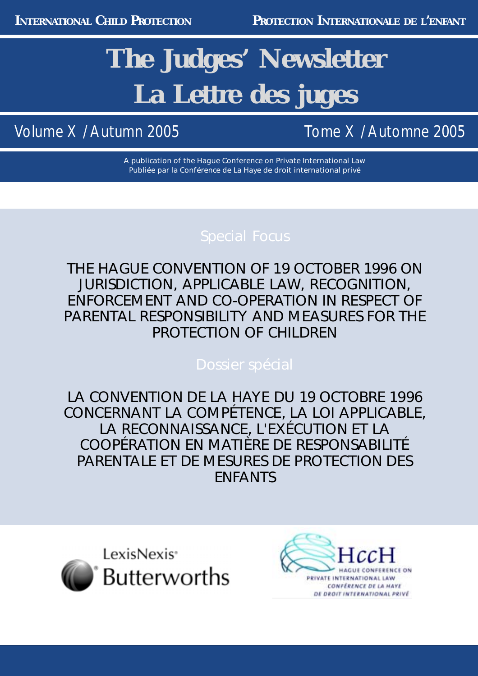# **The Judges' Newsletter La Lettre des juges**

Volume X / Autumn 2005 Tome X / Automne 2005

A publication of the Hague Conference on Private International Law Publiée par la Conférence de La Haye de droit international privé

THE *HAGUE CONVENTION OF 19 OCTOBER 1996 ON JURISDICTION, APPLICABLE LAW, RECOGNITION, ENFORCEMENT AND CO-OPERATION IN RESPECT OF PARENTAL RESPONSIBILITY AND MEASURES FOR THE PROTECTION OF CHILDREN*

LA *CONVENTION DE LA HAYE DU 19 OCTOBRE 1996 CONCERNANT LA COMPÉTENCE, LA LOI APPLICABLE, LA RECONNAISSANCE, L'EXÉCUTION ET LA COOPÉRATION EN MATIÈRE DE RESPONSABILITÉ PARENTALE ET DE MESURES DE PROTECTION DES ENFANTS*



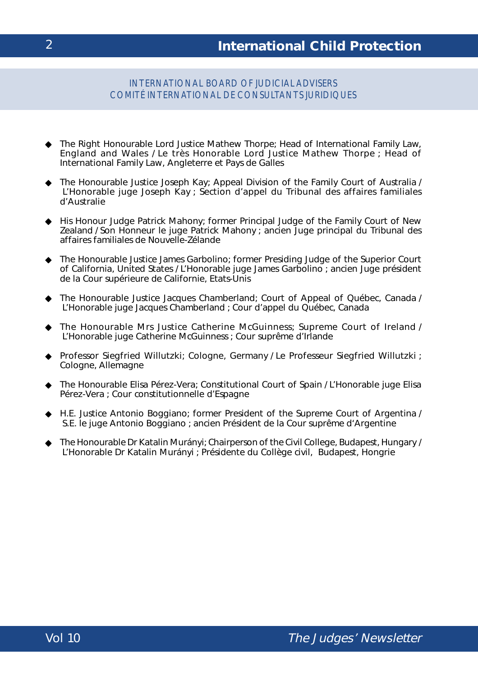### INTERNATIONAL BOARD OF JUDICIAL ADVISERS COMITÉ INTERNATIONAL DE CONSULTANTS JURIDIQUES

- ◆ The Right Honourable Lord Justice Mathew Thorpe; Head of International Family Law, England and Wales / Le très Honorable *Lord Justice* Mathew Thorpe ; *Head of International Family Law*, Angleterre et Pays de Galles
- ◆ The Honourable Justice Joseph Kay; Appeal Division of the Family Court of Australia / L'Honorable juge Joseph Kay ; Section d'appel du Tribunal des affaires familiales d'Australie
- ◆ His Honour Judge Patrick Mahony; former Principal Judge of the Family Court of New Zealand / Son Honneur le juge Patrick Mahony ; ancien Juge principal du Tribunal des affaires familiales de Nouvelle-Zélande
- ◆ The Honourable Justice James Garbolino; former Presiding Judge of the Superior Court of California, United States / L'Honorable juge James Garbolino ; ancien Juge président de la Cour supérieure de Californie, Etats-Unis
- ◆ The Honourable Justice Jacques Chamberland; Court of Appeal of Québec, Canada / L'Honorable juge Jacques Chamberland ; Cour d'appel du Québec, Canada
- ◆ The Honourable Mrs Justice Catherine McGuinness; Supreme Court of Ireland / L'Honorable juge Catherine McGuinness ; Cour suprême d'Irlande
- ◆ Professor Siegfried Willutzki; Cologne, Germany / Le Professeur Siegfried Willutzki ; Cologne, Allemagne
- ◆ The Honourable Elisa Pérez-Vera; Constitutional Court of Spain / L'Honorable juge Elisa Pérez-Vera ; Cour constitutionnelle d'Espagne
- ◆ H.E. Justice Antonio Boggiano; former President of the Supreme Court of Argentina / S.E. le juge Antonio Boggiano ; ancien Président de la Cour suprême d'Argentine
- ◆ The Honourable Dr Katalin Murányi; Chairperson of the Civil College, Budapest, Hungary / L'Honorable Dr Katalin Murányi ; Présidente du Collège civil, Budapest, Hongrie

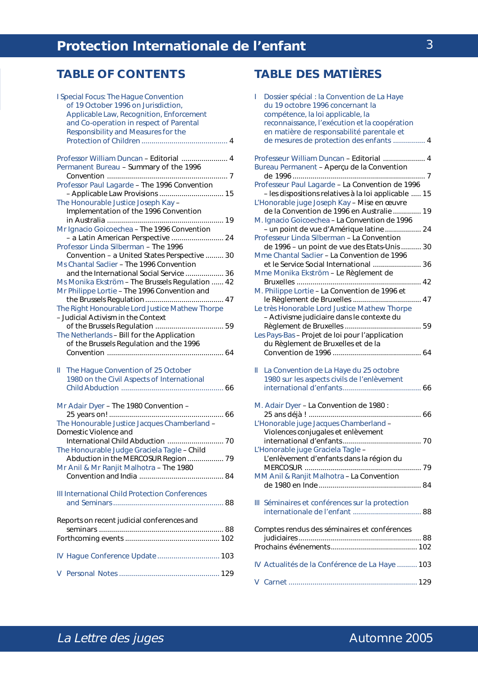### **TABLE OF CONTENTS TABLE DES MATIÈRES**

| I Special Focus: The Hague Convention<br>of 19 October 1996 on Jurisdiction,      |
|-----------------------------------------------------------------------------------|
| Applicable Law, Recognition, Enforcement                                          |
| and Co-operation in respect of Parental                                           |
| Responsibility and Measures for the                                               |
|                                                                                   |
| Professor William Duncan - Editorial  4<br>Permanent Bureau - Summary of the 1996 |
|                                                                                   |
| Professor Paul Lagarde - The 1996 Convention                                      |
| The Honourable Justice Joseph Kay -                                               |
| Implementation of the 1996 Convention                                             |
| Mr Ignacio Goicoechea - The 1996 Convention                                       |
| - a Latin American Perspective  24                                                |
| Professor Linda Silberman - The 1996                                              |
| Convention - a United States Perspective  30                                      |
| Ms Chantal Saclier - The 1996 Convention                                          |
| and the International Social Service  36                                          |
| Ms Monika Ekström - The Brussels Regulation  42                                   |
| Mr Philippe Lortie - The 1996 Convention and                                      |
|                                                                                   |
| The Right Honourable Lord Justice Mathew Thorpe                                   |
| - Judicial Activism in the Context                                                |
| The Netherlands - Bill for the Application                                        |
| of the Brussels Regulation and the 1996                                           |
|                                                                                   |
|                                                                                   |
| The Hague Convention of 25 October<br>Ш.                                          |
| 1980 on the Civil Aspects of International                                        |
|                                                                                   |
| Mr Adair Dyer - The 1980 Convention -                                             |
|                                                                                   |
| The Honourable Justice Jacques Chamberland -                                      |
|                                                                                   |
| Domestic Violence and                                                             |
|                                                                                   |
| The Honourable Judge Graciela Tagle - Child                                       |
| Abduction in the MERCOSUR Region  79                                              |
| Mr Anil & Mr Ranjit Malhotra - The 1980                                           |
|                                                                                   |
|                                                                                   |
| III International Child Protection Conferences                                    |
|                                                                                   |
| Reports on recent judicial conferences and                                        |
|                                                                                   |
|                                                                                   |
|                                                                                   |
| IV Hague Conference Update 103                                                    |
| V.                                                                                |

| Dossier spécial : la Convention de La Haye<br>L<br>du 19 octobre 1996 concernant la<br>compétence, la loi applicable, la<br>reconnaissance, l'exécution et la coopération<br>en matière de responsabilité parentale et<br>de mesures de protection des enfants  4                                                                                                                                                                                                                                                                                                                                                                                                                                                                                                                                                                                                |
|------------------------------------------------------------------------------------------------------------------------------------------------------------------------------------------------------------------------------------------------------------------------------------------------------------------------------------------------------------------------------------------------------------------------------------------------------------------------------------------------------------------------------------------------------------------------------------------------------------------------------------------------------------------------------------------------------------------------------------------------------------------------------------------------------------------------------------------------------------------|
| Professeur William Duncan - Editorial  4<br>Bureau Permanent - Aperçu de la Convention<br>Professeur Paul Lagarde - La Convention de 1996<br>- les dispositions relatives à la loi applicable  15<br>L'Honorable juge Joseph Kay - Mise en œuvre<br>de la Convention de 1996 en Australie  19<br>M. Ignacio Goicoechea - La Convention de 1996<br>- un point de vue d'Amérique latine  24<br>Professeur Linda Silberman - La Convention<br>de 1996 - un point de vue des Etats-Unis  30<br>Mme Chantal Saclier - La Convention de 1996<br>et le Service Social International  36<br>Mme Monika Ekström - Le Règlement de<br>M. Philippe Lortie - La Convention de 1996 et<br>Le très Honorable Lord Justice Mathew Thorpe<br>- Activisme judiciaire dans le contexte du<br>Les Pays-Bas - Projet de loi pour l'application<br>du Règlement de Bruxelles et de la |
| La Convention de La Haye du 25 octobre<br>Ш.<br>1980 sur les aspects civils de l'enlèvement                                                                                                                                                                                                                                                                                                                                                                                                                                                                                                                                                                                                                                                                                                                                                                      |
| M. Adair Dyer - La Convention de 1980 :<br>L'Honorable juge Jacques Chamberland -<br>Violences conjugales et enlèvement                                                                                                                                                                                                                                                                                                                                                                                                                                                                                                                                                                                                                                                                                                                                          |
| L'Honorable juge Graciela Tagle -<br>L'enlèvement d'enfants dans la région du<br>MM Anil & Ranjit Malhotra - La Convention                                                                                                                                                                                                                                                                                                                                                                                                                                                                                                                                                                                                                                                                                                                                       |
| III Séminaires et conférences sur la protection                                                                                                                                                                                                                                                                                                                                                                                                                                                                                                                                                                                                                                                                                                                                                                                                                  |
| Comptes rendus des séminaires et conférences                                                                                                                                                                                                                                                                                                                                                                                                                                                                                                                                                                                                                                                                                                                                                                                                                     |
| IV Actualités de la Conférence de La Haye  103                                                                                                                                                                                                                                                                                                                                                                                                                                                                                                                                                                                                                                                                                                                                                                                                                   |
|                                                                                                                                                                                                                                                                                                                                                                                                                                                                                                                                                                                                                                                                                                                                                                                                                                                                  |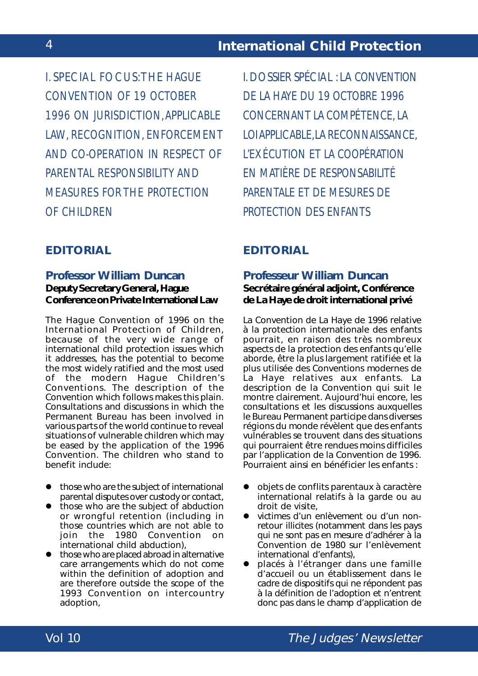I. SPECIAL FOCUS: THE *HAGUE CONVENTION OF 19 OCTOBER 1996 ON JURISDICTION, APPLICABLE LAW, RECOGNITION, ENFORCEMENT AND CO-OPERATION IN RESPECT OF PARENTAL RESPONSIBILITY AND MEASURES FOR THE PROTECTION OF CHILDREN*

### **EDITORIAL**

### **Professor William Duncan Deputy Secretary General, Hague Conference on Private International Law**

The Hague Convention of 1996 on the International Protection of Children, because of the very wide range of international child protection issues which it addresses, has the potential to become the most widely ratified and the most used of the modern Hague Children's Conventions. The description of the Convention which follows makes this plain. Consultations and discussions in which the Permanent Bureau has been involved in various parts of the world continue to reveal situations of vulnerable children which may be eased by the application of the 1996 Convention. The children who stand to benefit include:

- $\bullet$  those who are the subject of international parental disputes over custody or contact,
- those who are the subject of abduction or wrongful retention (including in those countries which are not able to join the 1980 Convention on international child abduction),
- $\bullet$  those who are placed abroad in alternative care arrangements which do not come within the definition of adoption and are therefore outside the scope of the 1993 Convention on intercountry adoption,

I.DOSSIER SPÉCIAL : LA *CONVENTION DE LA HAYE DU 19 OCTOBRE 1996 CONCERNANT LA COMPÉTENCE, LA LOI APPLICABLE, LA RECONNAISSANCE, L'EXÉCUTION ET LA COOPÉRATION EN MATIÈRE DE RESPONSABILITÉ PARENTALE ET DE MESURES DE PROTECTION DES ENFANTS*

### **EDITORIAL**

### **Professeur William Duncan Secrétaire général adjoint, Conférence de La Haye de droit international privé**

La Convention de La Haye de 1996 relative à la protection internationale des enfants pourrait, en raison des très nombreux aspects de la protection des enfants qu'elle aborde, être la plus largement ratifiée et la plus utilisée des Conventions modernes de La Haye relatives aux enfants. La description de la Convention qui suit le montre clairement. Aujourd'hui encore, les consultations et les discussions auxquelles le Bureau Permanent participe dans diverses régions du monde révèlent que des enfants vulnérables se trouvent dans des situations qui pourraient être rendues moins difficiles par l'application de la Convention de 1996. Pourraient ainsi en bénéficier les enfants :

- objets de conflits parentaux à caractère international relatifs à la garde ou au droit de visite,
- victimes d'un enlèvement ou d'un nonretour illicites (notamment dans les pays qui ne sont pas en mesure d'adhérer à la Convention de 1980 sur l'enlèvement international d'enfants),
- placés à l'étranger dans une famille d'accueil ou un établissement dans le cadre de dispositifs qui ne répondent pas à la définition de l'adoption et n'entrent donc pas dans le champ d'application de

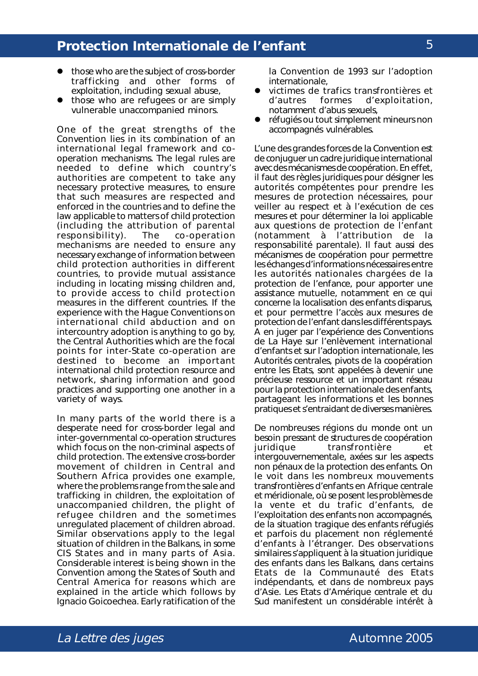- those who are the subject of cross-border trafficking and other forms of exploitation, including sexual abuse,
- those who are refugees or are simply vulnerable unaccompanied minors.

One of the great strengths of the Convention lies in its combination of an international legal framework and cooperation mechanisms. The legal rules are needed to define which country's authorities are competent to take any necessary protective measures, to ensure that such measures are respected and enforced in the countries and to define the law applicable to matters of child protection (including the attribution of parental responsibility). The co-operation mechanisms are needed to ensure any necessary exchange of information between child protection authorities in different countries, to provide mutual assistance including in locating missing children and, to provide access to child protection measures in the different countries. If the experience with the Hague Conventions on international child abduction and on intercountry adoption is anything to go by, the Central Authorities which are the focal points for inter-State co-operation are destined to become an important international child protection resource and network, sharing information and good practices and supporting one another in a variety of ways.

In many parts of the world there is a desperate need for cross-border legal and inter-governmental co-operation structures which focus on the non-criminal aspects of child protection. The extensive cross-border movement of children in Central and Southern Africa provides one example, where the problems range from the sale and trafficking in children, the exploitation of unaccompanied children, the plight of refugee children and the sometimes unregulated placement of children abroad. Similar observations apply to the legal situation of children in the Balkans, in some CIS States and in many parts of Asia. Considerable interest is being shown in the Convention among the States of South and Central America for reasons which are explained in the article which follows by Ignacio Goicoechea. Early ratification of the

la Convention de 1993 sur l'adoption internationale,

- ! victimes de trafics transfrontières et d'autres formes d'exploitation, notamment d'abus sexuels,
- réfugiés ou tout simplement mineurs non accompagnés vulnérables.

L'une des grandes forces de la Convention est de conjuguer un cadre juridique international avec des mécanismes de coopération. En effet, il faut des règles juridiques pour désigner les autorités compétentes pour prendre les mesures de protection nécessaires, pour veiller au respect et à l'exécution de ces mesures et pour déterminer la loi applicable aux questions de protection de l'enfant (notamment à l'attribution de la responsabilité parentale). Il faut aussi des mécanismes de coopération pour permettre les échanges d'informations nécessaires entre les autorités nationales chargées de la protection de l'enfance, pour apporter une assistance mutuelle, notamment en ce qui concerne la localisation des enfants disparus, et pour permettre l'accès aux mesures de protection de l'enfant dans les différents pays. A en juger par l'expérience des Conventions de La Haye sur l'enlèvement international d'enfants et sur l'adoption internationale, les Autorités centrales, pivots de la coopération entre les Etats, sont appelées à devenir une précieuse ressource et un important réseau pour la protection internationale des enfants, partageant les informations et les bonnes pratiques et s'entraidant de diverses manières.

De nombreuses régions du monde ont un besoin pressant de structures de coopération juridique transfrontière et intergouvernementale, axées sur les aspects non pénaux de la protection des enfants. On le voit dans les nombreux mouvements transfrontières d'enfants en Afrique centrale et méridionale, où se posent les problèmes de la vente et du trafic d'enfants, de l'exploitation des enfants non accompagnés, de la situation tragique des enfants réfugiés et parfois du placement non réglementé d'enfants à l'étranger. Des observations similaires s'appliquent à la situation juridique des enfants dans les Balkans, dans certains Etats de la Communauté des Etats indépendants, et dans de nombreux pays d'Asie. Les Etats d'Amérique centrale et du Sud manifestent un considérable intérêt à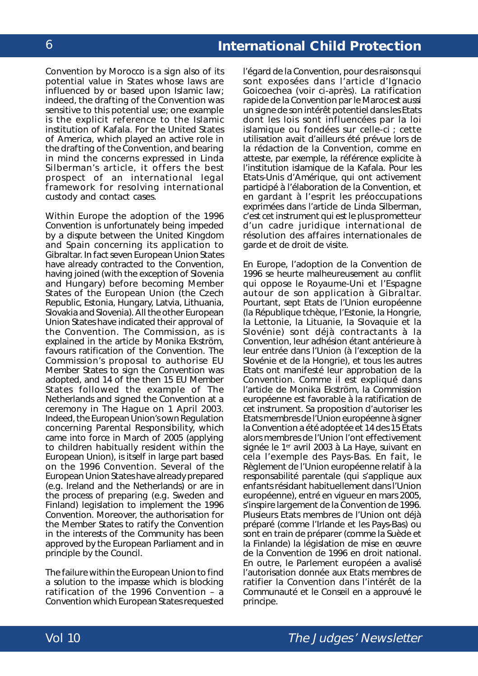Convention by Morocco is a sign also of its potential value in States whose laws are influenced by or based upon Islamic law; indeed, the drafting of the Convention was sensitive to this potential use; one example is the explicit reference to the Islamic institution of *Kafala*. For the United States of America, which played an active role in the drafting of the Convention, and bearing in mind the concerns expressed in Linda Silberman's article, it offers the best prospect of an international legal framework for resolving international custody and contact cases.

Within Europe the adoption of the 1996 Convention is unfortunately being impeded by a dispute between the United Kingdom and Spain concerning its application to Gibraltar. In fact seven European Union States have already contracted to the Convention, having joined (with the exception of Slovenia and Hungary) before becoming Member States of the European Union (the Czech Republic, Estonia, Hungary, Latvia, Lithuania, Slovakia and Slovenia). All the other European Union States have indicated their approval of the Convention. The Commission, as is explained in the article by Monika Ekström, favours ratification of the Convention. The Commission's proposal to authorise EU Member States to sign the Convention was adopted, and 14 of the then 15 EU Member States followed the example of The Netherlands and signed the Convention at a ceremony in The Hague on 1 April 2003. Indeed, the European Union's own Regulation concerning Parental Responsibility, which came into force in March of 2005 (applying to children habitually resident within the European Union), is itself in large part based on the 1996 Convention. Several of the European Union States have already prepared (*e.g.* Ireland and the Netherlands) or are in the process of preparing (*e.g.* Sweden and Finland) legislation to implement the 1996 Convention. Moreover, the authorisation for the Member States to ratify the Convention in the interests of the Community has been approved by the European Parliament and in principle by the Council.

The failure within the European Union to find a solution to the impasse which is blocking ratification of the 1996 Convention – a Convention which European States requested

l'égard de la Convention, pour des raisons qui sont exposées dans l'article d'Ignacio Goicoechea (voir ci-après). La ratification rapide de la Convention par le Maroc est aussi un signe de son intérêt potentiel dans les Etats dont les lois sont influencées par la loi islamique ou fondées sur celle-ci ; cette utilisation avait d'ailleurs été prévue lors de la rédaction de la Convention, comme en atteste, par exemple, la référence explicite à l'institution islamique de la *Kafala*. Pour les Etats-Unis d'Amérique, qui ont activement participé à l'élaboration de la Convention, et en gardant à l'esprit les préoccupations exprimées dans l'article de Linda Silberman, c'est cet instrument qui est le plus prometteur d'un cadre juridique international de résolution des affaires internationales de garde et de droit de visite.

En Europe, l'adoption de la Convention de 1996 se heurte malheureusement au conflit qui oppose le Royaume-Uni et l'Espagne autour de son application à Gibraltar. Pourtant, sept Etats de l'Union européenne (la République tchèque, l'Estonie, la Hongrie, la Lettonie, la Lituanie, la Slovaquie et la Slovénie) sont déjà contractants à la Convention, leur adhésion étant antérieure à leur entrée dans l'Union (à l'exception de la Slovénie et de la Hongrie), et tous les autres Etats ont manifesté leur approbation de la Convention. Comme il est expliqué dans l'article de Monika Ekström, la Commission européenne est favorable à la ratification de cet instrument. Sa proposition d'autoriser les Etats membres de l'Union européenne à signer la Convention a été adoptée et 14 des 15 Etats alors membres de l'Union l'ont effectivement signée le 1<sup>er</sup> avril 2003 à La Haye, suivant en cela l'exemple des Pays-Bas. En fait, le Règlement de l'Union européenne relatif à la responsabilité parentale (qui s'applique aux enfants résidant habituellement dans l'Union européenne), entré en vigueur en mars 2005, s'inspire largement de la Convention de 1996. Plusieurs Etats membres de l'Union ont déjà préparé (comme l'Irlande et les Pays-Bas) ou sont en train de préparer (comme la Suède et la Finlande) la législation de mise en œuvre de la Convention de 1996 en droit national. En outre, le Parlement européen a avalisé l'autorisation donnée aux Etats membres de ratifier la Convention dans l'intérêt de la Communauté et le Conseil en a approuvé le principe.



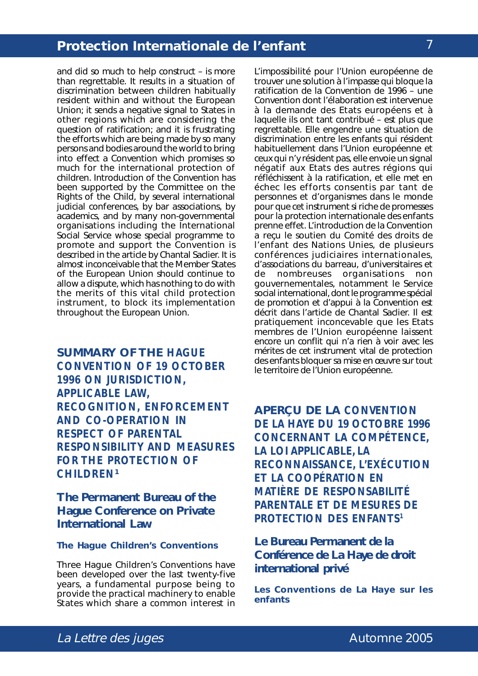and did so much to help construct – is more than regrettable. It results in a situation of discrimination between children habitually resident within and without the European Union; it sends a negative signal to States in other regions which are considering the question of ratification; and it is frustrating the efforts which are being made by so many persons and bodies around the world to bring into effect a Convention which promises so much for the international protection of children. Introduction of the Convention has been supported by the Committee on the Rights of the Child, by several international judicial conferences, by bar associations, by academics, and by many non-governmental organisations including the International Social Service whose special programme to promote and support the Convention is described in the article by Chantal Saclier. It is almost inconceivable that the Member States of the European Union should continue to allow a dispute, which has nothing to do with the merits of this vital child protection instrument, to block its implementation throughout the European Union.

**SUMMARY OF THE** *HAGUE CONVENTION OF 19 OCTOBER 1996 ON JURISDICTION, APPLICABLE LAW, RECOGNITION, ENFORCEMENT AND CO-OPERATION IN RESPECT OF PARENTAL RESPONSIBILITY AND MEASURES FOR THE PROTECTION OF CHILDREN***<sup>1</sup>**

**The Permanent Bureau of the Hague Conference on Private International Law**

#### **The Hague Children's Conventions**

Three Hague Children's Conventions have been developed over the last twenty-five years, a fundamental purpose being to provide the practical machinery to enable States which share a common interest in

L'impossibilité pour l'Union européenne de trouver une solution à l'impasse qui bloque la ratification de la Convention de 1996 – une Convention dont l'élaboration est intervenue à la demande des Etats européens et à laquelle ils ont tant contribué – est plus que regrettable. Elle engendre une situation de discrimination entre les enfants qui résident habituellement dans l'Union européenne et ceux qui n'y résident pas, elle envoie un signal négatif aux Etats des autres régions qui réfléchissent à la ratification, et elle met en échec les efforts consentis par tant de personnes et d'organismes dans le monde pour que cet instrument si riche de promesses pour la protection internationale des enfants prenne effet. L'introduction de la Convention a reçu le soutien du Comité des droits de l'enfant des Nations Unies, de plusieurs conférences judiciaires internationales, d'associations du barreau, d'universitaires et de nombreuses organisations non gouvernementales, notamment le Service social international, dont le programme spécial de promotion et d'appui à la Convention est décrit dans l'article de Chantal Saclier. Il est pratiquement inconcevable que les Etats membres de l'Union européenne laissent encore un conflit qui n'a rien à voir avec les mérites de cet instrument vital de protection des enfants bloquer sa mise en œuvre sur tout le territoire de l'Union européenne.

**APERÇU DE LA** *CONVENTION DE LA HAYE DU 19 OCTOBRE 1996 CONCERNANT LA COMPÉTENCE, LA LOI APPLICABLE, LA RECONNAISSANCE, L'EXÉCUTION ET LA COOPÉRATION EN MATIÈRE DE RESPONSABILITÉ PARENTALE ET DE MESURES DE PROTECTION DES ENFANTS1*

**Le Bureau Permanent de la Conférence de La Haye de droit international privé**

**Les Conventions de La Haye sur les enfants**

# La Lettre des juges and the contract of the Automne 2005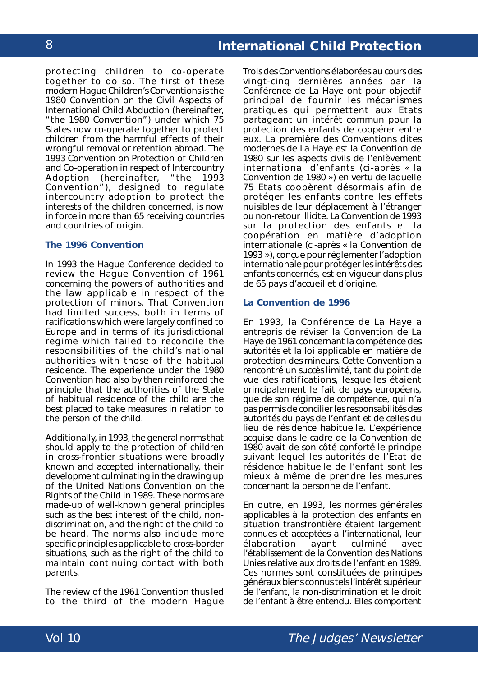protecting children to co-operate together to do so. The first of these modern Hague Children's Conventions is the *1980 Convention on the Civil Aspects of International Child Abduction* (hereinafter, "the 1980 Convention") under which 75 States now co-operate together to protect children from the harmful effects of their wrongful removal or retention abroad. The *1993 Convention on Protection of Children and Co-operation in respect of Intercountry Adoption* (hereinafter, "the 1993 Convention"), designed to regulate intercountry adoption to protect the interests of the children concerned, is now in force in more than 65 receiving countries and countries of origin.

#### **The 1996 Convention**

In 1993 the Hague Conference decided to review the *Hague Convention of 1961 concerning the powers of authorities and the law applicable in respect of the protection of minors*. That Convention had limited success, both in terms of ratifications which were largely confined to Europe and in terms of its jurisdictional regime which failed to reconcile the responsibilities of the child's national authorities with those of the habitual residence. The experience under the 1980 Convention had also by then reinforced the principle that the authorities of the State of habitual residence of the child are the best placed to take measures in relation to the person of the child.

Additionally, in 1993, the general norms that should apply to the protection of children in cross-frontier situations were broadly known and accepted internationally, their development culminating in the drawing up of the *United Nations Convention on the Rights of the Child* in 1989. These norms are made-up of well-known general principles such as the best interest of the child, nondiscrimination, and the right of the child to be heard. The norms also include more specific principles applicable to cross-border situations, such as the right of the child to maintain continuing contact with both parents.

The review of the 1961 Convention thus led to the third of the modern Hague

Trois des Conventions élaborées au cours des vingt-cinq dernières années par la Conférence de La Haye ont pour objectif principal de fournir les mécanismes pratiques qui permettent aux Etats partageant un intérêt commun pour la protection des enfants de coopérer entre eux. La première des Conventions dites modernes de La Haye est la *Convention de 1980 sur les aspects civils de l'enlèvement international d'enfants* (ci-après « la Convention de 1980 ») en vertu de laquelle 75 Etats coopèrent désormais afin de protéger les enfants contre les effets nuisibles de leur déplacement à l'étranger ou non-retour illicite. La *Convention de 1993 sur la protection des enfants et la coopération en matière d'adoption internationale* (ci-après « la Convention de 1993 »), conçue pour réglementer l'adoption internationale pour protéger les intérêts des enfants concernés, est en vigueur dans plus de 65 pays d'accueil et d'origine.

#### **La Convention de 1996**

En 1993, la Conférence de La Haye a entrepris de réviser la *Convention de La Haye de 1961 concernant la compétence des autorités et la loi applicable en matière de protection des mineurs*. Cette Convention a rencontré un succès limité, tant du point de vue des ratifications, lesquelles étaient principalement le fait de pays européens, que de son régime de compétence, qui n'a pas permis de concilier les responsabilités des autorités du pays de l'enfant et de celles du lieu de résidence habituelle. L'expérience acquise dans le cadre de la Convention de 1980 avait de son côté conforté le principe suivant lequel les autorités de l'Etat de résidence habituelle de l'enfant sont les mieux à même de prendre les mesures concernant la personne de l'enfant.

En outre, en 1993, les normes générales applicables à la protection des enfants en situation transfrontière étaient largement connues et acceptées à l'international, leur élaboration ayant culminé avec l'établissement de la *Convention des Nations Unies relative aux droits de l'enfant* en 1989. Ces normes sont constituées de principes généraux biens connus tels l'intérêt supérieur de l'enfant, la non-discrimination et le droit de l'enfant à être entendu. Elles comportent

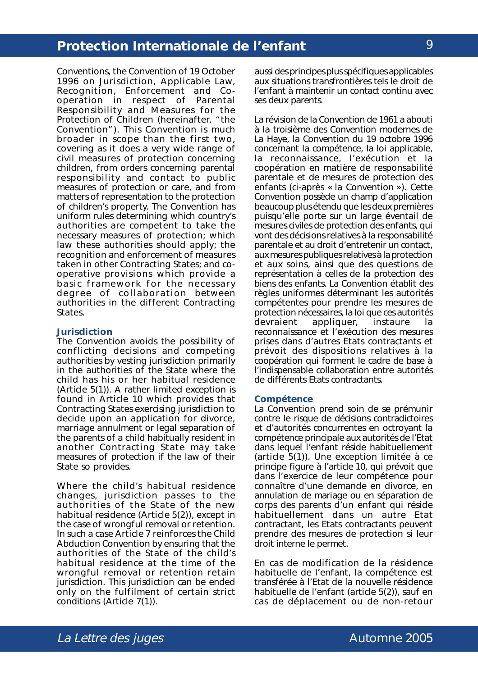Conventions, the *Convention of 19 October 1996 on Jurisdiction, Applicable Law, Recognition, Enforcement and Cooperation in respect of Parental Responsibility and Measures for the Protection of Children* (hereinafter, "the Convention"). This Convention is much broader in scope than the first two, covering as it does a very wide range of civil measures of protection concerning children, from orders concerning parental responsibility and contact to public measures of protection or care, and from matters of representation to the protection of children's property. The Convention has uniform rules determining which country's authorities are competent to take the necessary measures of protection; which law these authorities should apply; the recognition and enforcement of measures taken in other Contracting States; and cooperative provisions which provide a basic framework for the necessary degree of collaboration between authorities in the different Contracting States.

#### **Jurisdiction**

The Convention avoids the possibility of conflicting decisions and competing authorities by vesting jurisdiction primarily in the authorities of the State where the child has his or her habitual residence (Article 5(1)). A rather limited exception is found in Article 10 which provides that Contracting States exercising jurisdiction to decide upon an application for divorce, marriage annulment or legal separation of the parents of a child habitually resident in another Contracting State may take measures of protection if the law of their State so provides.

Where the child's habitual residence changes, jurisdiction passes to the authorities of the State of the new habitual residence (Article 5(2)), except in the case of wrongful removal or retention. In such a case Article 7 reinforces the Child Abduction Convention by ensuring that the authorities of the State of the child's habitual residence at the time of the wrongful removal or retention retain jurisdiction. This jurisdiction can be ended only on the fulfilment of certain strict conditions (Article 7(1)).

aussi des principes plus spécifiques applicables aux situations transfrontières tels le droit de l'enfant à maintenir un contact continu avec ses deux parents.

La révision de la Convention de 1961 a abouti à la troisième des Convention modernes de La Haye, la *Convention du 19 octobre 1996 concernant la compétence, la loi applicable, la reconnaissance, l'exécution et la coopération en matière de responsabilité parentale et de mesures de protection des enfants* (ci-après « la Convention »). Cette Convention possède un champ d'application beaucoup plus étendu que les deux premières puisqu'elle porte sur un large éventail de mesures civiles de protection des enfants, qui vont des décisions relatives à la responsabilité parentale et au droit d'entretenir un contact, aux mesures publiques relatives à la protection et aux soins, ainsi que des questions de représentation à celles de la protection des biens des enfants. La Convention établit des règles uniformes déterminant les autorités compétentes pour prendre les mesures de protection nécessaires, la loi que ces autorités devraient appliquer, instaure la reconnaissance et l'exécution des mesures prises dans d'autres Etats contractants et prévoit des dispositions relatives à la coopération qui forment le cadre de base à l'indispensable collaboration entre autorités de différents Etats contractants.

#### **Compétence**

La Convention prend soin de se prémunir contre le risque de décisions contradictoires et d'autorités concurrentes en octroyant la compétence principale aux autorités de l'Etat dans lequel l'enfant réside habituellement (article 5(1)). Une exception limitée à ce principe figure à l'article 10, qui prévoit que dans l'exercice de leur compétence pour connaître d'une demande en divorce, en annulation de mariage ou en séparation de corps des parents d'un enfant qui réside habituellement dans un autre Etat contractant, les Etats contractants peuvent prendre des mesures de protection si leur droit interne le permet.

En cas de modification de la résidence habituelle de l'enfant, la compétence est transférée à l'Etat de la nouvelle résidence habituelle de l'enfant (article 5(2)), sauf en cas de déplacement ou de non-retour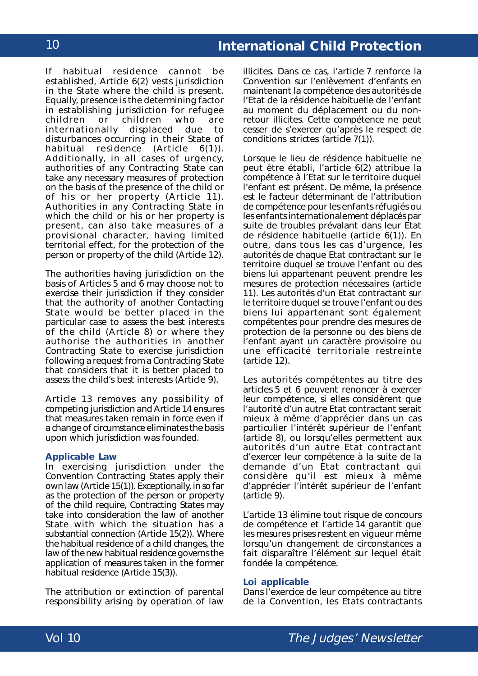If habitual residence cannot be established, Article 6(2) vests jurisdiction in the State where the child is present. Equally, presence is the determining factor in establishing jurisdiction for refugee children or children who are<br>internationally displaced due to internationally displaced due to disturbances occurring in their State of habitual residence (Article 6(1)). Additionally, in all cases of urgency, authorities of any Contracting State can take any necessary measures of protection on the basis of the presence of the child or of his or her property (Article 11). Authorities in any Contracting State in which the child or his or her property is present, can also take measures of a provisional character, having limited territorial effect, for the protection of the person or property of the child (Article 12).

The authorities having jurisdiction on the basis of Articles 5 and 6 may choose not to exercise their jurisdiction if they consider that the authority of another Contacting State would be better placed in the particular case to assess the best interests of the child (Article 8) or where they authorise the authorities in another Contracting State to exercise jurisdiction following a request from a Contracting State that considers that it is better placed to assess the child's best interests (Article 9).

Article 13 removes any possibility of competing jurisdiction and Article 14 ensures that measures taken remain in force even if a change of circumstance eliminates the basis upon which jurisdiction was founded.

#### **Applicable Law**

In exercising jurisdiction under the Convention Contracting States apply their own law (Article 15(1)). Exceptionally, in so far as the protection of the person or property of the child require, Contracting States may take into consideration the law of another State with which the situation has a substantial connection (Article 15(2)). Where the habitual residence of a child changes, the law of the new habitual residence governs the application of measures taken in the former habitual residence (Article 15(3)).

The attribution or extinction of parental responsibility arising by operation of law

illicites. Dans ce cas, l'article 7 renforce la Convention sur l'enlèvement d'enfants en maintenant la compétence des autorités de l'Etat de la résidence habituelle de l'enfant au moment du déplacement ou du nonretour illicites. Cette compétence ne peut cesser de s'exercer qu'après le respect de conditions strictes (article 7(1)).

Lorsque le lieu de résidence habituelle ne peut être établi, l'article 6(2) attribue la compétence à l'Etat sur le territoire duquel l'enfant est présent. De même, la présence est le facteur déterminant de l'attribution de compétence pour les enfants réfugiés ou les enfants internationalement déplacés par suite de troubles prévalant dans leur Etat de résidence habituelle (article 6(1)). En outre, dans tous les cas d'urgence, les autorités de chaque Etat contractant sur le territoire duquel se trouve l'enfant ou des biens lui appartenant peuvent prendre les mesures de protection nécessaires (article 11). Les autorités d'un Etat contractant sur le territoire duquel se trouve l'enfant ou des biens lui appartenant sont également compétentes pour prendre des mesures de protection de la personne ou des biens de l'enfant ayant un caractère provisoire ou une efficacité territoriale restreinte (article 12).

Les autorités compétentes au titre des articles 5 et 6 peuvent renoncer à exercer leur compétence, si elles considèrent que l'autorité d'un autre Etat contractant serait mieux à même d'apprécier dans un cas particulier l'intérêt supérieur de l'enfant (article 8), ou lorsqu'elles permettent aux autorités d'un autre Etat contractant d'exercer leur compétence à la suite de la demande d'un Etat contractant qui considère qu'il est mieux à même d'apprécier l'intérêt supérieur de l'enfant (article 9).

L'article 13 élimine tout risque de concours de compétence et l'article 14 garantit que les mesures prises restent en vigueur même lorsqu'un changement de circonstances a fait disparaître l'élément sur lequel était fondée la compétence.

#### **Loi applicable**

Dans l'exercice de leur compétence au titre de la Convention, les Etats contractants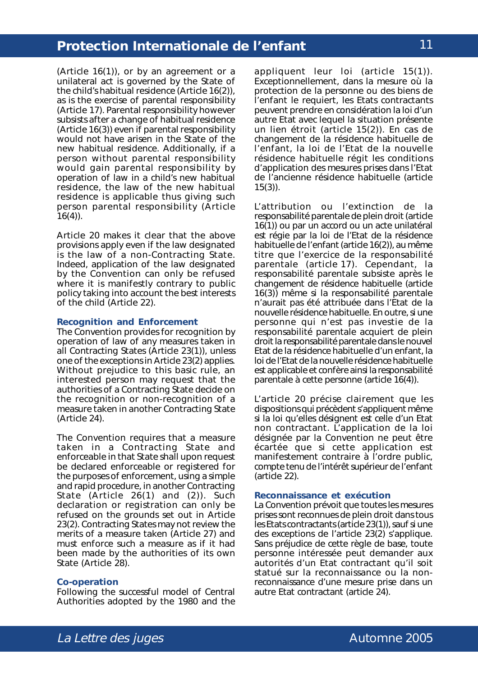(Article 16(1)), or by an agreement or a unilateral act is governed by the State of the child's habitual residence (Article 16(2)), as is the exercise of parental responsibility (Article 17). Parental responsibility however subsists after a change of habitual residence (Article 16(3)) even if parental responsibility would not have arisen in the State of the new habitual residence. Additionally, if a person without parental responsibility would gain parental responsibility by operation of law in a child's new habitual residence, the law of the new habitual residence is applicable thus giving such person parental responsibility (Article  $16(4)$ ).

Article 20 makes it clear that the above provisions apply even if the law designated is the law of a non-Contracting State. Indeed, application of the law designated by the Convention can only be refused where it is manifestly contrary to public policy taking into account the best interests of the child (Article 22).

#### **Recognition and Enforcement**

The Convention provides for recognition by operation of law of any measures taken in all Contracting States (Article 23(1)), unless one of the exceptions in Article 23(2) applies. Without prejudice to this basic rule, an interested person may request that the authorities of a Contracting State decide on the recognition or non-recognition of a measure taken in another Contracting State (Article 24).

The Convention requires that a measure taken in a Contracting State and enforceable in that State shall upon request be declared enforceable or registered for the purposes of enforcement, using a simple and rapid procedure, in another Contracting State (Article 26(1) and (2)). Such declaration or registration can only be refused on the grounds set out in Article 23(2). Contracting States may not review the merits of a measure taken (Article 27) and must enforce such a measure as if it had been made by the authorities of its own State (Article 28).

#### **Co-operation**

Following the successful model of Central Authorities adopted by the 1980 and the

appliquent leur loi (article 15(1)). Exceptionnellement, dans la mesure où la protection de la personne ou des biens de l'enfant le requiert, les Etats contractants peuvent prendre en considération la loi d'un autre Etat avec lequel la situation présente un lien étroit (article 15(2)). En cas de changement de la résidence habituelle de l'enfant, la loi de l'Etat de la nouvelle résidence habituelle régit les conditions d'application des mesures prises dans l'Etat de l'ancienne résidence habituelle (article 15(3)).

L'attribution ou l'extinction de la responsabilité parentale de plein droit (article 16(1)) ou par un accord ou un acte unilatéral est régie par la loi de l'Etat de la résidence habituelle de l'enfant (article 16(2)), au même titre que l'exercice de la responsabilité parentale (article 17). Cependant, la responsabilité parentale subsiste après le changement de résidence habituelle (article 16(3)) même si la responsabilité parentale n'aurait pas été attribuée dans l'Etat de la nouvelle résidence habituelle. En outre, si une personne qui n'est pas investie de la responsabilité parentale acquiert de plein droit la responsabilité parentale dans le nouvel Etat de la résidence habituelle d'un enfant, la loi de l'Etat de la nouvelle résidence habituelle est applicable et confère ainsi la responsabilité parentale à cette personne (article 16(4)).

L'article 20 précise clairement que les dispositions qui précèdent s'appliquent même si la loi qu'elles désignent est celle d'un Etat non contractant. L'application de la loi désignée par la Convention ne peut être écartée que si cette application est manifestement contraire à l'ordre public, compte tenu de l'intérêt supérieur de l'enfant (article 22).

#### **Reconnaissance et exécution**

La Convention prévoit que toutes les mesures prises sont reconnues de plein droit dans tous les Etats contractants (article 23(1)), sauf si une des exceptions de l'article 23(2) s'applique. Sans préjudice de cette règle de base, toute personne intéressée peut demander aux autorités d'un Etat contractant qu'il soit statué sur la reconnaissance ou la nonreconnaissance d'une mesure prise dans un autre Etat contractant (article 24).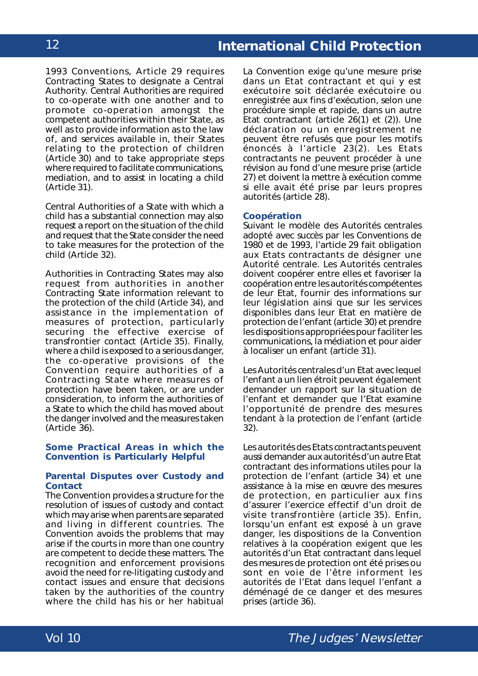1993 Conventions, Article 29 requires Contracting States to designate a Central Authority. Central Authorities are required to co-operate with one another and to promote co-operation amongst the competent authorities within their State, as well as to provide information as to the law of, and services available in, their States relating to the protection of children (Article 30) and to take appropriate steps where required to facilitate communications, mediation, and to assist in locating a child (Article 31).

Central Authorities of a State with which a child has a substantial connection may also request a report on the situation of the child and request that the State consider the need to take measures for the protection of the child (Article 32).

Authorities in Contracting States may also request from authorities in another Contracting State information relevant to the protection of the child (Article 34), and assistance in the implementation of measures of protection, particularly securing the effective exercise of transfrontier contact (Article 35). Finally, where a child is exposed to a serious danger, the co-operative provisions of the Convention require authorities of a Contracting State where measures of protection have been taken, or are under consideration, to inform the authorities of a State to which the child has moved about the danger involved and the measures taken (Article 36).

#### **Some Practical Areas in which the Convention is Particularly Helpful**

#### **Parental Disputes over Custody and Contact**

The Convention provides a structure for the resolution of issues of custody and contact which may arise when parents are separated and living in different countries. The Convention avoids the problems that may arise if the courts in more than one country are competent to decide these matters. The recognition and enforcement provisions avoid the need for re-litigating custody and contact issues and ensure that decisions taken by the authorities of the country where the child has his or her habitual La Convention exige qu'une mesure prise dans un Etat contractant et qui y est exécutoire soit déclarée exécutoire ou enregistrée aux fins d'exécution, selon une procédure simple et rapide, dans un autre Etat contractant (article 26(1) et (2)). Une déclaration ou un enregistrement ne peuvent être refusés que pour les motifs énoncés à l'article 23(2). Les Etats contractants ne peuvent procéder à une révision au fond d'une mesure prise (article 27) et doivent la mettre à exécution comme si elle avait été prise par leurs propres autorités (article 28).

#### **Coopération**

Suivant le modèle des Autorités centrales adopté avec succès par les Conventions de 1980 et de 1993, l'article 29 fait obligation aux Etats contractants de désigner une Autorité centrale. Les Autorités centrales doivent coopérer entre elles et favoriser la coopération entre les autorités compétentes de leur Etat, fournir des informations sur leur législation ainsi que sur les services disponibles dans leur Etat en matière de protection de l'enfant (article 30) et prendre les dispositions appropriées pour faciliter les communications, la médiation et pour aider à localiser un enfant (article 31).

Les Autorités centrales d'un Etat avec lequel l'enfant a un lien étroit peuvent également demander un rapport sur la situation de l'enfant et demander que l'Etat examine l'opportunité de prendre des mesures tendant à la protection de l'enfant (article 32).

Les autorités des Etats contractants peuvent aussi demander aux autorités d'un autre Etat contractant des informations utiles pour la protection de l'enfant (article 34) et une assistance à la mise en œuvre des mesures de protection, en particulier aux fins d'assurer l'exercice effectif d'un droit de visite transfrontière (article 35). Enfin, lorsqu'un enfant est exposé à un grave danger, les dispositions de la Convention relatives à la coopération exigent que les autorités d'un Etat contractant dans lequel des mesures de protection ont été prises ou sont en voie de l'être informent les autorités de l'Etat dans lequel l'enfant a déménagé de ce danger et des mesures prises (article 36).

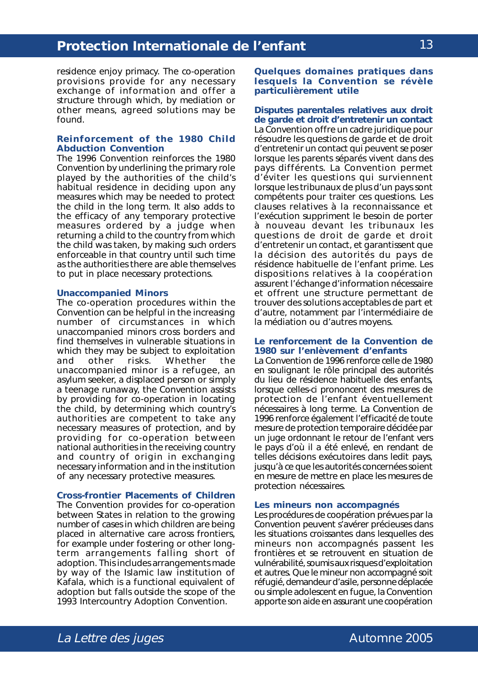residence enjoy primacy. The co-operation provisions provide for any necessary exchange of information and offer a structure through which, by mediation or other means, agreed solutions may be found.

#### **Reinforcement of the 1980 Child Abduction Convention**

The 1996 Convention reinforces the 1980 Convention by underlining the primary role played by the authorities of the child's habitual residence in deciding upon any measures which may be needed to protect the child in the long term. It also adds to the efficacy of any temporary protective measures ordered by a judge when returning a child to the country from which the child was taken, by making such orders enforceable in that country until such time as the authorities there are able themselves to put in place necessary protections.

#### **Unaccompanied Minors**

The co-operation procedures within the Convention can be helpful in the increasing number of circumstances in which unaccompanied minors cross borders and find themselves in vulnerable situations in which they may be subject to exploitation and other risks. Whether the unaccompanied minor is a refugee, an asylum seeker, a displaced person or simply a teenage runaway, the Convention assists by providing for co-operation in locating the child, by determining which country's authorities are competent to take any necessary measures of protection, and by providing for co-operation between national authorities in the receiving country and country of origin in exchanging necessary information and in the institution of any necessary protective measures.

#### **Cross-frontier Placements of Children**

The Convention provides for co-operation between States in relation to the growing number of cases in which children are being placed in alternative care across frontiers, for example under fostering or other longterm arrangements falling short of adoption. This includes arrangements made by way of the Islamic law institution of *Kafala*, which is a functional equivalent of adoption but falls outside the scope of the 1993 Intercountry Adoption Convention.

**Quelques domaines pratiques dans lesquels la Convention se révèle particulièrement utile**

### **Disputes parentales relatives aux droit de garde et droit d'entretenir un contact**

La Convention offre un cadre juridique pour résoudre les questions de garde et de droit d'entretenir un contact qui peuvent se poser lorsque les parents séparés vivent dans des pays différents. La Convention permet d'éviter les questions qui surviennent lorsque les tribunaux de plus d'un pays sont compétents pour traiter ces questions. Les clauses relatives à la reconnaissance et l'exécution suppriment le besoin de porter à nouveau devant les tribunaux les questions de droit de garde et droit d'entretenir un contact, et garantissent que la décision des autorités du pays de résidence habituelle de l'enfant prime. Les dispositions relatives à la coopération assurent l'échange d'information nécessaire et offrent une structure permettant de trouver des solutions acceptables de part et d'autre, notamment par l'intermédiaire de la médiation ou d'autres moyens.

#### **Le renforcement de la Convention de 1980 sur l'enlèvement d'enfants**

La Convention de 1996 renforce celle de 1980 en soulignant le rôle principal des autorités du lieu de résidence habituelle des enfants, lorsque celles-ci prononcent des mesures de protection de l'enfant éventuellement nécessaires à long terme. La Convention de 1996 renforce également l'efficacité de toute mesure de protection temporaire décidée par un juge ordonnant le retour de l'enfant vers le pays d'où il a été enlevé, en rendant de telles décisions exécutoires dans ledit pays, jusqu'à ce que les autorités concernées soient en mesure de mettre en place les mesures de protection nécessaires.

#### **Les mineurs non accompagnés**

Les procédures de coopération prévues par la Convention peuvent s'avérer précieuses dans les situations croissantes dans lesquelles des mineurs non accompagnés passent les frontières et se retrouvent en situation de vulnérabilité, soumis aux risques d'exploitation et autres. Que le mineur non accompagné soit réfugié, demandeur d'asile, personne déplacée ou simple adolescent en fugue, la Convention apporte son aide en assurant une coopération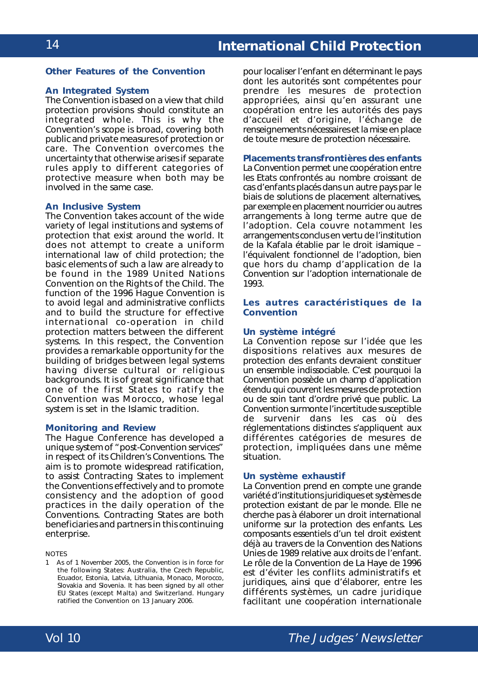#### **Other Features of the Convention**

#### **An Integrated System**

The Convention is based on a view that child protection provisions should constitute an integrated whole. This is why the Convention's scope is broad, covering both public and private measures of protection or care. The Convention overcomes the uncertainty that otherwise arises if separate rules apply to different categories of protective measure when both may be involved in the same case.

#### **An Inclusive System**

The Convention takes account of the wide variety of legal institutions and systems of protection that exist around the world. It does not attempt to create a uniform international law of child protection; the basic elements of such a law are already to be found in the *1989 United Nations Convention on the Rights of the Child*. The function of the 1996 Hague Convention is to avoid legal and administrative conflicts and to build the structure for effective international co-operation in child protection matters between the different systems. In this respect, the Convention provides a remarkable opportunity for the building of bridges between legal systems having diverse cultural or religious backgrounds. It is of great significance that one of the first States to ratify the Convention was Morocco, whose legal system is set in the Islamic tradition.

#### **Monitoring and Review**

The Hague Conference has developed a unique system of "post-Convention services" in respect of its Children's Conventions. The aim is to promote widespread ratification, to assist Contracting States to implement the Conventions effectively and to promote consistency and the adoption of good practices in the daily operation of the Conventions. Contracting States are both beneficiaries and partners in this continuing enterprise.

**NOTES** 

1 As of 1 November 2005, the Convention is in force for the following States: Australia, the Czech Republic, Ecuador, Estonia, Latvia, Lithuania, Monaco, Morocco, Slovakia and Slovenia. It has been signed by all other EU States (except Malta) and Switzerland. Hungary ratified the Convention on 13 January 2006.

pour localiser l'enfant en déterminant le pays dont les autorités sont compétentes pour prendre les mesures de protection appropriées, ainsi qu'en assurant une coopération entre les autorités des pays d'accueil et d'origine, l'échange de renseignements nécessaires et la mise en place de toute mesure de protection nécessaire.

#### **Placements transfrontières des enfants**

La Convention permet une coopération entre les Etats confrontés au nombre croissant de cas d'enfants placés dans un autre pays par le biais de solutions de placement alternatives, par exemple en placement nourricier ou autres arrangements à long terme autre que de l'adoption. Cela couvre notamment les arrangements conclus en vertu de l'institution de la *Kafala* établie par le droit islamique – l'équivalent fonctionnel de l'adoption, bien que hors du champ d'application de la Convention sur l'adoption internationale de 1993.

#### **Les autres caractéristiques de la Convention**

#### **Un système intégré**

La Convention repose sur l'idée que les dispositions relatives aux mesures de protection des enfants devraient constituer un ensemble indissociable. C'est pourquoi la Convention possède un champ d'application étendu qui couvrent les mesures de protection ou de soin tant d'ordre privé que public. La Convention surmonte l'incertitude susceptible de survenir dans les cas où des réglementations distinctes s'appliquent aux différentes catégories de mesures de protection, impliquées dans une même situation.

#### **Un système exhaustif**

La Convention prend en compte une grande variété d'institutions juridiques et systèmes de protection existant de par le monde. Elle ne cherche pas à élaborer un droit international uniforme sur la protection des enfants. Les composants essentiels d'un tel droit existent déjà au travers de la *Convention des Nations Unies de 1989 relative aux droits de l'enfant*. Le rôle de la Convention de La Haye de 1996 est d'éviter les conflits administratifs et juridiques, ainsi que d'élaborer, entre les différents systèmes, un cadre juridique facilitant une coopération internationale

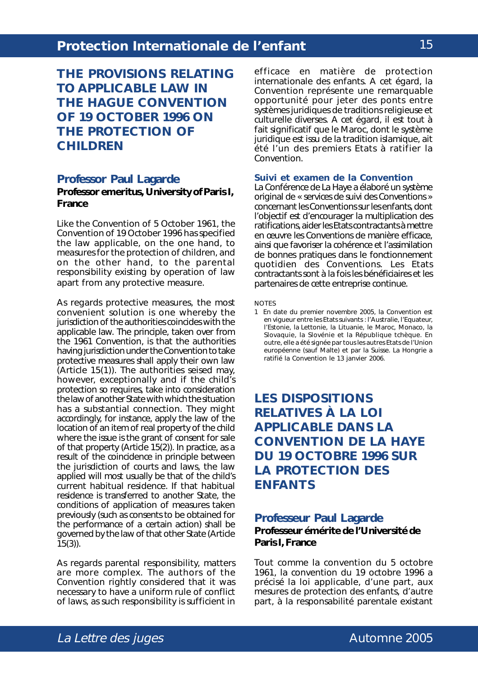**THE PROVISIONS RELATING TO APPLICABLE LAW IN THE HAGUE CONVENTION OF 19 OCTOBER 1996 ON THE PROTECTION OF CHILDREN**

#### **Professor Paul Lagarde**

#### **Professor emeritus, University of Paris I, France**

Like the Convention of 5 October 1961, the Convention of 19 October 1996 has specified the law applicable, on the one hand, to measures for the protection of children, and on the other hand, to the parental responsibility existing by operation of law apart from any protective measure.

As regards protective measures, the most convenient solution is one whereby the jurisdiction of the authorities coincides with the applicable law. The principle, taken over from the 1961 Convention, is that the authorities having jurisdiction under the Convention to take protective measures shall apply their own law (Article 15(1)). The authorities seised may, however, exceptionally and if the child's protection so requires, take into consideration the law of another State with which the situation has a substantial connection. They might accordingly, for instance, apply the law of the location of an item of real property of the child where the issue is the grant of consent for sale of that property (Article 15(2)). In practice, as a result of the coincidence in principle between the jurisdiction of courts and laws, the law applied will most usually be that of the child's current habitual residence. If that habitual residence is transferred to another State, the conditions of application of measures taken previously (such as consents to be obtained for the performance of a certain action) shall be governed by the law of that other State (Article  $15(3)$ ).

As regards parental responsibility, matters are more complex. The authors of the Convention rightly considered that it was necessary to have a uniform rule of conflict of laws, as such responsibility is sufficient in

efficace en matière de protection internationale des enfants. A cet égard, la Convention représente une remarquable opportunité pour jeter des ponts entre systèmes juridiques de traditions religieuse et culturelle diverses. A cet égard, il est tout à fait significatif que le Maroc, dont le système juridique est issu de la tradition islamique, ait été l'un des premiers Etats à ratifier la Convention.

#### **Suivi et examen de la Convention**

La Conférence de La Haye a élaboré un système original de « services de suivi des Conventions » concernant les Conventions sur les enfants, dont l'objectif est d'encourager la multiplication des ratifications, aider les Etats contractants à mettre en œuvre les Conventions de manière efficace, ainsi que favoriser la cohérence et l'assimilation de bonnes pratiques dans le fonctionnement quotidien des Conventions. Les Etats contractants sont à la fois les bénéficiaires et les partenaires de cette entreprise continue.

**NOTES** 

1 En date du premier novembre 2005, la Convention est en vigueur entre les Etats suivants : l'Australie, l'Equateur, l'Estonie, la Lettonie, la Lituanie, le Maroc, Monaco, la Slovaquie, la Slovénie et la République tchèque. En outre, elle a été signée par tous les autres Etats de l'Union européenne (sauf Malte) et par la Suisse. La Hongrie a ratifié la Convention le 13 janvier 2006.

# **LES DISPOSITIONS RELATIVES À LA LOI APPLICABLE DANS LA CONVENTION DE LA HAYE DU 19 OCTOBRE 1996 SUR LA PROTECTION DES ENFANTS**

### **Professeur Paul Lagarde Professeur émérite de l'Université de Paris I, France**

Tout comme la convention du 5 octobre 1961, la convention du 19 octobre 1996 a précisé la loi applicable, d'une part, aux mesures de protection des enfants, d'autre part, à la responsabilité parentale existant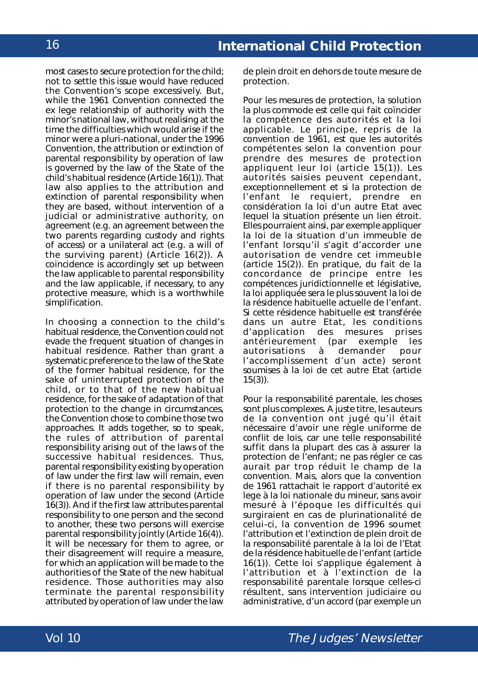most cases to secure protection for the child; not to settle this issue would have reduced the Convention's scope excessively. But, while the 1961 Convention connected the *ex lege* relationship of authority with the minor's national law, without realising at the time the difficulties which would arise if the minor were a pluri-national, under the 1996 Convention, the attribution or extinction of parental responsibility by operation of law is governed by the law of the State of the child's habitual residence (Article 16(1)). That law also applies to the attribution and extinction of parental responsibility when they are based, without intervention of a judicial or administrative authority, on agreement (*e.g*. an agreement between the two parents regarding custody and rights of access) or a unilateral act (*e.g*. a will of the surviving parent) (Article 16(2)). A coincidence is accordingly set up between the law applicable to parental responsibility and the law applicable, if necessary, to any protective measure, which is a worthwhile simplification.

In choosing a connection to the child's habitual residence, the Convention could not evade the frequent situation of changes in habitual residence. Rather than grant a systematic preference to the law of the State of the former habitual residence, for the sake of uninterrupted protection of the child, or to that of the new habitual residence, for the sake of adaptation of that protection to the change in circumstances, the Convention chose to combine those two approaches. It adds together, so to speak, the rules of attribution of parental responsibility arising out of the laws of the successive habitual residences. Thus, parental responsibility existing by operation of law under the first law will remain, even if there is no parental responsibility by operation of law under the second (Article 16(3)). And if the first law attributes parental responsibility to one person and the second to another, these two persons will exercise parental responsibility jointly (Article 16(4)). It will be necessary for them to agree, or their disagreement will require a measure, for which an application will be made to the authorities of the State of the new habitual residence. Those authorities may also terminate the parental responsibility attributed by operation of law under the law

de plein droit en dehors de toute mesure de protection.

Pour les mesures de protection, la solution la plus commode est celle qui fait coïncider la compétence des autorités et la loi applicable. Le principe, repris de la convention de 1961, est que les autorités compétentes selon la convention pour prendre des mesures de protection appliquent leur loi (article 15(1)). Les autorités saisies peuvent cependant, exceptionnellement et si la protection de l'enfant le requiert, prendre en considération la loi d'un autre Etat avec lequel la situation présente un lien étroit. Elles pourraient ainsi, par exemple appliquer la loi de la situation d'un immeuble de l'enfant lorsqu'il s'agit d'accorder une autorisation de vendre cet immeuble (article 15(2)). En pratique, du fait de la concordance de principe entre les compétences juridictionnelle et législative, la loi appliquée sera le plus souvent la loi de la résidence habituelle actuelle de l'enfant. Si cette résidence habituelle est transférée dans un autre Etat, les conditions<br>d'application des mesures prises d'application des mesures antérieurement (par exemple les autorisations à demander pour l'accomplissement d'un acte) seront soumises à la loi de cet autre Etat (article  $15(3)$ ).

Pour la responsabilité parentale, les choses sont plus complexes. A juste titre, les auteurs de la convention ont jugé qu'il était nécessaire d'avoir une règle uniforme de conflit de lois, car une telle responsabilité suffit dans la plupart des cas à assurer la protection de l'enfant; ne pas régler ce cas aurait par trop réduit le champ de la convention. Mais, alors que la convention de 1961 rattachait le rapport d'autorité *ex lege* à la loi nationale du mineur, sans avoir mesuré à l'époque les difficultés qui surgiraient en cas de plurinationalité de celui-ci, la convention de 1996 soumet l'attribution et l'extinction de plein droit de la responsabilité parentale à la loi de l'Etat de la résidence habituelle de l'enfant (article 16(1)). Cette loi s'applique également à l'attribution et à l'extinction de la responsabilité parentale lorsque celles-ci résultent, sans intervention judiciaire ou administrative, d'un accord (par exemple un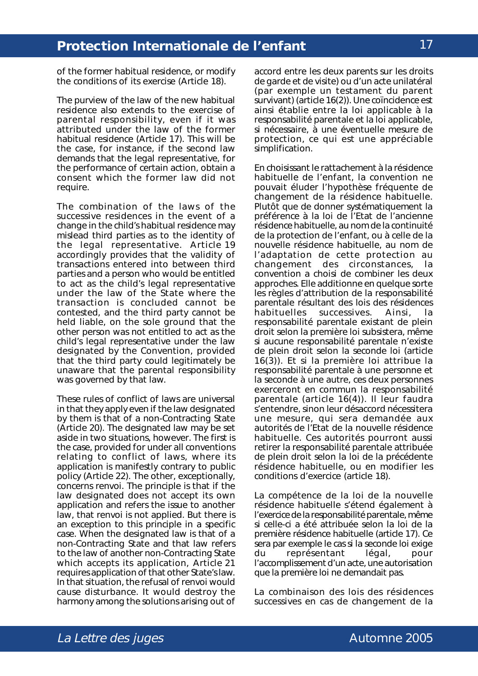of the former habitual residence, or modify the conditions of its exercise (Article 18).

The purview of the law of the new habitual residence also extends to the exercise of parental responsibility, even if it was attributed under the law of the former habitual residence (Article 17). This will be the case, for instance, if the second law demands that the legal representative, for the performance of certain action, obtain a consent which the former law did not require.

The combination of the laws of the successive residences in the event of a change in the child's habitual residence may mislead third parties as to the identity of the legal representative. Article 19 accordingly provides that the validity of transactions entered into between third parties and a person who would be entitled to act as the child's legal representative under the law of the State where the transaction is concluded cannot be contested, and the third party cannot be held liable, on the sole ground that the other person was not entitled to act as the child's legal representative under the law designated by the Convention, provided that the third party could legitimately be unaware that the parental responsibility was governed by that law.

These rules of conflict of laws are universal in that they apply even if the law designated by them is that of a non-Contracting State (Article 20). The designated law may be set aside in two situations, however. The first is the case, provided for under all conventions relating to conflict of laws, where its application is manifestly contrary to public policy (Article 22). The other, exceptionally, concerns *renvoi*. The principle is that if the law designated does not accept its own application and refers the issue to another law, that *renvoi* is not applied. But there is an exception to this principle in a specific case. When the designated law is that of a non-Contracting State and that law refers to the law of another non-Contracting State which accepts its application, Article 21 requires application of that other State's law. In that situation, the refusal of *renvoi* would cause disturbance. It would destroy the harmony among the solutions arising out of

accord entre les deux parents sur les droits de garde et de visite) ou d'un acte unilatéral (par exemple un testament du parent survivant) (article 16(2)). Une coïncidence est ainsi établie entre la loi applicable à la responsabilité parentale et la loi applicable, si nécessaire, à une éventuelle mesure de protection, ce qui est une appréciable simplification.

En choisissant le rattachement à la résidence habituelle de l'enfant, la convention ne pouvait éluder l'hypothèse fréquente de changement de la résidence habituelle. Plutôt que de donner systématiquement la préférence à la loi de l'Etat de l'ancienne résidence habituelle, au nom de la continuité de la protection de l'enfant, ou à celle de la nouvelle résidence habituelle, au nom de l'adaptation de cette protection au changement des circonstances, la convention a choisi de combiner les deux approches. Elle additionne en quelque sorte les règles d'attribution de la responsabilité parentale résultant des lois des résidences<br>habituelles successives. Ainsi. la habituelles successives. Ainsi, la responsabilité parentale existant de plein droit selon la première loi subsistera, même si aucune responsabilité parentale n'existe de plein droit selon la seconde loi (article 16(3)). Et si la première loi attribue la responsabilité parentale à une personne et la seconde à une autre, ces deux personnes exerceront en commun la responsabilité parentale (article 16(4)). Il leur faudra s'entendre, sinon leur désaccord nécessitera une mesure, qui sera demandée aux autorités de l'Etat de la nouvelle résidence habituelle. Ces autorités pourront aussi retirer la responsabilité parentale attribuée de plein droit selon la loi de la précédente résidence habituelle, ou en modifier les conditions d'exercice (article 18).

La compétence de la loi de la nouvelle résidence habituelle s'étend également à l'exercice de la responsabilité parentale, même si celle-ci a été attribuée selon la loi de la première résidence habituelle (article 17). Ce sera par exemple le cas si la seconde loi exige du représentant légal, pour l'accomplissement d'un acte, une autorisation que la première loi ne demandait pas.

La combinaison des lois des résidences successives en cas de changement de la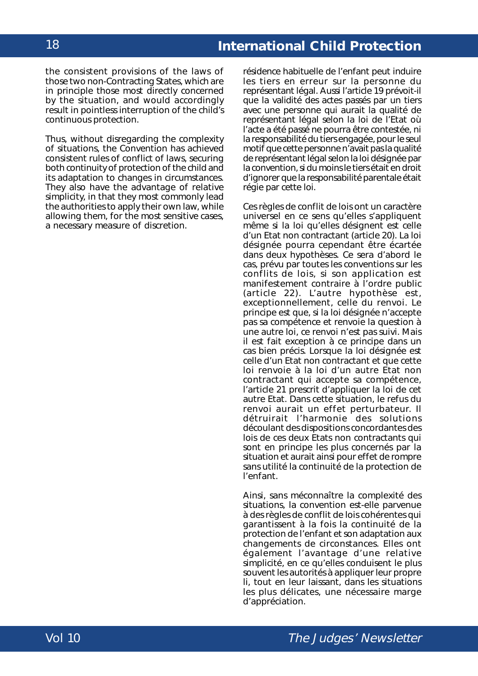the consistent provisions of the laws of those two non-Contracting States, which are in principle those most directly concerned by the situation, and would accordingly result in pointless interruption of the child's continuous protection.

Thus, without disregarding the complexity of situations, the Convention has achieved consistent rules of conflict of laws, securing both continuity of protection of the child and its adaptation to changes in circumstances. They also have the advantage of relative simplicity, in that they most commonly lead the authorities to apply their own law, while allowing them, for the most sensitive cases, a necessary measure of discretion.

résidence habituelle de l'enfant peut induire les tiers en erreur sur la personne du représentant légal. Aussi l'article 19 prévoit-il que la validité des actes passés par un tiers avec une personne qui aurait la qualité de représentant légal selon la loi de l'Etat où l'acte a été passé ne pourra être contestée, ni la responsabilité du tiers engagée, pour le seul motif que cette personne n'avait pas la qualité de représentant légal selon la loi désignée par la convention, si du moins le tiers était en droit d'ignorer que la responsabilité parentale était régie par cette loi.

Ces règles de conflit de lois ont un caractère universel en ce sens qu'elles s'appliquent même si la loi qu'elles désignent est celle d'un Etat non contractant (article 20). La loi désignée pourra cependant être écartée dans deux hypothèses. Ce sera d'abord le cas, prévu par toutes les conventions sur les conflits de lois, si son application est manifestement contraire à l'ordre public (article 22). L'autre hypothèse est, exceptionnellement, celle du renvoi. Le principe est que, si la loi désignée n'accepte pas sa compétence et renvoie la question à une autre loi, ce renvoi n'est pas suivi. Mais il est fait exception à ce principe dans un cas bien précis. Lorsque la loi désignée est celle d'un Etat non contractant et que cette loi renvoie à la loi d'un autre Etat non contractant qui accepte sa compétence, l'article 21 prescrit d'appliquer la loi de cet autre Etat. Dans cette situation, le refus du renvoi aurait un effet perturbateur. Il détruirait l'harmonie des solutions découlant des dispositions concordantes des lois de ces deux Etats non contractants qui sont en principe les plus concernés par la situation et aurait ainsi pour effet de rompre sans utilité la continuité de la protection de l'enfant.

Ainsi, sans méconnaître la complexité des situations, la convention est-elle parvenue à des règles de conflit de lois cohérentes qui garantissent à la fois la continuité de la protection de l'enfant et son adaptation aux changements de circonstances. Elles ont également l'avantage d'une relative simplicité, en ce qu'elles conduisent le plus souvent les autorités à appliquer leur propre li, tout en leur laissant, dans les situations les plus délicates, une nécessaire marge d'appréciation.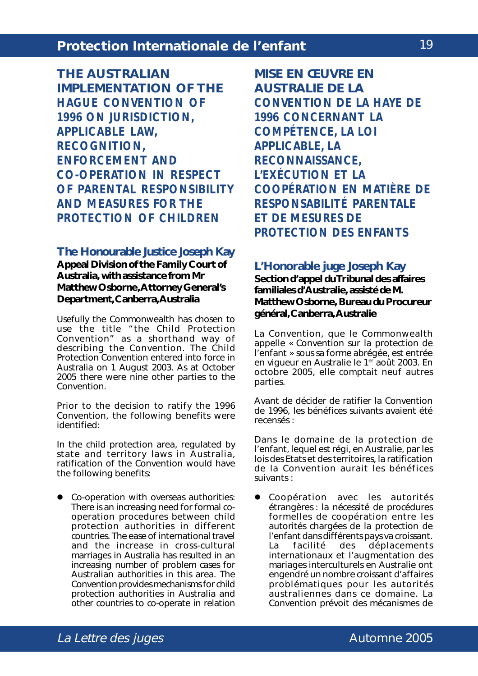**THE AUSTRALIAN IMPLEMENTATION OF THE** *HAGUE CONVENTION OF 1996 ON JURISDICTION, APPLICABLE LAW, RECOGNITION, ENFORCEMENT AND CO-OPERATION IN RESPECT OF PARENTAL RESPONSIBILITY AND MEASURES FOR THE PROTECTION OF CHILDREN*

#### **The Honourable Justice Joseph Kay**

**Appeal Division of the Family Court of Australia, with assistance from Mr Matthew Osborne, Attorney General's Department, Canberra, Australia**

Usefully the Commonwealth has chosen to use the title "the Child Protection Convention" as a shorthand way of describing the Convention. The Child Protection Convention entered into force in Australia on 1 August 2003. As at October 2005 there were nine other parties to the Convention.

Prior to the decision to ratify the 1996 Convention, the following benefits were identified:

In the child protection area, regulated by state and territory laws in Australia, ratification of the Convention would have the following benefits:

• Co-operation with overseas authorities: There is an increasing need for formal cooperation procedures between child protection authorities in different countries. The ease of international travel and the increase in cross-cultural marriages in Australia has resulted in an increasing number of problem cases for Australian authorities in this area. The Convention provides mechanisms for child protection authorities in Australia and other countries to co-operate in relation

**MISE EN ŒUVRE EN AUSTRALIE DE LA** *CONVENTION DE LA HAYE DE 1996 CONCERNANT LA COMPÉTENCE, LA LOI APPLICABLE, LA RECONNAISSANCE, L'EXÉCUTION ET LA COOPÉRATION EN MATIÈRE DE RESPONSABILITÉ PARENTALE ET DE MESURES DE PROTECTION DES ENFANTS*

#### **L'Honorable juge Joseph Kay**

**Section d'appel du Tribunal des affaires familiales d'Australie, assisté de M. Matthew Osborne, Bureau du Procureur général, Canberra, Australie**

La Convention, que le Commonwealth appelle « Convention sur la protection de l'enfant » sous sa forme abrégée, est entrée en vigueur en Australie le 1<sup>er</sup> août 2003. En octobre 2005, elle comptait neuf autres parties.

Avant de décider de ratifier la Convention de 1996, les bénéfices suivants avaient été recensés :

Dans le domaine de la protection de l'enfant, lequel est régi, en Australie, par les lois des Etats et des territoires, la ratification de la Convention aurait les bénéfices suivants :

Coopération avec les autorités étrangères : la nécessité de procédures formelles de coopération entre les autorités chargées de la protection de l'enfant dans différents pays va croissant. La facilité des déplacements internationaux et l'augmentation des mariages interculturels en Australie ont engendré un nombre croissant d'affaires problématiques pour les autorités australiennes dans ce domaine. La Convention prévoit des mécanismes de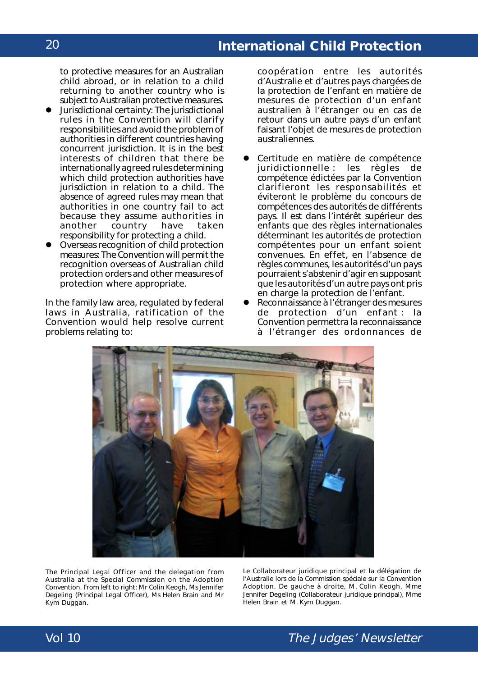to protective measures for an Australian child abroad, or in relation to a child returning to another country who is subject to Australian protective measures.

- ! Jurisdictional certainty: The jurisdictional rules in the Convention will clarify responsibilities and avoid the problem of authorities in different countries having concurrent jurisdiction. It is in the best interests of children that there be internationally agreed rules determining which child protection authorities have jurisdiction in relation to a child. The absence of agreed rules may mean that authorities in one country fail to act because they assume authorities in another country have taken responsibility for protecting a child.
- ! Overseas recognition of child protection measures: The Convention will permit the recognition overseas of Australian child protection orders and other measures of protection where appropriate.

In the family law area, regulated by federal laws in Australia, ratification of the Convention would help resolve current problems relating to:

coopération entre les autorités d'Australie et d'autres pays chargées de la protection de l'enfant en matière de mesures de protection d'un enfant australien à l'étranger ou en cas de retour dans un autre pays d'un enfant faisant l'objet de mesures de protection australiennes.

- Certitude en matière de compétence juridictionnelle : les règles de compétence édictées par la Convention clarifieront les responsabilités et éviteront le problème du concours de compétences des autorités de différents pays. Il est dans l'intérêt supérieur des enfants que des règles internationales déterminant les autorités de protection compétentes pour un enfant soient convenues. En effet, en l'absence de règles communes, les autorités d'un pays pourraient s'abstenir d'agir en supposant que les autorités d'un autre pays ont pris en charge la protection de l'enfant.
- Reconnaissance à l'étranger des mesures de protection d'un enfant : la Convention permettra la reconnaissance à l'étranger des ordonnances de



The Principal Legal Officer and the delegation from Australia at the Special Commission on the Adoption Convention. From left to right: Mr Colin Keogh, Ms Jennifer Degeling (Principal Legal Officer), Ms Helen Brain and Mr Kym Duggan.

Le Collaborateur juridique principal et la délégation de l'Australie lors de la Commission spéciale sur la Convention Adoption. De gauche à droite, M. Colin Keogh, Mme Jennifer Degeling (Collaborateur juridique principal), Mme Helen Brain et M. Kym Duggan.

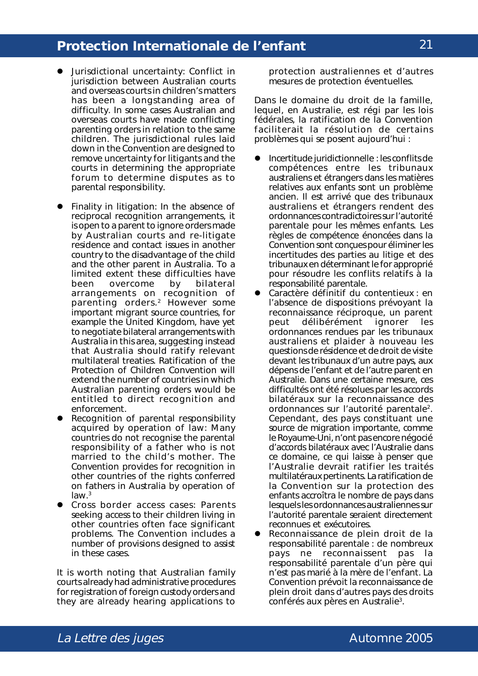- ! Jurisdictional uncertainty: Conflict in jurisdiction between Australian courts and overseas courts in children's matters has been a longstanding area of difficulty. In some cases Australian and overseas courts have made conflicting parenting orders in relation to the same children. The jurisdictional rules laid down in the Convention are designed to remove uncertainty for litigants and the courts in determining the appropriate forum to determine disputes as to parental responsibility.
- Finality in litigation: In the absence of reciprocal recognition arrangements, it is open to a parent to ignore orders made by Australian courts and re-litigate residence and contact issues in another country to the disadvantage of the child and the other parent in Australia. To a limited extent these difficulties have been overcome by bilateral arrangements on recognition of parenting orders.2 However some important migrant source countries, for example the United Kingdom, have yet to negotiate bilateral arrangements with Australia in this area, suggesting instead that Australia should ratify relevant multilateral treaties. Ratification of the Protection of Children Convention will extend the number of countries in which Australian parenting orders would be entitled to direct recognition and enforcement.
- Recognition of parental responsibility acquired by operation of law: Many countries do not recognise the parental responsibility of a father who is not married to the child's mother. The Convention provides for recognition in other countries of the rights conferred on fathers in Australia by operation of law.3
- ! Cross border access cases: Parents seeking access to their children living in other countries often face significant problems. The Convention includes a number of provisions designed to assist in these cases.

It is worth noting that Australian family courts already had administrative procedures for registration of foreign custody orders and they are already hearing applications to

protection australiennes et d'autres mesures de protection éventuelles.

Dans le domaine du droit de la famille, lequel, en Australie, est régi par les lois fédérales, la ratification de la Convention faciliterait la résolution de certains problèmes qui se posent aujourd'hui :

- ! Incertitude juridictionnelle : les conflits de compétences entre les tribunaux australiens et étrangers dans les matières relatives aux enfants sont un problème ancien. Il est arrivé que des tribunaux australiens et étrangers rendent des ordonnances contradictoires sur l'autorité parentale pour les mêmes enfants. Les règles de compétence énoncées dans la Convention sont conçues pour éliminer les incertitudes des parties au litige et des tribunaux en déterminant le for approprié pour résoudre les conflits relatifs à la responsabilité parentale.
- Caractère définitif du contentieux : en l'absence de dispositions prévoyant la reconnaissance réciproque, un parent peut délibérément ignorer les ordonnances rendues par les tribunaux australiens et plaider à nouveau les questions de résidence et de droit de visite devant les tribunaux d'un autre pays, aux dépens de l'enfant et de l'autre parent en Australie. Dans une certaine mesure, ces difficultés ont été résolues par les accords bilatéraux sur la reconnaissance des ordonnances sur l'autorité parentale2. Cependant, des pays constituant une source de migration importante, comme le Royaume-Uni, n'ont pas encore négocié d'accords bilatéraux avec l'Australie dans ce domaine, ce qui laisse à penser que l'Australie devrait ratifier les traités multilatéraux pertinents. La ratification de la Convention sur la protection des enfants accroîtra le nombre de pays dans lesquels les ordonnances australiennes sur l'autorité parentale seraient directement reconnues et exécutoires.
- Reconnaissance de plein droit de la responsabilité parentale : de nombreux pays ne reconnaissent pas la responsabilité parentale d'un père qui n'est pas marié à la mère de l'enfant. La Convention prévoit la reconnaissance de plein droit dans d'autres pays des droits conférés aux pères en Australie<sup>3</sup>.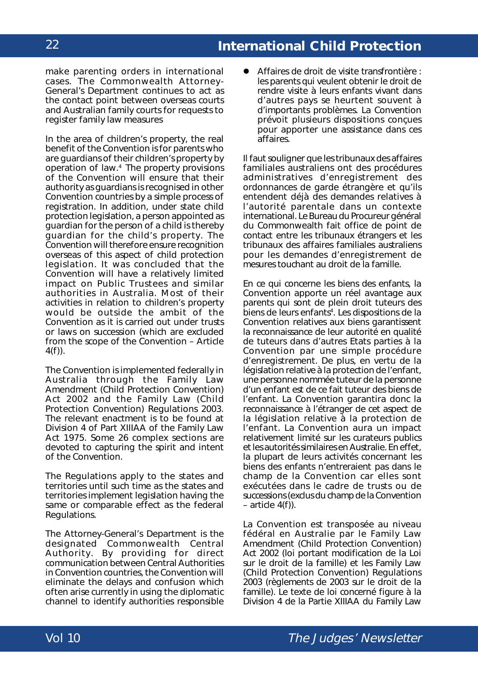make parenting orders in international cases. The Commonwealth Attorney-General's Department continues to act as the contact point between overseas courts and Australian family courts for requests to register family law measures

In the area of children's property, the real benefit of the Convention is for parents who are guardians of their children's property by operation of law.4 The property provisions of the Convention will ensure that their authority as guardians is recognised in other Convention countries by a simple process of registration. In addition, under state child protection legislation, a person appointed as guardian for the person of a child is thereby guardian for the child's property. The Convention will therefore ensure recognition overseas of this aspect of child protection legislation. It was concluded that the Convention will have a relatively limited impact on Public Trustees and similar authorities in Australia. Most of their activities in relation to children's property would be outside the ambit of the Convention as it is carried out under trusts or laws on succession (which are excluded from the scope of the Convention – Article  $4(f)$ ).

The Convention is implemented federally in Australia through the Family Law Amendment (Child Protection Convention) Act 2002 and the Family Law (Child Protection Convention) Regulations 2003. The relevant enactment is to be found at Division 4 of Part XIIIAA of the Family Law Act 1975. Some 26 complex sections are devoted to capturing the spirit and intent of the Convention.

The Regulations apply to the states and territories until such time as the states and territories implement legislation having the same or comparable effect as the federal Regulations.

The Attorney-General's Department is the designated Commonwealth Central Authority. By providing for direct communication between Central Authorities in Convention countries, the Convention will eliminate the delays and confusion which often arise currently in using the diplomatic channel to identify authorities responsible ! Affaires de droit de visite transfrontière : les parents qui veulent obtenir le droit de rendre visite à leurs enfants vivant dans d'autres pays se heurtent souvent à d'importants problèmes. La Convention prévoit plusieurs dispositions conçues pour apporter une assistance dans ces affaires.

Il faut souligner que les tribunaux des affaires familiales australiens ont des procédures administratives d'enregistrement des ordonnances de garde étrangère et qu'ils entendent déjà des demandes relatives à l'autorité parentale dans un contexte international. Le Bureau du Procureur général du Commonwealth fait office de point de contact entre les tribunaux étrangers et les tribunaux des affaires familiales australiens pour les demandes d'enregistrement de mesures touchant au droit de la famille.

En ce qui concerne les biens des enfants, la Convention apporte un réel avantage aux parents qui sont de plein droit tuteurs des biens de leurs enfants<sup>4</sup>. Les dispositions de la Convention relatives aux biens garantissent la reconnaissance de leur autorité en qualité de tuteurs dans d'autres Etats parties à la Convention par une simple procédure d'enregistrement. De plus, en vertu de la législation relative à la protection de l'enfant, une personne nommée tuteur de la personne d'un enfant est de ce fait tuteur des biens de l'enfant. La Convention garantira donc la reconnaissance à l'étranger de cet aspect de la législation relative à la protection de l'enfant. La Convention aura un impact relativement limité sur les curateurs publics et les autorités similaires en Australie. En effet, la plupart de leurs activités concernant les biens des enfants n'entreraient pas dans le champ de la Convention car elles sont exécutées dans le cadre de trusts ou de successions (exclus du champ de la Convention  $-$  article  $4(f)$ ).

La Convention est transposée au niveau fédéral en Australie par le *Family Law Amendment (Child Protection Convention) Act 2002* (loi portant modification de la Loi sur le droit de la famille) et les *Family Law (Child Protection Convention) Regulations 2003* (règlements de 2003 sur le droit de la famille). Le texte de loi concerné figure à la Division 4 de la Partie XIIIAA du *Family Law*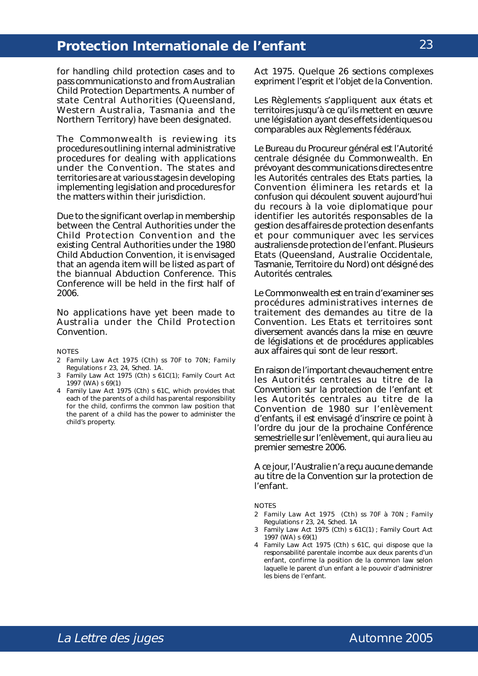for handling child protection cases and to pass communications to and from Australian Child Protection Departments. A number of state Central Authorities (Queensland, Western Australia, Tasmania and the Northern Territory) have been designated.

The Commonwealth is reviewing its procedures outlining internal administrative procedures for dealing with applications under the Convention. The states and territories are at various stages in developing implementing legislation and procedures for the matters within their jurisdiction.

Due to the significant overlap in membership between the Central Authorities under the Child Protection Convention and the existing Central Authorities under the 1980 Child Abduction Convention, it is envisaged that an agenda item will be listed as part of the biannual Abduction Conference. This Conference will be held in the first half of 2006.

No applications have yet been made to Australia under the Child Protection Convention.

#### NOTES

- 2 Family Law Act 1975 (Cth) ss 70F to 70N; Family Regulations r 23, 24, Sched. 1A.
- 3 Family Law Act 1975 (Cth) s 61C(1); Family Court Act 1997 (WA) s 69(1)
- 4 Family Law Act 1975 (Cth) s 61C, which provides that each of the parents of a child has parental responsibility for the child, confirms the common law position that the parent of a child has the power to administer the child's property.

*Act 1975*. Quelque 26 sections complexes expriment l'esprit et l'objet de la Convention.

Les Règlements s'appliquent aux états et territoires jusqu'à ce qu'ils mettent en œuvre une législation ayant des effets identiques ou comparables aux Règlements fédéraux.

Le Bureau du Procureur général est l'Autorité centrale désignée du Commonwealth. En prévoyant des communications directes entre les Autorités centrales des Etats parties, la Convention éliminera les retards et la confusion qui découlent souvent aujourd'hui du recours à la voie diplomatique pour identifier les autorités responsables de la gestion des affaires de protection des enfants et pour communiquer avec les services australiens de protection de l'enfant. Plusieurs Etats (Queensland, Australie Occidentale, Tasmanie, Territoire du Nord) ont désigné des Autorités centrales.

Le Commonwealth est en train d'examiner ses procédures administratives internes de traitement des demandes au titre de la Convention. Les Etats et territoires sont diversement avancés dans la mise en œuvre de législations et de procédures applicables aux affaires qui sont de leur ressort.

En raison de l'important chevauchement entre les Autorités centrales au titre de la Convention sur la protection de l'enfant et les Autorités centrales au titre de la Convention de 1980 sur l'enlèvement d'enfants, il est envisagé d'inscrire ce point à l'ordre du jour de la prochaine Conférence semestrielle sur l'enlèvement, qui aura lieu au premier semestre 2006.

A ce jour, l'Australie n'a reçu aucune demande au titre de la Convention sur la protection de l'enfant.

**NOTES** 

- 2 *Family Law Act* 1975 (Cth) ss 70F à 70N ; *Family Regulations* r 23, 24, *Sched*. 1A
- 3 *Family Law Act* 1975 (Cth) s 61C(1) ; *Family Court Act* 1997 (WA) s 69(1)
- 4 *Family Law Act* 1975 (Cth) s 61C, qui dispose que la responsabilité parentale incombe aux deux parents d'un enfant, confirme la position de la *common law* selon laquelle le parent d'un enfant a le pouvoir d'administrer les biens de l'enfant.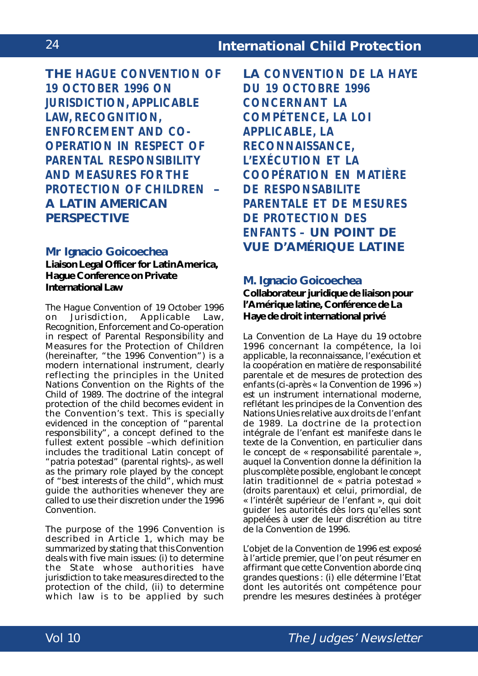**THE** *HAGUE CONVENTION OF 19 OCTOBER 1996 ON JURISDICTION, APPLICABLE LAW, RECOGNITION, ENFORCEMENT AND CO-OPERATION IN RESPECT OF PARENTAL RESPONSIBILITY AND MEASURES FOR THE PROTECTION OF CHILDREN* **– A LATIN AMERICAN PERSPECTIVE**

### **Mr Ignacio Goicoechea**

**Liaison Legal Officer for Latin America, Hague Conference on Private International Law**

The *Hague Convention of 19 October 1996 on Jurisdiction, Applicable Law, Recognition, Enforcement and Co-operation in respect of Parental Responsibility and Measures for the Protection of Children* (hereinafter, "the 1996 Convention") is a modern international instrument, clearly reflecting the principles in the *United Nations Convention on the Rights of the Child* of 1989. The doctrine of the integral protection of the child becomes evident in the Convention's text. This is specially evidenced in the conception of "parental responsibility", a concept defined to the fullest extent possible –which definition includes the traditional Latin concept of "*patria potestad*" (parental rights)-, as well as the primary role played by the concept of "best interests of the child", which must guide the authorities whenever they are called to use their discretion under the 1996 Convention.

The purpose of the 1996 Convention is described in Article 1, which may be summarized by stating that this Convention deals with five main issues: (i) to determine the State whose authorities have jurisdiction to take measures directed to the protection of the child, (ii) to determine which law is to be applied by such

**LA** *CONVENTION DE LA HAYE DU 19 OCTOBRE 1996 CONCERNANT LA COMPÉTENCE, LA LOI APPLICABLE, LA RECONNAISSANCE, L'EXÉCUTION ET LA COOPÉRATION EN MATIÈRE DE RESPONSABILITE PARENTALE ET DE MESURES DE PROTECTION DES ENFANTS –* **UN POINT DE VUE D'AMÉRIQUE LATINE**

### **M. Ignacio Goicoechea**

**Collaborateur juridique de liaison pour l'Amérique latine, Conférence de La Haye de droit international privé**

La *Convention de La Haye du 19 octobre 1996 concernant la compétence, la loi applicable, la reconnaissance, l'exécution et la coopération en matière de responsabilité parentale et de mesures de protection des enfants* (ci-après « la Convention de 1996 ») est un instrument international moderne, reflétant les principes de la *Convention des Nations Unies relative aux droits de l'enfant* de 1989. La doctrine de la protection intégrale de l'enfant est manifeste dans le texte de la Convention, en particulier dans le concept de « responsabilité parentale », auquel la Convention donne la définition la plus complète possible, englobant le concept latin traditionnel de « *patria potestad* » (droits parentaux) et celui, primordial, de « l'intérêt supérieur de l'enfant », qui doit guider les autorités dès lors qu'elles sont appelées à user de leur discrétion au titre de la Convention de 1996.

L'objet de la Convention de 1996 est exposé à l'article premier, que l'on peut résumer en affirmant que cette Convention aborde cinq grandes questions : (i) elle détermine l'Etat dont les autorités ont compétence pour prendre les mesures destinées à protéger

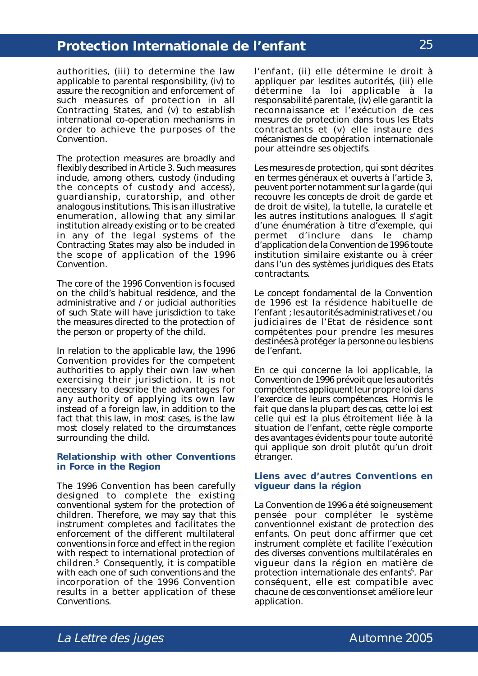authorities, (iii) to determine the law applicable to parental responsibility, (iv) to assure the recognition and enforcement of such measures of protection in all Contracting States, and (v) to establish international co-operation mechanisms in order to achieve the purposes of the Convention.

The protection measures are broadly and flexibly described in Article 3. Such measures include, among others, custody (including the concepts of custody and access), guardianship, curatorship, and other analogous institutions. This is an illustrative enumeration, allowing that any similar institution already existing or to be created in any of the legal systems of the Contracting States may also be included in the scope of application of the 1996 Convention.

The core of the 1996 Convention is focused on the child's habitual residence, and the administrative and / or judicial authorities of such State will have jurisdiction to take the measures directed to the protection of the person or property of the child.

In relation to the applicable law, the 1996 Convention provides for the competent authorities to apply their own law when exercising their jurisdiction. It is not necessary to describe the advantages for any authority of applying its own law instead of a foreign law, in addition to the fact that this law, in most cases, is the law most closely related to the circumstances surrounding the child.

#### **Relationship with other Conventions in Force in the Region**

The 1996 Convention has been carefully designed to complete the existing conventional system for the protection of children. Therefore, we may say that this instrument completes and facilitates the enforcement of the different multilateral conventions in force and effect in the region with respect to international protection of children.5 Consequently, it is compatible with each one of such conventions and the incorporation of the 1996 Convention results in a better application of these Conventions.

l'enfant, (ii) elle détermine le droit à appliquer par lesdites autorités, (iii) elle détermine la loi applicable à la responsabilité parentale, (iv) elle garantit la reconnaissance et l'exécution de ces mesures de protection dans tous les Etats contractants et (v) elle instaure des mécanismes de coopération internationale pour atteindre ses objectifs.

Les mesures de protection, qui sont décrites en termes généraux et ouverts à l'article 3, peuvent porter notamment sur la garde (qui recouvre les concepts de droit de garde et de droit de visite), la tutelle, la curatelle et les autres institutions analogues. Il s'agit d'une énumération à titre d'exemple, qui permet d'inclure dans le champ d'application de la Convention de 1996 toute institution similaire existante ou à créer dans l'un des systèmes juridiques des Etats contractants.

Le concept fondamental de la Convention de 1996 est la résidence habituelle de l'enfant ; les autorités administratives et / ou judiciaires de l'Etat de résidence sont compétentes pour prendre les mesures destinées à protéger la personne ou les biens de l'enfant.

En ce qui concerne la loi applicable, la Convention de 1996 prévoit que les autorités compétentes appliquent leur propre loi dans l'exercice de leurs compétences. Hormis le fait que dans la plupart des cas, cette loi est celle qui est la plus étroitement liée à la situation de l'enfant, cette règle comporte des avantages évidents pour toute autorité qui applique son droit plutôt qu'un droit étranger.

#### **Liens avec d'autres Conventions en vigueur dans la région**

La Convention de 1996 a été soigneusement pensée pour compléter le système conventionnel existant de protection des enfants. On peut donc affirmer que cet instrument complète et facilite l'exécution des diverses conventions multilatérales en vigueur dans la région en matière de protection internationale des enfants<sup>5</sup>. Par conséquent, elle est compatible avec chacune de ces conventions et améliore leur application.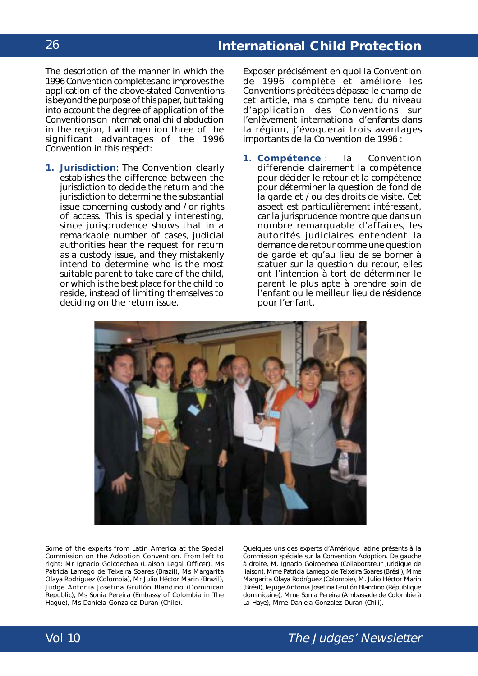The description of the manner in which the 1996 Convention completes and improves the application of the above-stated Conventions is beyond the purpose of this paper, but taking into account the degree of application of the Conventions on international child abduction in the region, I will mention three of the significant advantages of the 1996 Convention in this respect:

**1. Jurisdiction**: The Convention clearly establishes the difference between the jurisdiction to decide the return and the jurisdiction to determine the substantial issue concerning custody and / or rights of access. This is specially interesting, since jurisprudence shows that in a remarkable number of cases, judicial authorities hear the request for return as a custody issue, and they mistakenly intend to determine who is the most suitable parent to take care of the child, or which is the best place for the child to reside, instead of limiting themselves to deciding on the return issue.

Exposer précisément en quoi la Convention de 1996 complète et améliore les Conventions précitées dépasse le champ de cet article, mais compte tenu du niveau d'application des Conventions sur l'enlèvement international d'enfants dans la région, j'évoquerai trois avantages importants de la Convention de 1996 :

**1. Compétence** : la Convention différencie clairement la compétence pour décider le retour et la compétence pour déterminer la question de fond de la garde et / ou des droits de visite. Cet aspect est particulièrement intéressant, car la jurisprudence montre que dans un nombre remarquable d'affaires, les autorités judiciaires entendent la demande de retour comme une question de garde et qu'au lieu de se borner à statuer sur la question du retour, elles ont l'intention à tort de déterminer le parent le plus apte à prendre soin de l'enfant ou le meilleur lieu de résidence pour l'enfant.



Some of the experts from Latin America at the Special Commission on the Adoption Convention. From left to right: Mr Ignacio Goicoechea (Liaison Legal Officer), Ms Patricia Lamego de Teixeira Soares (Brazil), Ms Margarita Olaya Rodríguez (Colombia), Mr Julio Héctor Marin (Brazil), Judge Antonia Josefina Grullón Blandino (Dominican Republic), Ms Sonia Pereira (Embassy of Colombia in The Hague), Ms Daniela Gonzalez Duran (Chile).

Quelques uns des experts d'Amérique latine présents à la Commission spéciale sur la Convention Adoption. De gauche à droite, M. Ignacio Goicoechea (Collaborateur juridique de liaison), Mme Patricia Lamego de Teixeira Soares (Brésil), Mme Margarita Olaya Rodríguez (Colombie), M. Julio Héctor Marin (Brésil), le juge Antonia Josefina Grullón Blandino (République dominicaine), Mme Sonia Pereira (Ambassade de Colombie à La Haye), Mme Daniela Gonzalez Duran (Chili).

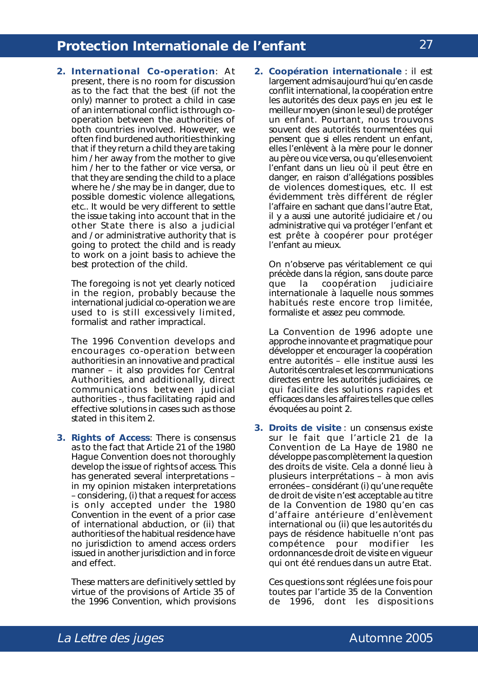**2. International Co-operation**: At present, there is no room for discussion as to the fact that the best (if not the only) manner to protect a child in case of an international conflict is through cooperation between the authorities of both countries involved. However, we often find burdened authorities thinking that if they return a child they are taking him / her away from the mother to give him / her to the father or *vice versa*, or that they are sending the child to a place where he / she may be in danger, due to possible domestic violence allegations, etc.. It would be very different to settle the issue taking into account that in the other State there is also a judicial and / or administrative authority that is going to protect the child and is ready to work on a joint basis to achieve the best protection of the child.

The foregoing is not yet clearly noticed in the region, probably because the international judicial co-operation we are used to is still excessively limited, formalist and rather impractical.

The 1996 Convention develops and encourages co-operation between authorities in an innovative and practical manner – it also provides for Central Authorities, and additionally, direct communications between judicial authorities *-*, thus facilitating rapid and effective solutions in cases such as those stated in this item 2.

**3. Rights of Access**: There is consensus as to the fact that Article 21 of the 1980 Hague Convention does not thoroughly develop the issue of rights of access. This has generated several interpretations – in my opinion mistaken interpretations – considering, (i) that a request for access is only accepted under the 1980 Convention in the event of a prior case of international abduction, or (ii) that authorities of the habitual residence have no jurisdiction to amend access orders issued in another jurisdiction and in force and effect.

These matters are definitively settled by virtue of the provisions of Article 35 of the 1996 Convention, which provisions

**2. Coopération internationale** : il est largement admis aujourd'hui qu'en cas de conflit international, la coopération entre les autorités des deux pays en jeu est le meilleur moyen (sinon le seul) de protéger un enfant. Pourtant, nous trouvons souvent des autorités tourmentées qui pensent que si elles rendent un enfant, elles l'enlèvent à la mère pour le donner au père ou vice versa, ou qu'elles envoient l'enfant dans un lieu où il peut être en danger, en raison d'allégations possibles de violences domestiques, etc. Il est évidemment très différent de régler l'affaire en sachant que dans l'autre Etat, il y a aussi une autorité judiciaire et / ou administrative qui va protéger l'enfant et est prête à coopérer pour protéger l'enfant au mieux.

On n'observe pas véritablement ce qui précède dans la région, sans doute parce que la coopération judiciaire internationale à laquelle nous sommes habitués reste encore trop limitée, formaliste et assez peu commode.

La Convention de 1996 adopte une approche innovante et pragmatique pour développer et encourager la coopération entre autorités – elle institue aussi les Autorités centrales et les communications directes entre les autorités judiciaires, ce qui facilite des solutions rapides et efficaces dans les affaires telles que celles évoquées au point 2.

**3. Droits de visite** : un consensus existe sur le fait que l'article 21 de la Convention de La Haye de 1980 ne développe pas complètement la question des droits de visite. Cela a donné lieu à plusieurs interprétations – à mon avis erronées – considérant (i) qu'une requête de droit de visite n'est acceptable au titre de la Convention de 1980 qu'en cas d'affaire antérieure d'enlèvement international ou (ii) que les autorités du pays de résidence habituelle n'ont pas compétence pour modifier les ordonnances de droit de visite en vigueur qui ont été rendues dans un autre Etat.

Ces questions sont réglées une fois pour toutes par l'article 35 de la Convention de 1996, dont les dispositions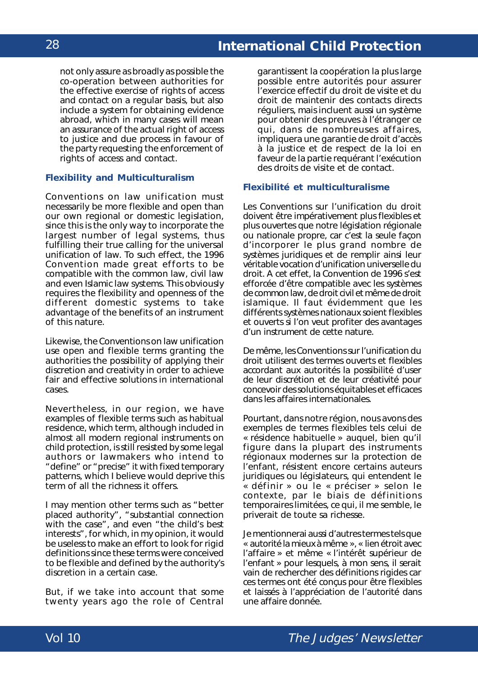not only assure as broadly as possible the co-operation between authorities for the effective exercise of rights of access and contact on a regular basis, but also include a system for obtaining evidence abroad, which in many cases will mean an assurance of the actual right of access to justice and due process in favour of the party requesting the enforcement of rights of access and contact.

#### **Flexibility and Multiculturalism**

Conventions on law unification must necessarily be more flexible and open than our own regional or domestic legislation, since this is the only way to incorporate the largest number of legal systems, thus fulfilling their true calling for the universal unification of law. To such effect, the 1996 Convention made great efforts to be compatible with the common law, civil law and even Islamic law systems. This obviously requires the flexibility and openness of the different domestic systems to take advantage of the benefits of an instrument of this nature.

Likewise, the Conventions on law unification use open and flexible terms granting the authorities the possibility of applying their discretion and creativity in order to achieve fair and effective solutions in international cases.

Nevertheless, in our region, we have examples of flexible terms such as habitual residence, which term, although included in almost all modern regional instruments on child protection, is still resisted by some legal authors or lawmakers who intend to "define" or "precise" it with fixed temporary patterns, which I believe would deprive this term of all the richness it offers.

I may mention other terms such as "better placed authority", "substantial connection with the case", and even "the child's best interests", for which, in my opinion, it would be useless to make an effort to look for rigid definitions since these terms were conceived to be flexible and defined by the authority's discretion in a certain case.

But, if we take into account that some twenty years ago the role of Central

garantissent la coopération la plus large possible entre autorités pour assurer l'exercice effectif du droit de visite et du droit de maintenir des contacts directs réguliers, mais incluent aussi un système pour obtenir des preuves à l'étranger ce qui, dans de nombreuses affaires, impliquera une garantie de droit d'accès à la justice et de respect de la loi en faveur de la partie requérant l'exécution des droits de visite et de contact.

#### **Flexibilité et multiculturalisme**

Les Conventions sur l'unification du droit doivent être impérativement plus flexibles et plus ouvertes que notre législation régionale ou nationale propre, car c'est la seule façon d'incorporer le plus grand nombre de systèmes juridiques et de remplir ainsi leur véritable vocation d'unification universelle du droit. A cet effet, la Convention de 1996 s'est efforcée d'être compatible avec les systèmes de *common law*, de droit civil et même de droit islamique. Il faut évidemment que les différents systèmes nationaux soient flexibles et ouverts si l'on veut profiter des avantages d'un instrument de cette nature.

De même, les Conventions sur l'unification du droit utilisent des termes ouverts et flexibles accordant aux autorités la possibilité d'user de leur discrétion et de leur créativité pour concevoir des solutions équitables et efficaces dans les affaires internationales.

Pourtant, dans notre région, nous avons des exemples de termes flexibles tels celui de « résidence habituelle » auquel, bien qu'il figure dans la plupart des instruments régionaux modernes sur la protection de l'enfant, résistent encore certains auteurs juridiques ou législateurs, qui entendent le « définir » ou le « préciser » selon le contexte, par le biais de définitions temporaires limitées, ce qui, il me semble, le priverait de toute sa richesse.

Je mentionnerai aussi d'autres termes tels que « autorité la mieux à même », « lien étroit avec l'affaire » et même « l'intérêt supérieur de l'enfant » pour lesquels, à mon sens, il serait vain de rechercher des définitions rigides car ces termes ont été conçus pour être flexibles et laissés à l'appréciation de l'autorité dans une affaire donnée.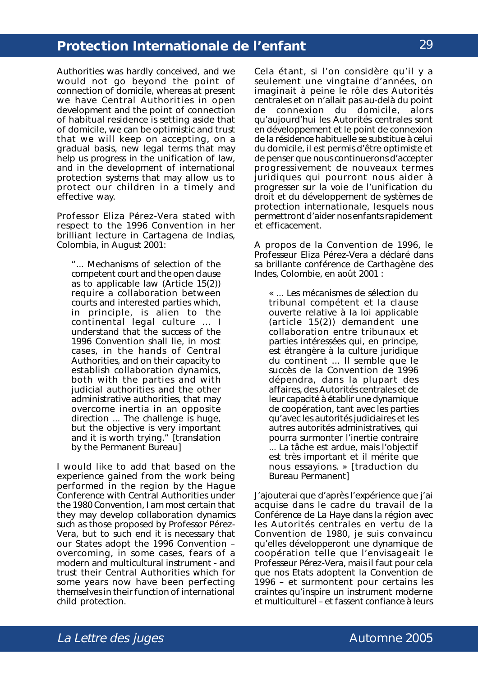Authorities was hardly conceived, and we would not go beyond the point of connection of domicile, whereas at present we have Central Authorities in open development and the point of connection of habitual residence is setting aside that of domicile, we can be optimistic and trust that we will keep on accepting, on a gradual basis, new legal terms that may help us progress in the unification of law, and in the development of international protection systems that may allow us to protect our children in a timely and effective way.

Professor Eliza Pérez-Vera stated with respect to the 1996 Convention in her brilliant lecture in Cartagena de Indias, Colombia, in August 2001:

"... Mechanisms of selection of the competent court and the open clause as to applicable law (Article 15(2)) require a collaboration between courts and interested parties which, in principle, is alien to the continental legal culture ... I understand that the success of the 1996 Convention shall lie, in most cases, in the hands of Central Authorities, and on their capacity to establish collaboration dynamics, both with the parties and with judicial authorities and the other administrative authorities, that may overcome inertia in an opposite direction ... The challenge is huge, but the objective is very important and it is worth trying." [translation by the Permanent Bureau]

I would like to add that based on the experience gained from the work being performed in the region by the Hague Conference with Central Authorities under the 1980 Convention, I am most certain that they may develop collaboration dynamics such as those proposed by Professor Pérez-Vera, but to such end it is necessary that our States adopt the 1996 Convention – overcoming, in some cases, fears of a modern and multicultural instrument - and trust their Central Authorities which for some years now have been perfecting themselves in their function of international child protection.

Cela étant, si l'on considère qu'il y a seulement une vingtaine d'années, on imaginait à peine le rôle des Autorités centrales et on n'allait pas au-delà du point de connexion du domicile, alors qu'aujourd'hui les Autorités centrales sont en développement et le point de connexion de la résidence habituelle se substitue à celui du domicile, il est permis d'être optimiste et de penser que nous continuerons d'accepter progressivement de nouveaux termes juridiques qui pourront nous aider à progresser sur la voie de l'unification du droit et du développement de systèmes de protection internationale, lesquels nous permettront d'aider nos enfants rapidement et efficacement.

A propos de la Convention de 1996, le Professeur Eliza Pérez-Vera a déclaré dans sa brillante conférence de Carthagène des Indes, Colombie, en août 2001 :

« ... Les mécanismes de sélection du tribunal compétent et la clause ouverte relative à la loi applicable (article 15(2)) demandent une collaboration entre tribunaux et parties intéressées qui, en principe, est étrangère à la culture juridique du continent ... Il semble que le succès de la Convention de 1996 dépendra, dans la plupart des affaires, des Autorités centrales et de leur capacité à établir une dynamique de coopération, tant avec les parties qu'avec les autorités judiciaires et les autres autorités administratives, qui pourra surmonter l'inertie contraire ... La tâche est ardue, mais l'objectif est très important et il mérite que nous essayions. » [traduction du Bureau Permanent]

J'ajouterai que d'après l'expérience que j'ai acquise dans le cadre du travail de la Conférence de La Haye dans la région avec les Autorités centrales en vertu de la Convention de 1980, je suis convaincu qu'elles développeront une dynamique de coopération telle que l'envisageait le Professeur Pérez-Vera, mais il faut pour cela que nos Etats adoptent la Convention de 1996 – et surmontent pour certains les craintes qu'inspire un instrument moderne et multiculturel – et fassent confiance à leurs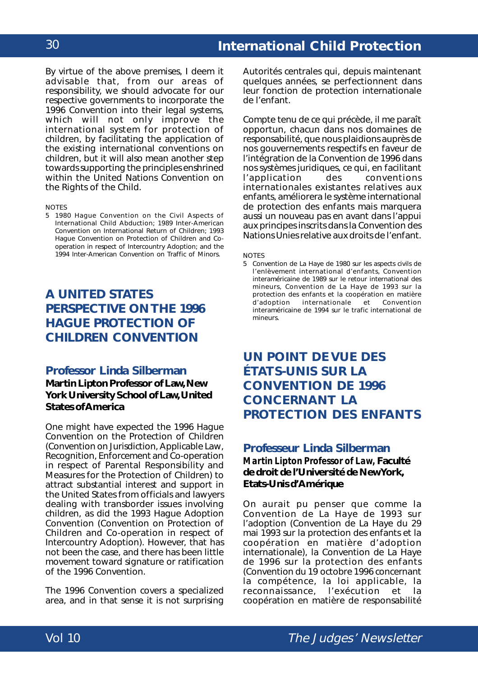By virtue of the above premises, I deem it advisable that, from our areas of responsibility, we should advocate for our respective governments to incorporate the 1996 Convention into their legal systems, which will not only improve the international system for protection of children, by facilitating the application of the existing international conventions on children, but it will also mean another step towards supporting the principles enshrined within the *United Nations Convention on the Rights of the Child*.

NOTES

5 *1980 Hague Convention on the Civil Aspects of International Child Abduction*; *1989 Inter-American Convention on International Return of Children*; *1993 Hague Convention on Protection of Children and Cooperation in respect of Intercountry Adoption*; and the *1994 Inter-American Convention on Traffic of Minors*.

### **A UNITED STATES PERSPECTIVE ON THE 1996 HAGUE PROTECTION OF CHILDREN CONVENTION**

#### **Professor Linda Silberman**

**Martin Lipton Professor of Law, New York University School of Law, United States of America**

One might have expected the 1996 Hague Convention on the Protection of Children (*Convention on Jurisdiction, Applicable Law, Recognition, Enforcement and Co-operation in respect of Parental Responsibility and Measures for the Protection of Children*) to attract substantial interest and support in the United States from officials and lawyers dealing with transborder issues involving children, as did the 1993 Hague Adoption Convention (*Convention on Protection of Children and Co-operation in respect of Intercountry Adoption*). However, that has not been the case, and there has been little movement toward signature or ratification of the 1996 Convention.

The 1996 Convention covers a specialized area, and in that sense it is not surprising

Autorités centrales qui, depuis maintenant quelques années, se perfectionnent dans leur fonction de protection internationale de l'enfant.

Compte tenu de ce qui précède, il me paraît opportun, chacun dans nos domaines de responsabilité, que nous plaidions auprès de nos gouvernements respectifs en faveur de l'intégration de la Convention de 1996 dans nos systèmes juridiques, ce qui, en facilitant l'application des conventions internationales existantes relatives aux enfants, améliorera le système international de protection des enfants mais marquera aussi un nouveau pas en avant dans l'appui aux principes inscrits dans la *Convention des Nations Unies relative aux droits de l'enfant.*

NOTES

5 *Convention de La Haye* de *1980 sur les aspects civils de l'enlèvement international d'enfants, Convention interaméricaine de 1989 sur le retour international des mineurs, Convention de La Haye de 1993 sur la protection des enfants et la coopération en matière internationale* et *interaméricaine de 1994 sur le trafic international de mineurs*.

### **UN POINT DE VUE DES ÉTATS-UNIS SUR LA CONVENTION DE 1996 CONCERNANT LA PROTECTION DES ENFANTS**

### **Professeur Linda Silberman** *Martin Lipton Professor of Law,* **Faculté de droit de l'Université de New York, Etats-Unis d'Amérique**

On aurait pu penser que comme la Convention de La Haye de 1993 sur l'adoption (*Convention de La Haye du 29 mai 1993 sur la protection des enfants et la coopération en matière d'adoption internationale)*, la Convention de La Haye de 1996 sur la protection des enfants (*Convention du 19 octobre 1996 concernant la compétence, la loi applicable, la reconnaissance, l'exécution et la coopération en matière de responsabilité*

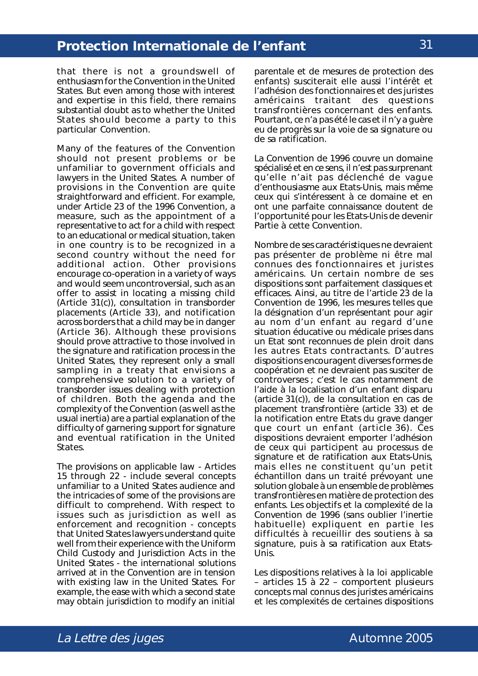that there is not a groundswell of enthusiasm for the Convention in the United States. But even among those with interest and expertise in this field, there remains substantial doubt as to whether the United States should become a party to this particular Convention.

Many of the features of the Convention should not present problems or be unfamiliar to government officials and lawyers in the United States. A number of provisions in the Convention are quite straightforward and efficient. For example, under Article 23 of the 1996 Convention, a measure, such as the appointment of a representative to act for a child with respect to an educational or medical situation, taken in one country is to be recognized in a second country without the need for additional action. Other provisions encourage co-operation in a variety of ways and would seem uncontroversial, such as an offer to assist in locating a missing child (Article 31(c)), consultation in transborder placements (Article 33), and notification across borders that a child may be in danger (Article 36). Although these provisions should prove attractive to those involved in the signature and ratification process in the United States, they represent only a small sampling in a treaty that envisions a comprehensive solution to a variety of transborder issues dealing with protection of children. Both the agenda and the complexity of the Convention (as well as the usual inertia) are a partial explanation of the difficulty of garnering support for signature and eventual ratification in the United **States**.

The provisions on applicable law - Articles 15 through 22 - include several concepts unfamiliar to a United States audience and the intricacies of some of the provisions are difficult to comprehend. With respect to issues such as jurisdiction as well as enforcement and recognition - concepts that United States lawyers understand quite well from their experience with the Uniform Child Custody and Jurisdiction Acts in the United States - the international solutions arrived at in the Convention are in tension with existing law in the United States. For example, the ease with which a second state may obtain jurisdiction to modify an initial

*parentale et de mesures de protection des enfants*) susciterait elle aussi l'intérêt et l'adhésion des fonctionnaires et des juristes américains traitant des questions transfrontières concernant des enfants. Pourtant, ce n'a pas été le cas et il n'y a guère eu de progrès sur la voie de sa signature ou de sa ratification.

La Convention de 1996 couvre un domaine spécialisé et en ce sens, il n'est pas surprenant qu'elle n'ait pas déclenché de vague d'enthousiasme aux Etats-Unis, mais même ceux qui s'intéressent à ce domaine et en ont une parfaite connaissance doutent de l'opportunité pour les Etats-Unis de devenir Partie à cette Convention.

Nombre de ses caractéristiques ne devraient pas présenter de problème ni être mal connues des fonctionnaires et juristes américains. Un certain nombre de ses dispositions sont parfaitement classiques et efficaces. Ainsi, au titre de l'article 23 de la Convention de 1996, les mesures telles que la désignation d'un représentant pour agir au nom d'un enfant au regard d'une situation éducative ou médicale prises dans un Etat sont reconnues de plein droit dans les autres Etats contractants. D'autres dispositions encouragent diverses formes de coopération et ne devraient pas susciter de controverses ; c'est le cas notamment de l'aide à la localisation d'un enfant disparu (article  $31(c)$ ), de la consultation en cas de placement transfrontière (article 33) et de la notification entre Etats du grave danger que court un enfant (article 36). Ces dispositions devraient emporter l'adhésion de ceux qui participent au processus de signature et de ratification aux Etats-Unis, mais elles ne constituent qu'un petit échantillon dans un traité prévoyant une solution globale à un ensemble de problèmes transfrontières en matière de protection des enfants. Les objectifs et la complexité de la Convention de 1996 (sans oublier l'inertie habituelle) expliquent en partie les difficultés à recueillir des soutiens à sa signature, puis à sa ratification aux Etats-Unis.

Les dispositions relatives à la loi applicable – articles 15 à 22 – comportent plusieurs concepts mal connus des juristes américains et les complexités de certaines dispositions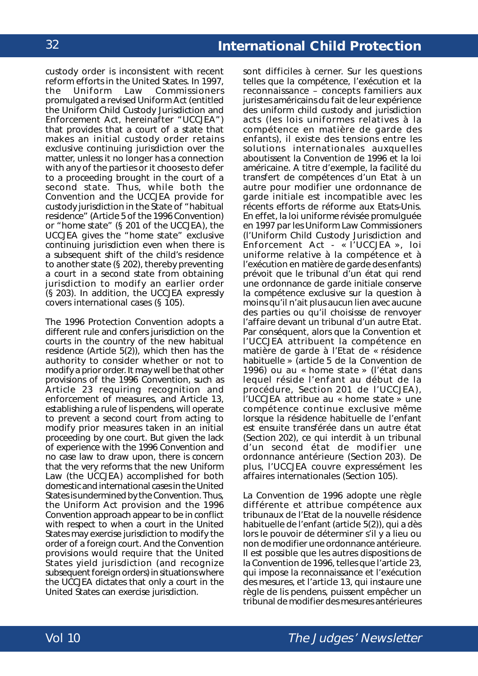custody order is inconsistent with recent reform efforts in the United States. In 1997, the Uniform Law Commissioners promulgated a revised Uniform Act (entitled the Uniform Child Custody Jurisdiction and Enforcement Act, hereinafter "UCCJEA") that provides that a court of a state that makes an initial custody order retains exclusive continuing jurisdiction over the matter, unless it no longer has a connection with any of the parties or it chooses to defer to a proceeding brought in the court of a second state. Thus, while both the Convention and the UCCJEA provide for custody jurisdiction in the State of "habitual residence" (Article 5 of the 1996 Convention) or "home state" (§ 201 of the UCCJEA), the UCCJEA gives the "home state" exclusive continuing jurisdiction even when there is a subsequent shift of the child's residence to another state (§ 202), thereby preventing a court in a second state from obtaining jurisdiction to modify an earlier order (§ 203). In addition, the UCCJEA expressly covers international cases (§ 105).

The 1996 Protection Convention adopts a different rule and confers jurisdiction on the courts in the country of the new habitual residence (Article 5(2)), which then has the authority to consider whether or not to modify a prior order. It may well be that other provisions of the 1996 Convention, such as Article 23 requiring recognition and enforcement of measures, and Article 13, establishing a rule of *lis pendens*, will operate to prevent a second court from acting to modify prior measures taken in an initial proceeding by one court. But given the lack of experience with the 1996 Convention and no case law to draw upon, there is concern that the very reforms that the new Uniform Law (the UCCJEA) accomplished for both domestic and international cases in the United States is undermined by the Convention. Thus, the Uniform Act provision and the 1996 Convention approach appear to be in conflict with respect to when a court in the United States may exercise jurisdiction to modify the order of a foreign court. And the Convention provisions would require that the United States yield jurisdiction (and recognize subsequent foreign orders) in situations where the UCCJEA dictates that only a court in the United States can exercise jurisdiction.

sont difficiles à cerner. Sur les questions telles que la compétence, l'exécution et la reconnaissance – concepts familiers aux juristes américains du fait de leur expérience des *uniform child custody and jurisdiction acts* (les lois uniformes relatives à la compétence en matière de garde des enfants), il existe des tensions entre les solutions internationales auxquelles aboutissent la Convention de 1996 et la loi américaine. A titre d'exemple, la facilité du transfert de compétences d'un Etat à un autre pour modifier une ordonnance de garde initiale est incompatible avec les récents efforts de réforme aux Etats-Unis. En effet, la loi uniforme révisée promulguée en 1997 par les *Uniform Law Commissioners* (l'*Uniform Child Custody Jurisdiction and Enforcement Act* - « l'UCCJEA », loi uniforme relative à la compétence et à l'exécution en matière de garde des enfants) prévoit que le tribunal d'un état qui rend une ordonnance de garde initiale conserve la compétence exclusive sur la question à moins qu'il n'ait plus aucun lien avec aucune des parties ou qu'il choisisse de renvoyer l'affaire devant un tribunal d'un autre Etat. Par conséquent, alors que la Convention et l'UCCJEA attribuent la compétence en matière de garde à l'Etat de « résidence habituelle » (article 5 de la Convention de 1996) ou au « *home state* » (l'état dans lequel réside l'enfant au début de la procédure, Section 201 de l'UCCJEA), l'UCCJEA attribue au « *home state* » une compétence continue exclusive même lorsque la résidence habituelle de l'enfant est ensuite transférée dans un autre état (Section 202), ce qui interdit à un tribunal d'un second état de modifier une ordonnance antérieure (Section 203). De plus, l'UCCJEA couvre expressément les affaires internationales (Section 105).

La Convention de 1996 adopte une règle différente et attribue compétence aux tribunaux de l'Etat de la nouvelle résidence habituelle de l'enfant (article 5(2)), qui a dès lors le pouvoir de déterminer s'il y a lieu ou non de modifier une ordonnance antérieure. Il est possible que les autres dispositions de la Convention de 1996, telles que l'article 23, qui impose la reconnaissance et l'exécution des mesures, et l'article 13, qui instaure une règle de *lis pendens*, puissent empêcher un tribunal de modifier des mesures antérieures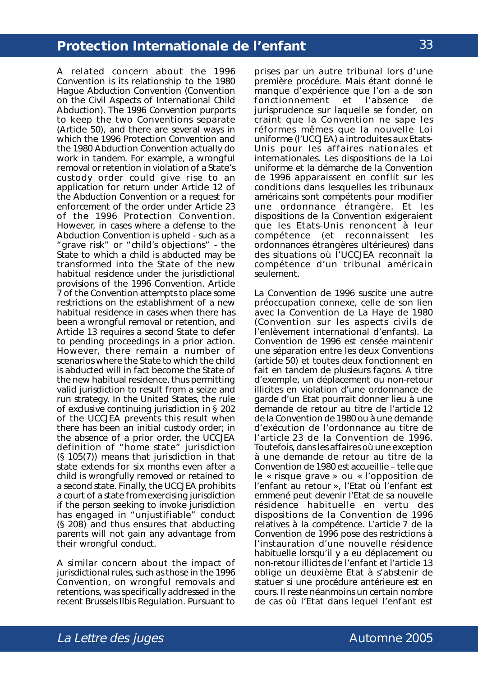A related concern about the 1996 Convention is its relationship to the 1980 Hague Abduction Convention (*Convention on the Civil Aspects of International Child Abduction*). The 1996 Convention purports to keep the two Conventions separate (Article 50), and there are several ways in which the 1996 Protection Convention and the 1980 Abduction Convention actually do work in tandem. For example, a wrongful removal or retention in violation of a State's custody order could give rise to an application for return under Article 12 of the Abduction Convention or a request for enforcement of the order under Article 23 of the 1996 Protection Convention. However, in cases where a defense to the Abduction Convention is upheld - such as a "grave risk" or "child's objections" - the State to which a child is abducted may be transformed into the State of the new habitual residence under the jurisdictional provisions of the 1996 Convention. Article 7 of the Convention attempts to place some restrictions on the establishment of a new habitual residence in cases when there has been a wrongful removal or retention, and Article 13 requires a second State to defer to pending proceedings in a prior action. However, there remain a number of scenarios where the State to which the child is abducted will in fact become the State of the new habitual residence, thus permitting valid jurisdiction to result from a seize and run strategy. In the United States, the rule of exclusive continuing jurisdiction in § 202 of the UCCJEA prevents this result when there has been an initial custody order; in the absence of a prior order, the UCCJEA definition of "home state" jurisdiction (§ 105(7)) means that jurisdiction in that state extends for six months even after a child is wrongfully removed or retained to a second state. Finally, the UCCJEA prohibits a court of a state from exercising jurisdiction if the person seeking to invoke jurisdiction has engaged in "unjustifiable" conduct (§ 208) and thus ensures that abducting parents will not gain any advantage from their wrongful conduct.

A similar concern about the impact of jurisdictional rules, such as those in the 1996 Convention, on wrongful removals and retentions, was specifically addressed in the recent Brussels II*bis* Regulation. Pursuant to

prises par un autre tribunal lors d'une première procédure. Mais étant donné le manque d'expérience que l'on a de son fonctionnement et l'absence de jurisprudence sur laquelle se fonder, on craint que la Convention ne sape les réformes mêmes que la nouvelle Loi uniforme (l'UCCJEA) a introduites aux Etats-Unis pour les affaires nationales et internationales. Les dispositions de la Loi uniforme et la démarche de la Convention de 1996 apparaissent en conflit sur les conditions dans lesquelles les tribunaux américains sont compétents pour modifier une ordonnance étrangère. Et les dispositions de la Convention exigeraient que les Etats-Unis renoncent à leur compétence (et reconnaissent les ordonnances étrangères ultérieures) dans des situations où l'UCCJEA reconnaît la compétence d'un tribunal américain seulement.

La Convention de 1996 suscite une autre préoccupation connexe, celle de son lien avec la Convention de La Haye de 1980 (*Convention sur les aspects civils de l'enlèvement international d'enfants*). La Convention de 1996 est censée maintenir une séparation entre les deux Conventions (article 50) et toutes deux fonctionnent en fait en tandem de plusieurs façons. A titre d'exemple, un déplacement ou non-retour illicites en violation d'une ordonnance de garde d'un Etat pourrait donner lieu à une demande de retour au titre de l'article 12 de la Convention de 1980 ou à une demande d'exécution de l'ordonnance au titre de l'article 23 de la Convention de 1996. Toutefois, dans les affaires où une exception à une demande de retour au titre de la Convention de 1980 est accueillie – telle que le « risque grave » ou « l'opposition de l'enfant au retour », l'Etat où l'enfant est emmené peut devenir l'Etat de sa nouvelle résidence habituelle en vertu des dispositions de la Convention de 1996 relatives à la compétence. L'article 7 de la Convention de 1996 pose des restrictions à l'instauration d'une nouvelle résidence habituelle lorsqu'il y a eu déplacement ou non-retour illicites de l'enfant et l'article 13 oblige un deuxième Etat à s'abstenir de statuer si une procédure antérieure est en cours. Il reste néanmoins un certain nombre de cas où l'Etat dans lequel l'enfant est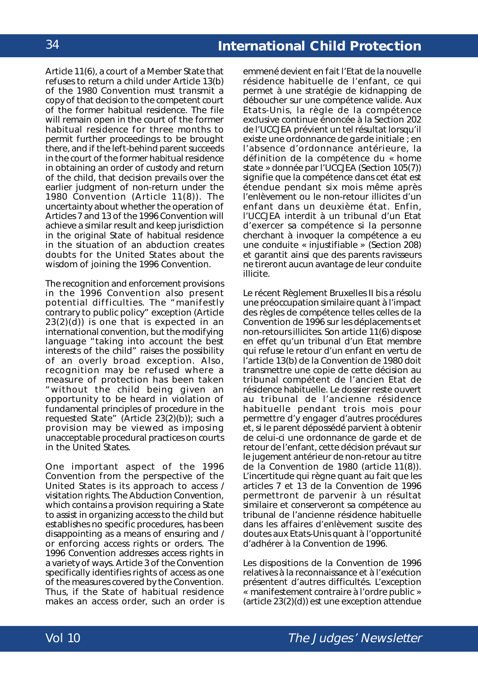Article 11(6), a court of a Member State that refuses to return a child under Article 13(b) of the 1980 Convention must transmit a copy of that decision to the competent court of the former habitual residence. The file will remain open in the court of the former habitual residence for three months to permit further proceedings to be brought there, and if the left-behind parent succeeds in the court of the former habitual residence in obtaining an order of custody and return of the child, that decision prevails over the earlier judgment of non-return under the 1980 Convention (Article 11(8)). The uncertainty about whether the operation of Articles 7 and 13 of the 1996 Convention will achieve a similar result and keep jurisdiction in the original State of habitual residence in the situation of an abduction creates doubts for the United States about the wisdom of joining the 1996 Convention.

The recognition and enforcement provisions in the 1996 Convention also present potential difficulties. The "manifestly contrary to public policy" exception (Article 23(2)(d)) is one that is expected in an international convention, but the modifying language "taking into account the best interests of the child" raises the possibility of an overly broad exception. Also, recognition may be refused where a measure of protection has been taken "without the child being given an opportunity to be heard in violation of fundamental principles of procedure in the requested State" (Article 23(2)(b)); such a provision may be viewed as imposing unacceptable procedural practices on courts in the United States.

One important aspect of the 1996 Convention from the perspective of the United States is its approach to access / visitation rights. The Abduction Convention, which contains a provision requiring a State to assist in organizing access to the child but establishes no specific procedures, has been disappointing as a means of ensuring and / or enforcing access rights or orders. The 1996 Convention addresses access rights in a variety of ways. Article 3 of the Convention specifically identifies rights of access as one of the measures covered by the Convention. Thus, if the State of habitual residence makes an access order, such an order is

emmené devient en fait l'Etat de la nouvelle résidence habituelle de l'enfant, ce qui permet à une stratégie de kidnapping de déboucher sur une compétence valide. Aux Etats-Unis, la règle de la compétence exclusive continue énoncée à la Section 202 de l'UCCJEA prévient un tel résultat lorsqu'il existe une ordonnance de garde initiale ; en l'absence d'ordonnance antérieure, la définition de la compétence du « *home state* » donnée par l'UCCJEA (Section 105(7)) signifie que la compétence dans cet état est étendue pendant six mois même après l'enlèvement ou le non-retour illicites d'un enfant dans un deuxième état. Enfin, l'UCCJEA interdit à un tribunal d'un Etat d'exercer sa compétence si la personne cherchant à invoquer la compétence a eu une conduite « injustifiable » (Section 208) et garantit ainsi que des parents ravisseurs ne tireront aucun avantage de leur conduite illicite.

Le récent Règlement Bruxelles II bis a résolu une préoccupation similaire quant à l'impact des règles de compétence telles celles de la Convention de 1996 sur les déplacements et non-retours illicites. Son article 11(6) dispose en effet qu'un tribunal d'un Etat membre qui refuse le retour d'un enfant en vertu de l'article 13(b) de la Convention de 1980 doit transmettre une copie de cette décision au tribunal compétent de l'ancien Etat de résidence habituelle. Le dossier reste ouvert au tribunal de l'ancienne résidence habituelle pendant trois mois pour permettre d'y engager d'autres procédures et, si le parent dépossédé parvient à obtenir de celui-ci une ordonnance de garde et de retour de l'enfant, cette décision prévaut sur le jugement antérieur de non-retour au titre de la Convention de 1980 (article 11(8)). L'incertitude qui règne quant au fait que les articles 7 et 13 de la Convention de 1996 permettront de parvenir à un résultat similaire et conserveront sa compétence au tribunal de l'ancienne résidence habituelle dans les affaires d'enlèvement suscite des doutes aux Etats-Unis quant à l'opportunité d'adhérer à la Convention de 1996.

Les dispositions de la Convention de 1996 relatives à la reconnaissance et à l'exécution présentent d'autres difficultés. L'exception « manifestement contraire à l'ordre public » (article 23(2)(d)) est une exception attendue

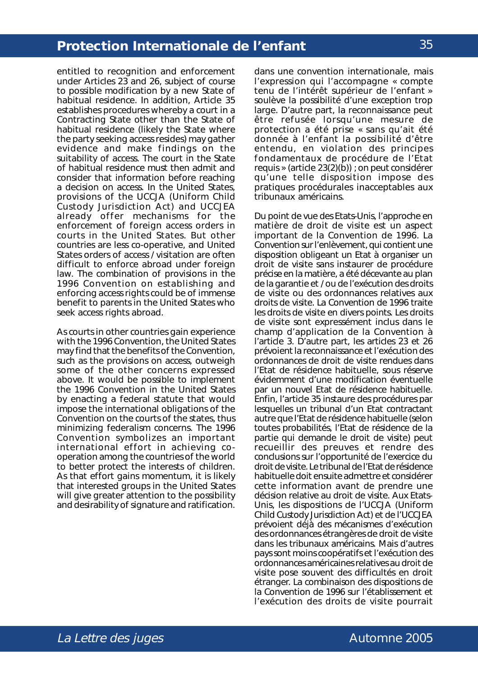entitled to recognition and enforcement under Articles 23 and 26, subject of course to possible modification by a new State of habitual residence. In addition, Article 35 establishes procedures whereby a court in a Contracting State other than the State of habitual residence (likely the State where the party seeking access resides) may gather evidence and make findings on the suitability of access. The court in the State of habitual residence must then admit and consider that information before reaching a decision on access. In the United States, provisions of the UCCJA (Uniform Child Custody Jurisdiction Act) and UCCJEA already offer mechanisms for the enforcement of foreign access orders in courts in the United States. But other countries are less co-operative, and United States orders of access / visitation are often difficult to enforce abroad under foreign law. The combination of provisions in the 1996 Convention on establishing and enforcing access rights could be of immense benefit to parents in the United States who seek access rights abroad.

As courts in other countries gain experience with the 1996 Convention, the United States may find that the benefits of the Convention, such as the provisions on access, outweigh some of the other concerns expressed above. It would be possible to implement the 1996 Convention in the United States by enacting a federal statute that would impose the international obligations of the Convention on the courts of the states, thus minimizing federalism concerns. The 1996 Convention symbolizes an important international effort in achieving cooperation among the countries of the world to better protect the interests of children. As that effort gains momentum, it is likely that interested groups in the United States will give greater attention to the possibility and desirability of signature and ratification.

dans une convention internationale, mais l'expression qui l'accompagne « compte tenu de l'intérêt supérieur de l'enfant » soulève la possibilité d'une exception trop large. D'autre part, la reconnaissance peut être refusée lorsqu'une mesure de protection a été prise « sans qu'ait été donnée à l'enfant la possibilité d'être entendu, en violation des principes fondamentaux de procédure de l'Etat requis » (article 23(2)(b)) ; on peut considérer qu'une telle disposition impose des pratiques procédurales inacceptables aux tribunaux américains.

Du point de vue des Etats-Unis, l'approche en matière de droit de visite est un aspect important de la Convention de 1996. La Convention sur l'enlèvement, qui contient une disposition obligeant un Etat à organiser un droit de visite sans instaurer de procédure précise en la matière, a été décevante au plan de la garantie et / ou de l'exécution des droits de visite ou des ordonnances relatives aux droits de visite. La Convention de 1996 traite les droits de visite en divers points. Les droits de visite sont expressément inclus dans le champ d'application de la Convention à l'article 3. D'autre part, les articles 23 et 26 prévoient la reconnaissance et l'exécution des ordonnances de droit de visite rendues dans l'Etat de résidence habituelle, sous réserve évidemment d'une modification éventuelle par un nouvel Etat de résidence habituelle. Enfin, l'article 35 instaure des procédures par lesquelles un tribunal d'un Etat contractant autre que l'Etat de résidence habituelle (selon toutes probabilités, l'Etat de résidence de la partie qui demande le droit de visite) peut recueillir des preuves et rendre des conclusions sur l'opportunité de l'exercice du droit de visite. Le tribunal de l'Etat de résidence habituelle doit ensuite admettre et considérer cette information avant de prendre une décision relative au droit de visite. Aux Etats-Unis, les dispositions de l'UCCJA (*Uniform Child Custody Jurisdiction Act*) et de l'UCCJEA prévoient déjà des mécanismes d'exécution des ordonnances étrangères de droit de visite dans les tribunaux américains. Mais d'autres pays sont moins coopératifs et l'exécution des ordonnances américaines relatives au droit de visite pose souvent des difficultés en droit étranger. La combinaison des dispositions de la Convention de 1996 sur l'établissement et l'exécution des droits de visite pourrait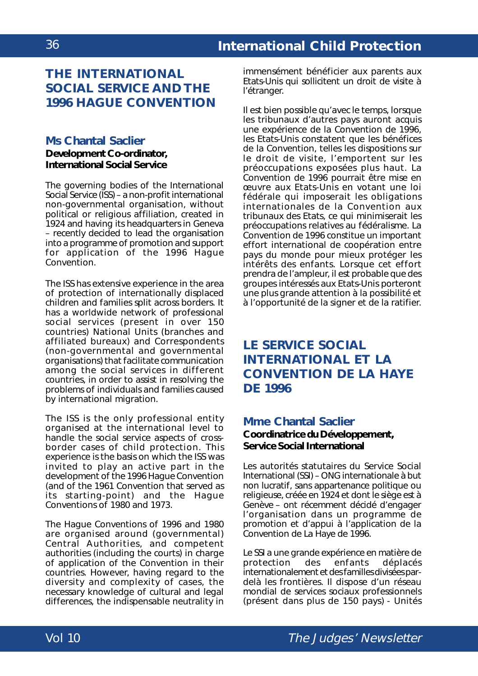### **THE INTERNATIONAL SOCIAL SERVICE AND THE 1996 HAGUE CONVENTION**

### **Ms Chantal Saclier**

### **Development Co-ordinator, International Social Service**

The governing bodies of the International Social Service (ISS) – a non-profit international non-governmental organisation, without political or religious affiliation, created in 1924 and having its headquarters in Geneva – recently decided to lead the organisation into a programme of promotion and support for application of the 1996 Hague Convention.

The ISS has extensive experience in the area of protection of internationally displaced children and families split across borders. It has a worldwide network of professional social services (present in over 150 countries) National Units (branches and affiliated bureaux) and Correspondents (non-governmental and governmental organisations) that facilitate communication among the social services in different countries, in order to assist in resolving the problems of individuals and families caused by international migration.

The ISS is the only professional entity organised at the international level to handle the social service aspects of crossborder cases of child protection. This experience is the basis on which the ISS was invited to play an active part in the development of the 1996 Hague Convention (and of the 1961 Convention that served as its starting-point) and the Hague Conventions of 1980 and 1973.

The Hague Conventions of 1996 and 1980 are organised around (governmental) Central Authorities, and competent authorities (including the courts) in charge of application of the Convention in their countries. However, having regard to the diversity and complexity of cases, the necessary knowledge of cultural and legal differences, the indispensable neutrality in

immensément bénéficier aux parents aux Etats-Unis qui sollicitent un droit de visite à l'étranger.

Il est bien possible qu'avec le temps, lorsque les tribunaux d'autres pays auront acquis une expérience de la Convention de 1996, les Etats-Unis constatent que les bénéfices de la Convention, telles les dispositions sur le droit de visite, l'emportent sur les préoccupations exposées plus haut. La Convention de 1996 pourrait être mise en œuvre aux Etats-Unis en votant une loi fédérale qui imposerait les obligations internationales de la Convention aux tribunaux des Etats, ce qui minimiserait les préoccupations relatives au fédéralisme. La Convention de 1996 constitue un important effort international de coopération entre pays du monde pour mieux protéger les intérêts des enfants. Lorsque cet effort prendra de l'ampleur, il est probable que des groupes intéressés aux Etats-Unis porteront une plus grande attention à la possibilité et à l'opportunité de la signer et de la ratifier.

# **LE SERVICE SOCIAL INTERNATIONAL ET LA CONVENTION DE LA HAYE DE 1996**

### **Mme Chantal Saclier**

**Coordinatrice du Développement, Service Social International**

Les autorités statutaires du Service Social International (SSI) – ONG internationale à but non lucratif, sans appartenance politique ou religieuse, créée en 1924 et dont le siège est à Genève – ont récemment décidé d'engager l'organisation dans un programme de promotion et d'appui à l'application de la Convention de La Haye de 1996.

Le SSI a une grande expérience en matière de protection des enfants déplacés internationalement et des familles divisées pardelà les frontières. Il dispose d'un réseau mondial de services sociaux professionnels (présent dans plus de 150 pays) - Unités

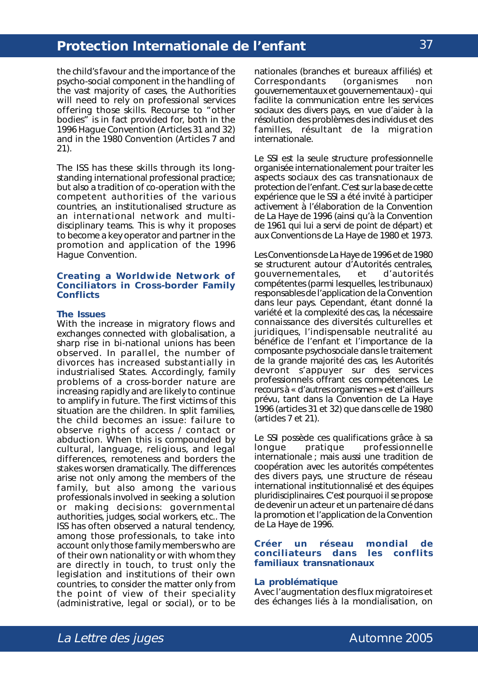the child's favour and the importance of the psycho-social component in the handling of the vast majority of cases, the Authorities will need to rely on professional services offering those skills. Recourse to "other bodies" is in fact provided for, both in the 1996 Hague Convention (Articles 31 and 32) and in the 1980 Convention (Articles 7 and 21).

The ISS has these skills through its longstanding international professional practice; but also a tradition of co-operation with the competent authorities of the various countries, an institutionalised structure as an international network and multidisciplinary teams. This is why it proposes to become a key operator and partner in the promotion and application of the 1996 Hague Convention.

#### **Creating a Worldwide Network of Conciliators in Cross-border Family Conflicts**

#### **The Issues**

With the increase in migratory flows and exchanges connected with globalisation, a sharp rise in bi-national unions has been observed. In parallel, the number of divorces has increased substantially in industrialised States. Accordingly, family problems of a cross-border nature are increasing rapidly and are likely to continue to amplify in future. The first victims of this situation are the children. In split families, the child becomes an issue: failure to observe rights of access / contact or abduction. When this is compounded by cultural, language, religious, and legal differences, remoteness and borders the stakes worsen dramatically. The differences arise not only among the members of the family, but also among the various professionals involved in seeking a solution or making decisions: governmental authorities, judges, social workers, etc.. The ISS has often observed a natural tendency, among those professionals, to take into account only those family members who are of their own nationality or with whom they are directly in touch, to trust only the legislation and institutions of their own countries, to consider the matter only from the point of view of their speciality (administrative, legal or social), or to be

nationales (branches et bureaux affiliés) et Correspondants (organismes non gouvernementaux et gouvernementaux) - qui facilite la communication entre les services sociaux des divers pays, en vue d'aider à la résolution des problèmes des individus et des familles, résultant de la migration internationale.

Le SSI est la seule structure professionnelle organisée internationalement pour traiter les aspects sociaux des cas transnationaux de protection de l'enfant. C'est sur la base de cette expérience que le SSI a été invité à participer activement à l'élaboration de la Convention de La Haye de 1996 (ainsi qu'à la Convention de 1961 qui lui a servi de point de départ) et aux Conventions de La Haye de 1980 et 1973.

Les Conventions de La Haye de 1996 et de 1980 se structurent autour d'Autorités centrales, gouvernementales, et d'autorités compétentes (parmi lesquelles, les tribunaux) responsables de l'application de la Convention dans leur pays. Cependant, étant donné la variété et la complexité des cas, la nécessaire connaissance des diversités culturelles et juridiques, l'indispensable neutralité au bénéfice de l'enfant et l'importance de la composante psychosociale dans le traitement de la grande majorité des cas, les Autorités devront s'appuyer sur des services professionnels offrant ces compétences. Le recours à « d'autres organismes » est d'ailleurs prévu, tant dans la Convention de La Haye 1996 (articles 31 et 32) que dans celle de 1980 (articles 7 et 21).

Le SSI possède ces qualifications grâce à sa longue pratique professionnelle internationale ; mais aussi une tradition de coopération avec les autorités compétentes des divers pays, une structure de réseau international institutionnalisé et des équipes pluridisciplinaires. C'est pourquoi il se propose de devenir un acteur et un partenaire clé dans la promotion et l'application de la Convention de La Haye de 1996.

#### **Créer un réseau mondial de conciliateurs dans les conflits familiaux transnationaux**

#### **La problématique**

Avec l'augmentation des flux migratoires et des échanges liés à la mondialisation, on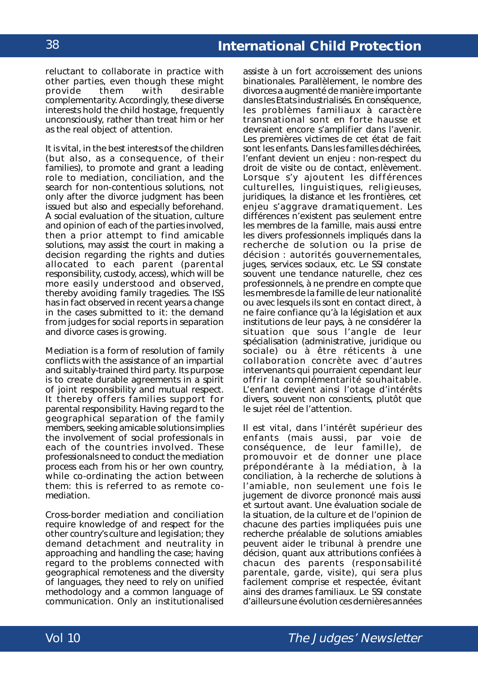reluctant to collaborate in practice with other parties, even though these might<br>provide them with desirable them with desirable complementarity. Accordingly, these diverse interests hold the child hostage, frequently unconsciously, rather than treat him or her as the real object of attention.

It is vital, in the best interests of the children (but also, as a consequence, of their families), to promote and grant a leading role to mediation, conciliation, and the search for non-contentious solutions, not only after the divorce judgment has been issued but also and especially beforehand. A social evaluation of the situation, culture and opinion of each of the parties involved, then a prior attempt to find amicable solutions, may assist the court in making a decision regarding the rights and duties allocated to each parent (parental responsibility, custody, access), which will be more easily understood and observed, thereby avoiding family tragedies. The ISS has in fact observed in recent years a change in the cases submitted to it: the demand from judges for social reports in separation and divorce cases is growing.

Mediation is a form of resolution of family conflicts with the assistance of an impartial and suitably-trained third party. Its purpose is to create durable agreements in a spirit of joint responsibility and mutual respect. It thereby offers families support for parental responsibility. Having regard to the geographical separation of the family members, seeking amicable solutions implies the involvement of social professionals in each of the countries involved. These professionals need to conduct the mediation process each from his or her own country, while co-ordinating the action between them: this is referred to as remote comediation.

Cross-border mediation and conciliation require knowledge of and respect for the other country's culture and legislation; they demand detachment and neutrality in approaching and handling the case; having regard to the problems connected with geographical remoteness and the diversity of languages, they need to rely on unified methodology and a common language of communication. Only an institutionalised

assiste à un fort accroissement des unions binationales. Parallèlement, le nombre des divorces a augmenté de manière importante dans les Etats industrialisés. En conséquence, les problèmes familiaux à caractère transnational sont en forte hausse et devraient encore s'amplifier dans l'avenir. Les premières victimes de cet état de fait sont les enfants. Dans les familles déchirées, l'enfant devient un enjeu : non-respect du droit de visite ou de contact, enlèvement. Lorsque s'y ajoutent les différences culturelles, linguistiques, religieuses, juridiques, la distance et les frontières, cet enjeu s'aggrave dramatiquement. Les différences n'existent pas seulement entre les membres de la famille, mais aussi entre les divers professionnels impliqués dans la recherche de solution ou la prise de décision : autorités gouvernementales, juges, services sociaux, etc. Le SSI constate souvent une tendance naturelle, chez ces professionnels, à ne prendre en compte que les membres de la famille de leur nationalité ou avec lesquels ils sont en contact direct, à ne faire confiance qu'à la législation et aux institutions de leur pays, à ne considérer la situation que sous l'angle de leur spécialisation (administrative, juridique ou sociale) ou à être réticents à une collaboration concrète avec d'autres intervenants qui pourraient cependant leur offrir la complémentarité souhaitable. L'enfant devient ainsi l'otage d'intérêts divers, souvent non conscients, plutôt que le sujet réel de l'attention.

Il est vital, dans l'intérêt supérieur des enfants (mais aussi, par voie de conséquence, de leur famille), de promouvoir et de donner une place prépondérante à la médiation, à la conciliation, à la recherche de solutions à l'amiable, non seulement une fois le jugement de divorce prononcé mais aussi et surtout avant. Une évaluation sociale de la situation, de la culture et de l'opinion de chacune des parties impliquées puis une recherche préalable de solutions amiables peuvent aider le tribunal à prendre une décision, quant aux attributions confiées à chacun des parents (responsabilité parentale, garde, visite), qui sera plus facilement comprise et respectée, évitant ainsi des drames familiaux. Le SSI constate d'ailleurs une évolution ces dernières années

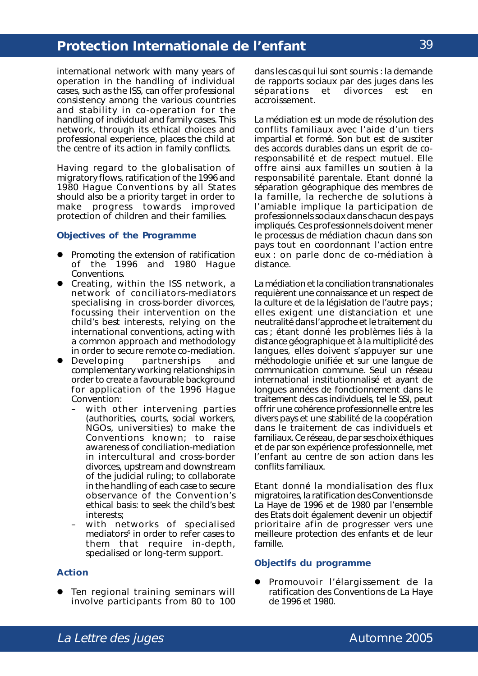international network with many years of operation in the handling of individual cases, such as the ISS, can offer professional consistency among the various countries and stability in co-operation for the handling of individual and family cases. This network, through its ethical choices and professional experience, places the child at the centre of its action in family conflicts.

Having regard to the globalisation of migratory flows, ratification of the 1996 and 1980 Hague Conventions by all States should also be a priority target in order to make progress towards improved protection of children and their families.

## **Objectives of the Programme**

- ! Promoting the extension of ratification of the 1996 and 1980 Hague Conventions.
- Creating, within the ISS network, a network of conciliators-mediators specialising in cross-border divorces, focussing their intervention on the child's best interests, relying on the international conventions, acting with a common approach and methodology
- in order to secure remote co-mediation.<br>Developing partnerships and **•** Developing partnerships and complementary working relationships in order to create a favourable background for application of the 1996 Hague Convention:
	- with other intervening parties (authorities, courts, social workers, NGOs, universities) to make the Conventions known; to raise awareness of conciliation-mediation in intercultural and cross-border divorces, upstream and downstream of the judicial ruling; to collaborate in the handling of each case to secure observance of the Convention's ethical basis: to seek the child's best interests;
	- with networks of specialised mediators $6$  in order to refer cases to them that require in-depth, specialised or long-term support.

### **Action**

**•** Ten regional training seminars will involve participants from 80 to 100

dans les cas qui lui sont soumis : la demande de rapports sociaux par des juges dans les séparations et divorces est en accroissement.

La médiation est un mode de résolution des conflits familiaux avec l'aide d'un tiers impartial et formé. Son but est de susciter des accords durables dans un esprit de coresponsabilité et de respect mutuel. Elle offre ainsi aux familles un soutien à la responsabilité parentale. Etant donné la séparation géographique des membres de la famille, la recherche de solutions à l'amiable implique la participation de professionnels sociaux dans chacun des pays impliqués. Ces professionnels doivent mener le processus de médiation chacun dans son pays tout en coordonnant l'action entre eux : on parle donc de co-médiation à distance.

La médiation et la conciliation transnationales requièrent une connaissance et un respect de la culture et de la législation de l'autre pays ; elles exigent une distanciation et une neutralité dans l'approche et le traitement du cas ; étant donné les problèmes liés à la distance géographique et à la multiplicité des langues, elles doivent s'appuyer sur une méthodologie unifiée et sur une langue de communication commune. Seul un réseau international institutionnalisé et ayant de longues années de fonctionnement dans le traitement des cas individuels, tel le SSI, peut offrir une cohérence professionnelle entre les divers pays et une stabilité de la coopération dans le traitement de cas individuels et familiaux. Ce réseau, de par ses choix éthiques et de par son expérience professionnelle, met l'enfant au centre de son action dans les conflits familiaux.

Etant donné la mondialisation des flux migratoires, la ratification des Conventions de La Haye de 1996 et de 1980 par l'ensemble des Etats doit également devenir un objectif prioritaire afin de progresser vers une meilleure protection des enfants et de leur famille.

#### **Objectifs du programme**

! Promouvoir l'élargissement de la ratification des Conventions de La Haye de 1996 et 1980.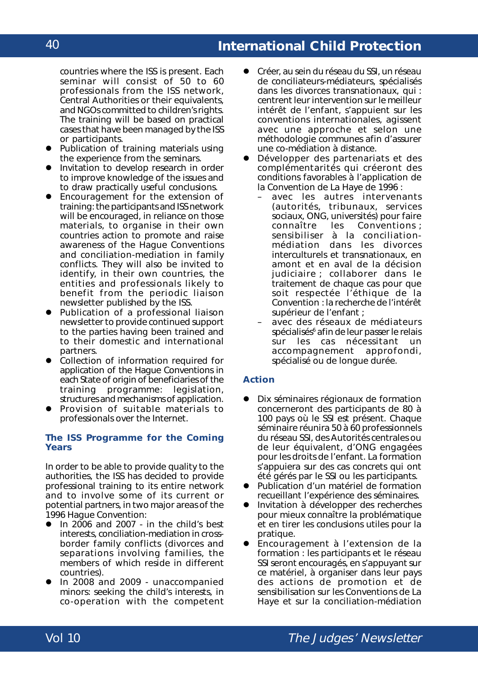# **International Child Protection**

countries where the ISS is present. Each seminar will consist of 50 to 60 professionals from the ISS network, Central Authorities or their equivalents, and NGOs committed to children's rights. The training will be based on practical cases that have been managed by the ISS or participants.

- **Publication of training materials using** the experience from the seminars.
- **.** Invitation to develop research in order to improve knowledge of the issues and to draw practically useful conclusions.
- Encouragement for the extension of training: the participants and ISS network will be encouraged, in reliance on those materials, to organise in their own countries action to promote and raise awareness of the Hague Conventions and conciliation-mediation in family conflicts. They will also be invited to identify, in their own countries, the entities and professionals likely to benefit from the periodic liaison newsletter published by the ISS.
- Publication of a professional liaison newsletter to provide continued support to the parties having been trained and to their domestic and international partners.
- Collection of information required for application of the Hague Conventions in each State of origin of beneficiaries of the training programme: legislation, structures and mechanisms of application.
- Provision of suitable materials to professionals over the Internet.

## **The ISS Programme for the Coming Years**

In order to be able to provide quality to the authorities, the ISS has decided to provide professional training to its entire network and to involve some of its current or potential partners, in two major areas of the 1996 Hague Convention:

- In  $2006$  and  $2007 in$  the child's best interests, conciliation-mediation in crossborder family conflicts (divorces and separations involving families, the members of which reside in different countries).
- In 2008 and 2009 unaccompanied minors: seeking the child's interests, in co-operation with the competent
- ! Créer, au sein du réseau du SSI, un réseau de conciliateurs-médiateurs, spécialisés dans les divorces transnationaux, qui : centrent leur intervention sur le meilleur intérêt de l'enfant, s'appuient sur les conventions internationales, agissent avec une approche et selon une méthodologie communes afin d'assurer une co-médiation à distance.
- Développer des partenariats et des complémentarités qui créeront des conditions favorables à l'application de la Convention de La Haye de 1996 :
	- avec les autres intervenants (autorités, tribunaux, services sociaux, ONG, universités) pour faire connaître les Conventions ; sensibiliser à la conciliationmédiation dans les divorces interculturels et transnationaux, en amont et en aval de la décision judiciaire ; collaborer dans le traitement de chaque cas pour que soit respectée l'éthique de la Convention : la recherche de l'intérêt supérieur de l'enfant ;
	- avec des réseaux de médiateurs spécialisés<sup>6</sup> afin de leur passer le relais sur les cas nécessitant un accompagnement approfondi, spécialisé ou de longue durée.

### **Action**

- Dix séminaires régionaux de formation concerneront des participants de 80 à 100 pays où le SSI est présent. Chaque séminaire réunira 50 à 60 professionnels du réseau SSI, des Autorités centrales ou de leur équivalent, d'ONG engagées pour les droits de l'enfant. La formation s'appuiera sur des cas concrets qui ont été gérés par le SSI ou les participants.
- Publication d'un matériel de formation recueillant l'expérience des séminaires.
- **Invitation à développer des recherches** pour mieux connaître la problématique et en tirer les conclusions utiles pour la pratique.
- ! Encouragement à l'extension de la formation : les participants et le réseau SSI seront encouragés, en s'appuyant sur ce matériel, à organiser dans leur pays des actions de promotion et de sensibilisation sur les Conventions de La Haye et sur la conciliation-médiation

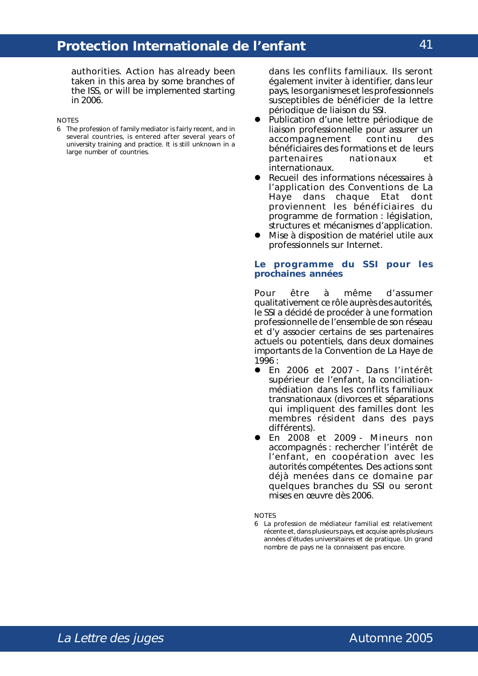authorities. Action has already been taken in this area by some branches of the ISS, or will be implemented starting in 2006.

NOTES

6 The profession of family mediator is fairly recent, and in several countries, is entered after several years of university training and practice. It is still unknown in a large number of countries.

dans les conflits familiaux. Ils seront également inviter à identifier, dans leur pays, les organismes et les professionnels susceptibles de bénéficier de la lettre périodique de liaison du SSI.

- ! Publication d'une lettre périodique de liaison professionnelle pour assurer un accompagnement continu des bénéficiaires des formations et de leurs partenaires nationaux et internationaux.
- ! Recueil des informations nécessaires à l'application des Conventions de La Haye dans chaque Etat dont proviennent les bénéficiaires du programme de formation : législation, structures et mécanismes d'application.
- **.** Mise à disposition de matériel utile aux professionnels sur Internet.

#### **Le programme du SSI pour les prochaines années**

Pour être à même d'assumer qualitativement ce rôle auprès des autorités, le SSI a décidé de procéder à une formation professionnelle de l'ensemble de son réseau et d'y associer certains de ses partenaires actuels ou potentiels, dans deux domaines importants de la Convention de La Haye de 1996 :

- ! En 2006 et 2007 Dans l'intérêt supérieur de l'enfant, la conciliationmédiation dans les conflits familiaux transnationaux (divorces et séparations qui impliquent des familles dont les membres résident dans des pays différents).
- ! En 2008 et 2009 Mineurs non accompagnés : rechercher l'intérêt de l'enfant, en coopération avec les autorités compétentes. Des actions sont déjà menées dans ce domaine par quelques branches du SSI ou seront mises en œuvre dès 2006.

**NOTES** 

6 La profession de médiateur familial est relativement récente et, dans plusieurs pays, est acquise après plusieurs années d'études universitaires et de pratique. Un grand nombre de pays ne la connaissent pas encore.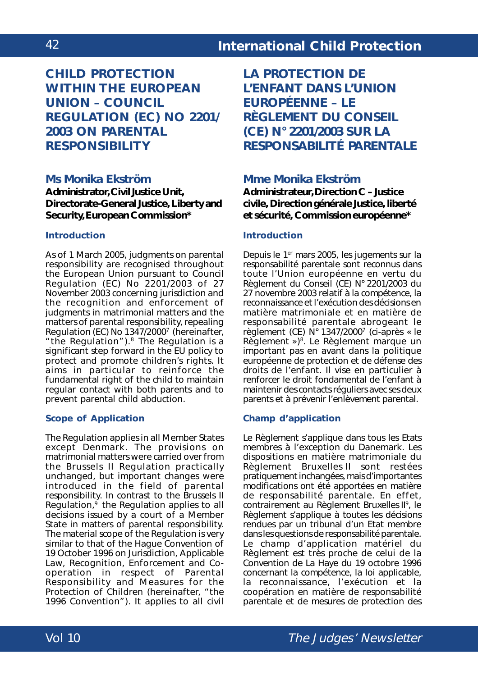**CHILD PROTECTION WITHIN THE EUROPEAN UNION – COUNCIL REGULATION (EC) NO 2201/ 2003 ON PARENTAL RESPONSIBILITY**

# **Ms Monika Ekström**

**Administrator, Civil Justice Unit, Directorate-General Justice, Liberty and Security, European Commission\***

## **Introduction**

As of 1 March 2005, judgments on parental responsibility are recognised throughout the European Union pursuant to *Council Regulation (EC) No 2201/2003 of 27 November 2003 concerning jurisdiction and the recognition and enforcement of judgments in matrimonial matters and the matters of parental responsibility, repealing Regulation (EC) No 1347/2000*7 (hereinafter, "the Regulation").8 The Regulation is a significant step forward in the EU policy to protect and promote children's rights. It aims in particular to reinforce the fundamental right of the child to maintain regular contact with both parents and to prevent parental child abduction.

## **Scope of Application**

The Regulation applies in all Member States except Denmark. The provisions on matrimonial matters were carried over from the Brussels II Regulation practically unchanged, but important changes were introduced in the field of parental responsibility. In contrast to the Brussels II Regulation, $9$  the Regulation applies to all decisions issued by a court of a Member State in matters of parental responsibility. The material scope of the Regulation is very similar to that of the *Hague Convention of 19 October 1996 on Jurisdiction, Applicable Law, Recognition, Enforcement and Cooperation in respect of Parental Responsibility and Measures for the Protection of Children* (hereinafter, "the 1996 Convention"). It applies to all civil

**LA PROTECTION DE L'ENFANT DANS L'UNION EUROPÉENNE – LE RÈGLEMENT DU CONSEIL (CE) N° 2201/2003 SUR LA RESPONSABILITÉ PARENTALE**

## **Mme Monika Ekström**

**Administrateur, Direction C – Justice civile, Direction générale Justice, liberté et sécurité, Commission européenne\***

## **Introduction**

Depuis le 1<sup>er</sup> mars 2005, les jugements sur la responsabilité parentale sont reconnus dans toute l'Union européenne en vertu du *Règlement du Conseil (CE) N° 2201/2003 du 27 novembre 2003 relatif à la compétence, la reconnaissance et l'exécution des décisions en matière matrimoniale et en matière de responsabilité parentale abrogeant le règlement (CE) N° 1347/2000*<sup>7</sup> (ci-après « le Règlement »)<sup>8</sup>. Le Règlement marque un important pas en avant dans la politique européenne de protection et de défense des droits de l'enfant. Il vise en particulier à renforcer le droit fondamental de l'enfant à maintenir des contacts réguliers avec ses deux parents et à prévenir l'enlèvement parental.

## **Champ d'application**

Le Règlement s'applique dans tous les Etats membres à l'exception du Danemark. Les dispositions en matière matrimoniale du Règlement Bruxelles II sont restées pratiquement inchangées, mais d'importantes modifications ont été apportées en matière de responsabilité parentale. En effet, contrairement au Règlement Bruxelles II<sup>9</sup>, le Règlement s'applique à toutes les décisions rendues par un tribunal d'un Etat membre dans les questions de responsabilité parentale. Le champ d'application matériel du Règlement est très proche de celui de la *Convention de La Haye du 19 octobre 1996 concernant la compétence, la loi applicable, la reconnaissance, l'exécution et la coopération en matière de responsabilité parentale et de mesures de protection des*

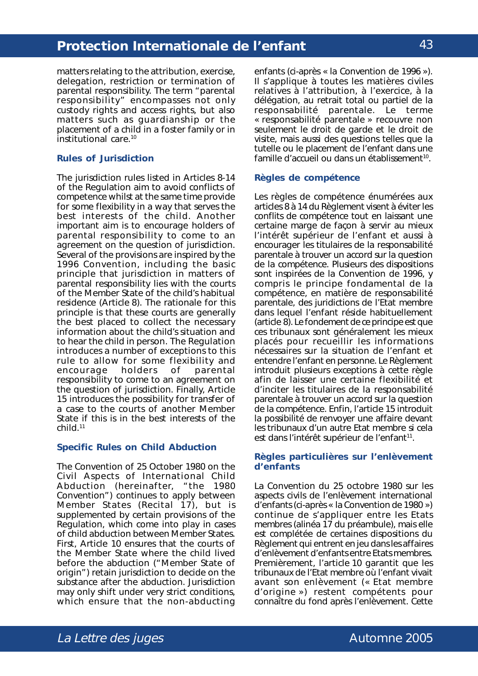matters relating to the attribution, exercise, delegation, restriction or termination of parental responsibility. The term "parental responsibility" encompasses not only custody rights and access rights, but also matters such as guardianship or the placement of a child in a foster family or in institutional care.10

### **Rules of Jurisdiction**

The jurisdiction rules listed in Articles 8-14 of the Regulation aim to avoid conflicts of competence whilst at the same time provide for some flexibility in a way that serves the best interests of the child. Another important aim is to encourage holders of parental responsibility to come to an agreement on the question of jurisdiction. Several of the provisions are inspired by the 1996 Convention, including the basic principle that jurisdiction in matters of parental responsibility lies with the courts of the Member State of the child's habitual residence (Article 8). The rationale for this principle is that these courts are generally the best placed to collect the necessary information about the child's situation and to hear the child in person. The Regulation introduces a number of exceptions to this rule to allow for some flexibility and<br>encourage holders of parental encourage holders of parental responsibility to come to an agreement on the question of jurisdiction. Finally, Article 15 introduces the possibility for transfer of a case to the courts of another Member State if this is in the best interests of the child.11

### **Specific Rules on Child Abduction**

The *Convention of 25 October 1980 on the Civil Aspects of International Child Abduction* (hereinafter, "the 1980 Convention") continues to apply between Member States (Recital 17), but is supplemented by certain provisions of the Regulation, which come into play in cases of child abduction between Member States. First, Article 10 ensures that the courts of the Member State where the child lived before the abduction ("Member State of origin") retain jurisdiction to decide on the substance after the abduction. Jurisdiction may only shift under very strict conditions, which ensure that the non-abducting

*enfants* (ci-après « la Convention de 1996 »). Il s'applique à toutes les matières civiles relatives à l'attribution, à l'exercice, à la délégation, au retrait total ou partiel de la responsabilité parentale. Le terme « responsabilité parentale » recouvre non seulement le droit de garde et le droit de visite, mais aussi des questions telles que la tutelle ou le placement de l'enfant dans une famille d'accueil ou dans un établissement<sup>10</sup>.

## **Règles de compétence**

Les règles de compétence énumérées aux articles 8 à 14 du Règlement visent à éviter les conflits de compétence tout en laissant une certaine marge de façon à servir au mieux l'intérêt supérieur de l'enfant et aussi à encourager les titulaires de la responsabilité parentale à trouver un accord sur la question de la compétence. Plusieurs des dispositions sont inspirées de la Convention de 1996, y compris le principe fondamental de la compétence, en matière de responsabilité parentale, des juridictions de l'Etat membre dans lequel l'enfant réside habituellement (article 8). Le fondement de ce principe est que ces tribunaux sont généralement les mieux placés pour recueillir les informations nécessaires sur la situation de l'enfant et entendre l'enfant en personne. Le Règlement introduit plusieurs exceptions à cette règle afin de laisser une certaine flexibilité et d'inciter les titulaires de la responsabilité parentale à trouver un accord sur la question de la compétence. Enfin, l'article 15 introduit la possibilité de renvoyer une affaire devant les tribunaux d'un autre Etat membre si cela est dans l'intérêt supérieur de l'enfant<sup>11</sup>.

### **Règles particulières sur l'enlèvement d'enfants**

La *Convention du 25 octobre 1980 sur les aspects civils de l'enlèvement international d'enfants* (ci-après « la Convention de 1980 ») continue de s'appliquer entre les Etats membres (alinéa 17 du préambule), mais elle est complétée de certaines dispositions du Règlement qui entrent en jeu dans les affaires d'enlèvement d'enfants entre Etats membres. Premièrement, l'article 10 garantit que les tribunaux de l'Etat membre où l'enfant vivait avant son enlèvement (« Etat membre d'origine ») restent compétents pour connaître du fond après l'enlèvement. Cette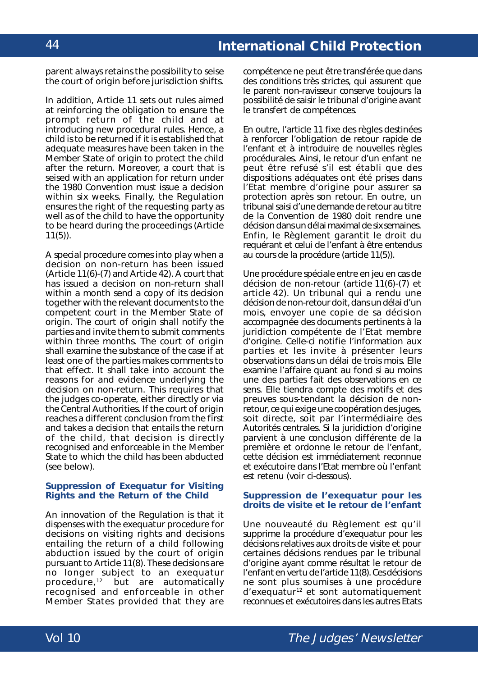parent always retains the possibility to seise the court of origin before jurisdiction shifts.

In addition, Article 11 sets out rules aimed at reinforcing the obligation to ensure the prompt return of the child and at introducing new procedural rules. Hence, a child is to be returned if it is established that adequate measures have been taken in the Member State of origin to protect the child after the return. Moreover, a court that is seised with an application for return under the 1980 Convention must issue a decision within six weeks. Finally, the Regulation ensures the right of the requesting party as well as of the child to have the opportunity to be heard during the proceedings (Article 11(5)).

A special procedure comes into play when a decision on non-return has been issued (Article 11(6)-(7) and Article 42). A court that has issued a decision on non-return shall within a month send a copy of its decision together with the relevant documents to the competent court in the Member State of origin. The court of origin shall notify the parties and invite them to submit comments within three months. The court of origin shall examine the substance of the case if at least one of the parties makes comments to that effect. It shall take into account the reasons for and evidence underlying the decision on non-return. This requires that the judges co-operate, either directly or via the Central Authorities. If the court of origin reaches a different conclusion from the first and takes a decision that entails the return of the child, that decision is directly recognised and enforceable in the Member State to which the child has been abducted (see below).

#### **Suppression of** *Exequatur* **for Visiting Rights and the Return of the Child**

An innovation of the Regulation is that it dispenses with the *exequatur* procedure for decisions on visiting rights and decisions entailing the return of a child following abduction issued by the court of origin pursuant to Article 11(8). These decisions are no longer subject to an *exequatur* procedure, $12$  but are automatically recognised and enforceable in other Member States provided that they are

compétence ne peut être transférée que dans des conditions très strictes, qui assurent que le parent non-ravisseur conserve toujours la possibilité de saisir le tribunal d'origine avant le transfert de compétences.

En outre, l'article 11 fixe des règles destinées à renforcer l'obligation de retour rapide de l'enfant et à introduire de nouvelles règles procédurales. Ainsi, le retour d'un enfant ne peut être refusé s'il est établi que des dispositions adéquates ont été prises dans l'Etat membre d'origine pour assurer sa protection après son retour. En outre, un tribunal saisi d'une demande de retour au titre de la Convention de 1980 doit rendre une décision dans un délai maximal de six semaines. Enfin, le Règlement garantit le droit du requérant et celui de l'enfant à être entendus au cours de la procédure (article 11(5)).

Une procédure spéciale entre en jeu en cas de décision de non-retour (article 11(6)-(7) et article 42). Un tribunal qui a rendu une décision de non-retour doit, dans un délai d'un mois, envoyer une copie de sa décision accompagnée des documents pertinents à la juridiction compétente de l'Etat membre d'origine. Celle-ci notifie l'information aux parties et les invite à présenter leurs observations dans un délai de trois mois. Elle examine l'affaire quant au fond si au moins une des parties fait des observations en ce sens. Elle tiendra compte des motifs et des preuves sous-tendant la décision de nonretour, ce qui exige une coopération des juges, soit directe, soit par l'intermédiaire des Autorités centrales. Si la juridiction d'origine parvient à une conclusion différente de la première et ordonne le retour de l'enfant, cette décision est immédiatement reconnue et exécutoire dans l'Etat membre où l'enfant est retenu (voir ci-dessous).

#### **Suppression de l'exequatur pour les droits de visite et le retour de l'enfant**

Une nouveauté du Règlement est qu'il supprime la procédure d'exequatur pour les décisions relatives aux droits de visite et pour certaines décisions rendues par le tribunal d'origine ayant comme résultat le retour de l'enfant en vertu de l'article 11(8). Ces décisions ne sont plus soumises à une procédure d'exequatur12 et sont automatiquement reconnues et exécutoires dans les autres Etats

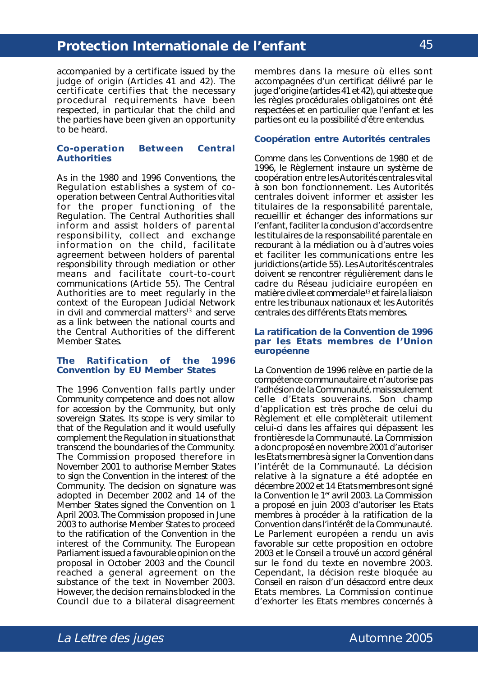accompanied by a certificate issued by the judge of origin (Articles 41 and 42). The certificate certifies that the necessary procedural requirements have been respected, in particular that the child and the parties have been given an opportunity to be heard.

### **Co-operation Between Central Authorities**

As in the 1980 and 1996 Conventions, the Regulation establishes a system of cooperation between Central Authorities vital for the proper functioning of the Regulation. The Central Authorities shall inform and assist holders of parental responsibility, collect and exchange information on the child, facilitate agreement between holders of parental responsibility through mediation or other means and facilitate court-to-court communications (Article 55). The Central Authorities are to meet regularly in the context of the European Judicial Network in civil and commercial matters<sup>13</sup> and serve as a link between the national courts and the Central Authorities of the different Member States.

#### **The Ratification of the 1996 Convention by EU Member States**

The 1996 Convention falls partly under Community competence and does not allow for accession by the Community, but only sovereign States. Its scope is very similar to that of the Regulation and it would usefully complement the Regulation in situations that transcend the boundaries of the Community. The Commission proposed therefore in November 2001 to authorise Member States to sign the Convention in the interest of the Community. The decision on signature was adopted in December 2002 and 14 of the Member States signed the Convention on 1 April 2003.The Commission proposed in June 2003 to authorise Member States to proceed to the ratification of the Convention in the interest of the Community. The European Parliament issued a favourable opinion on the proposal in October 2003 and the Council reached a general agreement on the substance of the text in November 2003. However, the decision remains blocked in the Council due to a bilateral disagreement

membres dans la mesure où elles sont accompagnées d'un certificat délivré par le juge d'origine (articles 41 et 42), qui atteste que les règles procédurales obligatoires ont été respectées et en particulier que l'enfant et les parties ont eu la possibilité d'être entendus.

#### **Coopération entre Autorités centrales**

Comme dans les Conventions de 1980 et de 1996, le Règlement instaure un système de coopération entre les Autorités centrales vital à son bon fonctionnement. Les Autorités centrales doivent informer et assister les titulaires de la responsabilité parentale, recueillir et échanger des informations sur l'enfant, faciliter la conclusion d'accords entre les titulaires de la responsabilité parentale en recourant à la médiation ou à d'autres voies et faciliter les communications entre les juridictions (article 55). Les Autorités centrales doivent se rencontrer régulièrement dans le cadre du Réseau judiciaire européen en matière civile et commerciale13 et faire la liaison entre les tribunaux nationaux et les Autorités centrales des différents Etats membres.

### **La ratification de la Convention de 1996 par les Etats membres de l'Union européenne**

La Convention de 1996 relève en partie de la compétence communautaire et n'autorise pas l'adhésion de la Communauté, mais seulement celle d'Etats souverains. Son champ d'application est très proche de celui du Règlement et elle complèterait utilement celui-ci dans les affaires qui dépassent les frontières de la Communauté. La Commission a donc proposé en novembre 2001 d'autoriser les Etats membres à signer la Convention dans l'intérêt de la Communauté. La décision relative à la signature a été adoptée en décembre 2002 et 14 Etats membres ont signé la Convention le 1<sup>er</sup> avril 2003. La Commission a proposé en juin 2003 d'autoriser les Etats membres à procéder à la ratification de la Convention dans l'intérêt de la Communauté. Le Parlement européen a rendu un avis favorable sur cette proposition en octobre 2003 et le Conseil a trouvé un accord général sur le fond du texte en novembre 2003. Cependant, la décision reste bloquée au Conseil en raison d'un désaccord entre deux Etats membres. La Commission continue d'exhorter les Etats membres concernés à

45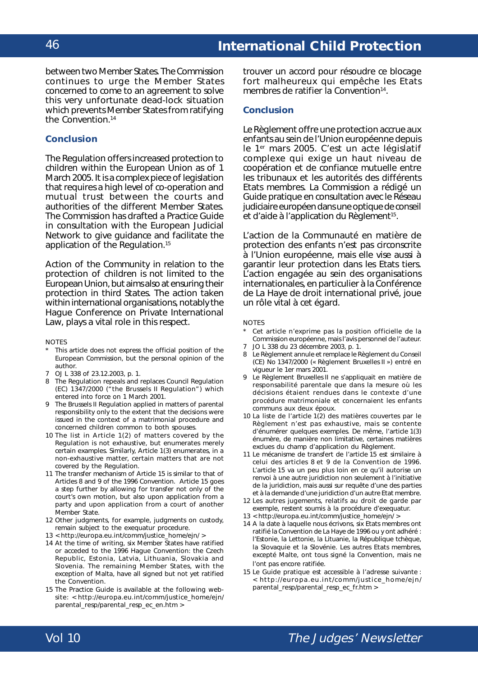between two Member States. The Commission continues to urge the Member States concerned to come to an agreement to solve this very unfortunate dead-lock situation which prevents Member States from ratifying the Convention.14

## **Conclusion**

The Regulation offers increased protection to children within the European Union as of 1 March 2005. It is a complex piece of legislation that requires a high level of co-operation and mutual trust between the courts and authorities of the different Member States. The Commission has drafted a Practice Guide in consultation with the European Judicial Network to give guidance and facilitate the application of the Regulation.15

Action of the Community in relation to the protection of children is not limited to the European Union, but aims also at ensuring their protection in third States. The action taken within international organisations, notably the Hague Conference on Private International Law, plays a vital role in this respect.

#### **NOTES**

- This article does not express the official position of the European Commission, but the personal opinion of the author.
- 7 OJ L 338 of 23.12.2003, p. 1.
- 8 The Regulation repeals and replaces Council Regulation (EC) 1347/2000 ("the Brussels II Regulation") which entered into force on 1 March 2001.
- 9 The Brussels II Regulation applied in matters of parental responsibility only to the extent that the decisions were issued in the context of a matrimonial procedure and concerned children common to both spouses.
- 10 The list in Article 1(2) of matters covered by the Regulation is not exhaustive, but enumerates merely certain examples. Similarly, Article 1(3) enumerates, in a non-exhaustive matter, certain matters that are not covered by the Regulation.
- 11 The transfer mechanism of Article 15 is similar to that of Articles 8 and 9 of the 1996 Convention. Article 15 goes a step further by allowing for transfer not only of the court's own motion, but also upon application from a party and upon application from a court of another Member State.
- 12 Other judgments, for example, judgments on custody, remain subject to the *exequatur* procedure.
- 13 < http://europa.eu.int/comm/justice\_home/ejn/ >
- 14 At the time of writing, six Member States have ratified or acceded to the 1996 Hague Convention: the Czech Republic, Estonia, Latvia, Lithuania, Slovakia and Slovenia. The remaining Member States, with the exception of Malta, have all signed but not yet ratified the Convention.
- 15 The Practice Guide is available at the following website: < http://europa.eu.int/comm/justice\_home/ejn/ parental\_resp/parental\_resp\_ec\_en.htm >

trouver un accord pour résoudre ce blocage fort malheureux qui empêche les Etats membres de ratifier la Convention<sup>14</sup>.

#### **Conclusion**

Le Règlement offre une protection accrue aux enfants au sein de l'Union européenne depuis le 1er mars 2005. C'est un acte législatif complexe qui exige un haut niveau de coopération et de confiance mutuelle entre les tribunaux et les autorités des différents Etats membres. La Commission a rédigé un Guide pratique en consultation avec le Réseau judiciaire européen dans une optique de conseil et d'aide à l'application du Règlement<sup>15</sup>.

L'action de la Communauté en matière de protection des enfants n'est pas circonscrite à l'Union européenne, mais elle vise aussi à garantir leur protection dans les Etats tiers. L'action engagée au sein des organisations internationales, en particulier à la Conférence de La Haye de droit international privé, joue un rôle vital à cet égard.

#### **NOTES**

- Cet article n'exprime pas la position officielle de la Commission européenne, mais l'avis personnel de l'auteur.
- 7 JO L 338 du 23 décembre 2003, p. 1.
- Le Règlement annule et remplace le Règlement du Conseil (CE) No 1347/2000 (« Règlement Bruxelles II ») entré en vigueur le 1er mars 2001.
- Le Règlement Bruxelles II ne s'appliquait en matière de responsabilité parentale que dans la mesure où les décisions étaient rendues dans le contexte d'une procédure matrimoniale et concernaient les enfants communs aux deux époux.
- 10 La liste de l'article 1(2) des matières couvertes par le Règlement n'est pas exhaustive, mais se contente d'énumérer quelques exemples. De même, l'article 1(3) énumère, de manière non limitative, certaines matières exclues du champ d'application du Règlement.
- 11 Le mécanisme de transfert de l'article 15 est similaire à celui des articles 8 et 9 de la Convention de 1996. L'article 15 va un peu plus loin en ce qu'il autorise un renvoi à une autre juridiction non seulement à l'initiative de la juridiction, mais aussi sur requête d'une des parties et à la demande d'une juridiction d'un autre Etat membre.
- 12 Les autres jugements, relatifs au droit de garde par exemple, restent soumis à la procédure d'exequatur.
- 13 < http://europa.eu.int/comm/justice\_home/ejn/ >
- 14 A la date à laquelle nous écrivons, six Etats membres ont ratifié la Convention de La Haye de 1996 ou y ont adhéré : l'Estonie, la Lettonie, la Lituanie, la République tchèque, la Slovaquie et la Slovénie. Les autres Etats membres, excepté Malte, ont tous signé la Convention, mais ne l'ont pas encore ratifiée.
- 15 Le Guide pratique est accessible à l'adresse suivante : < http://europa.eu.int/comm/justice\_home/ejn/ parental\_resp/parental\_resp\_ec\_fr.htm >

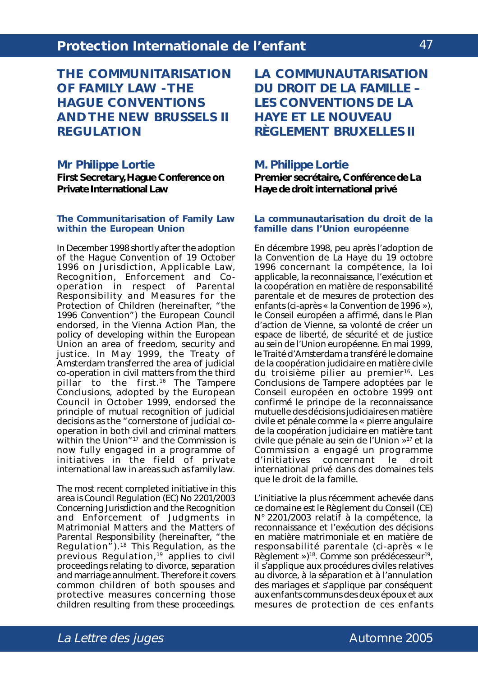**THE COMMUNITARISATION OF FAMILY LAW - THE HAGUE CONVENTIONS AND THE NEW BRUSSELS II REGULATION**

## **Mr Philippe Lortie**

**First Secretary, Hague Conference on Private International Law**

#### **The Communitarisation of Family Law within the European Union**

In December 1998 shortly after the adoption of the *Hague Convention of 19 October 1996 on Jurisdiction, Applicable Law, Recognition, Enforcement and Cooperation in respect of Parental Responsibility and Measures for the Protection of Children* (hereinafter, "the 1996 Convention") the European Council endorsed, in the Vienna Action Plan, the policy of developing within the European Union an area of freedom, security and justice. In May 1999, the Treaty of Amsterdam transferred the area of judicial co-operation in civil matters from the third pillar to the first.<sup>16</sup> The Tampere Conclusions, adopted by the European Council in October 1999, endorsed the principle of mutual recognition of judicial decisions as the "cornerstone of judicial cooperation in both civil and criminal matters within the Union"<sup>17</sup> and the Commission is now fully engaged in a programme of initiatives in the field of private international law in areas such as family law.

The most recent completed initiative in this area is *Council Regulation (EC) No 2201/2003 Concerning Jurisdiction and the Recognition and Enforcement of Judgments in Matrimonial Matters and the Matters of Parental Responsibility* (hereinafter, "the Regulation").18 This Regulation, as the previous Regulation,<sup>19</sup> applies to civil proceedings relating to divorce, separation and marriage annulment. Therefore it covers common children of both spouses and protective measures concerning those children resulting from these proceedings.

**LA COMMUNAUTARISATION DU DROIT DE LA FAMILLE – LES CONVENTIONS DE LA HAYE ET LE NOUVEAU RÈGLEMENT BRUXELLES II**

## **M. Philippe Lortie**

**Premier secrétaire, Conférence de La Haye de droit international privé**

### **La communautarisation du droit de la famille dans l'Union européenne**

En décembre 1998, peu après l'adoption de la *Convention de La Haye du 19 octobre 1996 concernant la compétence, la loi applicable, la reconnaissance, l'exécution et la coopération en matière de responsabilité parentale et de mesures de protection des enfants* (ci-après « la Convention de 1996 »), le Conseil européen a affirmé, dans le Plan d'action de Vienne, sa volonté de créer un espace de liberté, de sécurité et de justice au sein de l'Union européenne. En mai 1999, le Traité d'Amsterdam a transféré le domaine de la coopération judiciaire en matière civile du troisième pilier au premier<sup>16</sup>. Les Conclusions de Tampere adoptées par le Conseil européen en octobre 1999 ont confirmé le principe de la reconnaissance mutuelle des décisions judiciaires en matière civile et pénale comme la « pierre angulaire de la coopération judiciaire en matière tant civile que pénale au sein de l'Union »17 et la Commission a engagé un programme d'initiatives concernant le droit international privé dans des domaines tels que le droit de la famille.

L'initiative la plus récemment achevée dans ce domaine est le *Règlement du Conseil (CE) N° 2201/2003 relatif à la compétence, la reconnaissance et l'exécution des décisions en matière matrimoniale et en matière de responsabilité parentale* (ci-après « le Règlement »)<sup>18</sup>. Comme son prédécesseur<sup>19</sup>, il s'applique aux procédures civiles relatives au divorce, à la séparation et à l'annulation des mariages et s'applique par conséquent aux enfants communs des deux époux et aux mesures de protection de ces enfants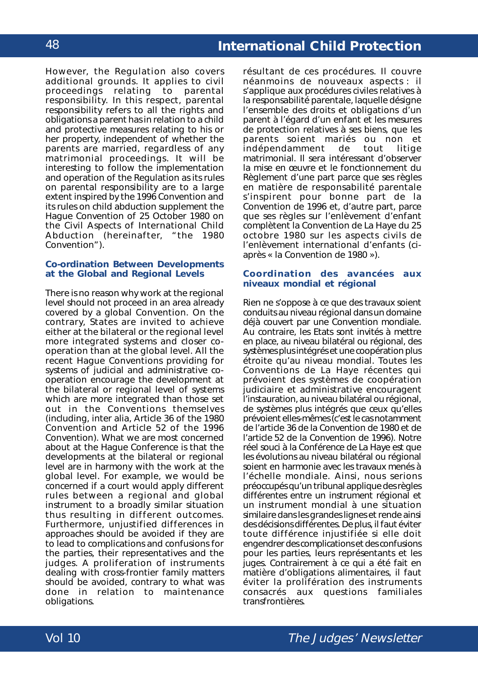However, the Regulation also covers additional grounds. It applies to civil proceedings relating to parental responsibility. In this respect, parental responsibility refers to all the rights and obligations a parent has in relation to a child and protective measures relating to his or her property, independent of whether the parents are married, regardless of any matrimonial proceedings. It will be interesting to follow the implementation and operation of the Regulation as its rules on parental responsibility are to a large extent inspired by the 1996 Convention and its rules on child abduction supplement the *Hague Convention of 25 October 1980 on the Civil Aspects of International Child Abduction* (hereinafter, "the 1980 Convention").

### **Co-ordination Between Developments at the Global and Regional Levels**

There is no reason why work at the regional level should not proceed in an area already covered by a global Convention. On the contrary, States are invited to achieve either at the bilateral or the regional level more integrated systems and closer cooperation than at the global level. All the recent Hague Conventions providing for systems of judicial and administrative cooperation encourage the development at the bilateral or regional level of systems which are more integrated than those set out in the Conventions themselves (including, *inter alia*, Article 36 of the 1980 Convention and Article 52 of the 1996 Convention). What we are most concerned about at the Hague Conference is that the developments at the bilateral or regional level are in harmony with the work at the global level. For example, we would be concerned if a court would apply different rules between a regional and global instrument to a broadly similar situation thus resulting in different outcomes. Furthermore, unjustified differences in approaches should be avoided if they are to lead to complications and confusions for the parties, their representatives and the judges. A proliferation of instruments dealing with cross-frontier family matters should be avoided, contrary to what was done in relation to maintenance obligations.

résultant de ces procédures. Il couvre néanmoins de nouveaux aspects : il s'applique aux procédures civiles relatives à la responsabilité parentale, laquelle désigne l'ensemble des droits et obligations d'un parent à l'égard d'un enfant et les mesures de protection relatives à ses biens, que les parents soient mariés ou non et indépendamment de tout litige matrimonial. Il sera intéressant d'observer la mise en œuvre et le fonctionnement du Règlement d'une part parce que ses règles en matière de responsabilité parentale s'inspirent pour bonne part de la Convention de 1996 et, d'autre part, parce que ses règles sur l'enlèvement d'enfant complètent la *Convention de La Haye du 25 octobre 1980 sur les aspects civils de l'enlèvement international d'enfants* (ciaprès « la Convention de 1980 »).

### **Coordination des avancées aux niveaux mondial et régional**

Rien ne s'oppose à ce que des travaux soient conduits au niveau régional dans un domaine déjà couvert par une Convention mondiale. Au contraire, les Etats sont invités à mettre en place, au niveau bilatéral ou régional, des systèmes plus intégrés et une coopération plus étroite qu'au niveau mondial. Toutes les Conventions de La Haye récentes qui prévoient des systèmes de coopération judiciaire et administrative encouragent l'instauration, au niveau bilatéral ou régional, de systèmes plus intégrés que ceux qu'elles prévoient elles-mêmes (c'est le cas notamment de l'article 36 de la Convention de 1980 et de l'article 52 de la Convention de 1996). Notre réel souci à la Conférence de La Haye est que les évolutions au niveau bilatéral ou régional soient en harmonie avec les travaux menés à l'échelle mondiale. Ainsi, nous serions préoccupés qu'un tribunal applique des règles différentes entre un instrument régional et un instrument mondial à une situation similaire dans les grandes lignes et rende ainsi des décisions différentes. De plus, il faut éviter toute différence injustifiée si elle doit engendrer des complications et des confusions pour les parties, leurs représentants et les juges. Contrairement à ce qui a été fait en matière d'obligations alimentaires, il faut éviter la prolifération des instruments consacrés aux questions familiales transfrontières.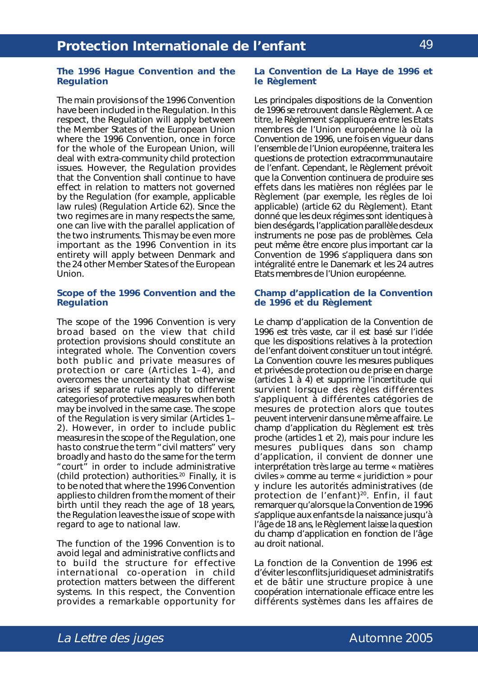#### **The 1996 Hague Convention and the Regulation**

The main provisions of the 1996 Convention have been included in the Regulation. In this respect, the Regulation will apply between the Member States of the European Union where the 1996 Convention, once in force for the whole of the European Union, will deal with extra-community child protection issues. However, the Regulation provides that the Convention shall continue to have effect in relation to matters not governed by the Regulation (for example, applicable law rules) (Regulation Article 62). Since the two regimes are in many respects the same, one can live with the parallel application of the two instruments. This may be even more important as the 1996 Convention in its entirety will apply between Denmark and the 24 other Member States of the European Union.

#### **Scope of the 1996 Convention and the Regulation**

The scope of the 1996 Convention is very broad based on the view that child protection provisions should constitute an integrated whole. The Convention covers both public and private measures of protection or care (Articles 1–4), and overcomes the uncertainty that otherwise arises if separate rules apply to different categories of protective measures when both may be involved in the same case. The scope of the Regulation is very similar (Articles 1– 2). However, in order to include public measures in the scope of the Regulation, one has to construe the term "civil matters" very broadly and has to do the same for the term "court" in order to include administrative (child protection) authorities.<sup>20</sup> Finally, it is to be noted that where the 1996 Convention applies to children from the moment of their birth until they reach the age of 18 years, the Regulation leaves the issue of scope with regard to age to national law.

The function of the 1996 Convention is to avoid legal and administrative conflicts and to build the structure for effective international co-operation in child protection matters between the different systems. In this respect, the Convention provides a remarkable opportunity for

#### **La Convention de La Haye de 1996 et le Règlement**

Les principales dispositions de la Convention de 1996 se retrouvent dans le Règlement. A ce titre, le Règlement s'appliquera entre les Etats membres de l'Union européenne là où la Convention de 1996, une fois en vigueur dans l'ensemble de l'Union européenne, traitera les questions de protection extracommunautaire de l'enfant. Cependant, le Règlement prévoit que la Convention continuera de produire ses effets dans les matières non réglées par le Règlement (par exemple, les règles de loi applicable) (article 62 du Règlement). Etant donné que les deux régimes sont identiques à bien des égards, l'application parallèle des deux instruments ne pose pas de problèmes. Cela peut même être encore plus important car la Convention de 1996 s'appliquera dans son intégralité entre le Danemark et les 24 autres Etats membres de l'Union européenne.

#### **Champ d'application de la Convention de 1996 et du Règlement**

Le champ d'application de la Convention de 1996 est très vaste, car il est basé sur l'idée que les dispositions relatives à la protection de l'enfant doivent constituer un tout intégré. La Convention couvre les mesures publiques et privées de protection ou de prise en charge (articles 1 à 4) et supprime l'incertitude qui survient lorsque des règles différentes s'appliquent à différentes catégories de mesures de protection alors que toutes peuvent intervenir dans une même affaire. Le champ d'application du Règlement est très proche (articles 1 et 2), mais pour inclure les mesures publiques dans son champ d'application, il convient de donner une interprétation très large au terme « matières civiles » comme au terme « juridiction » pour y inclure les autorités administratives (de protection de l'enfant)<sup>20</sup>. Enfin, il faut remarquer qu'alors que la Convention de 1996 s'applique aux enfants de la naissance jusqu'à l'âge de 18 ans, le Règlement laisse la question du champ d'application en fonction de l'âge au droit national.

La fonction de la Convention de 1996 est d'éviter les conflits juridiques et administratifs et de bâtir une structure propice à une coopération internationale efficace entre les différents systèmes dans les affaires de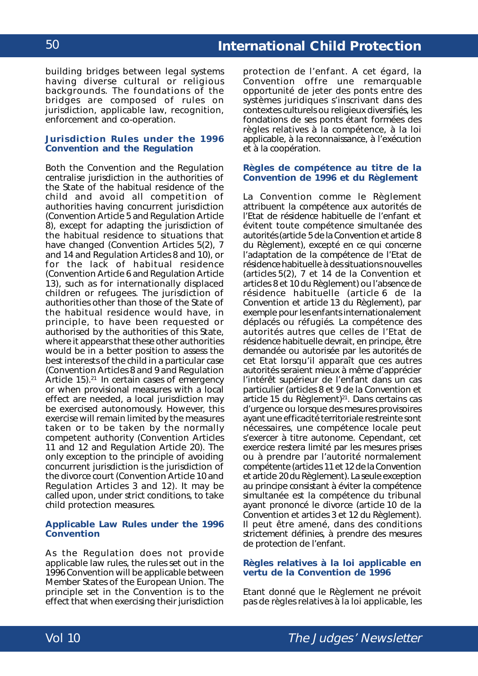building bridges between legal systems having diverse cultural or religious backgrounds. The foundations of the bridges are composed of rules on jurisdiction, applicable law, recognition, enforcement and co-operation.

#### **Jurisdiction Rules under the 1996 Convention and the Regulation**

Both the Convention and the Regulation centralise jurisdiction in the authorities of the State of the habitual residence of the child and avoid all competition of authorities having concurrent jurisdiction (Convention Article 5 and Regulation Article 8), except for adapting the jurisdiction of the habitual residence to situations that have changed (Convention Articles 5(2), 7 and 14 and Regulation Articles 8 and 10), or for the lack of habitual residence (Convention Article 6 and Regulation Article 13), such as for internationally displaced children or refugees. The jurisdiction of authorities other than those of the State of the habitual residence would have, in principle, to have been requested or authorised by the authorities of this State, where it appears that these other authorities would be in a better position to assess the best interests of the child in a particular case (Convention Articles 8 and 9 and Regulation Article 15).<sup>21</sup> In certain cases of emergency or when provisional measures with a local effect are needed, a local jurisdiction may be exercised autonomously. However, this exercise will remain limited by the measures taken or to be taken by the normally competent authority (Convention Articles 11 and 12 and Regulation Article 20). The only exception to the principle of avoiding concurrent jurisdiction is the jurisdiction of the divorce court (Convention Article 10 and Regulation Articles 3 and 12). It may be called upon, under strict conditions, to take child protection measures.

#### **Applicable Law Rules under the 1996 Convention**

As the Regulation does not provide applicable law rules, the rules set out in the 1996 Convention will be applicable between Member States of the European Union. The principle set in the Convention is to the effect that when exercising their jurisdiction

protection de l'enfant. A cet égard, la Convention offre une remarquable opportunité de jeter des ponts entre des systèmes juridiques s'inscrivant dans des contextes culturels ou religieux diversifiés, les fondations de ses ponts étant formées des règles relatives à la compétence, à la loi applicable, à la reconnaissance, à l'exécution et à la coopération.

#### **Règles de compétence au titre de la Convention de 1996 et du Règlement**

La Convention comme le Règlement attribuent la compétence aux autorités de l'Etat de résidence habituelle de l'enfant et évitent toute compétence simultanée des autorités (article 5 de la Convention et article 8 du Règlement), excepté en ce qui concerne l'adaptation de la compétence de l'Etat de résidence habituelle à des situations nouvelles (articles 5(2), 7 et 14 de la Convention et articles 8 et 10 du Règlement) ou l'absence de résidence habituelle (article 6 de la Convention et article 13 du Règlement), par exemple pour les enfants internationalement déplacés ou réfugiés. La compétence des autorités autres que celles de l'Etat de résidence habituelle devrait, en principe, être demandée ou autorisée par les autorités de cet Etat lorsqu'il apparaît que ces autres autorités seraient mieux à même d'apprécier l'intérêt supérieur de l'enfant dans un cas particulier (articles 8 et 9 de la Convention et article 15 du Règlement)<sup>21</sup>. Dans certains cas d'urgence ou lorsque des mesures provisoires ayant une efficacité territoriale restreinte sont nécessaires, une compétence locale peut s'exercer à titre autonome. Cependant, cet exercice restera limité par les mesures prises ou à prendre par l'autorité normalement compétente (articles 11 et 12 de la Convention et article 20 du Règlement). La seule exception au principe consistant à éviter la compétence simultanée est la compétence du tribunal ayant prononcé le divorce (article 10 de la Convention et articles 3 et 12 du Règlement). Il peut être amené, dans des conditions strictement définies, à prendre des mesures de protection de l'enfant.

#### **Règles relatives à la loi applicable en vertu de la Convention de 1996**

Etant donné que le Règlement ne prévoit pas de règles relatives à la loi applicable, les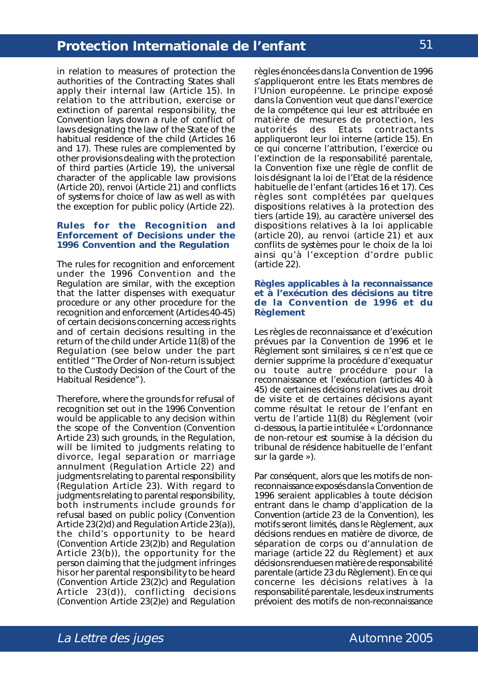in relation to measures of protection the authorities of the Contracting States shall apply their internal law (Article 15). In relation to the attribution, exercise or extinction of parental responsibility, the Convention lays down a rule of conflict of laws designating the law of the State of the habitual residence of the child (Articles 16 and 17). These rules are complemented by other provisions dealing with the protection of third parties (Article 19), the universal character of the applicable law provisions (Article 20), *renvoi* (Article 21) and conflicts of systems for choice of law as well as with the exception for public policy (Article 22).

#### **Rules for the Recognition and Enforcement of Decisions under the 1996 Convention and the Regulation**

The rules for recognition and enforcement under the 1996 Convention and the Regulation are similar, with the exception that the latter dispenses with *exequatur* procedure or any other procedure for the recognition and enforcement (Articles 40-45) of certain decisions concerning access rights and of certain decisions resulting in the return of the child under Article 11(8) of the Regulation (*see below* under the part entitled "The Order of Non-return is subject to the Custody Decision of the Court of the Habitual Residence").

Therefore, where the grounds for refusal of recognition set out in the 1996 Convention would be applicable to any decision within the scope of the Convention (Convention Article 23) such grounds, in the Regulation, will be limited to judgments relating to divorce, legal separation or marriage annulment (Regulation Article 22) and judgments relating to parental responsibility (Regulation Article 23). With regard to judgments relating to parental responsibility, both instruments include grounds for refusal based on public policy (Convention Article 23(2)*d*) and Regulation Article 23(a)), the child's opportunity to be heard (Convention Article 23(2)*b*) and Regulation Article 23(b)), the opportunity for the person claiming that the judgment infringes his or her parental responsibility to be heard (Convention Article 23(2)*c*) and Regulation Article 23(d)), conflicting decisions (Convention Article 23(2)*e*) and Regulation

règles énoncées dans la Convention de 1996 s'appliqueront entre les Etats membres de l'Union européenne. Le principe exposé dans la Convention veut que dans l'exercice de la compétence qui leur est attribuée en matière de mesures de protection, les<br>autorités des Ftats contractants autorités des Etats contractants appliqueront leur loi interne (article 15). En ce qui concerne l'attribution, l'exercice ou l'extinction de la responsabilité parentale, la Convention fixe une règle de conflit de lois désignant la loi de l'Etat de la résidence habituelle de l'enfant (articles 16 et 17). Ces règles sont complétées par quelques dispositions relatives à la protection des tiers (article 19), au caractère universel des dispositions relatives à la loi applicable (article 20), au renvoi (article 21) et aux conflits de systèmes pour le choix de la loi ainsi qu'à l'exception d'ordre public (article 22).

#### **Règles applicables à la reconnaissance et à l'exécution des décisions au titre de la Convention de 1996 et du Règlement**

Les règles de reconnaissance et d'exécution prévues par la Convention de 1996 et le Règlement sont similaires, si ce n'est que ce dernier supprime la procédure d'exequatur ou toute autre procédure pour la reconnaissance et l'exécution (articles 40 à 45) de certaines décisions relatives au droit de visite et de certaines décisions ayant comme résultat le retour de l'enfant en vertu de l'article 11(8) du Règlement (voir ci-dessous, la partie intitulée « L'ordonnance de non-retour est soumise à la décision du tribunal de résidence habituelle de l'enfant sur la garde »).

Par conséquent, alors que les motifs de nonreconnaissance exposés dans la Convention de 1996 seraient applicables à toute décision entrant dans le champ d'application de la Convention (article 23 de la Convention), les motifs seront limités, dans le Règlement, aux décisions rendues en matière de divorce, de séparation de corps ou d'annulation de mariage (article 22 du Règlement) et aux décisions rendues en matière de responsabilité parentale (article 23 du Règlement). En ce qui concerne les décisions relatives à la responsabilité parentale, les deux instruments prévoient des motifs de non-reconnaissance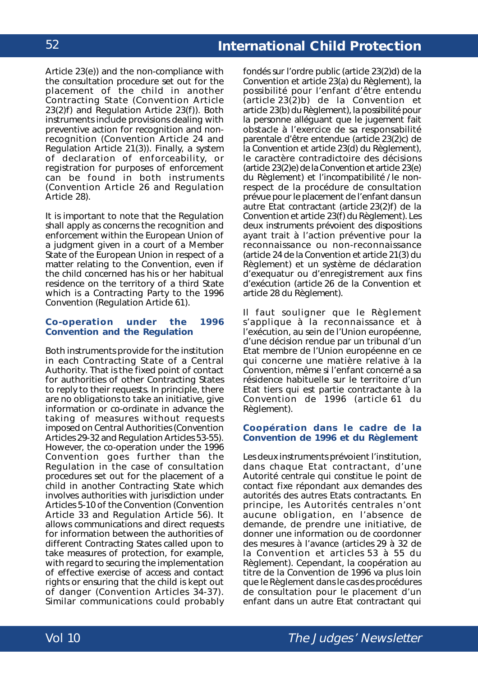Article 23(e)) and the non-compliance with the consultation procedure set out for the placement of the child in another Contracting State (Convention Article 23(2)*f*) and Regulation Article 23(f)). Both instruments include provisions dealing with preventive action for recognition and nonrecognition (Convention Article 24 and Regulation Article 21(3)). Finally, a system of declaration of enforceability, or registration for purposes of enforcement can be found in both instruments (Convention Article 26 and Regulation Article 28).

It is important to note that the Regulation shall apply as concerns the recognition and enforcement within the European Union of a judgment given in a court of a Member State of the European Union in respect of a matter relating to the Convention, even if the child concerned has his or her habitual residence on the territory of a third State which is a Contracting Party to the 1996 Convention (Regulation Article 61).

#### **Co-operation under the 1996 Convention and the Regulation**

Both instruments provide for the institution in each Contracting State of a Central Authority. That is the fixed point of contact for authorities of other Contracting States to reply to their requests. In principle, there are no obligations to take an initiative, give information or co-ordinate in advance the taking of measures without requests imposed on Central Authorities (Convention Articles 29-32 and Regulation Articles 53-55). However, the co-operation under the 1996 Convention goes further than the Regulation in the case of consultation procedures set out for the placement of a child in another Contracting State which involves authorities with jurisdiction under Articles 5-10 of the Convention (Convention Article 33 and Regulation Article 56). It allows communications and direct requests for information between the authorities of different Contracting States called upon to take measures of protection, for example, with regard to securing the implementation of effective exercise of access and contact rights or ensuring that the child is kept out of danger (Convention Articles 34-37). Similar communications could probably

fondés sur l'ordre public (article 23(2)*d*) de la Convention et article 23(a) du Règlement), la possibilité pour l'enfant d'être entendu (article 23(2)*b*) de la Convention et article 23(b) du Règlement), la possibilité pour la personne alléguant que le jugement fait obstacle à l'exercice de sa responsabilité parentale d'être entendue (article 23(2)*c*) de la Convention et article 23(d) du Règlement), le caractère contradictoire des décisions (article 23(2)*e*) de la Convention et article 23(e) du Règlement) et l'incompatibilité / le nonrespect de la procédure de consultation prévue pour le placement de l'enfant dans un autre Etat contractant (article 23(2)*f*) de la Convention et article 23(f) du Règlement). Les deux instruments prévoient des dispositions ayant trait à l'action préventive pour la reconnaissance ou non-reconnaissance (article 24 de la Convention et article 21(3) du Règlement) et un système de déclaration d'exequatur ou d'enregistrement aux fins d'exécution (article 26 de la Convention et article 28 du Règlement).

Il faut souligner que le Règlement s'applique à la reconnaissance et à l'exécution, au sein de l'Union européenne, d'une décision rendue par un tribunal d'un Etat membre de l'Union européenne en ce qui concerne une matière relative à la Convention, même si l'enfant concerné a sa résidence habituelle sur le territoire d'un Etat tiers qui est partie contractante à la Convention de 1996 (article 61 du Règlement).

## **Coopération dans le cadre de la Convention de 1996 et du Règlement**

Les deux instruments prévoient l'institution, dans chaque Etat contractant, d'une Autorité centrale qui constitue le point de contact fixe répondant aux demandes des autorités des autres Etats contractants. En principe, les Autorités centrales n'ont aucune obligation, en l'absence de demande, de prendre une initiative, de donner une information ou de coordonner des mesures à l'avance (articles 29 à 32 de la Convention et articles 53 à 55 du Règlement). Cependant, la coopération au titre de la Convention de 1996 va plus loin que le Règlement dans le cas des procédures de consultation pour le placement d'un enfant dans un autre Etat contractant qui

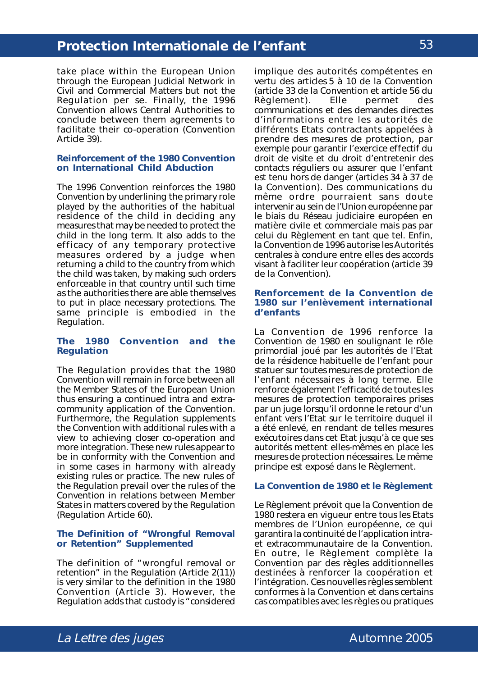take place within the European Union through the European Judicial Network in Civil and Commercial Matters but not the Regulation *per se*. Finally, the 1996 Convention allows Central Authorities to conclude between them agreements to facilitate their co-operation (Convention Article 39).

#### **Reinforcement of the 1980 Convention on International Child Abduction**

The 1996 Convention reinforces the 1980 Convention by underlining the primary role played by the authorities of the habitual residence of the child in deciding any measures that may be needed to protect the child in the long term. It also adds to the efficacy of any temporary protective measures ordered by a judge when returning a child to the country from which the child was taken, by making such orders enforceable in that country until such time as the authorities there are able themselves to put in place necessary protections. The same principle is embodied in the Regulation.

#### **The 1980 Convention and the Regulation**

The Regulation provides that the 1980 Convention will remain in force between all the Member States of the European Union thus ensuring a continued intra and extracommunity application of the Convention. Furthermore, the Regulation supplements the Convention with additional rules with a view to achieving closer co-operation and more integration. These new rules appear to be in conformity with the Convention and in some cases in harmony with already existing rules or practice. The new rules of the Regulation prevail over the rules of the Convention in relations between Member States in matters covered by the Regulation (Regulation Article 60).

#### **The Definition of "Wrongful Removal or Retention" Supplemented**

The definition of "wrongful removal or retention" in the Regulation (Article 2(11)) is very similar to the definition in the 1980 Convention (Article 3). However, the Regulation adds that custody is "considered

implique des autorités compétentes en vertu des articles 5 à 10 de la Convention (article 33 de la Convention et article 56 du Règlement). Elle permet des communications et des demandes directes d'informations entre les autorités de différents Etats contractants appelées à prendre des mesures de protection, par exemple pour garantir l'exercice effectif du droit de visite et du droit d'entretenir des contacts réguliers ou assurer que l'enfant est tenu hors de danger (articles 34 à 37 de la Convention). Des communications du même ordre pourraient sans doute intervenir au sein de l'Union européenne par le biais du Réseau judiciaire européen en matière civile et commerciale mais pas par celui du Règlement en tant que tel. Enfin, la Convention de 1996 autorise les Autorités centrales à conclure entre elles des accords visant à faciliter leur coopération (article 39 de la Convention).

#### **Renforcement de la Convention de 1980 sur l'enlèvement international d'enfants**

La Convention de 1996 renforce la Convention de 1980 en soulignant le rôle primordial joué par les autorités de l'Etat de la résidence habituelle de l'enfant pour statuer sur toutes mesures de protection de l'enfant nécessaires à long terme. Elle renforce également l'efficacité de toutes les mesures de protection temporaires prises par un juge lorsqu'il ordonne le retour d'un enfant vers l'Etat sur le territoire duquel il a été enlevé, en rendant de telles mesures exécutoires dans cet Etat jusqu'à ce que ses autorités mettent elles-mêmes en place les mesures de protection nécessaires. Le même principe est exposé dans le Règlement.

#### **La Convention de 1980 et le Règlement**

Le Règlement prévoit que la Convention de 1980 restera en vigueur entre tous les Etats membres de l'Union européenne, ce qui garantira la continuité de l'application intraet extracommunautaire de la Convention. En outre, le Règlement complète la Convention par des règles additionnelles destinées à renforcer la coopération et l'intégration. Ces nouvelles règles semblent conformes à la Convention et dans certains cas compatibles avec les règles ou pratiques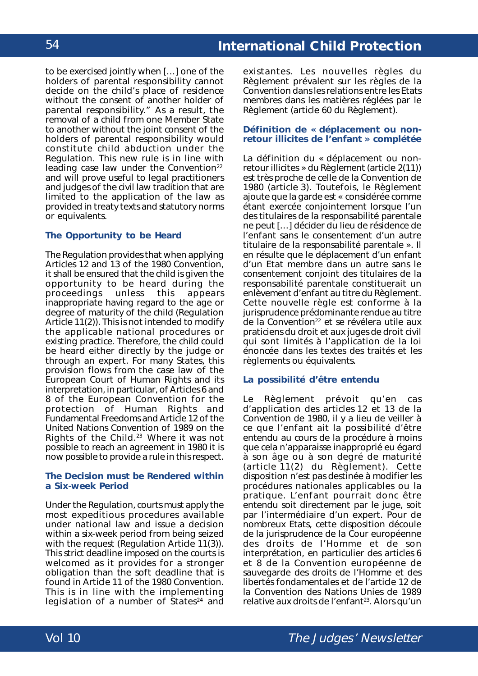to be exercised jointly when […] one of the holders of parental responsibility cannot decide on the child's place of residence without the consent of another holder of parental responsibility." As a result, the removal of a child from one Member State to another without the joint consent of the holders of parental responsibility would constitute child abduction under the Regulation. This new rule is in line with leading case law under the Convention<sup>22</sup> and will prove useful to legal practitioners and judges of the civil law tradition that are limited to the application of the law as provided in treaty texts and statutory norms or equivalents.

## **The Opportunity to be Heard**

The Regulation provides that when applying Articles 12 and 13 of the 1980 Convention, it shall be ensured that the child is given the opportunity to be heard during the proceedings unless this appears inappropriate having regard to the age or degree of maturity of the child (Regulation Article 11(2)). This is not intended to modify the applicable national procedures or existing practice. Therefore, the child could be heard either directly by the judge or through an expert. For many States, this provision flows from the case law of the European Court of Human Rights and its interpretation, in particular, of Articles 6 and 8 of the *European Convention for the protection of Human Rights and Fundamental Freedoms* and Article 12 of the *United Nations Convention of 1989 on the Rights of the Child*. 23 Where it was not possible to reach an agreement in 1980 it is now possible to provide a rule in this respect.

### **The Decision must be Rendered within a Six-week Period**

Under the Regulation, courts must apply the most expeditious procedures available under national law and issue a decision within a six-week period from being seized with the request (Regulation Article 11(3)). This strict deadline imposed on the courts is welcomed as it provides for a stronger obligation than the soft deadline that is found in Article 11 of the 1980 Convention. This is in line with the implementing legislation of a number of States<sup>24</sup> and

existantes. Les nouvelles règles du Règlement prévalent sur les règles de la Convention dans les relations entre les Etats membres dans les matières réglées par le Règlement (article 60 du Règlement).

#### **Définition de « déplacement ou nonretour illicites de l'enfant » complétée**

La définition du « déplacement ou nonretour illicites » du Règlement (article 2(11)) est très proche de celle de la Convention de 1980 (article 3). Toutefois, le Règlement ajoute que la garde est « considérée comme étant exercée conjointement lorsque l'un des titulaires de la responsabilité parentale ne peut […] décider du lieu de résidence de l'enfant sans le consentement d'un autre titulaire de la responsabilité parentale ». Il en résulte que le déplacement d'un enfant d'un Etat membre dans un autre sans le consentement conjoint des titulaires de la responsabilité parentale constituerait un enlèvement d'enfant au titre du Règlement. Cette nouvelle règle est conforme à la jurisprudence prédominante rendue au titre de la Convention<sup>22</sup> et se révélera utile aux praticiens du droit et aux juges de droit civil qui sont limités à l'application de la loi énoncée dans les textes des traités et les règlements ou équivalents.

### **La possibilité d'être entendu**

Le Règlement prévoit qu'en cas d'application des articles 12 et 13 de la Convention de 1980, il y a lieu de veiller à ce que l'enfant ait la possibilité d'être entendu au cours de la procédure à moins que cela n'apparaisse inapproprié eu égard à son âge ou à son degré de maturité (article 11(2) du Règlement). Cette disposition n'est pas destinée à modifier les procédures nationales applicables ou la pratique. L'enfant pourrait donc être entendu soit directement par le juge, soit par l'intermédiaire d'un expert. Pour de nombreux Etats, cette disposition découle de la jurisprudence de la Cour européenne des droits de l'Homme et de son interprétation, en particulier des articles 6 et 8 de la *Convention européenne de sauvegarde des droits de l'Homme et des libertés fondamentales* et de l'article 12 de la *Convention des Nations Unies de 1989 relative aux droits de l'enfant<sup>23</sup>.* Alors qu'un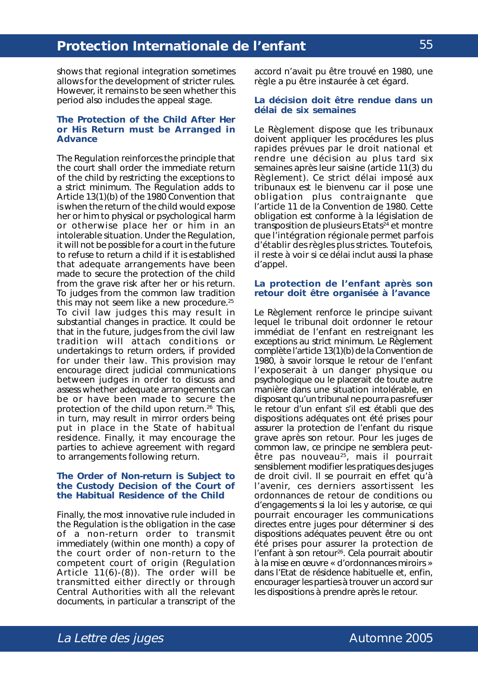shows that regional integration sometimes allows for the development of stricter rules. However, it remains to be seen whether this period also includes the appeal stage.

### **The Protection of the Child After Her or His Return must be Arranged in Advance**

The Regulation reinforces the principle that the court shall order the immediate return of the child by restricting the exceptions to a strict minimum. The Regulation adds to Article 13(1)(b) of the 1980 Convention that is when the return of the child would expose her or him to physical or psychological harm or otherwise place her or him in an intolerable situation. Under the Regulation, it will not be possible for a court in the future to refuse to return a child if it is established that adequate arrangements have been made to secure the protection of the child from the grave risk after her or his return. To judges from the common law tradition this may not seem like a new procedure. $25$ To civil law judges this may result in substantial changes in practice. It could be that in the future, judges from the civil law tradition will attach conditions or undertakings to return orders, if provided for under their law. This provision may encourage direct judicial communications between judges in order to discuss and assess whether adequate arrangements can be or have been made to secure the protection of the child upon return.<sup>26</sup> This, in turn, may result in mirror orders being put in place in the State of habitual residence. Finally, it may encourage the parties to achieve agreement with regard to arrangements following return.

#### **The Order of Non-return is Subject to the Custody Decision of the Court of the Habitual Residence of the Child**

Finally, the most innovative rule included in the Regulation is the obligation in the case of a non-return order to transmit immediately (within one month) a copy of the court order of non-return to the competent court of origin (Regulation Article 11(6)-(8)). The order will be transmitted either directly or through Central Authorities with all the relevant documents, in particular a transcript of the

accord n'avait pu être trouvé en 1980, une règle a pu être instaurée à cet égard.

### **La décision doit être rendue dans un délai de six semaines**

Le Règlement dispose que les tribunaux doivent appliquer les procédures les plus rapides prévues par le droit national et rendre une décision au plus tard six semaines après leur saisine (article 11(3) du Règlement). Ce strict délai imposé aux tribunaux est le bienvenu car il pose une obligation plus contraignante que l'article 11 de la Convention de 1980. Cette obligation est conforme à la législation de transposition de plusieurs Etats<sup>24</sup> et montre que l'intégration régionale permet parfois d'établir des règles plus strictes. Toutefois, il reste à voir si ce délai inclut aussi la phase d'appel.

### **La protection de l'enfant après son retour doit être organisée à l'avance**

Le Règlement renforce le principe suivant lequel le tribunal doit ordonner le retour immédiat de l'enfant en restreignant les exceptions au strict minimum. Le Règlement complète l'article 13(1)(b) de la Convention de 1980, à savoir lorsque le retour de l'enfant l'exposerait à un danger physique ou psychologique ou le placerait de toute autre manière dans une situation intolérable, en disposant qu'un tribunal ne pourra pas refuser le retour d'un enfant s'il est établi que des dispositions adéquates ont été prises pour assurer la protection de l'enfant du risque grave après son retour. Pour les juges de *common law*, ce principe ne semblera peutêtre pas nouveau<sup>25</sup>, mais il pourrait sensiblement modifier les pratiques des juges de droit civil. Il se pourrait en effet qu'à l'avenir, ces derniers assortissent les ordonnances de retour de conditions ou d'engagements si la loi les y autorise, ce qui pourrait encourager les communications directes entre juges pour déterminer si des dispositions adéquates peuvent être ou ont été prises pour assurer la protection de l'enfant à son retour<sup>26</sup>. Cela pourrait aboutir à la mise en œuvre « d'ordonnances miroirs » dans l'Etat de résidence habituelle et, enfin, encourager les parties à trouver un accord sur les dispositions à prendre après le retour.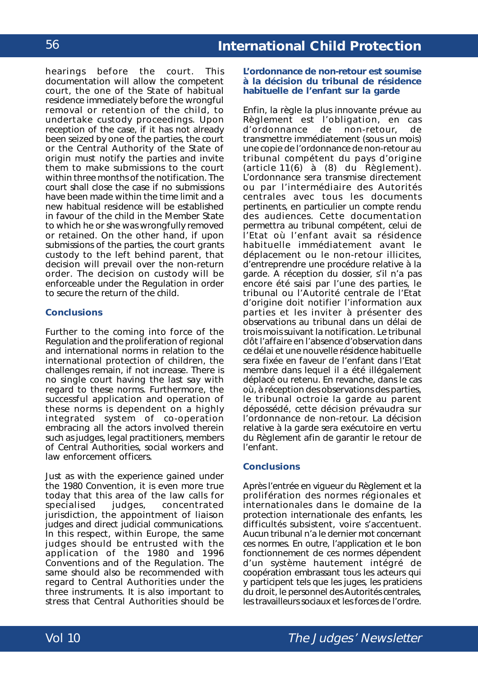hearings before the court. This documentation will allow the competent court, the one of the State of habitual residence immediately before the wrongful removal or retention of the child, to undertake custody proceedings. Upon reception of the case, if it has not already been seized by one of the parties, the court or the Central Authority of the State of origin must notify the parties and invite them to make submissions to the court within three months of the notification. The court shall close the case if no submissions have been made within the time limit and a new habitual residence will be established in favour of the child in the Member State to which he or she was wrongfully removed or retained. On the other hand, if upon submissions of the parties, the court grants custody to the left behind parent, that decision will prevail over the non-return order. The decision on custody will be enforceable under the Regulation in order to secure the return of the child.

## **Conclusions**

Further to the coming into force of the Regulation and the proliferation of regional and international norms in relation to the international protection of children, the challenges remain, if not increase. There is no single court having the last say with regard to these norms. Furthermore, the successful application and operation of these norms is dependent on a highly integrated system of co-operation embracing all the actors involved therein such as judges, legal practitioners, members of Central Authorities, social workers and law enforcement officers.

Just as with the experience gained under the 1980 Convention, it is even more true today that this area of the law calls for<br>specialised iudges, concentrated concentrated jurisdiction, the appointment of liaison judges and direct judicial communications. In this respect, within Europe, the same judges should be entrusted with the application of the 1980 and 1996 Conventions and of the Regulation. The same should also be recommended with regard to Central Authorities under the three instruments. It is also important to stress that Central Authorities should be

#### **L'ordonnance de non-retour est soumise à la décision du tribunal de résidence habituelle de l'enfant sur la garde**

Enfin, la règle la plus innovante prévue au Règlement est l'obligation, en cas<br>d'ordonnance de non-retour, de non-retour, de transmettre immédiatement (sous un mois) une copie de l'ordonnance de non-retour au tribunal compétent du pays d'origine (article 11(6) à (8) du Règlement). L'ordonnance sera transmise directement ou par l'intermédiaire des Autorités centrales avec tous les documents pertinents, en particulier un compte rendu des audiences. Cette documentation permettra au tribunal compétent, celui de l'Etat où l'enfant avait sa résidence habituelle immédiatement avant le déplacement ou le non-retour illicites, d'entreprendre une procédure relative à la garde. A réception du dossier, s'il n'a pas encore été saisi par l'une des parties, le tribunal ou l'Autorité centrale de l'Etat d'origine doit notifier l'information aux parties et les inviter à présenter des observations au tribunal dans un délai de trois mois suivant la notification. Le tribunal clôt l'affaire en l'absence d'observation dans ce délai et une nouvelle résidence habituelle sera fixée en faveur de l'enfant dans l'Etat membre dans lequel il a été illégalement déplacé ou retenu. En revanche, dans le cas où, à réception des observations des parties, le tribunal octroie la garde au parent dépossédé, cette décision prévaudra sur l'ordonnance de non-retour. La décision relative à la garde sera exécutoire en vertu du Règlement afin de garantir le retour de l'enfant.

## **Conclusions**

Après l'entrée en vigueur du Règlement et la prolifération des normes régionales et internationales dans le domaine de la protection internationale des enfants, les difficultés subsistent, voire s'accentuent. Aucun tribunal n'a le dernier mot concernant ces normes. En outre, l'application et le bon fonctionnement de ces normes dépendent d'un système hautement intégré de coopération embrassant tous les acteurs qui y participent tels que les juges, les praticiens du droit, le personnel des Autorités centrales, les travailleurs sociaux et les forces de l'ordre.

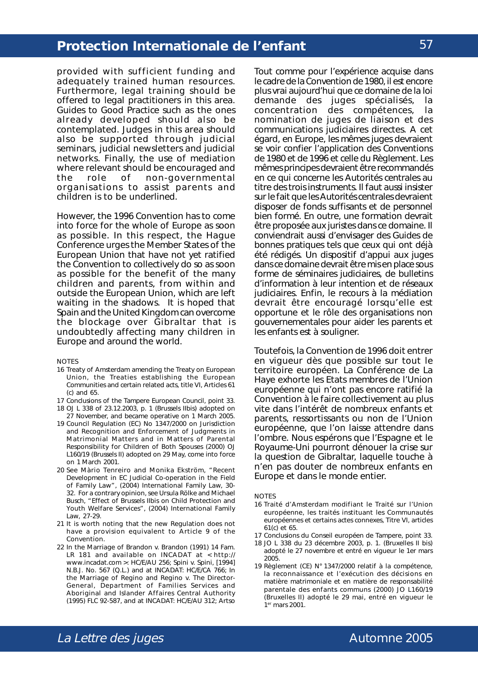provided with sufficient funding and adequately trained human resources. Furthermore, legal training should be offered to legal practitioners in this area. Guides to Good Practice such as the ones already developed should also be contemplated. Judges in this area should also be supported through judicial seminars, judicial newsletters and judicial networks. Finally, the use of mediation where relevant should be encouraged and the role of non-governmental organisations to assist parents and children is to be underlined.

However, the 1996 Convention has to come into force for the whole of Europe as soon as possible. In this respect, the Hague Conference urges the Member States of the European Union that have not yet ratified the Convention to collectively do so as soon as possible for the benefit of the many children and parents, from within and outside the European Union, which are left waiting in the shadows. It is hoped that Spain and the United Kingdom can overcome the blockage over Gibraltar that is undoubtedly affecting many children in Europe and around the world.

#### **NOTES**

- 16 Treaty of Amsterdam amending the Treaty on European Union, the Treaties establishing the European Communities and certain related acts, title VI, Articles 61 (c) and 65.
- 17 Conclusions of the Tampere European Council, point 33.
- 18 OJ L 338 of 23.12.2003, p. 1 (Brussels II*bis*) adopted on 27 November, and became operative on 1 March 2005.
- 19 *Council Regulation (EC) No 1347/2000 on Jurisdiction and Recognition and Enforcement of Judgments in Matrimonial Matters and in Matters of Parental Responsibility for Children of Both Spouses (2000)* OJ L160/19 (Brussels II) adopted on 29 May, come into force on 1 March 2001.
- 20 *See* Màrio Tenreiro and Monika Ekström, "Recent Development in EC Judicial Co-operation in the Field of Family Law", (2004) International Family Law, 30- 32. For a contrary opinion, *see* Ursula Rölke and Michael Busch, "Effect of Brussels II*bis* on Child Protection and Youth Welfare Services", (2004) International Family Law, 27-29.
- 21 It is worth noting that the new Regulation does not have a provision equivalent to Article 9 of the Convention.
- 22 *In the Marriage of Brandon* v. *Brandon* (1991) 14 Fam. LR 181 and available on INCADAT at < http:// www.incadat.com >: HC/E/AU 256; *Spini* v. *Spini*, [1994] N.B.J. No. 567 (Q.L.) and at INCADAT: HC/E/CA 766; *In the Marriage of Regino and Regino* v. *The Director-General, Department of Families Services and Aboriginal and Islander Affaires Central Authority* (1995) FLC 92-587, and at INCADAT: HC/E/AU 312; *Artso*

Tout comme pour l'expérience acquise dans le cadre de la Convention de 1980, il est encore plus vrai aujourd'hui que ce domaine de la loi demande des juges spécialisés, la concentration des compétences, la nomination de juges de liaison et des communications judiciaires directes. A cet égard, en Europe, les mêmes juges devraient se voir confier l'application des Conventions de 1980 et de 1996 et celle du Règlement. Les mêmes principes devraient être recommandés en ce qui concerne les Autorités centrales au titre des trois instruments. Il faut aussi insister sur le fait que les Autorités centrales devraient disposer de fonds suffisants et de personnel bien formé. En outre, une formation devrait être proposée aux juristes dans ce domaine. Il conviendrait aussi d'envisager des Guides de bonnes pratiques tels que ceux qui ont déjà été rédigés. Un dispositif d'appui aux juges dans ce domaine devrait être mis en place sous forme de séminaires judiciaires, de bulletins d'information à leur intention et de réseaux judiciaires. Enfin, le recours à la médiation devrait être encouragé lorsqu'elle est opportune et le rôle des organisations non gouvernementales pour aider les parents et les enfants est à souligner.

Toutefois, la Convention de 1996 doit entrer en vigueur dès que possible sur tout le territoire européen. La Conférence de La Haye exhorte les Etats membres de l'Union européenne qui n'ont pas encore ratifié la Convention à le faire collectivement au plus vite dans l'intérêt de nombreux enfants et parents, ressortissants ou non de l'Union européenne, que l'on laisse attendre dans l'ombre. Nous espérons que l'Espagne et le Royaume-Uni pourront dénouer la crise sur la question de Gibraltar, laquelle touche à n'en pas douter de nombreux enfants en Europe et dans le monde entier.

#### **NOTES**

- 16 Traité d'Amsterdam modifiant le Traité sur l'Union européenne, les traités instituant les Communautés européennes et certains actes connexes, Titre VI, articles 61(c) et 65.
- 17 Conclusions du Conseil européen de Tampere, point 33.
- 18 JO L 338 du 23 décembre 2003, p. 1. (Bruxelles II bis) adopté le 27 novembre et entré en vigueur le 1er mars 2005.
- 19 *Règlement (CE) N° 1347/2000 relatif à la compétence, la reconnaissance et l'exécution des décisions en matière matrimoniale et en matière de responsabilité parentale des enfants communs (2000)* JO L160/19 (Bruxelles II) adopté le 29 mai, entré en vigueur le 1er mars 2001.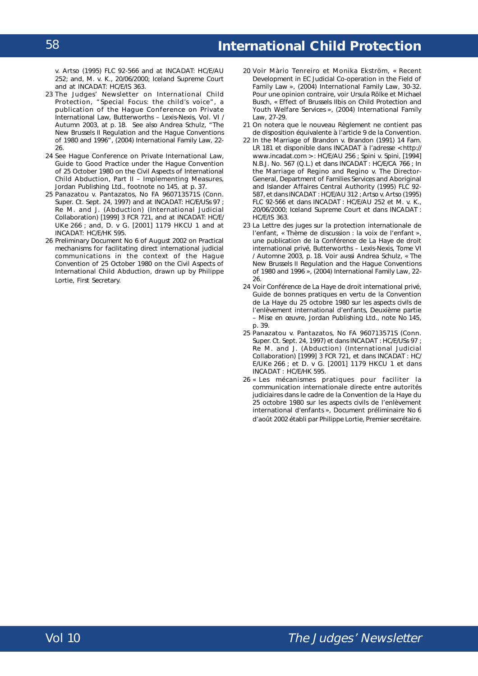v. *Artso* (1995) FLC 92-566 and at INCADAT: HC/E/AU 252; and, *M.* v. *K.*, 20/06/2000; Iceland Supreme Court and at INCADAT: HC/E/IS 363.

- 23 *The Judges' Newsletter on International Child Protection*, "Special Focus: the child's voice", a publication of the Hague Conference on Private International Law, Butterworths – Lexis-Nexis, Vol. VI / Autumn 2003, at p. 18. *See also* Andrea Schulz, "The New Brussels II Regulation and the Hague Conventions of 1980 and 1996", (2004) International Family Law, 22- 26.
- 24 *See* Hague Conference on Private International Law, *Guide to Good Practice under the Hague Convention of 25 October 1980 on the Civil Aspects of International Child Abduction, Part II – Implementing Measures*, Jordan Publishing Ltd., footnote no 145, at p. 37.
- 25 *Panazatou* v. *Pantazatos*, No FA 960713571S (Conn. Super. Ct. Sept. 24, 1997) and at INCADAT: HC/E/USs 97 ; *Re M. and J.* (Abduction) (International Judicial Collaboration) [1999] 3 FCR 721, and at INCADAT: HC/E/ UKe 266 ; and, *D.* v *G.* [2001] 1179 HKCU 1 and at INCADAT: HC/E/HK 595.
- 26 Preliminary Document No 6 of August 2002 on Practical mechanisms for facilitating direct international judicial communications in the context of the *Hague Convention of 25 October 1980 on the Civil Aspects of International Child Abduction*, drawn up by Philippe Lortie, First Secretary.
- 20 *Voir* Màrio Tenreiro et Monika Ekström, « *Recent Development in EC Judicial Co-operation in the Field of Family Law* », (2004) *International Family Law*, 30-32. Pour une opinion contraire, *voir* Ursula Rölke et Michael Busch, « *Effect of Brussels IIbis on Child Protection and Youth Welfare Services* », (2004) *International Family Law*, 27-29.
- 21 On notera que le nouveau Règlement ne contient pas de disposition équivalente à l'article 9 de la Convention.
- 22 *In the Marriage of Brandon* v. *Brandon* (1991) 14 Fam. LR 181 et disponible dans INCADAT à l'adresse < http:// www.incadat.com > : HC/E/AU 256 ; *Spini* v. *Spini*, [1994] N.B.J. No. 567 (Q.L.) et dans INCADAT : HC/E/CA 766 ; *In the Marriage of Regino and Regino* v. *The Director-General, Department of Families Services and Aboriginal and Islander Affaires Central Authority* (1995) FLC 92- 587, et dans INCADAT : HC/E/AU 312 ; *Artso* v. *Artso* (1995) FLC 92-566 et dans INCADAT : HC/E/AU 252 et *M.* v. *K.*, 20/06/2000; *Iceland Supreme Court* et dans INCADAT : HC/E/IS 363.
- 23 La Lettre des juges sur la protection internationale de l'enfant*,* « Thème de discussion : la voix de l'enfant », une publication de la Conférence de La Haye de droit international privé, Butterworths – Lexis-Nexis, Tome VI / Automne 2003, p. 18. *Voir aussi* Andrea Schulz, « *The New Brussels II Regulation and the Hague Conventions of 1980 and 1996* », (2004) *International Family Law*, 22- 26.
- 24 *Voir* Conférence de La Haye de droit international privé, *Guide de bonnes pratiques en vertu de la Convention de La Haye du 25 octobre 1980 sur les aspects civils de l'enlèvement international d'enfants, Deuxième partie – Mise en œuvre,* Jordan Publishing Ltd., note No 145, p. 39.
- 25 *Panazatou* v. *Pantazatos*, No FA 960713571S (*Conn. Super. Ct. Sept*. 24, 1997) et dans INCADAT : HC/E/USs 97 ; *Re M. and J.* (*Abduction*) (*International Judicial Collaboration*) [1999] 3 FCR 721, et dans INCADAT : HC/ E/UKe 266 ; et *D.* v *G.* [2001] 1179 HKCU 1 et dans INCADAT : HC/E/HK 595.
- 26 « Les mécanismes pratiques pour faciliter la communication internationale directe entre autorités judiciaires dans le cadre de la *Convention de la Haye du 25 octobre 1980 sur les aspects civils de l'enlèvement international d'enfants* », Document préliminaire No 6 d'août 2002 établi par Philippe Lortie, Premier secrétaire.

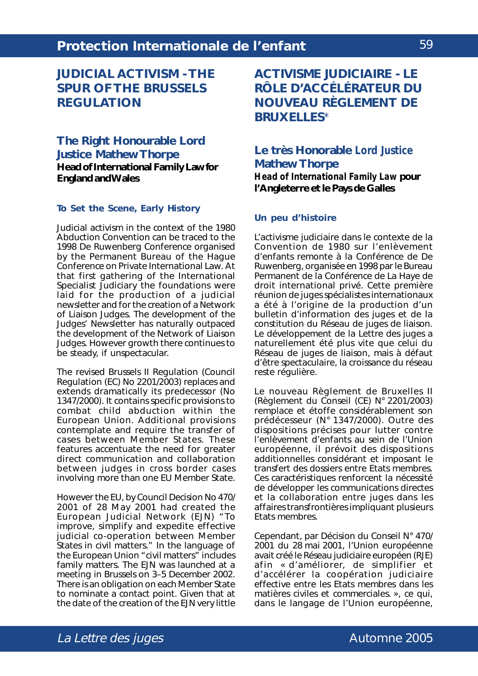# **JUDICIAL ACTIVISM - THE SPUR OF THE BRUSSELS REGULATION**

# **The Right Honourable Lord Justice Mathew Thorpe Head of International Family Law for England and Wales**

## **To Set the Scene, Early History**

Judicial activism in the context of the 1980 Abduction Convention can be traced to the 1998 De Ruwenberg Conference organised by the Permanent Bureau of the Hague Conference on Private International Law. At that first gathering of the International Specialist Judiciary the foundations were laid for the production of a judicial newsletter and for the creation of a Network of Liaison Judges. The development of the Judges' Newsletter has naturally outpaced the development of the Network of Liaison Judges. However growth there continues to be steady, if unspectacular.

The revised Brussels II Regulation (Council Regulation (EC) No 2201/2003) replaces and extends dramatically its predecessor (No 1347/2000). It contains specific provisions to combat child abduction within the European Union. Additional provisions contemplate and require the transfer of cases between Member States. These features accentuate the need for greater direct communication and collaboration between judges in cross border cases involving more than one EU Member State.

However the EU, by Council Decision No 470/ 2001 of 28 May 2001 had created the European Judicial Network (EJN) "To improve, simplify and expedite effective judicial co-operation between Member States in civil matters." In the language of the European Union "civil matters" includes family matters. The EJN was launched at a meeting in Brussels on 3–5 December 2002. There is an obligation on each Member State to nominate a contact point. Given that at the date of the creation of the EJN very little **ACTIVISME JUDICIAIRE - LE RÔLE D'ACCÉLÉRATEUR DU NOUVEAU RÈGLEMENT DE BRUXELLES**\*

## **Le très Honorable** *Lord Justice* **Mathew Thorpe** *Head of International Family Law* **pour l'Angleterre et le Pays de Galles**

### **Un peu d'histoire**

L'activisme judiciaire dans le contexte de la Convention de 1980 sur l'enlèvement d'enfants remonte à la Conférence de De Ruwenberg, organisée en 1998 par le Bureau Permanent de la Conférence de La Haye de droit international privé. Cette première réunion de juges spécialistes internationaux a été à l'origine de la production d'un bulletin d'information des juges et de la constitution du Réseau de juges de liaison. Le développement de la Lettre des juges a naturellement été plus vite que celui du Réseau de juges de liaison, mais à défaut d'être spectaculaire, la croissance du réseau reste régulière.

Le nouveau Règlement de Bruxelles II (Règlement du Conseil (CE) N° 2201/2003) remplace et étoffe considérablement son prédécesseur (N° 1347/2000). Outre des dispositions précises pour lutter contre l'enlèvement d'enfants au sein de l'Union européenne, il prévoit des dispositions additionnelles considérant et imposant le transfert des dossiers entre Etats membres. Ces caractéristiques renforcent la nécessité de développer les communications directes et la collaboration entre juges dans les affaires transfrontières impliquant plusieurs Etats membres.

Cependant, par Décision du Conseil N° 470/ 2001 du 28 mai 2001, l'Union européenne avait créé le Réseau judiciaire européen (RJE) afin « d'améliorer, de simplifier et d'accélérer la coopération judiciaire effective entre les Etats membres dans les matières civiles et commerciales. », ce qui, dans le langage de l'Union européenne,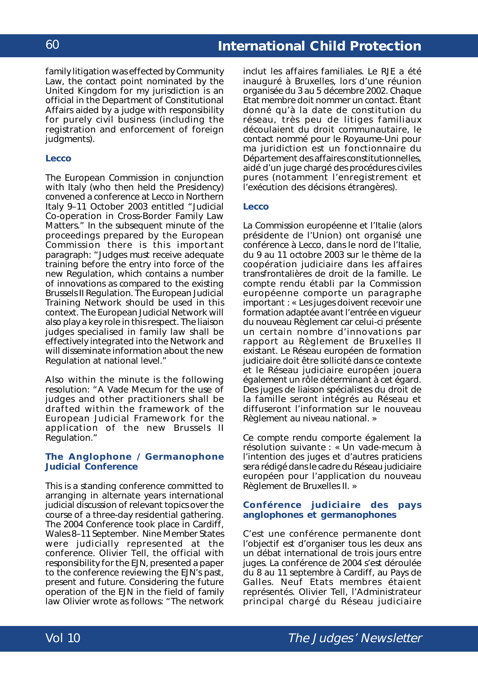family litigation was effected by Community Law, the contact point nominated by the United Kingdom for my jurisdiction is an official in the Department of Constitutional Affairs aided by a judge with responsibility for purely civil business (including the registration and enforcement of foreign judgments).

### **Lecco**

The European Commission in conjunction with Italy (who then held the Presidency) convened a conference at Lecco in Northern Italy 9–11 October 2003 entitled "Judicial Co-operation in Cross-Border Family Law Matters." In the subsequent minute of the proceedings prepared by the European Commission there is this important paragraph: "Judges must receive adequate training before the entry into force of the new Regulation, which contains a number of innovations as compared to the existing Brussels II Regulation. The European Judicial Training Network should be used in this context. The European Judicial Network will also play a key role in this respect. The liaison judges specialised in family law shall be effectively integrated into the Network and will disseminate information about the new Regulation at national level."

Also within the minute is the following resolution: "A *Vade Mecum* for the use of judges and other practitioners shall be drafted within the framework of the European Judicial Framework for the application of the new Brussels II Regulation."

### **The Anglophone / Germanophone Judicial Conference**

This is a standing conference committed to arranging in alternate years international judicial discussion of relevant topics over the course of a three-day residential gathering. The 2004 Conference took place in Cardiff, Wales 8–11 September. Nine Member States were judicially represented at the conference. Olivier Tell, the official with responsibility for the EJN, presented a paper to the conference reviewing the EJN's past, present and future. Considering the future operation of the EJN in the field of family law Olivier wrote as follows: "The network

inclut les affaires familiales. Le RJE a été inauguré à Bruxelles, lors d'une réunion organisée du 3 au 5 décembre 2002. Chaque Etat membre doit nommer un contact. Étant donné qu'à la date de constitution du réseau, très peu de litiges familiaux découlaient du droit communautaire, le contact nommé pour le Royaume-Uni pour ma juridiction est un fonctionnaire du Département des affaires constitutionnelles, aidé d'un juge chargé des procédures civiles pures (notamment l'enregistrement et l'exécution des décisions étrangères).

### **Lecco**

La Commission européenne et l'Italie (alors présidente de l'Union) ont organisé une conférence à Lecco, dans le nord de l'Italie, du 9 au 11 octobre 2003 sur le thème de la coopération judiciaire dans les affaires transfrontalières de droit de la famille. Le compte rendu établi par la Commission européenne comporte un paragraphe important : « Les juges doivent recevoir une formation adaptée avant l'entrée en vigueur du nouveau Règlement car celui-ci présente un certain nombre d'innovations par rapport au Règlement de Bruxelles II existant. Le Réseau européen de formation judiciaire doit être sollicité dans ce contexte et le Réseau judiciaire européen jouera également un rôle déterminant à cet égard. Des juges de liaison spécialistes du droit de la famille seront intégrés au Réseau et diffuseront l'information sur le nouveau Règlement au niveau national. »

Ce compte rendu comporte également la résolution suivante : « Un vade-mecum à l'intention des juges et d'autres praticiens sera rédigé dans le cadre du Réseau judiciaire européen pour l'application du nouveau Règlement de Bruxelles II. »

#### **Conférence judiciaire des pays anglophones et germanophones**

C'est une conférence permanente dont l'objectif est d'organiser tous les deux ans un débat international de trois jours entre juges. La conférence de 2004 s'est déroulée du 8 au 11 septembre à Cardiff, au Pays de Galles. Neuf Etats membres étaient représentés. Olivier Tell, l'Administrateur principal chargé du Réseau judiciaire

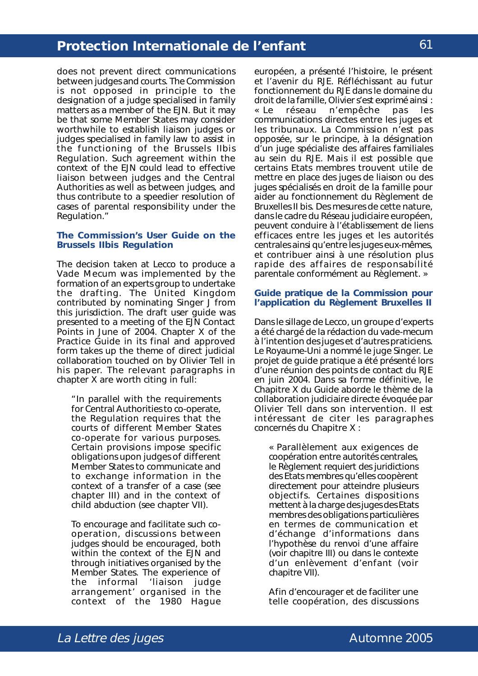does not prevent direct communications between judges and courts. The Commission is not opposed in principle to the designation of a judge specialised in family matters as a member of the EJN. But it may be that some Member States may consider worthwhile to establish liaison judges or judges specialised in family law to assist in the functioning of the Brussels II*bis* Regulation. Such agreement within the context of the EJN could lead to effective liaison between judges and the Central Authorities as well as between judges, and thus contribute to a speedier resolution of cases of parental responsibility under the Regulation."

#### **The Commission's User Guide on the Brussels II***bis* **Regulation**

The decision taken at Lecco to produce a *Vade Mecum* was implemented by the formation of an experts group to undertake the drafting. The United Kingdom contributed by nominating Singer J from this jurisdiction. The draft user guide was presented to a meeting of the EJN Contact Points in June of 2004. Chapter X of the Practice Guide in its final and approved form takes up the theme of direct judicial collaboration touched on by Olivier Tell in his paper. The relevant paragraphs in chapter X are worth citing in full:

"In parallel with the requirements for Central Authorities to co-operate, the Regulation requires that the courts of different Member States co-operate for various purposes. Certain provisions impose specific obligations upon judges of different Member States to communicate and to exchange information in the context of a transfer of a case (see chapter III) and in the context of child abduction (see chapter VII).

To encourage and facilitate such cooperation, discussions between judges should be encouraged, both within the context of the EJN and through initiatives organised by the Member States. The experience of the informal 'liaison judge arrangement' organised in the context of the 1980 Hague

européen, a présenté l'histoire, le présent et l'avenir du RJE. Réfléchissant au futur fonctionnement du RJE dans le domaine du droit de la famille, Olivier s'est exprimé ainsi : « Le réseau n'empêche pas les communications directes entre les juges et les tribunaux. La Commission n'est pas opposée, sur le principe, à la désignation d'un juge spécialiste des affaires familiales au sein du RJE. Mais il est possible que certains Etats membres trouvent utile de mettre en place des juges de liaison ou des juges spécialisés en droit de la famille pour aider au fonctionnement du Règlement de Bruxelles II bis. Des mesures de cette nature, dans le cadre du Réseau judiciaire européen, peuvent conduire à l'établissement de liens efficaces entre les juges et les autorités centrales ainsi qu'entre les juges eux-mêmes, et contribuer ainsi à une résolution plus rapide des affaires de responsabilité parentale conformément au Règlement. »

#### **Guide pratique de la Commission pour l'application du Règlement Bruxelles II**

Dans le sillage de Lecco, un groupe d'experts a été chargé de la rédaction du vade-mecum à l'intention des juges et d'autres praticiens. Le Royaume-Uni a nommé le juge Singer. Le projet de guide pratique a été présenté lors d'une réunion des points de contact du RJE en juin 2004. Dans sa forme définitive, le Chapitre X du Guide aborde le thème de la collaboration judiciaire directe évoquée par Olivier Tell dans son intervention. Il est intéressant de citer les paragraphes concernés du Chapitre X :

« Parallèlement aux exigences de coopération entre autorités centrales, le Règlement requiert des juridictions des Etats membres qu'elles coopèrent directement pour atteindre plusieurs objectifs. Certaines dispositions mettent à la charge des juges des Etats membres des obligations particulières en termes de communication et d'échange d'informations dans l'hypothèse du renvoi d'une affaire (voir chapitre III) ou dans le contexte d'un enlèvement d'enfant (voir chapitre VII).

Afin d'encourager et de faciliter une telle coopération, des discussions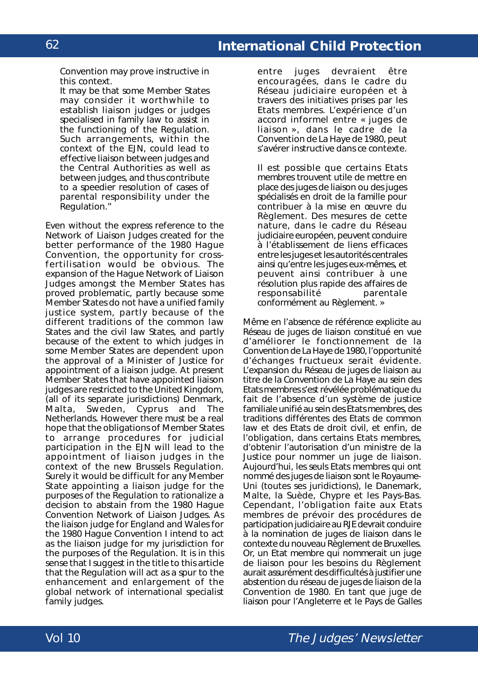Convention may prove instructive in this context.

It may be that some Member States may consider it worthwhile to establish liaison judges or judges specialised in family law to assist in the functioning of the Regulation. Such arrangements, within the context of the EJN, could lead to effective liaison between judges and the Central Authorities as well as between judges, and thus contribute to a speedier resolution of cases of parental responsibility under the Regulation."

Even without the express reference to the Network of Liaison Judges created for the better performance of the 1980 Hague Convention, the opportunity for crossfertilisation would be obvious. The expansion of the Hague Network of Liaison Judges amongst the Member States has proved problematic, partly because some Member States do not have a unified family justice system, partly because of the different traditions of the common law States and the civil law States, and partly because of the extent to which judges in some Member States are dependent upon the approval of a Minister of Justice for appointment of a liaison judge. At present Member States that have appointed liaison judges are restricted to the United Kingdom, (all of its separate jurisdictions) Denmark, Malta, Sweden, Cyprus and The Netherlands. However there must be a real hope that the obligations of Member States to arrange procedures for judicial participation in the EJN will lead to the appointment of liaison judges in the context of the new Brussels Regulation. Surely it would be difficult for any Member State appointing a liaison judge for the purposes of the Regulation to rationalize a decision to abstain from the 1980 Hague Convention Network of Liaison Judges. As the liaison judge for England and Wales for the 1980 Hague Convention I intend to act as the liaison judge for my jurisdiction for the purposes of the Regulation. It is in this sense that I suggest in the title to this article that the Regulation will act as a spur to the enhancement and enlargement of the global network of international specialist family judges.

entre juges devraient être encouragées, dans le cadre du Réseau judiciaire européen et à travers des initiatives prises par les Etats membres. L'expérience d'un accord informel entre « juges de liaison », dans le cadre de la Convention de La Haye de 1980, peut s'avérer instructive dans ce contexte.

Il est possible que certains Etats membres trouvent utile de mettre en place des juges de liaison ou des juges spécialisés en droit de la famille pour contribuer à la mise en œuvre du Règlement. Des mesures de cette nature, dans le cadre du Réseau judiciaire européen, peuvent conduire à l'établissement de liens efficaces entre les juges et les autorités centrales ainsi qu'entre les juges eux-mêmes, et peuvent ainsi contribuer à une résolution plus rapide des affaires de responsabilité conformément au Règlement. »

Même en l'absence de référence explicite au Réseau de juges de liaison constitué en vue d'améliorer le fonctionnement de la Convention de La Haye de 1980, l'opportunité d'échanges fructueux serait évidente. L'expansion du Réseau de juges de liaison au titre de la Convention de La Haye au sein des Etats membres s'est révélée problématique du fait de l'absence d'un système de justice familiale unifié au sein des Etats membres, des traditions différentes des Etats de *common law* et des Etats de droit civil, et enfin, de l'obligation, dans certains Etats membres, d'obtenir l'autorisation d'un ministre de la Justice pour nommer un juge de liaison. Aujourd'hui, les seuls Etats membres qui ont nommé des juges de liaison sont le Royaume-Uni (toutes ses juridictions), le Danemark, Malte, la Suède, Chypre et les Pays-Bas. Cependant, l'obligation faite aux Etats membres de prévoir des procédures de participation judiciaire au RJE devrait conduire à la nomination de juges de liaison dans le contexte du nouveau Règlement de Bruxelles. Or, un Etat membre qui nommerait un juge de liaison pour les besoins du Règlement aurait assurément des difficultés à justifier une abstention du réseau de juges de liaison de la Convention de 1980. En tant que juge de liaison pour l'Angleterre et le Pays de Galles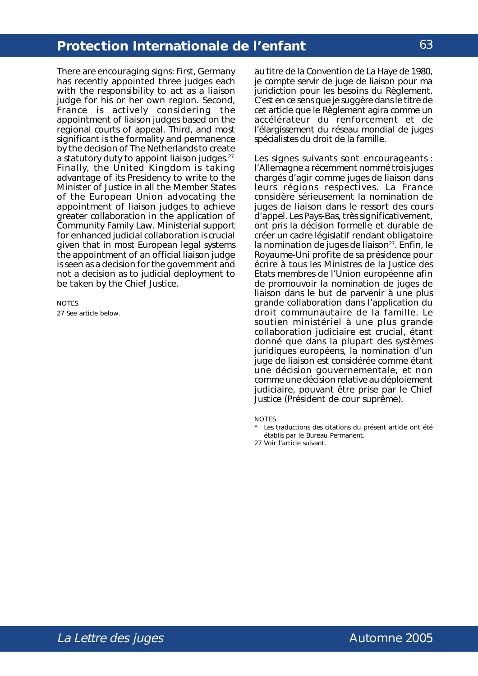There are encouraging signs: First, Germany has recently appointed three judges each with the responsibility to act as a liaison judge for his or her own region. Second, France is actively considering the appointment of liaison judges based on the regional courts of appeal. Third, and most significant is the formality and permanence by the decision of The Netherlands to create a statutory duty to appoint liaison judges.<sup>27</sup> Finally, the United Kingdom is taking advantage of its Presidency to write to the Minister of Justice in all the Member States of the European Union advocating the appointment of liaison judges to achieve greater collaboration in the application of Community Family Law. Ministerial support for enhanced judicial collaboration is crucial given that in most European legal systems the appointment of an official liaison judge is seen as a decision for the government and not a decision as to judicial deployment to be taken by the Chief Justice.

**NOTES** 27 See article below.

au titre de la Convention de La Haye de 1980, je compte servir de juge de liaison pour ma juridiction pour les besoins du Règlement. C'est en ce sens que je suggère dans le titre de cet article que le Règlement agira comme un accélérateur du renforcement et de l'élargissement du réseau mondial de juges spécialistes du droit de la famille.

Les signes suivants sont encourageants : l'Allemagne a récemment nommé trois juges chargés d'agir comme juges de liaison dans leurs régions respectives. La France considère sérieusement la nomination de juges de liaison dans le ressort des cours d'appel. Les Pays-Bas, très significativement, ont pris la décision formelle et durable de créer un cadre législatif rendant obligatoire la nomination de juges de liaison<sup>27</sup>. Enfin, le Royaume-Uni profite de sa présidence pour écrire à tous les Ministres de la Justice des Etats membres de l'Union européenne afin de promouvoir la nomination de juges de liaison dans le but de parvenir à une plus grande collaboration dans l'application du droit communautaire de la famille. Le soutien ministériel à une plus grande collaboration judiciaire est crucial, étant donné que dans la plupart des systèmes juridiques européens, la nomination d'un juge de liaison est considérée comme étant une décision gouvernementale, et non comme une décision relative au déploiement judiciaire, pouvant être prise par le *Chief Justice* (Président de cour suprême).

NOTES

\* Les traductions des citations du présent article ont été établis par le Bureau Permanent.

27 Voir l'article suivant.

La Lettre des juges and the contract of the Automne 2005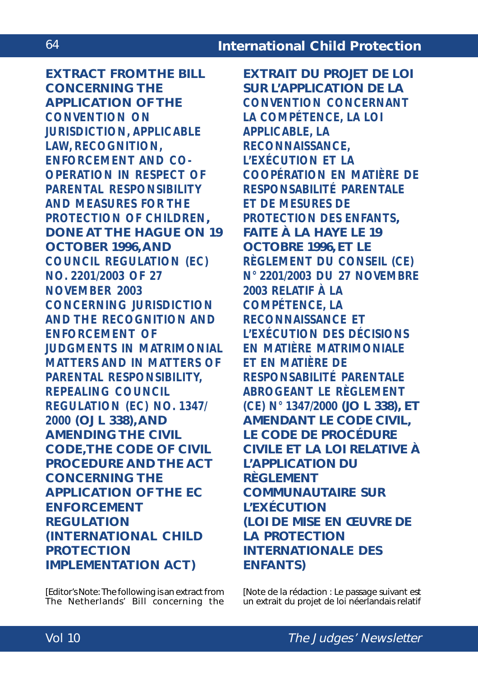**EXTRACT FROM THE BILL CONCERNING THE APPLICATION OF THE** *CONVENTION ON JURISDICTION, APPLICABLE LAW, RECOGNITION, ENFORCEMENT AND CO-OPERATION IN RESPECT OF PARENTAL RESPONSIBILITY AND MEASURES FOR THE PROTECTION OF CHILDREN***, DONE AT THE HAGUE ON 19 OCTOBER 1996, AND** *COUNCIL REGULATION (EC) NO. 2201/2003 OF 27 NOVEMBER 2003 CONCERNING JURISDICTION AND THE RECOGNITION AND ENFORCEMENT OF JUDGMENTS IN MATRIMONIAL MATTERS AND IN MATTERS OF PARENTAL RESPONSIBILITY, REPEALING COUNCIL REGULATION (EC) NO. 1347/ 2000* **(OJ L 338), AND AMENDING THE CIVIL CODE, THE CODE OF CIVIL PROCEDURE AND THE ACT CONCERNING THE APPLICATION OF THE EC ENFORCEMENT REGULATION (INTERNATIONAL CHILD PROTECTION IMPLEMENTATION ACT)**

[*Editor's Note*: The following is an extract from The Netherlands' Bill concerning the

**EXTRAIT DU PROJET DE LOI SUR L'APPLICATION DE LA** *CONVENTION CONCERNANT LA COMPÉTENCE, LA LOI APPLICABLE, LA RECONNAISSANCE, L'EXÉCUTION ET LA COOPÉRATION EN MATIÈRE DE RESPONSABILITÉ PARENTALE ET DE MESURES DE PROTECTION DES ENFANTS***, FAITE À LA HAYE LE 19 OCTOBRE 1996, ET LE** *RÈGLEMENT DU CONSEIL (CE) N° 2201/2003 DU 27 NOVEMBRE 2003 RELATIF À LA COMPÉTENCE, LA RECONNAISSANCE ET L'EXÉCUTION DES DÉCISIONS EN MATIÈRE MATRIMONIALE ET EN MATIÈRE DE RESPONSABILITÉ PARENTALE ABROGEANT LE RÈGLEMENT (CE) N° 1347/2000* **(JO L 338), ET AMENDANT LE CODE CIVIL, LE CODE DE PROCÉDURE CIVILE ET LA LOI RELATIVE À L'APPLICATION DU RÈGLEMENT COMMUNAUTAIRE SUR L'EXÉCUTION (LOI DE MISE EN ŒUVRE DE LA PROTECTION INTERNATIONALE DES ENFANTS)**

[*Note de la rédaction* : Le passage suivant est un extrait du projet de loi néerlandais relatif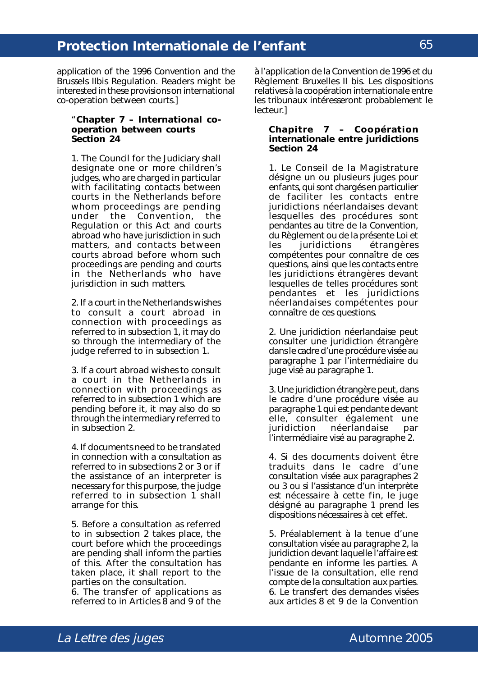application of the 1996 Convention and the Brussels II*bis* Regulation. Readers might be interested in these provisions on international co-operation between courts.]

#### "**Chapter 7 – International cooperation between courts Section 24**

1. The Council for the Judiciary shall designate one or more children's judges, who are charged in particular with facilitating contacts between courts in the Netherlands before whom proceedings are pending under the Convention, the Regulation or this Act and courts abroad who have jurisdiction in such matters, and contacts between courts abroad before whom such proceedings are pending and courts in the Netherlands who have jurisdiction in such matters.

2. If a court in the Netherlands wishes to consult a court abroad in connection with proceedings as referred to in subsection 1, it may do so through the intermediary of the judge referred to in subsection 1.

3. If a court abroad wishes to consult a court in the Netherlands in connection with proceedings as referred to in subsection 1 which are pending before it, it may also do so through the intermediary referred to in subsection 2.

4. If documents need to be translated in connection with a consultation as referred to in subsections 2 or 3 or if the assistance of an interpreter is necessary for this purpose, the judge referred to in subsection 1 shall arrange for this.

5. Before a consultation as referred to in subsection 2 takes place, the court before which the proceedings are pending shall inform the parties of this. After the consultation has taken place, it shall report to the parties on the consultation.

6. The transfer of applications as referred to in Articles 8 and 9 of the

à l'application de la Convention de 1996 et du Règlement Bruxelles II bis. Les dispositions relatives à la coopération internationale entre les tribunaux intéresseront probablement le lecteur.]

#### **Chapitre 7 – Coopération internationale entre juridictions Section 24**

1. Le Conseil de la Magistrature désigne un ou plusieurs juges pour enfants, qui sont chargés en particulier de faciliter les contacts entre juridictions néerlandaises devant lesquelles des procédures sont pendantes au titre de la Convention, du Règlement ou de la présente Loi et<br>les juridictions étrangères les juridictions compétentes pour connaître de ces questions, ainsi que les contacts entre les juridictions étrangères devant lesquelles de telles procédures sont pendantes et les juridictions néerlandaises compétentes pour connaître de ces questions.

2. Une juridiction néerlandaise peut consulter une juridiction étrangère dans le cadre d'une procédure visée au paragraphe 1 par l'intermédiaire du juge visé au paragraphe 1.

3. Une juridiction étrangère peut, dans le cadre d'une procédure visée au paragraphe 1 qui est pendante devant elle, consulter également une juridiction néerlandaise par l'intermédiaire visé au paragraphe 2.

4. Si des documents doivent être traduits dans le cadre d'une consultation visée aux paragraphes 2 ou 3 ou si l'assistance d'un interprète est nécessaire à cette fin, le juge désigné au paragraphe 1 prend les dispositions nécessaires à cet effet.

5. Préalablement à la tenue d'une consultation visée au paragraphe 2, la juridiction devant laquelle l'affaire est pendante en informe les parties. A l'issue de la consultation, elle rend compte de la consultation aux parties. 6. Le transfert des demandes visées aux articles 8 et 9 de la Convention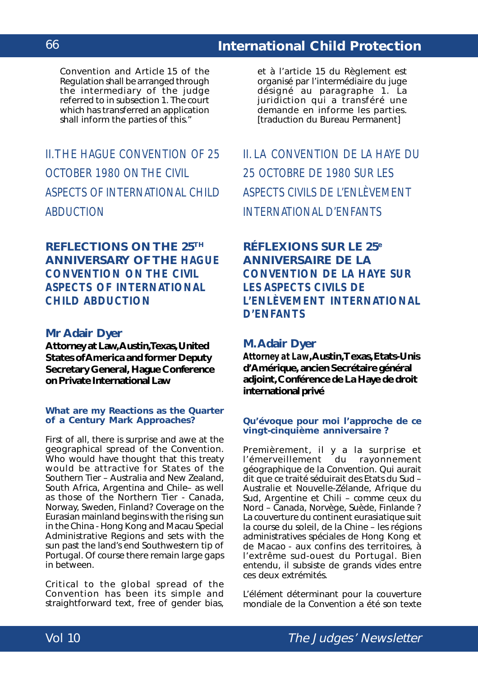Convention and Article 15 of the Regulation shall be arranged through the intermediary of the judge referred to in subsection 1. The court which has transferred an application shall inform the parties of this."

# II. THE *HAGUE CONVENTION OF 25 OCTOBER 1980 ON THE CIVIL ASPECTS OF INTERNATIONAL CHILD ABDUCTION*

# **REFLECTIONS ON THE 25TH ANNIVERSARY OF THE** *HAGUE CONVENTION ON THE CIVIL ASPECTS OF INTERNATIONAL CHILD ABDUCTION*

## **Mr Adair Dyer**

**Attorney at Law, Austin, Texas, United States of America and former Deputy Secretary General, Hague Conference on Private International Law**

## **What are my Reactions as the Quarter of a Century Mark Approaches?**

First of all, there is surprise and awe at the geographical spread of the Convention. Who would have thought that this treaty would be attractive for States of the Southern Tier – Australia and New Zealand, South Africa, Argentina and Chile– as well as those of the Northern Tier - Canada, Norway, Sweden, Finland? Coverage on the Eurasian mainland begins with the rising sun in the China - Hong Kong and Macau Special Administrative Regions and sets with the sun past the land's end Southwestern tip of Portugal. Of course there remain large gaps in between.

Critical to the global spread of the Convention has been its simple and straightforward text, free of gender bias,

et à l'article 15 du Règlement est organisé par l'intermédiaire du juge désigné au paragraphe 1. La juridiction qui a transféré une demande en informe les parties. [traduction du Bureau Permanent]

II. LA *CONVENTION DE LA HAYE DU 25 OCTOBRE DE 1980 SUR LES ASPECTS CIVILS DE L'ENLÈVEMENT INTERNATIONAL D'ENFANTS*

# **RÉFLEXIONS SUR LE 25e ANNIVERSAIRE DE LA** *CONVENTION DE LA HAYE SUR LES ASPECTS CIVILS DE L'ENLÈVEMENT INTERNATIONAL D'ENFANTS*

## **M. Adair Dyer**

*Attorney at Law***, Austin, Texas, Etats-Unis d'Amérique, ancien Secrétaire général adjoint, Conférence de La Haye de droit international privé**

## **Qu'évoque pour moi l'approche de ce vingt-cinquième anniversaire ?**

Premièrement, il y a la surprise et l'émerveillement du rayonnement géographique de la Convention. Qui aurait dit que ce traité séduirait des Etats du Sud – Australie et Nouvelle-Zélande, Afrique du Sud, Argentine et Chili – comme ceux du Nord – Canada, Norvège, Suède, Finlande ? La couverture du continent eurasiatique suit la course du soleil, de la Chine – les régions administratives spéciales de Hong Kong et de Macao - aux confins des territoires, à l'extrême sud-ouest du Portugal. Bien entendu, il subsiste de grands vides entre ces deux extrémités.

L'élément déterminant pour la couverture mondiale de la Convention a été son texte

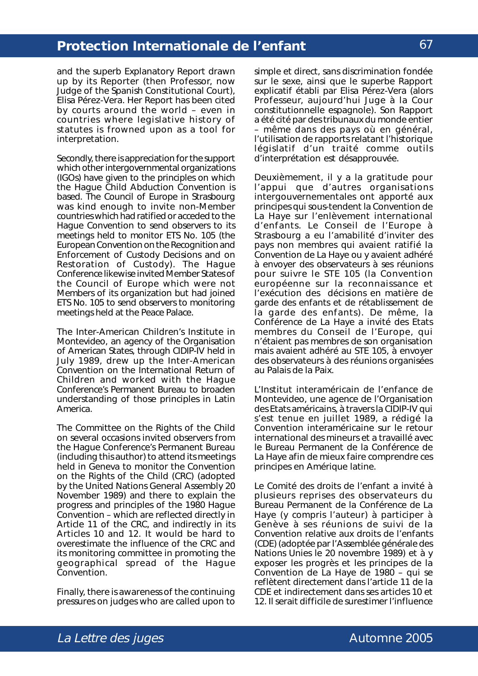and the superb Explanatory Report drawn up by its Reporter (then Professor, now Judge of the Spanish Constitutional Court), Elisa Pérez-Vera. Her Report has been cited by courts around the world – even in countries where legislative history of statutes is frowned upon as a tool for interpretation.

Secondly, there is appreciation for the support which other intergovernmental organizations (IGOs) have given to the principles on which the Hague Child Abduction Convention is based. The Council of Europe in Strasbourg was kind enough to invite non-Member countries which had ratified or acceded to the Hague Convention to send observers to its meetings held to monitor ETS No. 105 (the *European Convention on the Recognition and Enforcement of Custody Decisions and on Restoration of Custody*). The Hague Conference likewise invited Member States of the Council of Europe which were not Members of its organization but had joined ETS No. 105 to send observers to monitoring meetings held at the Peace Palace.

The Inter-American Children's Institute in Montevideo, an agency of the Organisation of American States, through CIDIP-IV held in July 1989, drew up the *Inter-American Convention on the International Return of Children* and worked with the Hague Conference's Permanent Bureau to broaden understanding of those principles in Latin America.

The Committee on the Rights of the Child on several occasions invited observers from the Hague Conference's Permanent Bureau (including this author) to attend its meetings held in Geneva to monitor the *Convention on the Rights of the Child* (CRC) (adopted by the United Nations General Assembly 20 November 1989) and there to explain the progress and principles of the 1980 Hague Convention – which are reflected directly in Article 11 of the CRC, and indirectly in its Articles 10 and 12. It would be hard to overestimate the influence of the CRC and its monitoring committee in promoting the geographical spread of the Hague Convention.

Finally, there is awareness of the continuing pressures on judges who are called upon to

simple et direct, sans discrimination fondée sur le sexe, ainsi que le superbe Rapport explicatif établi par Elisa Pérez-Vera (alors Professeur, aujourd'hui Juge à la Cour constitutionnelle espagnole). Son Rapport a été cité par des tribunaux du monde entier – même dans des pays où en général, l'utilisation de rapports relatant l'historique législatif d'un traité comme outils d'interprétation est désapprouvée.

Deuxièmement, il y a la gratitude pour l'appui que d'autres organisations intergouvernementales ont apporté aux principes qui sous-tendent la Convention de La Haye sur l'enlèvement international d'enfants. Le Conseil de l'Europe à Strasbourg a eu l'amabilité d'inviter des pays non membres qui avaient ratifié la Convention de La Haye ou y avaient adhéré à envoyer des observateurs à ses réunions pour suivre le STE 105 (la *Convention européenne sur la reconnaissance et l'exécution des décisions en matière de garde des enfants et de rétablissement de la garde des enfants*). De même, la Conférence de La Haye a invité des Etats membres du Conseil de l'Europe, qui n'étaient pas membres de son organisation mais avaient adhéré au STE 105, à envoyer des observateurs à des réunions organisées au Palais de la Paix.

L'Institut interaméricain de l'enfance de Montevideo, une agence de l'Organisation des Etats américains, à travers la CIDIP-IV qui s'est tenue en juillet 1989, a rédigé la *Convention interaméricaine sur le retour international des mineurs* et a travaillé avec le Bureau Permanent de la Conférence de La Haye afin de mieux faire comprendre ces principes en Amérique latine.

Le Comité des droits de l'enfant a invité à plusieurs reprises des observateurs du Bureau Permanent de la Conférence de La Haye (y compris l'auteur) à participer à Genève à ses réunions de suivi de la *Convention relative aux droits de l'enfants (CDE)* (adoptée par l'Assemblée générale des Nations Unies le 20 novembre 1989) et à y exposer les progrès et les principes de la Convention de La Haye de 1980 – qui se reflètent directement dans l'article 11 de la CDE et indirectement dans ses articles 10 et 12. Il serait difficile de surestimer l'influence

67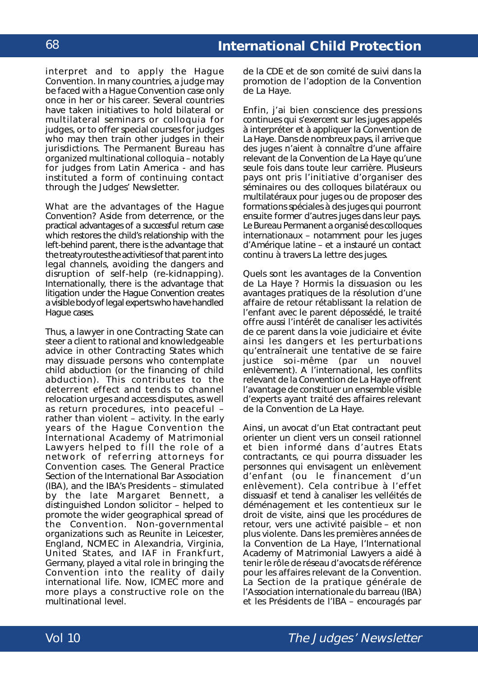interpret and to apply the Hague Convention. In many countries, a judge may be faced with a Hague Convention case only once in her or his career. Several countries have taken initiatives to hold bilateral or multilateral seminars or colloquia for judges, or to offer special courses for judges who may then train other judges in their jurisdictions. The Permanent Bureau has organized multinational colloquia – notably for judges from Latin America - and has instituted a form of continuing contact through the Judges' Newsletter.

What are the advantages of the Hague Convention? Aside from deterrence, or the practical advantages of a successful return case which restores the child's relationship with the left-behind parent, there is the advantage that the treaty routes the activities of that parent into legal channels, avoiding the dangers and disruption of self-help (re-kidnapping). Internationally, there is the advantage that litigation under the Hague Convention creates a visible body of legal experts who have handled Hague cases.

Thus, a lawyer in one Contracting State can steer a client to rational and knowledgeable advice in other Contracting States which may dissuade persons who contemplate child abduction (or the financing of child abduction). This contributes to the deterrent effect and tends to channel relocation urges and access disputes, as well as return procedures, into peaceful – rather than violent – activity. In the early years of the Hague Convention the International Academy of Matrimonial Lawyers helped to fill the role of a network of referring attorneys for Convention cases. The General Practice Section of the International Bar Association (IBA), and the IBA's Presidents – stimulated by the late Margaret Bennett, a distinguished London solicitor – helped to promote the wider geographical spread of the Convention. Non-governmental organizations such as Reunite in Leicester, England, NCMEC in Alexandria, Virginia, United States, and IAF in Frankfurt, Germany, played a vital role in bringing the Convention into the reality of daily international life. Now, ICMEC more and more plays a constructive role on the multinational level.

de la CDE et de son comité de suivi dans la promotion de l'adoption de la Convention de La Haye.

Enfin, j'ai bien conscience des pressions continues qui s'exercent sur les juges appelés à interpréter et à appliquer la Convention de La Haye. Dans de nombreux pays, il arrive que des juges n'aient à connaître d'une affaire relevant de la Convention de La Haye qu'une seule fois dans toute leur carrière. Plusieurs pays ont pris l'initiative d'organiser des séminaires ou des colloques bilatéraux ou multilatéraux pour juges ou de proposer des formations spéciales à des juges qui pourront ensuite former d'autres juges dans leur pays. Le Bureau Permanent a organisé des colloques internationaux – notamment pour les juges d'Amérique latine – et a instauré un contact continu à travers La lettre des juges.

Quels sont les avantages de la Convention de La Haye ? Hormis la dissuasion ou les avantages pratiques de la résolution d'une affaire de retour rétablissant la relation de l'enfant avec le parent dépossédé, le traité offre aussi l'intérêt de canaliser les activités de ce parent dans la voie judiciaire et évite ainsi les dangers et les perturbations qu'entraînerait une tentative de se faire justice soi-même (par un nouvel enlèvement). A l'international, les conflits relevant de la Convention de La Haye offrent l'avantage de constituer un ensemble visible d'experts ayant traité des affaires relevant de la Convention de La Haye.

Ainsi, un avocat d'un Etat contractant peut orienter un client vers un conseil rationnel et bien informé dans d'autres Etats contractants, ce qui pourra dissuader les personnes qui envisagent un enlèvement d'enfant (ou le financement d'un enlèvement). Cela contribue à l'effet dissuasif et tend à canaliser les velléités de déménagement et les contentieux sur le droit de visite, ainsi que les procédures de retour, vers une activité paisible – et non plus violente. Dans les premières années de la Convention de La Haye, l'*International Academy of Matrimonial Lawyers* a aidé à tenir le rôle de réseau d'avocats de référence pour les affaires relevant de la Convention. La Section de la pratique générale de l'Association internationale du barreau (IBA) et les Présidents de l'IBA – encouragés par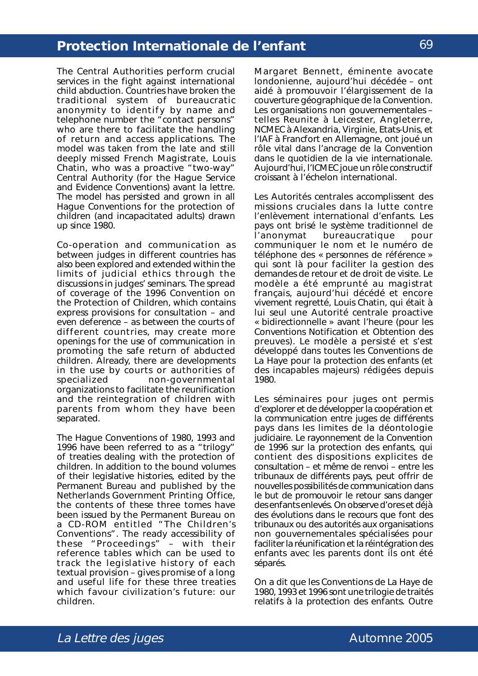The Central Authorities perform crucial services in the fight against international child abduction. Countries have broken the traditional system of bureaucratic anonymity to identify by name and telephone number the "contact persons" who are there to facilitate the handling of return and access applications. The model was taken from the late and still deeply missed French Magistrate, Louis Chatin, who was a proactive "two-way" Central Authority (for the Hague Service and Evidence Conventions) *avant la lettre*. The model has persisted and grown in all Hague Conventions for the protection of children (and incapacitated adults) drawn up since 1980.

Co-operation and communication as between judges in different countries has also been explored and extended within the limits of judicial ethics through the discussions in judges' seminars. The spread of coverage of the 1996 Convention on the Protection of Children, which contains express provisions for consultation – and even deference – as between the courts of different countries, may create more openings for the use of communication in promoting the safe return of abducted children. Already, there are developments in the use by courts or authorities of specialized non-governmental organizations to facilitate the reunification and the reintegration of children with parents from whom they have been separated.

The Hague Conventions of 1980, 1993 and 1996 have been referred to as a "trilogy" of treaties dealing with the protection of children. In addition to the bound volumes of their legislative histories, edited by the Permanent Bureau and published by the Netherlands Government Printing Office, the contents of these three tomes have been issued by the Permanent Bureau on a CD-ROM entitled "The Children's Conventions". The ready accessibility of these "Proceedings" – with their reference tables which can be used to track the legislative history of each textual provision – gives promise of a long and useful life for these three treaties which favour civilization's future: our children.

Margaret Bennett, éminente avocate londonienne, aujourd'hui décédée – ont aidé à promouvoir l'élargissement de la couverture géographique de la Convention. Les organisations non gouvernementales – telles Reunite à Leicester, Angleterre, NCMEC à Alexandria, Virginie, Etats-Unis, et l'IAF à Francfort en Allemagne, ont joué un rôle vital dans l'ancrage de la Convention dans le quotidien de la vie internationale. Aujourd'hui, l'ICMEC joue un rôle constructif croissant à l'échelon international.

Les Autorités centrales accomplissent des missions cruciales dans la lutte contre l'enlèvement international d'enfants. Les pays ont brisé le système traditionnel de l'anonymat bureaucratique pour communiquer le nom et le numéro de téléphone des « personnes de référence » qui sont là pour faciliter la gestion des demandes de retour et de droit de visite. Le modèle a été emprunté au magistrat français, aujourd'hui décédé et encore vivement regretté, Louis Chatin, qui était à lui seul une Autorité centrale proactive « bidirectionnelle » avant l'heure (pour les Conventions Notification et Obtention des preuves). Le modèle a persisté et s'est développé dans toutes les Conventions de La Haye pour la protection des enfants (et des incapables majeurs) rédigées depuis 1980.

Les séminaires pour juges ont permis d'explorer et de développer la coopération et la communication entre juges de différents pays dans les limites de la déontologie judiciaire. Le rayonnement de la Convention de 1996 sur la protection des enfants, qui contient des dispositions explicites de consultation – et même de renvoi – entre les tribunaux de différents pays, peut offrir de nouvelles possibilités de communication dans le but de promouvoir le retour sans danger des enfants enlevés. On observe d'ores et déjà des évolutions dans le recours que font des tribunaux ou des autorités aux organisations non gouvernementales spécialisées pour faciliter la réunification et la réintégration des enfants avec les parents dont ils ont été séparés.

On a dit que les Conventions de La Haye de 1980, 1993 et 1996 sont une trilogie de traités relatifs à la protection des enfants. Outre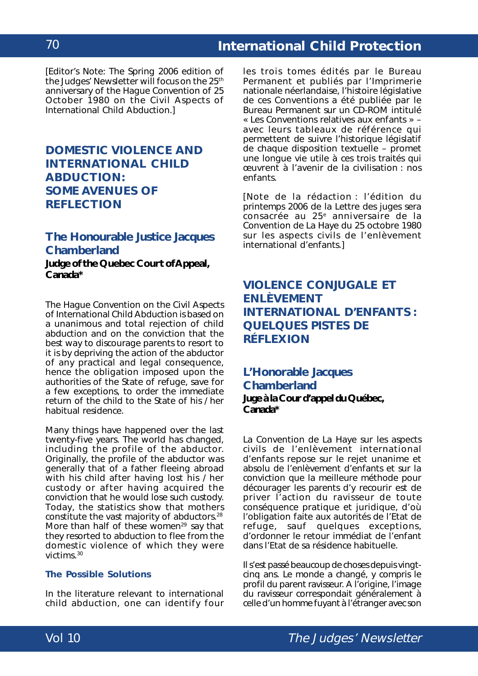# **International Child Protection**

[*Editor's Note*: The Spring 2006 edition of the Judges' Newsletter will focus on the 25<sup>th</sup> anniversary of the *Hague Convention of 25 October 1980 on the Civil Aspects of International Child Abduction*.]

# **DOMESTIC VIOLENCE AND INTERNATIONAL CHILD ABDUCTION: SOME AVENUES OF REFLECTION**

## **The Honourable Justice Jacques Chamberland**

**Judge of the Quebec Court of Appeal, Canada\***

The *Hague Convention on the Civil Aspects of International Child Abduction* is based on a unanimous and total rejection of child abduction and on the conviction that the best way to discourage parents to resort to it is by depriving the action of the abductor of any practical and legal consequence, hence the obligation imposed upon the authorities of the State of refuge, save for a few exceptions, to order the immediate return of the child to the State of his / her habitual residence.

Many things have happened over the last twenty-five years. The world has changed, including the profile of the abductor. Originally, the profile of the abductor was generally that of a father fleeing abroad with his child after having lost his / her custody or after having acquired the conviction that he would lose such custody. Today, the statistics show that mothers constitute the vast majority of abductors.28 More than half of these women<sup>29</sup> say that they resorted to abduction to flee from the domestic violence of which they were victims.30

## **The Possible Solutions**

In the literature relevant to international child abduction, one can identify four

les trois tomes édités par le Bureau Permanent et publiés par l'Imprimerie nationale néerlandaise, l'histoire législative de ces Conventions a été publiée par le Bureau Permanent sur un CD-ROM intitulé « Les Conventions relatives aux enfants » – avec leurs tableaux de référence qui permettent de suivre l'historique législatif de chaque disposition textuelle – promet une longue vie utile à ces trois traités qui œuvrent à l'avenir de la civilisation : nos enfants.

[*Note de la rédaction* : l'édition du printemps 2006 de la Lettre des juges sera consacrée au 25<sup>e</sup> anniversaire de la *Convention de La Haye du 25 octobre 1980 sur les aspects civils de l'enlèvement international d'enfants*.]

# **VIOLENCE CONJUGALE ET ENLÈVEMENT INTERNATIONAL D'ENFANTS : QUELQUES PISTES DE RÉFLEXION**

**L'Honorable Jacques Chamberland Juge à la Cour d'appel du Québec, Canada\***

La *Convention de La Haye sur les aspects civils de l'enlèvement international d'enfants* repose sur le rejet unanime et absolu de l'enlèvement d'enfants et sur la conviction que la meilleure méthode pour décourager les parents d'y recourir est de priver l'action du ravisseur de toute conséquence pratique et juridique, d'où l'obligation faite aux autorités de l'Etat de refuge, sauf quelques exceptions, d'ordonner le retour immédiat de l'enfant dans l'Etat de sa résidence habituelle.

Il s'est passé beaucoup de choses depuis vingtcinq ans. Le monde a changé, y compris le profil du parent ravisseur. A l'origine, l'image du ravisseur correspondait généralement à celle d'un homme fuyant à l'étranger avec son

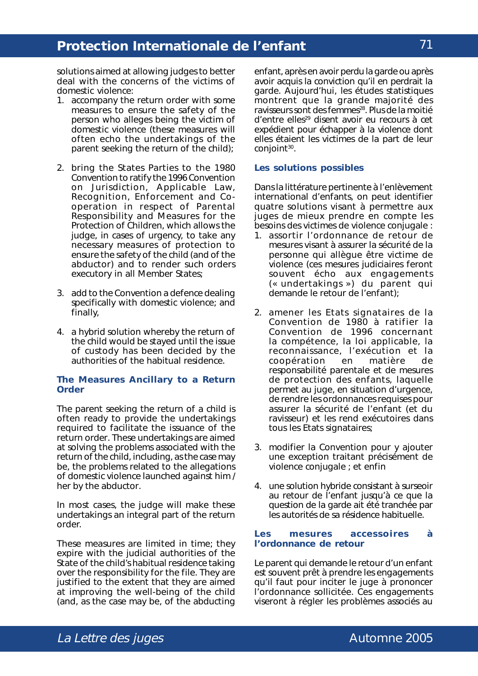solutions aimed at allowing judges to better deal with the concerns of the victims of domestic violence:

- 1. accompany the return order with some measures to ensure the safety of the person who alleges being the victim of domestic violence (these measures will often echo the undertakings of the parent seeking the return of the child);
- 2. bring the States Parties to the 1980 Convention to ratify the 1996 *Convention on Jurisdiction, Applicable Law, Recognition, Enforcement and Cooperation in respect of Parental Responsibility and Measures for the Protection of Children,* which allows the judge, in cases of urgency, to take any necessary measures of protection to ensure the safety of the child (and of the abductor) and to render such orders executory in all Member States;
- 3. add to the Convention a defence dealing specifically with domestic violence; and finally,
- 4. a hybrid solution whereby the return of the child would be stayed until the issue of custody has been decided by the authorities of the habitual residence.

### **The Measures Ancillary to a Return Order**

The parent seeking the return of a child is often ready to provide the undertakings required to facilitate the issuance of the return order. These undertakings are aimed at solving the problems associated with the return of the child, including, as the case may be, the problems related to the allegations of domestic violence launched against him / her by the abductor.

In most cases, the judge will make these undertakings an integral part of the return order.

These measures are limited in time; they expire with the judicial authorities of the State of the child's habitual residence taking over the responsibility for the file. They are justified to the extent that they are aimed at improving the well-being of the child (and, as the case may be, of the abducting

enfant, après en avoir perdu la garde ou après avoir acquis la conviction qu'il en perdrait la garde. Aujourd'hui, les études statistiques montrent que la grande majorité des ravisseurs sont des femmes<sup>28</sup>. Plus de la moitié d'entre elles<sup>29</sup> disent avoir eu recours à cet expédient pour échapper à la violence dont elles étaient les victimes de la part de leur conjoint<sup>30</sup>.

#### **Les solutions possibles**

Dans la littérature pertinente à l'enlèvement international d'enfants, on peut identifier quatre solutions visant à permettre aux juges de mieux prendre en compte les besoins des victimes de violence conjugale :

- 1. assortir l'ordonnance de retour de mesures visant à assurer la sécurité de la personne qui allègue être victime de violence (ces mesures judiciaires feront souvent écho aux engagements (« *undertakings* ») du parent qui demande le retour de l'enfant);
- 2. amener les Etats signataires de la Convention de 1980 à ratifier la *Convention de 1996 concernant la compétence, la loi applicable, la reconnaissance, l'exécution et la coopération en matière de responsabilité parentale et de mesures de protection des enfants*, laquelle permet au juge, en situation d'urgence, de rendre les ordonnances requises pour assurer la sécurité de l'enfant (et du ravisseur) et les rend exécutoires dans tous les Etats signataires;
- 3. modifier la Convention pour y ajouter une exception traitant précisément de violence conjugale ; et enfin
- 4. une solution hybride consistant à surseoir au retour de l'enfant jusqu'à ce que la question de la garde ait été tranchée par les autorités de sa résidence habituelle.

#### **Les mesures accessoires à l'ordonnance de retour**

Le parent qui demande le retour d'un enfant est souvent prêt à prendre les engagements qu'il faut pour inciter le juge à prononcer l'ordonnance sollicitée. Ces engagements viseront à régler les problèmes associés au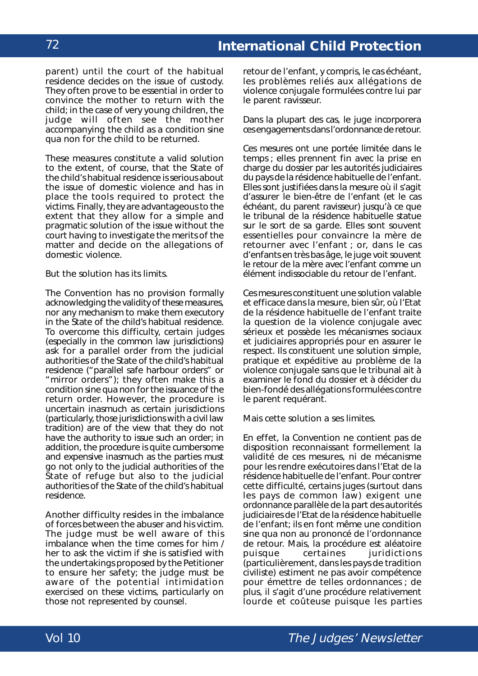parent) until the court of the habitual residence decides on the issue of custody. They often prove to be essential in order to convince the mother to return with the child; in the case of very young children, the judge will often see the mother accompanying the child as a condition *sine qua non* for the child to be returned.

These measures constitute a valid solution to the extent, of course, that the State of the child's habitual residence is serious about the issue of domestic violence and has in place the tools required to protect the victims. Finally, they are advantageous to the extent that they allow for a simple and pragmatic solution of the issue without the court having to investigate the merits of the matter and decide on the allegations of domestic violence.

But the solution has its limits.

The Convention has no provision formally acknowledging the validity of these measures, nor any mechanism to make them executory in the State of the child's habitual residence. To overcome this difficulty, certain judges (especially in the common law jurisdictions) ask for a parallel order from the judicial authorities of the State of the child's habitual residence ("parallel safe harbour orders" or "mirror orders"); they often make this a condition *sine qua non* for the issuance of the return order. However, the procedure is uncertain inasmuch as certain jurisdictions (particularly, those jurisdictions with a civil law tradition) are of the view that they do not have the authority to issue such an order; in addition, the procedure is quite cumbersome and expensive inasmuch as the parties must go not only to the judicial authorities of the State of refuge but also to the judicial authorities of the State of the child's habitual residence.

Another difficulty resides in the imbalance of forces between the abuser and his victim. The judge must be well aware of this imbalance when the time comes for him / her to ask the victim if she is satisfied with the undertakings proposed by the Petitioner to ensure her safety; the judge must be aware of the potential intimidation exercised on these victims, particularly on those not represented by counsel.

retour de l'enfant, y compris, le cas échéant, les problèmes reliés aux allégations de violence conjugale formulées contre lui par le parent ravisseur.

Dans la plupart des cas, le juge incorporera ces engagements dans l'ordonnance de retour.

Ces mesures ont une portée limitée dans le temps ; elles prennent fin avec la prise en charge du dossier par les autorités judiciaires du pays de la résidence habituelle de l'enfant. Elles sont justifiées dans la mesure où il s'agit d'assurer le bien-être de l'enfant (et le cas échéant, du parent ravisseur) jusqu'à ce que le tribunal de la résidence habituelle statue sur le sort de sa garde. Elles sont souvent essentielles pour convaincre la mère de retourner avec l'enfant ; or, dans le cas d'enfants en très bas âge, le juge voit souvent le retour de la mère avec l'enfant comme un élément indissociable du retour de l'enfant.

Ces mesures constituent une solution valable et efficace dans la mesure, bien sûr, où l'Etat de la résidence habituelle de l'enfant traite la question de la violence conjugale avec sérieux et possède les mécanismes sociaux et judiciaires appropriés pour en assurer le respect. Ils constituent une solution simple, pratique et expéditive au problème de la violence conjugale sans que le tribunal ait à examiner le fond du dossier et à décider du bien-fondé des allégations formulées contre le parent requérant.

Mais cette solution a ses limites.

En effet, la Convention ne contient pas de disposition reconnaissant formellement la validité de ces mesures, ni de mécanisme pour les rendre exécutoires dans l'Etat de la résidence habituelle de l'enfant. Pour contrer cette difficulté, certains juges (surtout dans les pays de *common law)* exigent une ordonnance parallèle de la part des autorités judiciaires de l'Etat de la résidence habituelle de l'enfant; ils en font même une condition *sine qua non* au prononcé de l'ordonnance de retour. Mais, la procédure est aléatoire puisque certaines juridictions (particulièrement, dans les pays de tradition civiliste) estiment ne pas avoir compétence pour émettre de telles ordonnances ; de plus, il s'agit d'une procédure relativement lourde et coûteuse puisque les parties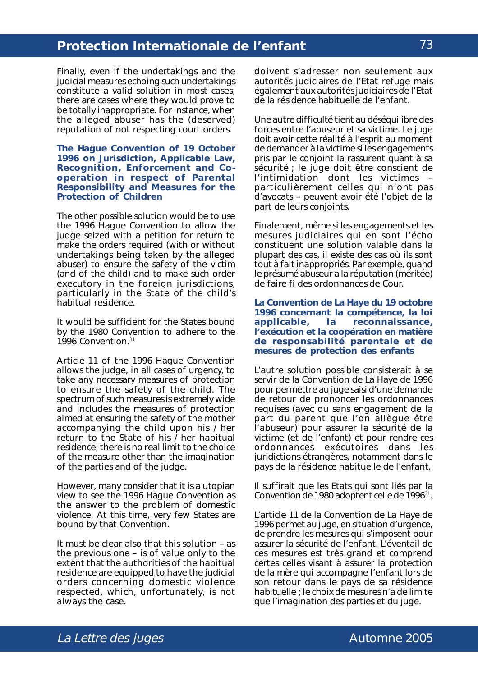Finally, even if the undertakings and the judicial measures echoing such undertakings constitute a valid solution in most cases, there are cases where they would prove to be totally inappropriate. For instance, when the alleged abuser has the (deserved) reputation of not respecting court orders.

#### **The** *Hague Convention of 19 October 1996 on Jurisdiction, Applicable Law, Recognition, Enforcement and Cooperation in respect of Parental Responsibility and Measures for the Protection of Children*

The other possible solution would be to use the 1996 Hague Convention to allow the judge seized with a petition for return to make the orders required (with or without undertakings being taken by the alleged abuser) to ensure the safety of the victim (and of the child) and to make such order executory in the foreign jurisdictions, particularly in the State of the child's habitual residence.

It would be sufficient for the States bound by the 1980 Convention to adhere to the 1996 Convention.31

Article 11 of the 1996 Hague Convention allows the judge, in all cases of urgency, to take any necessary measures of protection to ensure the safety of the child. The spectrum of such measures is extremely wide and includes the measures of protection aimed at ensuring the safety of the mother accompanying the child upon his / her return to the State of his / her habitual residence; there is no real limit to the choice of the measure other than the imagination of the parties and of the judge.

However, many consider that it is a utopian view to see the 1996 Hague Convention as the answer to the problem of domestic violence. At this time, very few States are bound by that Convention.

It must be clear also that this solution – as the previous one – is of value only to the extent that the authorities of the habitual residence are equipped to have the judicial orders concerning domestic violence respected, which, unfortunately, is not always the case.

doivent s'adresser non seulement aux autorités judiciaires de l'Etat refuge mais également aux autorités judiciaires de l'Etat de la résidence habituelle de l'enfant.

Une autre difficulté tient au déséquilibre des forces entre l'abuseur et sa victime. Le juge doit avoir cette réalité à l'esprit au moment de demander à la victime si les engagements pris par le conjoint la rassurent quant à sa sécurité ; le juge doit être conscient de l'intimidation dont les victimes – particulièrement celles qui n'ont pas d'avocats – peuvent avoir été l'objet de la part de leurs conjoints.

Finalement, même si les engagements et les mesures judiciaires qui en sont l'écho constituent une solution valable dans la plupart des cas, il existe des cas où ils sont tout à fait inappropriés. Par exemple, quand le présumé abuseur a la réputation (méritée) de faire fi des ordonnances de Cour.

#### **La** *Convention de La Haye du 19 octobre 1996 concernant la compétence, la loi applicable, la reconnaissance, l'exécution et la coopération en matière de responsabilité parentale et de mesures de protection des enfants*

L'autre solution possible consisterait à se servir de la Convention de La Haye de 1996 pour permettre au juge saisi d'une demande de retour de prononcer les ordonnances requises (avec ou sans engagement de la part du parent que l'on allègue être l'abuseur) pour assurer la sécurité de la victime (et de l'enfant) et pour rendre ces ordonnances exécutoires dans les juridictions étrangères, notamment dans le pays de la résidence habituelle de l'enfant.

Il suffirait que les Etats qui sont liés par la Convention de 1980 adoptent celle de 1996<sup>31</sup>.

L'article 11 de la Convention de La Haye de 1996 permet au juge, en situation d'urgence, de prendre les mesures qui s'imposent pour assurer la sécurité de l'enfant. L'éventail de ces mesures est très grand et comprend certes celles visant à assurer la protection de la mère qui accompagne l'enfant lors de son retour dans le pays de sa résidence habituelle ; le choix de mesures n'a de limite que l'imagination des parties et du juge.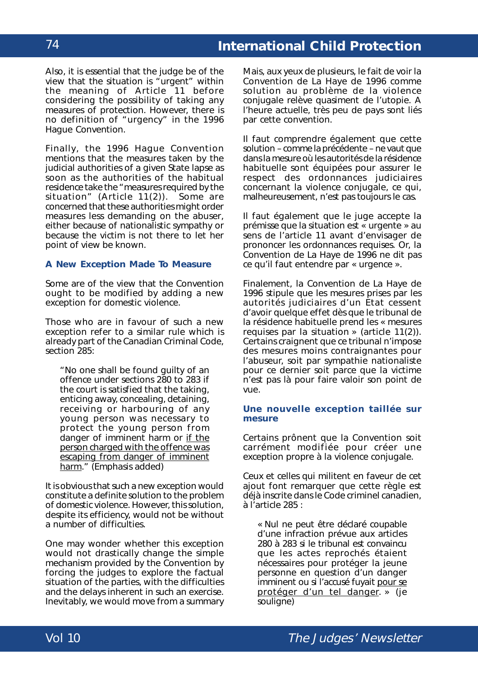Also, it is essential that the judge be of the view that the situation is "urgent" within the meaning of Article 11 before considering the possibility of taking any measures of protection. However, there is no definition of "urgency" in the 1996 Hague Convention.

Finally, the 1996 Hague Convention mentions that the measures taken by the judicial authorities of a given State lapse as soon as the authorities of the habitual residence take the "measures required by the situation" (Article 11(2)). Some are concerned that these authorities might order measures less demanding on the abuser, either because of nationalistic sympathy or because the victim is not there to let her point of view be known.

#### **A New Exception Made To Measure**

Some are of the view that the Convention ought to be modified by adding a new exception for domestic violence.

Those who are in favour of such a new exception refer to a similar rule which is already part of the Canadian Criminal Code, section 285:

"No one shall be found guilty of an offence under sections 280 to 283 if the court is satisfied that the taking, enticing away, concealing, detaining, receiving or harbouring of any young person was necessary to protect the young person from danger of imminent harm or if the person charged with the offence was escaping from danger of imminent harm." (Emphasis added)

It is obvious that such a new exception would constitute a definite solution to the problem of domestic violence. However, this solution, despite its efficiency, would not be without a number of difficulties.

One may wonder whether this exception would not drastically change the simple mechanism provided by the Convention by forcing the judges to explore the factual situation of the parties, with the difficulties and the delays inherent in such an exercise. Inevitably, we would move from a summary

Mais, aux yeux de plusieurs, le fait de voir la Convention de La Haye de 1996 comme solution au problème de la violence conjugale relève quasiment de l'utopie. A l'heure actuelle, très peu de pays sont liés par cette convention.

Il faut comprendre également que cette solution – comme la précédente – ne vaut que dans la mesure où les autorités de la résidence habituelle sont équipées pour assurer le respect des ordonnances judiciaires concernant la violence conjugale, ce qui, malheureusement, n'est pas toujours le cas.

Il faut également que le juge accepte la prémisse que la situation est « urgente » au sens de l'article 11 avant d'envisager de prononcer les ordonnances requises. Or, la Convention de La Haye de 1996 ne dit pas ce qu'il faut entendre par « urgence ».

Finalement, la Convention de La Haye de 1996 stipule que les mesures prises par les autorités judiciaires d'un Etat cessent d'avoir quelque effet dès que le tribunal de la résidence habituelle prend les « mesures requises par la situation » (article 11(2)). Certains craignent que ce tribunal n'impose des mesures moins contraignantes pour l'abuseur, soit par sympathie nationaliste pour ce dernier soit parce que la victime n'est pas là pour faire valoir son point de vue.

#### **Une nouvelle exception taillée sur mesure**

Certains prônent que la Convention soit carrément modifiée pour créer une exception propre à la violence conjugale.

Ceux et celles qui militent en faveur de cet ajout font remarquer que cette règle est déjà inscrite dans le Code criminel canadien, à l'article 285 :

« Nul ne peut être déclaré coupable d'une infraction prévue aux articles 280 à 283 si le tribunal est convaincu que les actes reprochés étaient nécessaires pour protéger la jeune personne en question d'un danger imminent ou si l'accusé fuyait pour se protéger d'un tel danger. » (je souligne)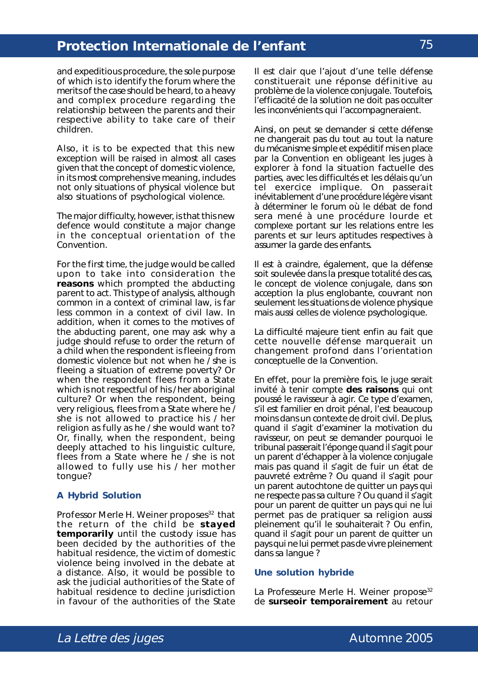and expeditious procedure, the sole purpose of which is to identify the forum where the merits of the case should be heard, to a heavy and complex procedure regarding the relationship between the parents and their respective ability to take care of their children.

Also, it is to be expected that this new exception will be raised in almost all cases given that the concept of domestic violence, in its most comprehensive meaning, includes not only situations of physical violence but also situations of psychological violence.

The major difficulty, however, is that this new defence would constitute a major change in the conceptual orientation of the Convention.

For the first time, the judge would be called upon to take into consideration the **reasons** which prompted the abducting parent to act. This type of analysis, although common in a context of criminal law, is far less common in a context of civil law. In addition, when it comes to the motives of the abducting parent, one may ask why a judge should refuse to order the return of a child when the respondent is fleeing from domestic violence but not when he  $\overline{I}$  she is fleeing a situation of extreme poverty? Or when the respondent flees from a State which is not respectful of his / her aboriginal culture? Or when the respondent, being very religious, flees from a State where he / she is not allowed to practice his / her religion as fully as he / she would want to? Or, finally, when the respondent, being deeply attached to his linguistic culture, flees from a State where he / she is not allowed to fully use his / her mother tongue?

#### **A Hybrid Solution**

Professor Merle H. Weiner proposes<sup>32</sup> that the return of the child be **stayed temporarily** until the custody issue has been decided by the authorities of the habitual residence, the victim of domestic violence being involved in the debate at a distance. Also, it would be possible to ask the judicial authorities of the State of habitual residence to decline jurisdiction in favour of the authorities of the State

Il est clair que l'ajout d'une telle défense constituerait une réponse définitive au problème de la violence conjugale. Toutefois, l'efficacité de la solution ne doit pas occulter les inconvénients qui l'accompagneraient.

Ainsi, on peut se demander si cette défense ne changerait pas du tout au tout la nature du mécanisme simple et expéditif mis en place par la Convention en obligeant les juges à explorer à fond la situation factuelle des parties, avec les difficultés et les délais qu'un tel exercice implique. On passerait inévitablement d'une procédure légère visant à déterminer le forum où le débat de fond sera mené à une procédure lourde et complexe portant sur les relations entre les parents et sur leurs aptitudes respectives à assumer la garde des enfants.

Il est à craindre, également, que la défense soit soulevée dans la presque totalité des cas, le concept de violence conjugale, dans son acception la plus englobante, couvrant non seulement les situations de violence physique mais aussi celles de violence psychologique.

La difficulté majeure tient enfin au fait que cette nouvelle défense marquerait un changement profond dans l'orientation conceptuelle de la Convention.

En effet, pour la première fois, le juge serait invité à tenir compte **des raisons** qui ont poussé le ravisseur à agir. Ce type d'examen, s'il est familier en droit pénal, l'est beaucoup moins dans un contexte de droit civil. De plus, quand il s'agit d'examiner la motivation du ravisseur, on peut se demander pourquoi le tribunal passerait l'éponge quand il s'agit pour un parent d'échapper à la violence conjugale mais pas quand il s'agit de fuir un état de pauvreté extrême ? Ou quand il s'agit pour un parent autochtone de quitter un pays qui ne respecte pas sa culture ? Ou quand il s'agit pour un parent de quitter un pays qui ne lui permet pas de pratiquer sa religion aussi pleinement qu'il le souhaiterait ? Ou enfin, quand il s'agit pour un parent de quitter un pays qui ne lui permet pas de vivre pleinement dans sa langue ?

#### **Une solution hybride**

La Professeure Merle H. Weiner propose<sup>32</sup> de **surseoir temporairement** au retour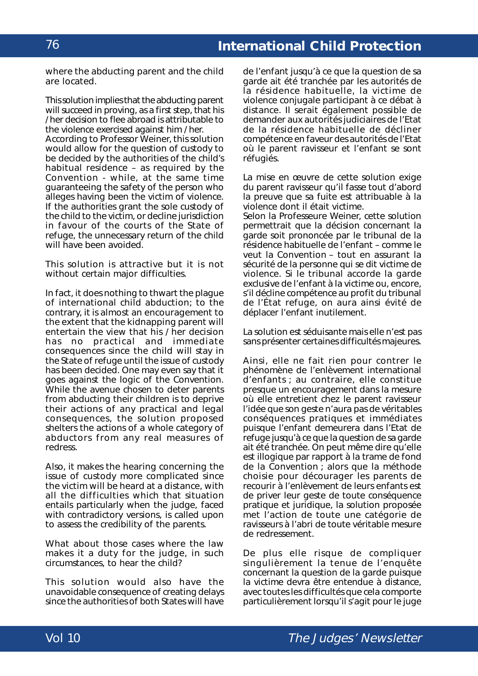# **International Child Protection**

where the abducting parent and the child are located.

This solution implies that the abducting parent will succeed in proving, as a first step, that his / her decision to flee abroad is attributable to the violence exercised against him / her. According to Professor Weiner, this solution would allow for the question of custody to be decided by the authorities of the child's habitual residence – as required by the Convention - while, at the same time guaranteeing the safety of the person who alleges having been the victim of violence. If the authorities grant the sole custody of the child to the victim, or decline jurisdiction in favour of the courts of the State of refuge, the unnecessary return of the child will have been avoided.

This solution is attractive but it is not without certain major difficulties.

In fact, it does nothing to thwart the plague of international child abduction; to the contrary, it is almost an encouragement to the extent that the kidnapping parent will entertain the view that his / her decision has no practical and immediate consequences since the child will stay in the State of refuge until the issue of custody has been decided. One may even say that it goes against the logic of the Convention. While the avenue chosen to deter parents from abducting their children is to deprive their actions of any practical and legal consequences, the solution proposed shelters the actions of a whole category of abductors from any real measures of redress.

Also, it makes the hearing concerning the issue of custody more complicated since the victim will be heard at a distance, with all the difficulties which that situation entails particularly when the judge, faced with contradictory versions, is called upon to assess the credibility of the parents.

What about those cases where the law makes it a duty for the judge, in such circumstances, to hear the child?

This solution would also have the unavoidable consequence of creating delays since the authorities of both States will have

de l'enfant jusqu'à ce que la question de sa garde ait été tranchée par les autorités de la résidence habituelle, la victime de violence conjugale participant à ce débat à distance. Il serait également possible de demander aux autorités judiciaires de l'Etat de la résidence habituelle de décliner compétence en faveur des autorités de l'Etat où le parent ravisseur et l'enfant se sont réfugiés.

La mise en œuvre de cette solution exige du parent ravisseur qu'il fasse tout d'abord la preuve que sa fuite est attribuable à la violence dont il était victime.

Selon la Professeure Weiner, cette solution permettrait que la décision concernant la garde soit prononcée par le tribunal de la résidence habituelle de l'enfant – comme le veut la Convention – tout en assurant la sécurité de la personne qui se dit victime de violence. Si le tribunal accorde la garde exclusive de l'enfant à la victime ou, encore, s'il décline compétence au profit du tribunal de l'État refuge, on aura ainsi évité de déplacer l'enfant inutilement.

La solution est séduisante mais elle n'est pas sans présenter certaines difficultés majeures.

Ainsi, elle ne fait rien pour contrer le phénomène de l'enlèvement international d'enfants ; au contraire, elle constitue presque un encouragement dans la mesure où elle entretient chez le parent ravisseur l'idée que son geste n'aura pas de véritables conséquences pratiques et immédiates puisque l'enfant demeurera dans l'Etat de refuge jusqu'à ce que la question de sa garde ait été tranchée. On peut même dire qu'elle est illogique par rapport à la trame de fond de la Convention ; alors que la méthode choisie pour décourager les parents de recourir à l'enlèvement de leurs enfants est de priver leur geste de toute conséquence pratique et juridique, la solution proposée met l'action de toute une catégorie de ravisseurs à l'abri de toute véritable mesure de redressement.

De plus elle risque de compliquer singulièrement la tenue de l'enquête concernant la question de la garde puisque la victime devra être entendue à distance, avec toutes les difficultés que cela comporte particulièrement lorsqu'il s'agit pour le juge

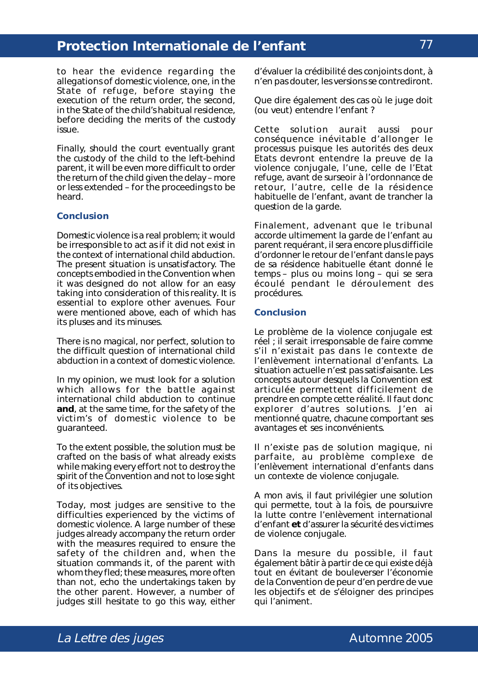to hear the evidence regarding the allegations of domestic violence, one, in the State of refuge, before staying the execution of the return order, the second, in the State of the child's habitual residence, before deciding the merits of the custody issue.

Finally, should the court eventually grant the custody of the child to the left-behind parent, it will be even more difficult to order the return of the child given the delay – more or less extended – for the proceedings to be heard.

#### **Conclusion**

Domestic violence is a real problem; it would be irresponsible to act as if it did not exist in the context of international child abduction. The present situation is unsatisfactory. The concepts embodied in the Convention when it was designed do not allow for an easy taking into consideration of this reality. It is essential to explore other avenues. Four were mentioned above, each of which has its pluses and its minuses.

There is no magical, nor perfect, solution to the difficult question of international child abduction in a context of domestic violence.

In my opinion, we must look for a solution which allows for the battle against international child abduction to continue **and**, at the same time, for the safety of the victim's of domestic violence to be guaranteed.

To the extent possible, the solution must be crafted on the basis of what already exists while making every effort not to destroy the spirit of the Convention and not to lose sight of its objectives.

Today, most judges are sensitive to the difficulties experienced by the victims of domestic violence. A large number of these judges already accompany the return order with the measures required to ensure the safety of the children and, when the situation commands it, of the parent with whom they fled; these measures, more often than not, echo the undertakings taken by the other parent. However, a number of judges still hesitate to go this way, either

d'évaluer la crédibilité des conjoints dont, à n'en pas douter, les versions se contrediront.

Que dire également des cas où le juge doit (ou veut) entendre l'enfant ?

Cette solution aurait aussi pour conséquence inévitable d'allonger le processus puisque les autorités des deux Etats devront entendre la preuve de la violence conjugale, l'une, celle de l'Etat refuge, avant de surseoir à l'ordonnance de retour, l'autre, celle de la résidence habituelle de l'enfant, avant de trancher la question de la garde.

Finalement, advenant que le tribunal accorde ultimement la garde de l'enfant au parent requérant, il sera encore plus difficile d'ordonner le retour de l'enfant dans le pays de sa résidence habituelle étant donné le temps – plus ou moins long – qui se sera écoulé pendant le déroulement des procédures.

#### **Conclusion**

Le problème de la violence conjugale est réel ; il serait irresponsable de faire comme s'il n'existait pas dans le contexte de l'enlèvement international d'enfants. La situation actuelle n'est pas satisfaisante. Les concepts autour desquels la Convention est articulée permettent difficilement de prendre en compte cette réalité. Il faut donc explorer d'autres solutions. J'en ai mentionné quatre, chacune comportant ses avantages et ses inconvénients.

Il n'existe pas de solution magique, ni parfaite, au problème complexe de l'enlèvement international d'enfants dans un contexte de violence conjugale.

A mon avis, il faut privilégier une solution qui permette, tout à la fois, de poursuivre la lutte contre l'enlèvement international d'enfant **et** d'assurer la sécurité des victimes de violence conjugale.

Dans la mesure du possible, il faut également bâtir à partir de ce qui existe déjà tout en évitant de bouleverser l'économie de la Convention de peur d'en perdre de vue les objectifs et de s'éloigner des principes qui l'animent.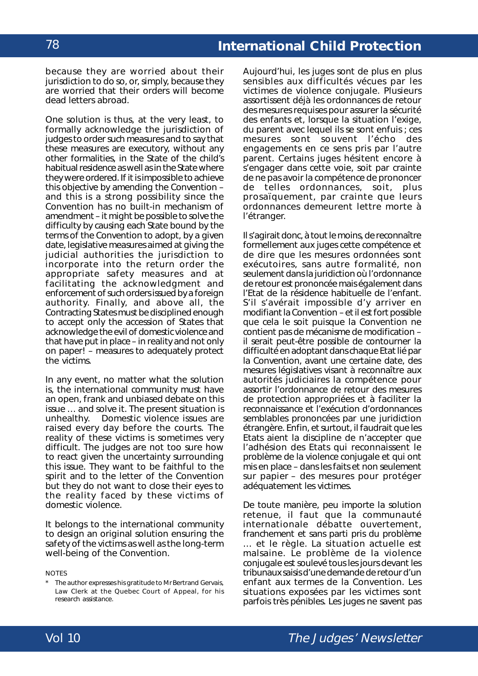because they are worried about their jurisdiction to do so, or, simply, because they are worried that their orders will become dead letters abroad.

One solution is thus, at the very least, to formally acknowledge the jurisdiction of judges to order such measures and to say that these measures are executory, without any other formalities, in the State of the child's habitual residence as well as in the State where they were ordered. If it is impossible to achieve this objective by amending the Convention – and this is a strong possibility since the Convention has no built-in mechanism of amendment – it might be possible to solve the difficulty by causing each State bound by the terms of the Convention to adopt, by a given date, legislative measures aimed at giving the judicial authorities the jurisdiction to incorporate into the return order the appropriate safety measures and at facilitating the acknowledgment and enforcement of such orders issued by a foreign authority. Finally, and above all, the Contracting States must be disciplined enough to accept only the accession of States that acknowledge the evil of domestic violence and that have put in place – in reality and not only on paper! – measures to adequately protect the victims.

In any event, no matter what the solution is, the international community must have an open, frank and unbiased debate on this issue … and solve it. The present situation is unhealthy. Domestic violence issues are raised every day before the courts. The reality of these victims is sometimes very difficult. The judges are not too sure how to react given the uncertainty surrounding this issue. They want to be faithful to the spirit and to the letter of the Convention but they do not want to close their eyes to the reality faced by these victims of domestic violence.

It belongs to the international community to design an original solution ensuring the safety of the victims as well as the long-term well-being of the Convention.

**NOTES** 

Aujourd'hui, les juges sont de plus en plus sensibles aux difficultés vécues par les victimes de violence conjugale. Plusieurs assortissent déjà les ordonnances de retour des mesures requises pour assurer la sécurité des enfants et, lorsque la situation l'exige, du parent avec lequel ils se sont enfuis ; ces mesures sont souvent l'écho des engagements en ce sens pris par l'autre parent. Certains juges hésitent encore à s'engager dans cette voie, soit par crainte de ne pas avoir la compétence de prononcer de telles ordonnances, soit, plus prosaïquement, par crainte que leurs ordonnances demeurent lettre morte à l'étranger.

Il s'agirait donc, à tout le moins, de reconnaître formellement aux juges cette compétence et de dire que les mesures ordonnées sont exécutoires, sans autre formalité, non seulement dans la juridiction où l'ordonnance de retour est prononcée mais également dans l'Etat de la résidence habituelle de l'enfant. S'il s'avérait impossible d'y arriver en modifiant la Convention – et il est fort possible que cela le soit puisque la Convention ne contient pas de mécanisme de modification – il serait peut-être possible de contourner la difficulté en adoptant dans chaque Etat lié par la Convention, avant une certaine date, des mesures législatives visant à reconnaître aux autorités judiciaires la compétence pour assortir l'ordonnance de retour des mesures de protection appropriées et à faciliter la reconnaissance et l'exécution d'ordonnances semblables prononcées par une juridiction étrangère. Enfin, et surtout, il faudrait que les Etats aient la discipline de n'accepter que l'adhésion des Etats qui reconnaissent le problème de la violence conjugale et qui ont mis en place – dans les faits et non seulement sur papier – des mesures pour protéger adéquatement les victimes.

De toute manière, peu importe la solution retenue, il faut que la communauté internationale débatte ouvertement, franchement et sans parti pris du problème … et le règle. La situation actuelle est malsaine. Le problème de la violence conjugale est soulevé tous les jours devant les tribunaux saisis d'une demande de retour d'un enfant aux termes de la Convention. Les situations exposées par les victimes sont parfois très pénibles. Les juges ne savent pas



<sup>\*</sup> The author expresses his gratitude to MrBertrand Gervais, Law Clerk at the Quebec Court of Appeal, for his research assistance.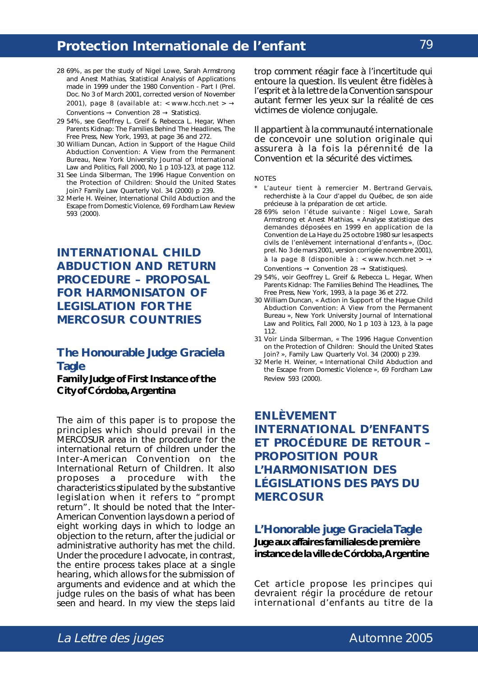- 28 69%, as per the study of Nigel Lowe, Sarah Armstrong and Anest Mathias, *Statistical Analysis of Applications made in 1999 under the 1980 Convention - Part I (Prel. Doc. No 3 of March 2001, corrected version of November* 2001), page 8 (available at: < www.hcch.net >  $\rightarrow$ Conventions  $\rightarrow$  Convention 28  $\rightarrow$  Statistics).
- 29 54%, *see* Geoffrey L. Greif & Rebecca L. Hegar, When Parents Kidnap: The Families Behind The Headlines, *The Free Press*, New York, 1993, at page 36 and 272.
- 30 William Duncan, Action in Support of the Hague Child Abduction Convention: A View from the Permanent Bureau, *New York University Journal of International Law and Politics*, Fall 2000, No 1 p 103-123, at page 112.
- 31 *See* Linda Silberman, The 1996 Hague Convention on the Protection of Children: Should the United States Join? *Family Law Quarterly* Vol. 34 (2000) p 239.
- 32 Merle H. Weiner, International Child Abduction and the Escape from Domestic Violence, 69 Fordham Law Review 593 (2000).

# **INTERNATIONAL CHILD ABDUCTION AND RETURN PROCEDURE – PROPOSAL FOR HARMONISATON OF LEGISLATION FOR THE MERCOSUR COUNTRIES**

### **The Honourable Judge Graciela Tagle**

**Family Judge of First Instance of the City of Córdoba, Argentina**

The aim of this paper is to propose the principles which should prevail in the MERCOSUR area in the procedure for the international return of children under the *Inter-American Convention on the International Return of Children*. It also proposes a procedure with the characteristics stipulated by the substantive legislation when it refers to "prompt return". It should be noted that the Inter-American Convention lays down a period of eight working days in which to lodge an objection to the return, after the judicial or administrative authority has met the child. Under the procedure I advocate, in contrast, the entire process takes place at a single hearing, which allows for the submission of arguments and evidence and at which the judge rules on the basis of what has been seen and heard. In my view the steps laid

trop comment réagir face à l'incertitude qui entoure la question. Ils veulent être fidèles à l'esprit et à la lettre de la Convention sans pour autant fermer les yeux sur la réalité de ces victimes de violence conjugale.

Il appartient à la communauté internationale de concevoir une solution originale qui assurera à la fois la pérennité de la Convention et la sécurité des victimes.

#### **NOTES**

- \* L'auteur tient à remercier M. Bertrand Gervais, recherchiste à la Cour d'appel du Québec, de son aide précieuse à la préparation de cet article.
- 28 69% selon l'étude suivante : Nigel Lowe, Sarah Armstrong et Anest Mathias, « Analyse statistique des demandes déposées en 1999 en application de la *Convention de La Haye du 25 octobre 1980 sur les aspects civils de l'enlèvement international d'enfants* », (Doc. prel. No 3 de mars 2001, version corrigée novembre 2001), à la page 8 (disponible à : < www.hcch.net >  $\rightarrow$ Conventions  $\rightarrow$  Convention 28  $\rightarrow$  Statistiques).
- 29 54%, *voir* Geoffrey L. Greif & Rebecca L. Hegar, *When Parents Kidnap: The Families Behind The Headlines*, *The Free Press, New York*, 1993, à la page 36 et 272.
- 30 William Duncan, « *Action in Support of the Hague Child Abduction Convention: A View from the Permanent Bureau* », *New York University Journal of International Law and Politics*, *Fall* 2000, No 1 p 103 à 123, à la page 112.
- 31 *Voir* Linda Silberman, « *The 1996 Hague Convention on the Protection of Children: Should the United States Join?* », *Family Law Quarterly Vol.* 34 (2000) p 239.
- 32 Merle H. Weiner, « *International Child Abduction and the Escape from Domestic Violence* », 69 *Fordham Law Review* 593 (2000).

# **ENLÈVEMENT INTERNATIONAL D'ENFANTS ET PROCÉDURE DE RETOUR – PROPOSITION POUR L'HARMONISATION DES LÉGISLATIONS DES PAYS DU MERCOSUR**

### **L'Honorable juge Graciela Tagle Juge aux affaires familiales de première instance de la ville de Córdoba, Argentine**

Cet article propose les principes qui devraient régir la procédure de retour international d'enfants au titre de la

# La Lettre des juges and the settlement of the Automne 2005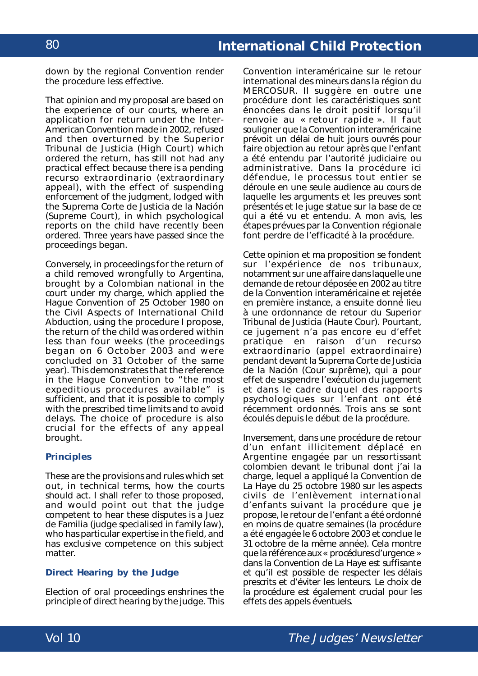# **International Child Protection**

down by the regional Convention render the procedure less effective.

That opinion and my proposal are based on the experience of our courts, where an application for return under the Inter-American Convention made in 2002, refused and then overturned by the *Superior Tribunal de Justicia* (High Court) which ordered the return, has still not had any practical effect because there is a pending *recurso extraordinario* (extraordinary appeal), with the effect of suspending enforcement of the judgment, lodged with the *Suprema Corte de Justicia de la Nación* (Supreme Court), in which psychological reports on the child have recently been ordered. Three years have passed since the proceedings began.

Conversely, in proceedings for the return of a child removed wrongfully to Argentina, brought by a Colombian national in the court under my charge, which applied the *Hague Convention of 25 October 1980 on the Civil Aspects of International Child Abduction*, using the procedure I propose, the return of the child was ordered within less than four weeks (the proceedings began on 6 October 2003 and were concluded on 31 October of the same year). This demonstrates that the reference in the Hague Convention to "the most expeditious procedures available" is sufficient, and that it is possible to comply with the prescribed time limits and to avoid delays. The choice of procedure is also crucial for the effects of any appeal brought.

#### **Principles**

These are the provisions and rules which set out, in technical terms, how the courts should act. I shall refer to those proposed, and would point out that the judge competent to hear these disputes is a *Juez* de Familia (judge specialised in family law), who has particular expertise in the field, and has exclusive competence on this subject matter.

#### **Direct Hearing by the Judge**

Election of oral proceedings enshrines the principle of direct hearing by the judge. This

*Convention interaméricaine sur le retour international des mineurs* dans la région du MERCOSUR. Il suggère en outre une procédure dont les caractéristiques sont énoncées dans le droit positif lorsqu'il renvoie au « retour rapide ». Il faut souligner que la Convention interaméricaine prévoit un délai de huit jours ouvrés pour faire objection au retour après que l'enfant a été entendu par l'autorité judiciaire ou administrative. Dans la procédure ici défendue, le processus tout entier se déroule en une seule audience au cours de laquelle les arguments et les preuves sont présentés et le juge statue sur la base de ce qui a été vu et entendu. A mon avis, les étapes prévues par la Convention régionale font perdre de l'efficacité à la procédure.

Cette opinion et ma proposition se fondent sur l'expérience de nos tribunaux, notamment sur une affaire dans laquelle une demande de retour déposée en 2002 au titre de la Convention interaméricaine et rejetée en première instance, a ensuite donné lieu à une ordonnance de retour du *Superior Tribunal de Justicia* (Haute Cour). Pourtant, ce jugement n'a pas encore eu d'effet pratique en raison d'un *recurso extraordinario* (appel extraordinaire) pendant devant la *Suprema Corte de Justicia de la Nación* (Cour suprême), qui a pour effet de suspendre l'exécution du jugement et dans le cadre duquel des rapports psychologiques sur l'enfant ont été récemment ordonnés. Trois ans se sont écoulés depuis le début de la procédure.

Inversement, dans une procédure de retour d'un enfant illicitement déplacé en Argentine engagée par un ressortissant colombien devant le tribunal dont j'ai la charge, lequel a appliqué la *Convention de La Haye du 25 octobre 1980 sur les aspects civils de l'enlèvement international d'enfants* suivant la procédure que je propose, le retour de l'enfant a été ordonné en moins de quatre semaines (la procédure a été engagée le 6 octobre 2003 et conclue le 31 octobre de la même année). Cela montre que la référence aux « procédures d'urgence » dans la Convention de La Haye est suffisante et qu'il est possible de respecter les délais prescrits et d'éviter les lenteurs. Le choix de la procédure est également crucial pour les effets des appels éventuels.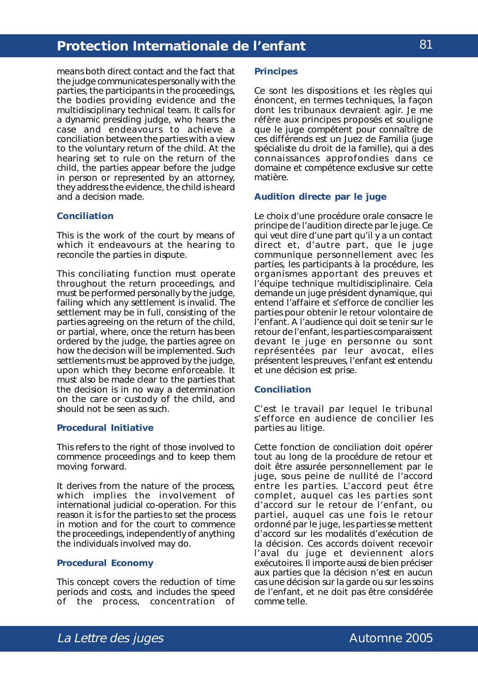means both direct contact and the fact that the judge communicates personally with the parties, the participants in the proceedings, the bodies providing evidence and the multidisciplinary technical team. It calls for a dynamic presiding judge, who hears the case and endeavours to achieve a conciliation between the parties with a view to the voluntary return of the child. At the hearing set to rule on the return of the child, the parties appear before the judge in person or represented by an attorney, they address the evidence, the child is heard and a decision made.

#### **Conciliation**

This is the work of the court by means of which it endeavours at the hearing to reconcile the parties in dispute.

This conciliating function must operate throughout the return proceedings, and must be performed personally by the judge, failing which any settlement is invalid. The settlement may be in full, consisting of the parties agreeing on the return of the child, or partial, where, once the return has been ordered by the judge, the parties agree on how the decision will be implemented. Such settlements must be approved by the judge, upon which they become enforceable. It must also be made clear to the parties that the decision is in no way a determination on the care or custody of the child, and should not be seen as such.

#### **Procedural Initiative**

This refers to the right of those involved to commence proceedings and to keep them moving forward.

It derives from the nature of the process, which implies the involvement of international judicial co-operation. For this reason it is for the parties to set the process in motion and for the court to commence the proceedings, independently of anything the individuals involved may do.

#### **Procedural Economy**

This concept covers the reduction of time periods and costs, and includes the speed of the process, concentration of

#### **Principes**

Ce sont les dispositions et les règles qui énoncent, en termes techniques, la façon dont les tribunaux devraient agir. Je me réfère aux principes proposés et souligne que le juge compétent pour connaître de ces différends est un *Juez de Familia* (juge spécialiste du droit de la famille), qui a des connaissances approfondies dans ce domaine et compétence exclusive sur cette matière.

#### **Audition directe par le juge**

Le choix d'une procédure orale consacre le principe de l'audition directe par le juge. Ce qui veut dire d'une part qu'il y a un contact direct et, d'autre part, que le juge communique personnellement avec les parties, les participants à la procédure, les organismes apportant des preuves et l'équipe technique multidisciplinaire. Cela demande un juge président dynamique, qui entend l'affaire et s'efforce de concilier les parties pour obtenir le retour volontaire de l'enfant. A l'audience qui doit se tenir sur le retour de l'enfant, les parties comparaissent devant le juge en personne ou sont représentées par leur avocat, elles présentent les preuves, l'enfant est entendu et une décision est prise.

#### **Conciliation**

C'est le travail par lequel le tribunal s'efforce en audience de concilier les parties au litige.

Cette fonction de conciliation doit opérer tout au long de la procédure de retour et doit être assurée personnellement par le juge, sous peine de nullité de l'accord entre les parties. L'accord peut être complet, auquel cas les parties sont d'accord sur le retour de l'enfant, ou partiel, auquel cas une fois le retour ordonné par le juge, les parties se mettent d'accord sur les modalités d'exécution de la décision. Ces accords doivent recevoir l'aval du juge et deviennent alors exécutoires. Il importe aussi de bien préciser aux parties que la décision n'est en aucun cas une décision sur la garde ou sur les soins de l'enfant, et ne doit pas être considérée comme telle.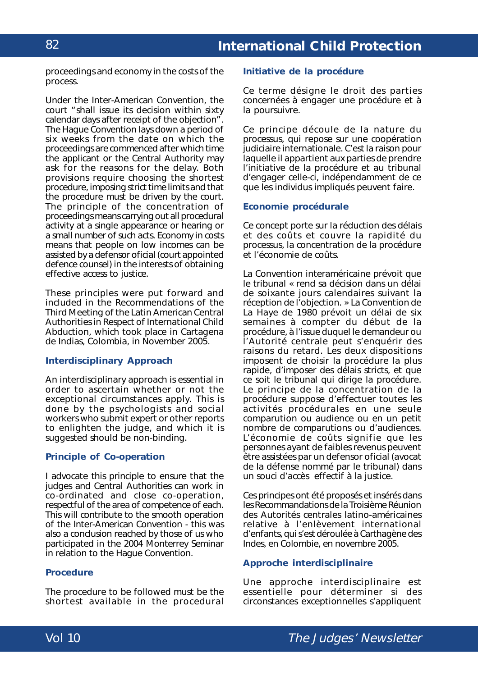proceedings and economy in the costs of the process.

Under the Inter-American Convention, the court "shall issue its decision within sixty calendar days after receipt of the objection". The Hague Convention lays down a period of six weeks from the date on which the proceedings are commenced after which time the applicant or the Central Authority may ask for the reasons for the delay. Both provisions require choosing the shortest procedure, imposing strict time limits and that the procedure must be driven by the court. The principle of the concentration of proceedings means carrying out all procedural activity at a single appearance or hearing or a small number of such acts. Economy in costs means that people on low incomes can be assisted by a *defensor oficial* (court appointed defence counsel) in the interests of obtaining effective access to justice.

These principles were put forward and included in the Recommendations of the Third Meeting of the Latin American Central Authorities in Respect of International Child Abduction, which took place in Cartagena de Indias, Colombia, in November 2005.

#### **Interdisciplinary Approach**

An interdisciplinary approach is essential in order to ascertain whether or not the exceptional circumstances apply. This is done by the psychologists and social workers who submit expert or other reports to enlighten the judge, and which it is suggested should be non-binding.

#### **Principle of Co-operation**

I advocate this principle to ensure that the judges and Central Authorities can work in co-ordinated and close co-operation, respectful of the area of competence of each. This will contribute to the smooth operation of the Inter-American Convention - this was also a conclusion reached by those of us who participated in the 2004 Monterrey Seminar in relation to the Hague Convention.

#### **Procedure**

The procedure to be followed must be the shortest available in the procedural

#### **Initiative de la procédure**

Ce terme désigne le droit des parties concernées à engager une procédure et à la poursuivre.

Ce principe découle de la nature du processus, qui repose sur une coopération judiciaire internationale. C'est la raison pour laquelle il appartient aux parties de prendre l'initiative de la procédure et au tribunal d'engager celle-ci, indépendamment de ce que les individus impliqués peuvent faire.

#### **Economie procédurale**

Ce concept porte sur la réduction des délais et des coûts et couvre la rapidité du processus, la concentration de la procédure et l'économie de coûts.

La Convention interaméricaine prévoit que le tribunal « rend sa décision dans un délai de soixante jours calendaires suivant la réception de l'objection. » La Convention de La Haye de 1980 prévoit un délai de six semaines à compter du début de la procédure, à l'issue duquel le demandeur ou l'Autorité centrale peut s'enquérir des raisons du retard. Les deux dispositions imposent de choisir la procédure la plus rapide, d'imposer des délais stricts, et que ce soit le tribunal qui dirige la procédure. Le principe de la concentration de la procédure suppose d'effectuer toutes les activités procédurales en une seule comparution ou audience ou en un petit nombre de comparutions ou d'audiences. L'économie de coûts signifie que les personnes ayant de faibles revenus peuvent être assistées par un *defensor oficial* (avocat de la défense nommé par le tribunal) dans un souci d'accès effectif à la justice.

Ces principes ont été proposés et insérés dans les Recommandations de la Troisième Réunion des Autorités centrales latino-américaines relative à l'enlèvement international d'enfants, qui s'est déroulée à Carthagène des Indes, en Colombie, en novembre 2005.

#### **Approche interdisciplinaire**

Une approche interdisciplinaire est essentielle pour déterminer si des circonstances exceptionnelles s'appliquent

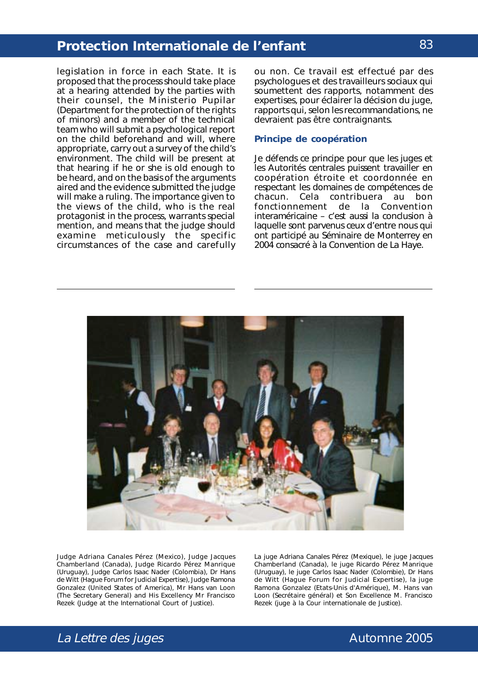legislation in force in each State. It is proposed that the process should take place at a hearing attended by the parties with their counsel, the *Ministerio Pupilar* (Department for the protection of the rights of minors) and a member of the technical team who will submit a psychological report on the child beforehand and will, where appropriate, carry out a survey of the child's environment. The child will be present at that hearing if he or she is old enough to be heard, and on the basis of the arguments aired and the evidence submitted the judge will make a ruling. The importance given to the views of the child, who is the real protagonist in the process, warrants special mention, and means that the judge should examine meticulously the specific circumstances of the case and carefully

ou non. Ce travail est effectué par des psychologues et des travailleurs sociaux qui soumettent des rapports, notamment des expertises, pour éclairer la décision du juge, rapports qui, selon les recommandations, ne devraient pas être contraignants.

#### **Principe de coopération**

Je défends ce principe pour que les juges et les Autorités centrales puissent travailler en coopération étroite et coordonnée en respectant les domaines de compétences de chacun. Cela contribuera au bon fonctionnement de la Convention interaméricaine – c'est aussi la conclusion à laquelle sont parvenus ceux d'entre nous qui ont participé au Séminaire de Monterrey en 2004 consacré à la Convention de La Haye.



Judge Adriana Canales Pérez (Mexico), Judge Jacques Chamberland (Canada), Judge Ricardo Pérez Manrique (Uruguay), Judge Carlos Isaac Nader (Colombia), Dr Hans de Witt (Hague Forum for Judicial Expertise), Judge Ramona Gonzalez (United States of America), Mr Hans van Loon (The Secretary General) and His Excellency Mr Francisco Rezek (Judge at the International Court of Justice).

La juge Adriana Canales Pérez (Mexique), le juge Jacques Chamberland (Canada), le juge Ricardo Pérez Manrique (Uruguay), le juge Carlos Isaac Nader (Colombie), Dr Hans de Witt (*Hague Forum for Judicial Expertise*), la juge Ramona Gonzalez (Etats-Unis d'Amérique), M. Hans van Loon (Secrétaire général) et Son Excellence M. Francisco Rezek (juge à la Cour internationale de Justice).

### 83

# La Lettre des juges and the settlement of the Automne 2005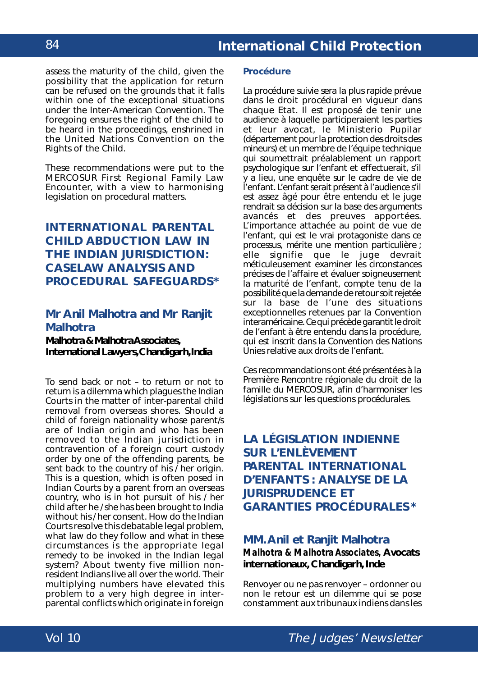assess the maturity of the child, given the possibility that the application for return can be refused on the grounds that it falls within one of the exceptional situations under the Inter-American Convention. The foregoing ensures the right of the child to be heard in the proceedings, enshrined in the *United Nations Convention on the Rights of the Child*.

These recommendations were put to the MERCOSUR First Regional Family Law Encounter, with a view to harmonising legislation on procedural matters.

# **INTERNATIONAL PARENTAL CHILD ABDUCTION LAW IN THE INDIAN JURISDICTION: CASELAW ANALYSIS AND PROCEDURAL SAFEGUARDS\***

### **Mr Anil Malhotra and Mr Ranjit Malhotra**

**Malhotra & Malhotra Associates, International Lawyers, Chandigarh, India**

To send back or not – to return or not to return is a dilemma which plagues the Indian Courts in the matter of inter-parental child removal from overseas shores. Should a child of foreign nationality whose parent/s are of Indian origin and who has been removed to the Indian jurisdiction in contravention of a foreign court custody order by one of the offending parents, be sent back to the country of his / her origin. This is a question, which is often posed in Indian Courts by a parent from an overseas country, who is in hot pursuit of his / her child after he / she has been brought to India without his / her consent. How do the Indian Courts resolve this debatable legal problem, what law do they follow and what in these circumstances is the appropriate legal remedy to be invoked in the Indian legal system? About twenty five million nonresident Indians live all over the world. Their multiplying numbers have elevated this problem to a very high degree in interparental conflicts which originate in foreign

#### **Procédure**

La procédure suivie sera la plus rapide prévue dans le droit procédural en vigueur dans chaque Etat. Il est proposé de tenir une audience à laquelle participeraient les parties et leur avocat, le *Ministerio Pupilar* (département pour la protection des droits des mineurs) et un membre de l'équipe technique qui soumettrait préalablement un rapport psychologique sur l'enfant et effectuerait, s'il y a lieu, une enquête sur le cadre de vie de l'enfant. L'enfant serait présent à l'audience s'il est assez âgé pour être entendu et le juge rendrait sa décision sur la base des arguments avancés et des preuves apportées. L'importance attachée au point de vue de l'enfant, qui est le vrai protagoniste dans ce processus, mérite une mention particulière ; elle signifie que le juge devrait méticuleusement examiner les circonstances précises de l'affaire et évaluer soigneusement la maturité de l'enfant, compte tenu de la possibilité que la demande de retour soit rejetée sur la base de l'une des situations exceptionnelles retenues par la Convention interaméricaine. Ce qui précède garantit le droit de l'enfant à être entendu dans la procédure, qui est inscrit dans la *Convention des Nations Unies relative aux droits de l'enfant.*

Ces recommandations ont été présentées à la Première Rencontre régionale du droit de la famille du MERCOSUR, afin d'harmoniser les législations sur les questions procédurales.

# **LA LÉGISLATION INDIENNE SUR L'ENLÈVEMENT PARENTAL INTERNATIONAL D'ENFANTS : ANALYSE DE LA JURISPRUDENCE ET GARANTIES PROCÉDURALES\***

### **MM. Anil et Ranjit Malhotra** *Malhotra & Malhotra Associates,* **Avocats internationaux, Chandigarh, Inde**

Renvoyer ou ne pas renvoyer – ordonner ou non le retour est un dilemme qui se pose constamment aux tribunaux indiens dans les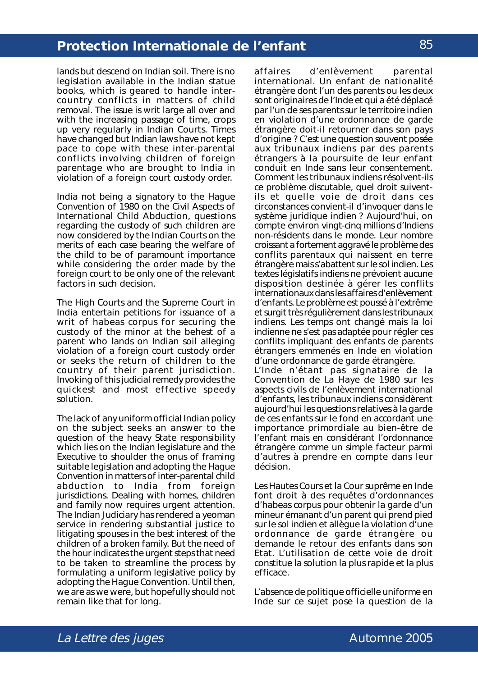lands but descend on Indian soil. There is no legislation available in the Indian statue books, which is geared to handle intercountry conflicts in matters of child removal. The issue is writ large all over and with the increasing passage of time, crops up very regularly in Indian Courts. Times have changed but Indian laws have not kept pace to cope with these inter-parental conflicts involving children of foreign parentage who are brought to India in violation of a foreign court custody order.

India not being a signatory to the *Hague Convention of 1980 on the Civil Aspects of International Child Abduction*, questions regarding the custody of such children are now considered by the Indian Courts on the merits of each case bearing the welfare of the child to be of paramount importance while considering the order made by the foreign court to be only one of the relevant factors in such decision.

The High Courts and the Supreme Court in India entertain petitions for issuance of a writ of *habeas corpus* for securing the custody of the minor at the behest of a parent who lands on Indian soil alleging violation of a foreign court custody order or seeks the return of children to the country of their parent jurisdiction. Invoking of this judicial remedy provides the quickest and most effective speedy solution.

The lack of any uniform official Indian policy on the subject seeks an answer to the question of the heavy State responsibility which lies on the Indian legislature and the Executive to shoulder the onus of framing suitable legislation and adopting the Hague Convention in matters of inter-parental child abduction to India from foreign jurisdictions. Dealing with homes, children and family now requires urgent attention. The Indian Judiciary has rendered a yeoman service in rendering substantial justice to litigating spouses in the best interest of the children of a broken family. But the need of the hour indicates the urgent steps that need to be taken to streamline the process by formulating a uniform legislative policy by adopting the Hague Convention. Until then, we are as we were, but hopefully should not remain like that for long.

affaires d'enlèvement parental international. Un enfant de nationalité étrangère dont l'un des parents ou les deux sont originaires de l'Inde et qui a été déplacé par l'un de ses parents sur le territoire indien en violation d'une ordonnance de garde étrangère doit-il retourner dans son pays d'origine ? C'est une question souvent posée aux tribunaux indiens par des parents étrangers à la poursuite de leur enfant conduit en Inde sans leur consentement. Comment les tribunaux indiens résolvent-ils ce problème discutable, quel droit suiventils et quelle voie de droit dans ces circonstances convient-il d'invoquer dans le système juridique indien ? Aujourd'hui, on compte environ vingt-cinq millions d'Indiens non-résidents dans le monde. Leur nombre croissant a fortement aggravé le problème des conflits parentaux qui naissent en terre étrangère mais s'abattent sur le sol indien. Les textes législatifs indiens ne prévoient aucune disposition destinée à gérer les conflits internationaux dans les affaires d'enlèvement d'enfants. Le problème est poussé à l'extrême et surgit très régulièrement dans les tribunaux indiens. Les temps ont changé mais la loi indienne ne s'est pas adaptée pour régler ces conflits impliquant des enfants de parents étrangers emmenés en Inde en violation d'une ordonnance de garde étrangère.

L'Inde n'étant pas signataire de la *Convention de La Haye de 1980 sur les aspects civils de l'enlèvement international d'enfants*, les tribunaux indiens considèrent aujourd'hui les questions relatives à la garde de ces enfants sur le fond en accordant une importance primordiale au bien-être de l'enfant mais en considérant l'ordonnance étrangère comme un simple facteur parmi d'autres à prendre en compte dans leur décision.

Les Hautes Cours et la Cour suprême en Inde font droit à des requêtes d'ordonnances d'habeas corpus pour obtenir la garde d'un mineur émanant d'un parent qui prend pied sur le sol indien et allègue la violation d'une ordonnance de garde étrangère ou demande le retour des enfants dans son Etat. L'utilisation de cette voie de droit constitue la solution la plus rapide et la plus efficace.

L'absence de politique officielle uniforme en Inde sur ce sujet pose la question de la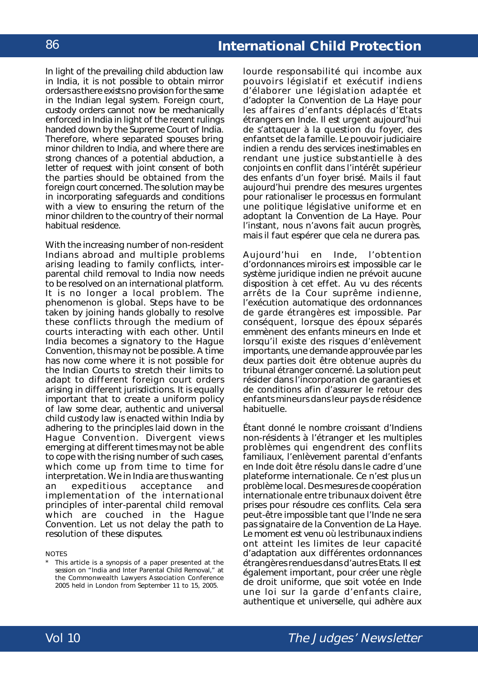In light of the prevailing child abduction law in India, it is not possible to obtain mirror orders as there exists no provision for the same in the Indian legal system. Foreign court, custody orders cannot now be mechanically enforced in India in light of the recent rulings handed down by the Supreme Court of India. Therefore, where separated spouses bring minor children to India, and where there are strong chances of a potential abduction, a letter of request with joint consent of both the parties should be obtained from the foreign court concerned. The solution may be in incorporating safeguards and conditions with a view to ensuring the return of the minor children to the country of their normal habitual residence.

With the increasing number of non-resident Indians abroad and multiple problems arising leading to family conflicts, interparental child removal to India now needs to be resolved on an international platform. It is no longer a local problem. The phenomenon is global. Steps have to be taken by joining hands globally to resolve these conflicts through the medium of courts interacting with each other. Until India becomes a signatory to the Hague Convention, this may not be possible. A time has now come where it is not possible for the Indian Courts to stretch their limits to adapt to different foreign court orders arising in different jurisdictions. It is equally important that to create a uniform policy of law some clear, authentic and universal child custody law is enacted within India by adhering to the principles laid down in the Hague Convention. Divergent views emerging at different times may not be able to cope with the rising number of such cases, which come up from time to time for interpretation. We in India are thus wanting an expeditious acceptance and implementation of the international principles of inter-parental child removal which are couched in the Hague Convention. Let us not delay the path to resolution of these disputes.

#### **NOTES**

This article is a synopsis of a paper presented at the session on "India and Inter Parental Child Removal," at the Commonwealth Lawyers Association Conference 2005 held in London from September 11 to 15, 2005.

lourde responsabilité qui incombe aux pouvoirs législatif et exécutif indiens d'élaborer une législation adaptée et d'adopter la Convention de La Haye pour les affaires d'enfants déplacés d'Etats étrangers en Inde. Il est urgent aujourd'hui de s'attaquer à la question du foyer, des enfants et de la famille. Le pouvoir judiciaire indien a rendu des services inestimables en rendant une justice substantielle à des conjoints en conflit dans l'intérêt supérieur des enfants d'un foyer brisé. Mails il faut aujourd'hui prendre des mesures urgentes pour rationaliser le processus en formulant une politique législative uniforme et en adoptant la Convention de La Haye. Pour l'instant, nous n'avons fait aucun progrès, mais il faut espérer que cela ne durera pas.

Aujourd'hui en Inde, l'obtention d'ordonnances miroirs est impossible car le système juridique indien ne prévoit aucune disposition à cet effet. Au vu des récents arrêts de la Cour suprême indienne, l'exécution automatique des ordonnances de garde étrangères est impossible. Par conséquent, lorsque des époux séparés emmènent des enfants mineurs en Inde et lorsqu'il existe des risques d'enlèvement importants, une demande approuvée par les deux parties doit être obtenue auprès du tribunal étranger concerné. La solution peut résider dans l'incorporation de garanties et de conditions afin d'assurer le retour des enfants mineurs dans leur pays de résidence habituelle.

Étant donné le nombre croissant d'Indiens non-résidents à l'étranger et les multiples problèmes qui engendrent des conflits familiaux, l'enlèvement parental d'enfants en Inde doit être résolu dans le cadre d'une plateforme internationale. Ce n'est plus un problème local. Des mesures de coopération internationale entre tribunaux doivent être prises pour résoudre ces conflits. Cela sera peut-être impossible tant que l'Inde ne sera pas signataire de la Convention de La Haye. Le moment est venu où les tribunaux indiens ont atteint les limites de leur capacité d'adaptation aux différentes ordonnances étrangères rendues dans d'autres Etats. Il est également important, pour créer une règle de droit uniforme, que soit votée en Inde une loi sur la garde d'enfants claire, authentique et universelle, qui adhère aux

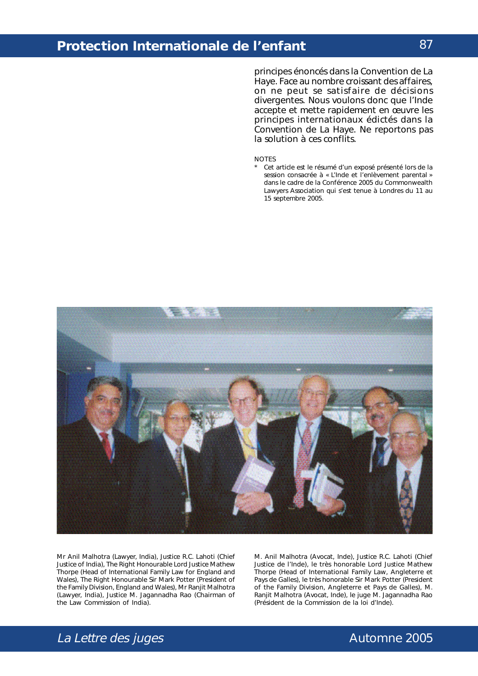principes énoncés dans la Convention de La Haye. Face au nombre croissant des affaires, on ne peut se satisfaire de décisions divergentes. Nous voulons donc que l'Inde accepte et mette rapidement en œuvre les principes internationaux édictés dans la Convention de La Haye. Ne reportons pas la solution à ces conflits.

#### NOTES

Cet article est le résumé d'un exposé présenté lors de la session consacrée à « L'Inde et l'enlèvement parental » dans le cadre de la Conférence 2005 du *Commonwealth Lawyers Association* qui s'est tenue à Londres du 11 au 15 septembre 2005.



Mr Anil Malhotra (Lawyer, India), Justice R.C. Lahoti (Chief Justice of India), The Right Honourable Lord Justice Mathew Thorpe (Head of International Family Law for England and Wales), The Right Honourable Sir Mark Potter (President of the Family Division, England and Wales), Mr Ranjit Malhotra (Lawyer, India), Justice M. Jagannadha Rao (Chairman of the Law Commission of India).

M. Anil Malhotra (Avocat, Inde), Justice R.C. Lahoti (*Chief Justice* de l'Inde), le très honorable *Lord Justice* Mathew Thorpe (*Head of International Family Law*, Angleterre et Pays de Galles), le très honorable Sir Mark Potter (*President of the Family Division*, Angleterre et Pays de Galles), M. Ranjit Malhotra (Avocat, Inde), le juge M. Jagannadha Rao (Président de la Commission de la loi d'Inde).

### 87

# La Lettre des juges and the settle and the control of the Automne 2005

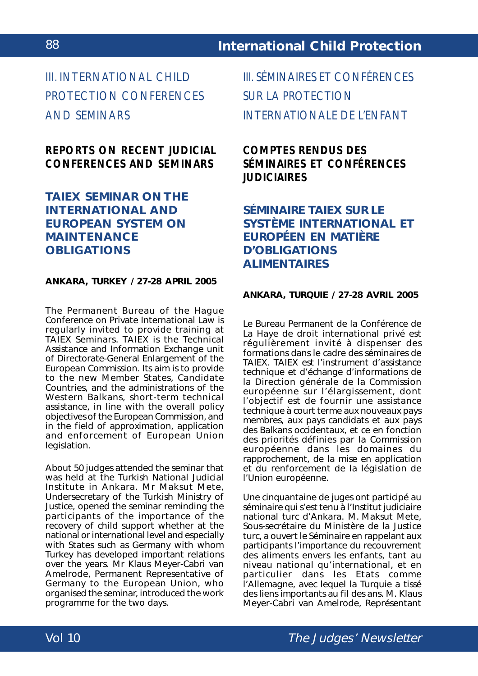III. INTERNATIONAL CHILD PROTECTION CONFERENCES AND SEMINARS

# *REPORTS ON RECENT JUDICIAL CONFERENCES AND SEMINARS*

### **TAIEX SEMINAR ON THE INTERNATIONAL AND EUROPEAN SYSTEM ON MAINTENANCE OBLIGATIONS**

#### **ANKARA, TURKEY / 27-28 APRIL 2005**

The Permanent Bureau of the Hague Conference on Private International Law is regularly invited to provide training at TAIEX Seminars. TAIEX is the Technical Assistance and Information Exchange unit of Directorate-General Enlargement of the European Commission. Its aim is to provide to the new Member States, Candidate Countries, and the administrations of the Western Balkans, short-term technical assistance, in line with the overall policy objectives of the European Commission, and in the field of approximation, application and enforcement of European Union legislation.

About 50 judges attended the seminar that was held at the Turkish National Judicial Institute in Ankara. Mr Maksut Mete, Undersecretary of the Turkish Ministry of Justice, opened the seminar reminding the participants of the importance of the recovery of child support whether at the national or international level and especially with States such as Germany with whom Turkey has developed important relations over the years. Mr Klaus Meyer-Cabri van Amelrode, Permanent Representative of Germany to the European Union, who organised the seminar, introduced the work programme for the two days.

III. SÉMINAIRES ET CONFÉRENCES SUR LA PROTECTION INTERNATIONALE DE L'ENFANT

# *COMPTES RENDUS DES SÉMINAIRES ET CONFÉRENCES JUDICIAIRES*

# **SÉMINAIRE TAIEX SUR LE SYSTÈME INTERNATIONAL ET EUROPÉEN EN MATIÈRE D'OBLIGATIONS ALIMENTAIRES**

### **ANKARA, TURQUIE / 27-28 AVRIL 2005**

Le Bureau Permanent de la Conférence de La Haye de droit international privé est régulièrement invité à dispenser des formations dans le cadre des séminaires de TAIEX. TAIEX est l'instrument d'assistance technique et d'échange d'informations de la Direction générale de la Commission européenne sur l'élargissement, dont l'objectif est de fournir une assistance technique à court terme aux nouveaux pays membres, aux pays candidats et aux pays des Balkans occidentaux, et ce en fonction des priorités définies par la Commission européenne dans les domaines du rapprochement, de la mise en application et du renforcement de la législation de l'Union européenne.

Une cinquantaine de juges ont participé au séminaire qui s'est tenu à l'Institut judiciaire national turc d'Ankara. M. Maksut Mete, Sous-secrétaire du Ministère de la Justice turc, a ouvert le Séminaire en rappelant aux participants l'importance du recouvrement des aliments envers les enfants, tant au niveau national qu'international, et en particulier dans les Etats comme l'Allemagne, avec lequel la Turquie a tissé des liens importants au fil des ans. M. Klaus Meyer-Cabri van Amelrode, Représentant

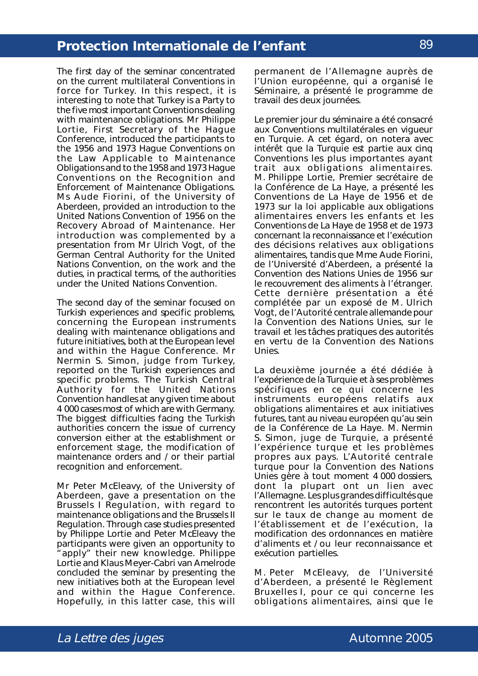The first day of the seminar concentrated on the current multilateral Conventions in force for Turkey. In this respect, it is interesting to note that Turkey is a Party to the five most important Conventions dealing with maintenance obligations. Mr Philippe Lortie, First Secretary of the Hague Conference, introduced the participants to the *1956* and *1973 Hague Conventions on the Law Applicable to Maintenance Obligations* and to the *1958* and *1973 Hague Conventions on the Recognition and Enforcement of Maintenance Obligations*. Ms Aude Fiorini, of the University of Aberdeen, provided an introduction to the *United Nations Convention of 1956 on the Recovery Abroad of Maintenance*. Her introduction was complemented by a presentation from Mr Ulrich Vogt, of the German Central Authority for the United Nations Convention, on the work and the duties, in practical terms, of the authorities under the United Nations Convention.

The second day of the seminar focused on Turkish experiences and specific problems, concerning the European instruments dealing with maintenance obligations and future initiatives, both at the European level and within the Hague Conference. Mr Nermin S. Simon, judge from Turkey, reported on the Turkish experiences and specific problems. The Turkish Central Authority for the United Nations Convention handles at any given time about 4 000 cases most of which are with Germany. The biggest difficulties facing the Turkish authorities concern the issue of currency conversion either at the establishment or enforcement stage, the modification of maintenance orders and / or their partial recognition and enforcement.

Mr Peter McEleavy, of the University of Aberdeen, gave a presentation on the Brussels I Regulation, with regard to maintenance obligations and the Brussels II Regulation. Through case studies presented by Philippe Lortie and Peter McEleavy the participants were given an opportunity to "apply" their new knowledge. Philippe Lortie and Klaus Meyer-Cabri van Amelrode concluded the seminar by presenting the new initiatives both at the European level and within the Hague Conference. Hopefully, in this latter case, this will

permanent de l'Allemagne auprès de l'Union européenne, qui a organisé le Séminaire, a présenté le programme de travail des deux journées.

Le premier jour du séminaire a été consacré aux Conventions multilatérales en vigueur en Turquie. A cet égard, on notera avec intérêt que la Turquie est partie aux cinq Conventions les plus importantes ayant trait aux obligations alimentaires. M. Philippe Lortie, Premier secrétaire de la Conférence de La Haye, a présenté les *Conventions de La Haye de 1956* et de *1973 sur la loi applicable aux obligations alimentaires envers les enfants* et les *Conventions de La Haye de 1958* et *de 1973 concernant la reconnaissance et l'exécution des décisions relatives aux obligations alimentaires,* tandis que Mme Aude Fiorini, de l'Université d'Aberdeen, a présenté la *Convention des Nations Unies de 1956 sur le recouvrement des aliments à l'étranger.* Cette dernière présentation a été complétée par un exposé de M. Ulrich Vogt, de l'Autorité centrale allemande pour la Convention des Nations Unies, sur le travail et les tâches pratiques des autorités en vertu de la Convention des Nations Unies.

La deuxième journée a été dédiée à l'expérience de la Turquie et à ses problèmes spécifiques en ce qui concerne les instruments européens relatifs aux obligations alimentaires et aux initiatives futures, tant au niveau européen qu'au sein de la Conférence de La Haye. M. Nermin S. Simon, juge de Turquie, a présenté l'expérience turque et les problèmes propres aux pays. L'Autorité centrale turque pour la Convention des Nations Unies gère à tout moment 4 000 dossiers, dont la plupart ont un lien avec l'Allemagne. Les plus grandes difficultés que rencontrent les autorités turques portent sur le taux de change au moment de l'établissement et de l'exécution, la modification des ordonnances en matière d'aliments et / ou leur reconnaissance et exécution partielles.

M. Peter McEleavy, de l'Université d'Aberdeen, a présenté le Règlement Bruxelles I, pour ce qui concerne les obligations alimentaires, ainsi que le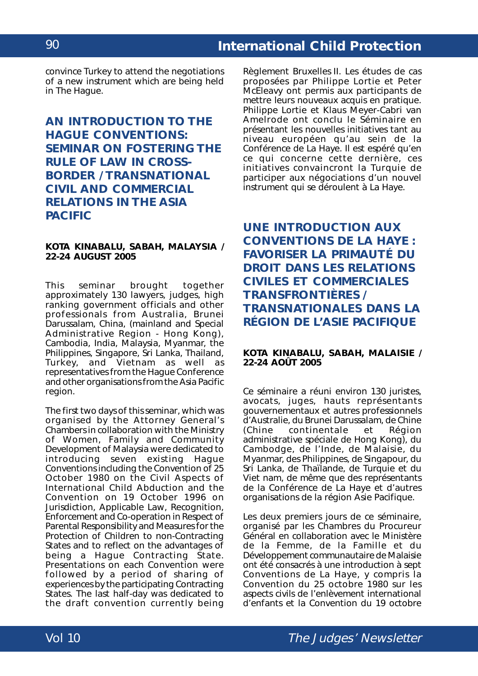convince Turkey to attend the negotiations of a new instrument which are being held in The Hague.

# **AN INTRODUCTION TO THE HAGUE CONVENTIONS: SEMINAR ON FOSTERING THE RULE OF LAW IN CROSS-BORDER / TRANSNATIONAL CIVIL AND COMMERCIAL RELATIONS IN THE ASIA PACIFIC**

#### **KOTA KINABALU, SABAH, MALAYSIA / 22-24 AUGUST 2005**

This seminar brought together approximately 130 lawyers, judges, high ranking government officials and other professionals from Australia, Brunei Darussalam, China, (mainland and Special Administrative Region - Hong Kong), Cambodia, India, Malaysia, Myanmar, the Philippines, Singapore, Sri Lanka, Thailand, Turkey, and Vietnam as well as representatives from the Hague Conference and other organisations from the Asia Pacific region.

The first two days of this seminar, which was organised by the Attorney General's Chambers in collaboration with the Ministry of Women, Family and Community Development of Malaysia were dedicated to introducing seven existing Hague Conventions including the *Convention of 25 October 1980 on the Civil Aspects of International Child Abduction* and the *Convention on 19 October 1996 on Jurisdiction, Applicable Law, Recognition, Enforcement and Co-operation in Respect of Parental Responsibility and Measures for the Protection of Children* to non-Contracting States and to reflect on the advantages of being a Hague Contracting State. Presentations on each Convention were followed by a period of sharing of experiences by the participating Contracting States. The last half-day was dedicated to the draft convention currently being

Règlement Bruxelles II. Les études de cas proposées par Philippe Lortie et Peter McEleavy ont permis aux participants de mettre leurs nouveaux acquis en pratique. Philippe Lortie et Klaus Meyer-Cabri van Amelrode ont conclu le Séminaire en présentant les nouvelles initiatives tant au niveau européen qu'au sein de la Conférence de La Haye. Il est espéré qu'en ce qui concerne cette dernière, ces initiatives convaincront la Turquie de participer aux négociations d'un nouvel instrument qui se déroulent à La Haye.

**UNE INTRODUCTION AUX CONVENTIONS DE LA HAYE : FAVORISER LA PRIMAUTÉ DU DROIT DANS LES RELATIONS CIVILES ET COMMERCIALES TRANSFRONTIÈRES / TRANSNATIONALES DANS LA RÉGION DE L'ASIE PACIFIQUE**

#### **KOTA KINABALU, SABAH, MALAISIE / 22-24 AOÛT 2005**

Ce séminaire a réuni environ 130 juristes, avocats, juges, hauts représentants gouvernementaux et autres professionnels d'Australie, du Brunei Darussalam, de Chine (Chine continentale et Région administrative spéciale de Hong Kong), du Cambodge, de l'Inde, de Malaisie, du Myanmar, des Philippines, de Singapour, du Sri Lanka, de Thaïlande, de Turquie et du Viet nam, de même que des représentants de la Conférence de La Haye et d'autres organisations de la région Asie Pacifique.

Les deux premiers jours de ce séminaire, organisé par les Chambres du Procureur Général en collaboration avec le Ministère de la Femme, de la Famille et du Développement communautaire de Malaisie ont été consacrés à une introduction à sept Conventions de La Haye, y compris la *Convention du 25 octobre 1980 sur les aspects civils de l'enlèvement international d'enfants* et la *Convention du 19 octobre*

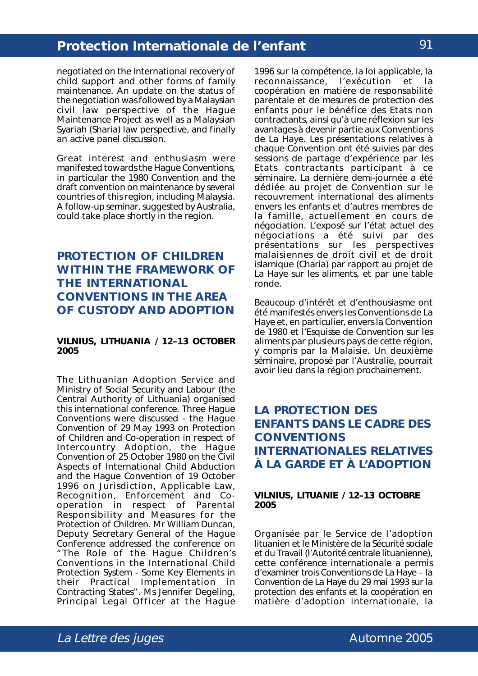negotiated on the international recovery of child support and other forms of family maintenance. An update on the status of the negotiation was followed by a Malaysian civil law perspective of the Hague Maintenance Project as well as a Malaysian *Syariah* (Sharia) law perspective, and finally an active panel discussion.

Great interest and enthusiasm were manifested towards the Hague Conventions, in particular the 1980 Convention and the draft convention on maintenance by several countries of this region, including Malaysia. A follow-up seminar, suggested by Australia, could take place shortly in the region.

### **PROTECTION OF CHILDREN WITHIN THE FRAMEWORK OF THE INTERNATIONAL CONVENTIONS IN THE AREA OF CUSTODY AND ADOPTION**

#### **VILNIUS, LITHUANIA / 12–13 OCTOBER 2005**

The Lithuanian Adoption Service and Ministry of Social Security and Labour (the Central Authority of Lithuania) organised this international conference. Three Hague Conventions were discussed - the *Hague Convention of 29 May 1993 on Protection of Children and Co-operation in respect of Intercountry Adoption*, the *Hague Convention of 25 October 1980 on the Civil Aspects of International Child Abduction* and the *Hague Convention of 19 October 1996 on Jurisdiction, Applicable Law, Recognition, Enforcement and Cooperation in respect of Parental Responsibility and Measures for the Protection of Children*. Mr William Duncan, Deputy Secretary General of the Hague Conference addressed the conference on "The Role of the Hague Children's Conventions in the International Child Protection System - Some Key Elements in their Practical Implementation in Contracting States". Ms Jennifer Degeling, Principal Legal Officer at the Hague

*1996 sur la compétence, la loi applicable, la reconnaissance, l'exécution et la coopération en matière de responsabilité parentale et de mesures de protection des enfants* pour le bénéfice des Etats non contractants, ainsi qu'à une réflexion sur les avantages à devenir partie aux Conventions de La Haye. Les présentations relatives à chaque Convention ont été suivies par des sessions de partage d'expérience par les Etats contractants participant à ce séminaire. La dernière demi-journée a été dédiée au projet de Convention sur le recouvrement international des aliments envers les enfants et d'autres membres de la famille, actuellement en cours de négociation. L'exposé sur l'état actuel des négociations a été suivi par des présentations sur les perspectives malaisiennes de droit civil et de droit islamique (Charia) par rapport au projet de La Haye sur les aliments, et par une table ronde.

Beaucoup d'intérêt et d'enthousiasme ont été manifestés envers les Conventions de La Haye et, en particulier, envers la Convention de 1980 et l'Esquisse de Convention sur les aliments par plusieurs pays de cette région, y compris par la Malaisie. Un deuxième séminaire, proposé par l'Australie, pourrait avoir lieu dans la région prochainement.

# **LA PROTECTION DES ENFANTS DANS LE CADRE DES CONVENTIONS INTERNATIONALES RELATIVES À LA GARDE ET À L'ADOPTION**

#### **VILNIUS, LITUANIE / 12–13 OCTOBRE 2005**

Organisée par le Service de l'adoption lituanien et le Ministère de la Sécurité sociale et du Travail (l'Autorité centrale lituanienne), cette conférence internationale a permis d'examiner trois Conventions de La Haye – la *Convention de La Haye du 29 mai 1993 sur la protection des enfants et la coopération en matière d'adoption internationale,* la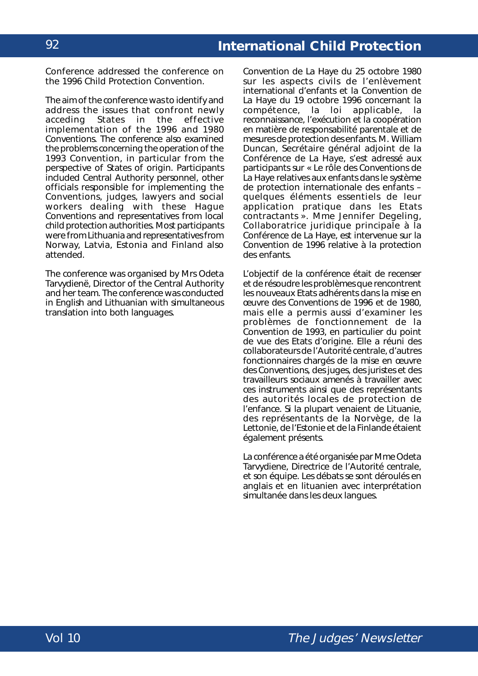Conference addressed the conference on the 1996 Child Protection Convention.

The aim of the conference was to identify and address the issues that confront newly<br>acceding States in the effective acceding States in the effective implementation of the 1996 and 1980 Conventions. The conference also examined the problems concerning the operation of the 1993 Convention, in particular from the perspective of States of origin. Participants included Central Authority personnel, other officials responsible for implementing the Conventions, judges, lawyers and social workers dealing with these Hague Conventions and representatives from local child protection authorities. Most participants were from Lithuania and representatives from Norway, Latvia, Estonia and Finland also attended.

The conference was organised by Mrs Odeta Tarvydienë, Director of the Central Authority and her team. The conference was conducted in English and Lithuanian with simultaneous translation into both languages.

*Convention de La Haye du 25 octobre 1980 sur les aspects civils de l'enlèvement international d'enfants* et la *Convention de La Haye du 19 octobre 1996 concernant la compétence*, *la loi applicable, la reconnaissance*, *l'exécution et la coopération en matière de responsabilité parentale et de mesures de protection des enfants*. M. William Duncan, Secrétaire général adjoint de la Conférence de La Haye, s'est adressé aux participants sur « Le rôle des Conventions de La Haye relatives aux enfants dans le système de protection internationale des enfants – quelques éléments essentiels de leur application pratique dans les Etats contractants ». Mme Jennifer Degeling, Collaboratrice juridique principale à la Conférence de La Haye, est intervenue sur la Convention de 1996 relative à la protection des enfants.

L'objectif de la conférence était de recenser et de résoudre les problèmes que rencontrent les nouveaux Etats adhérents dans la mise en œuvre des Conventions de 1996 et de 1980, mais elle a permis aussi d'examiner les problèmes de fonctionnement de la Convention de 1993, en particulier du point de vue des Etats d'origine. Elle a réuni des collaborateurs de l'Autorité centrale, d'autres fonctionnaires chargés de la mise en œuvre des Conventions, des juges, des juristes et des travailleurs sociaux amenés à travailler avec ces instruments ainsi que des représentants des autorités locales de protection de l'enfance. Si la plupart venaient de Lituanie, des représentants de la Norvège, de la Lettonie, de l'Estonie et de la Finlande étaient également présents.

La conférence a été organisée par Mme Odeta Tarvydiene, Directrice de l'Autorité centrale, et son équipe. Les débats se sont déroulés en anglais et en lituanien avec interprétation simultanée dans les deux langues.

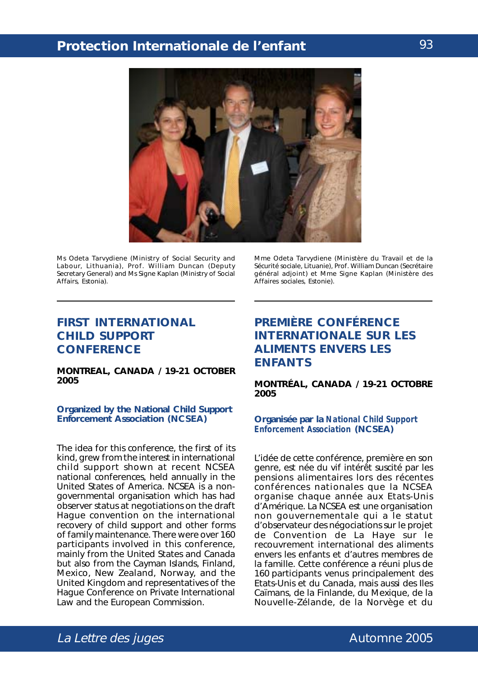

Ms Odeta Tarvydiene (Ministry of Social Security and Labour, Lithuania), Prof. William Duncan (Deputy Secretary General) and Ms Signe Kaplan (Ministry of Social Affairs, Estonia).

### **FIRST INTERNATIONAL CHILD SUPPORT CONFERENCE**

#### **MONTREAL, CANADA / 19-21 OCTOBER 2005**

#### **Organized by the National Child Support Enforcement Association (NCSEA)**

The idea for this conference, the first of its kind, grew from the interest in international child support shown at recent NCSEA national conferences, held annually in the United States of America. NCSEA is a nongovernmental organisation which has had observer status at negotiations on the draft Hague convention on the international recovery of child support and other forms of family maintenance. There were over 160 participants involved in this conference, mainly from the United States and Canada but also from the Cayman Islands, Finland, Mexico, New Zealand, Norway, and the United Kingdom and representatives of the Hague Conference on Private International Law and the European Commission.

Mme Odeta Tarvydiene (Ministère du Travail et de la Sécurité sociale, Lituanie), Prof. William Duncan (Secrétaire général adjoint) et Mme Signe Kaplan (Ministère des Affaires sociales, Estonie).

## **PREMIÈRE CONFÉRENCE INTERNATIONALE SUR LES ALIMENTS ENVERS LES ENFANTS**

**MONTRÉAL, CANADA / 19-21 OCTOBRE 2005**

#### **Organisée par la** *National Child Support Enforcement Association* **(NCSEA)**

L'idée de cette conférence, première en son genre, est née du vif intérêt suscité par les pensions alimentaires lors des récentes conférences nationales que la NCSEA organise chaque année aux Etats-Unis d'Amérique. La NCSEA est une organisation non gouvernementale qui a le statut d'observateur des négociations sur le projet de Convention de La Haye sur le recouvrement international des aliments envers les enfants et d'autres membres de la famille. Cette conférence a réuni plus de 160 participants venus principalement des Etats-Unis et du Canada, mais aussi des Iles Caïmans, de la Finlande, du Mexique, de la Nouvelle-Zélande, de la Norvège et du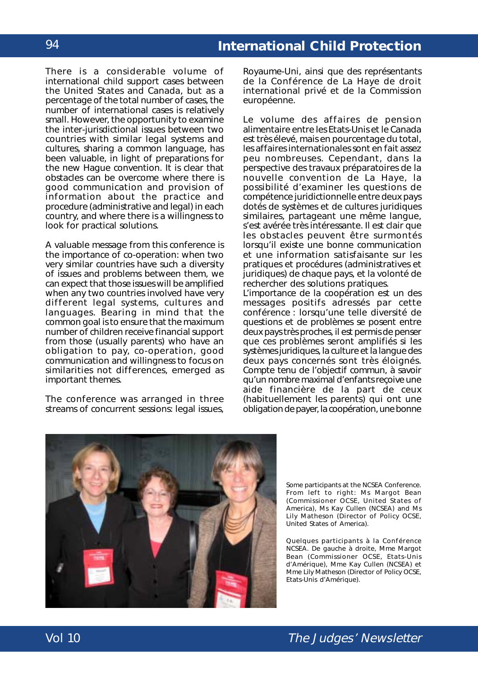There is a considerable volume of international child support cases between the United States and Canada, but as a percentage of the total number of cases, the number of international cases is relatively small. However, the opportunity to examine the inter-jurisdictional issues between two countries with similar legal systems and cultures, sharing a common language, has been valuable, in light of preparations for the new Hague convention. It is clear that obstacles can be overcome where there is good communication and provision of information about the practice and procedure (administrative and legal) in each country, and where there is a willingness to look for practical solutions.

A valuable message from this conference is the importance of co-operation: when two very similar countries have such a diversity of issues and problems between them, we can expect that those issues will be amplified when any two countries involved have very different legal systems, cultures and languages. Bearing in mind that the common goal is to ensure that the maximum number of children receive financial support from those (usually parents) who have an obligation to pay, co-operation, good communication and willingness to focus on similarities not differences, emerged as important themes.

The conference was arranged in three streams of concurrent sessions: legal issues,

Royaume-Uni, ainsi que des représentants de la Conférence de La Haye de droit international privé et de la Commission européenne.

Le volume des affaires de pension alimentaire entre les Etats-Unis et le Canada est très élevé, mais en pourcentage du total, les affaires internationales sont en fait assez peu nombreuses. Cependant, dans la perspective des travaux préparatoires de la nouvelle convention de La Haye, la possibilité d'examiner les questions de compétence juridictionnelle entre deux pays dotés de systèmes et de cultures juridiques similaires, partageant une même langue, s'est avérée très intéressante. Il est clair que les obstacles peuvent être surmontés lorsqu'il existe une bonne communication et une information satisfaisante sur les pratiques et procédures (administratives et juridiques) de chaque pays, et la volonté de rechercher des solutions pratiques.

L'importance de la coopération est un des messages positifs adressés par cette conférence : lorsqu'une telle diversité de questions et de problèmes se posent entre deux pays très proches, il est permis de penser que ces problèmes seront amplifiés si les systèmes juridiques, la culture et la langue des deux pays concernés sont très éloignés. Compte tenu de l'objectif commun, à savoir qu'un nombre maximal d'enfants reçoive une aide financière de la part de ceux (habituellement les parents) qui ont une obligation de payer, la coopération, une bonne



Some participants at the NCSEA Conference. From left to right: Ms Margot Bean (Commissioner OCSE, United States of America), Ms Kay Cullen (NCSEA) and Ms Lily Matheson (Director of Policy OCSE, United States of America).

Quelques participants à la Conférence NCSEA. De gauche à droite, Mme Margot Bean (*Commissioner* OCSE, Etats-Unis d'Amérique), Mme Kay Cullen (NCSEA) et Mme Lily Matheson (*Director of Policy* OCSE, Etats-Unis d'Amérique).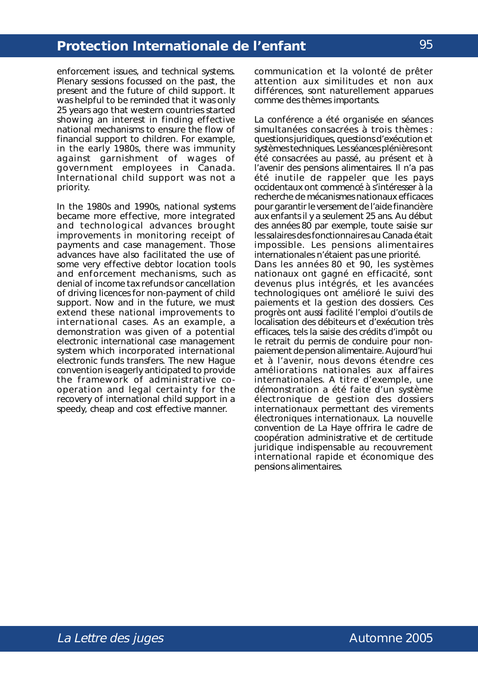enforcement issues, and technical systems. Plenary sessions focussed on the past, the present and the future of child support. It was helpful to be reminded that it was only 25 years ago that western countries started showing an interest in finding effective national mechanisms to ensure the flow of financial support to children. For example, in the early 1980s, there was immunity against garnishment of wages of government employees in Canada. International child support was not a priority.

In the 1980s and 1990s, national systems became more effective, more integrated and technological advances brought improvements in monitoring receipt of payments and case management. Those advances have also facilitated the use of some very effective debtor location tools and enforcement mechanisms, such as denial of income tax refunds or cancellation of driving licences for non-payment of child support. Now and in the future, we must extend these national improvements to international cases. As an example, a demonstration was given of a potential electronic international case management system which incorporated international electronic funds transfers. The new Hague convention is eagerly anticipated to provide the framework of administrative cooperation and legal certainty for the recovery of international child support in a speedy, cheap and cost effective manner.

communication et la volonté de prêter attention aux similitudes et non aux différences, sont naturellement apparues comme des thèmes importants.

La conférence a été organisée en séances simultanées consacrées à trois thèmes : questions juridiques, questions d'exécution et systèmes techniques. Les séances plénières ont été consacrées au passé, au présent et à l'avenir des pensions alimentaires. Il n'a pas été inutile de rappeler que les pays occidentaux ont commencé à s'intéresser à la recherche de mécanismes nationaux efficaces pour garantir le versement de l'aide financière aux enfants il y a seulement 25 ans. Au début des années 80 par exemple, toute saisie sur les salaires des fonctionnaires au Canada était impossible. Les pensions alimentaires internationales n'étaient pas une priorité. Dans les années 80 et 90, les systèmes nationaux ont gagné en efficacité, sont devenus plus intégrés, et les avancées technologiques ont amélioré le suivi des paiements et la gestion des dossiers. Ces progrès ont aussi facilité l'emploi d'outils de localisation des débiteurs et d'exécution très efficaces, tels la saisie des crédits d'impôt ou le retrait du permis de conduire pour nonpaiement de pension alimentaire. Aujourd'hui et à l'avenir, nous devons étendre ces améliorations nationales aux affaires internationales. A titre d'exemple, une démonstration a été faite d'un système électronique de gestion des dossiers internationaux permettant des virements électroniques internationaux. La nouvelle convention de La Haye offrira le cadre de coopération administrative et de certitude juridique indispensable au recouvrement international rapide et économique des pensions alimentaires.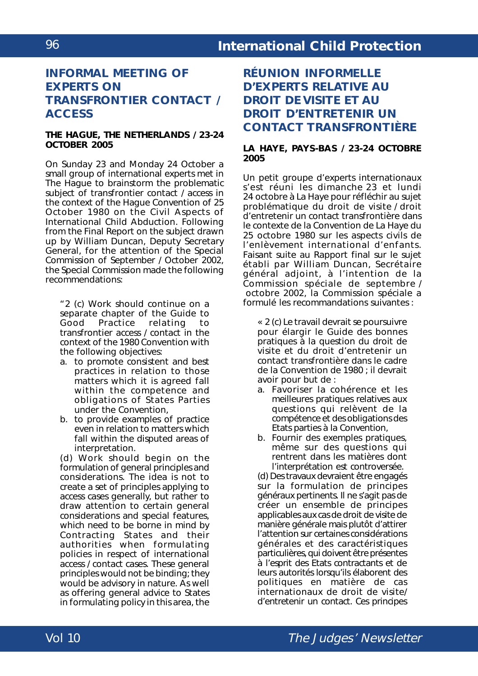## **INFORMAL MEETING OF EXPERTS ON TRANSFRONTIER CONTACT / ACCESS**

#### **THE HAGUE, THE NETHERLANDS / 23-24 OCTOBER 2005**

On Sunday 23 and Monday 24 October a small group of international experts met in The Hague to brainstorm the problematic subject of transfrontier contact / access in the context of the *Hague Convention of 25 October 1980 on the Civil Aspects of International Child Abduction*. Following from the Final Report on the subject drawn up by William Duncan, Deputy Secretary General, for the attention of the Special Commission of September / October 2002, the Special Commission made the following recommendations:

"2 (c) Work should continue on a separate chapter of the Guide to<br>Good Practice relating to relating to transfrontier access / contact in the context of the 1980 Convention with the following objectives:

- a. to promote consistent and best practices in relation to those matters which it is agreed fall within the competence and obligations of States Parties under the Convention,
- b. to provide examples of practice even in relation to matters which fall within the disputed areas of interpretation.

(d) Work should begin on the formulation of general principles and considerations. The idea is not to create a set of principles applying to access cases generally, but rather to draw attention to certain general considerations and special features, which need to be borne in mind by Contracting States and their authorities when formulating policies in respect of international access / contact cases. These general principles would not be binding; they would be advisory in nature. As well as offering general advice to States in formulating policy in this area, the

**RÉUNION INFORMELLE D'EXPERTS RELATIVE AU DROIT DE VISITE ET AU DROIT D'ENTRETENIR UN CONTACT TRANSFRONTIÈRE**

#### **LA HAYE, PAYS-BAS / 23-24 OCTOBRE 2005**

Un petit groupe d'experts internationaux s'est réuni les dimanche 23 et lundi 24 octobre à La Haye pour réfléchir au sujet problématique du droit de visite / droit d'entretenir un contact transfrontière dans le contexte de la *Convention de La Haye du 25 octobre 1980 sur les aspects civils de l'enlèvement international d'enfants.* Faisant suite au Rapport final sur le sujet établi par William Duncan, Secrétaire général adjoint, à l'intention de la Commission spéciale de septembre / octobre 2002, la Commission spéciale a formulé les recommandations suivantes :

« 2 (c) Le travail devrait se poursuivre pour élargir le Guide des bonnes pratiques à la question du droit de visite et du droit d'entretenir un contact transfrontière dans le cadre de la Convention de 1980 ; il devrait avoir pour but de :

- a. Favoriser la cohérence et les meilleures pratiques relatives aux questions qui relèvent de la compétence et des obligations des Etats parties à la Convention,
- b. Fournir des exemples pratiques, même sur des questions qui rentrent dans les matières dont l'interprétation est controversée.

(d) Des travaux devraient être engagés sur la formulation de principes généraux pertinents. Il ne s'agit pas de créer un ensemble de principes applicables aux cas de droit de visite de manière générale mais plutôt d'attirer l'attention sur certaines considérations générales et des caractéristiques particulières, qui doivent être présentes à l'esprit des Etats contractants et de leurs autorités lorsqu'ils élaborent des politiques en matière de cas internationaux de droit de visite/ d'entretenir un contact. Ces principes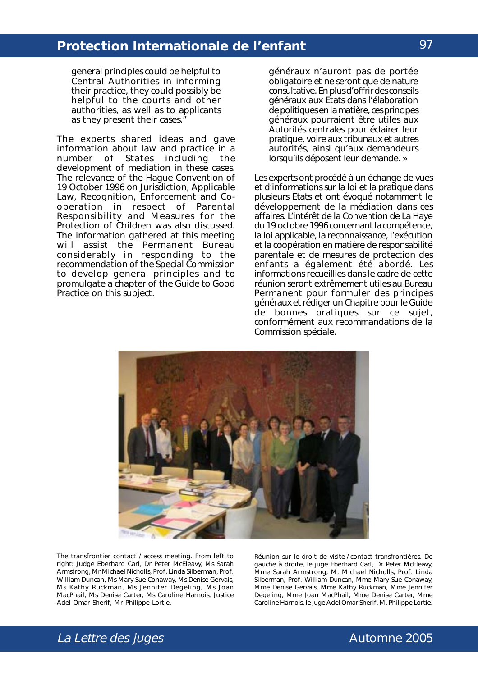general principles could be helpful to Central Authorities in informing their practice, they could possibly be helpful to the courts and other authorities, as well as to applicants as they present their cases."

The experts shared ideas and gave information about law and practice in a number of States including development of mediation in these cases. The relevance of the *Hague Convention of 19 October 1996 on Jurisdiction, Applicable Law, Recognition, Enforcement and Cooperation in respect of Parental Responsibility and Measures for the Protection of Children* was also discussed. The information gathered at this meeting will assist the Permanent Bureau considerably in responding to the recommendation of the Special Commission to develop general principles and to promulgate a chapter of the Guide to Good Practice on this subject.

généraux n'auront pas de portée obligatoire et ne seront que de nature consultative. En plus d'offrir des conseils généraux aux Etats dans l'élaboration de politiques en la matière, ces principes généraux pourraient être utiles aux Autorités centrales pour éclairer leur pratique, voire aux tribunaux et autres autorités, ainsi qu'aux demandeurs lorsqu'ils déposent leur demande. »

Les experts ont procédé à un échange de vues et d'informations sur la loi et la pratique dans plusieurs Etats et ont évoqué notamment le développement de la médiation dans ces affaires. L'intérêt de la *Convention de La Haye du 19 octobre 1996 concernant la compétence, la loi applicable, la reconnaissance, l'exécution et la coopération en matière de responsabilité parentale et de mesures de protection des enfants* a également été abordé. Les informations recueillies dans le cadre de cette réunion seront extrêmement utiles au Bureau Permanent pour formuler des principes généraux et rédiger un Chapitre pour le Guide de bonnes pratiques sur ce sujet, conformément aux recommandations de la Commission spéciale.



The transfrontier contact / access meeting. From left to right: Judge Eberhard Carl, Dr Peter McEleavy, Ms Sarah Armstrong, Mr Michael Nicholls, Prof. Linda Silberman, Prof. William Duncan, Ms Mary Sue Conaway, Ms Denise Gervais, Ms Kathy Ruckman, Ms Jennifer Degeling, Ms Joan MacPhail, Ms Denise Carter, Ms Caroline Harnois, Justice Adel Omar Sherif, Mr Philippe Lortie.

Réunion sur le droit de visite / contact transfrontières. De gauche à droite, le juge Eberhard Carl, Dr Peter McEleavy, Mme Sarah Armstrong, M. Michael Nicholls, Prof. Linda Silberman, Prof. William Duncan, Mme Mary Sue Conaway, Mme Denise Gervais, Mme Kathy Ruckman, Mme Jennifer Degeling, Mme Joan MacPhail, Mme Denise Carter, Mme Caroline Harnois, le juge Adel Omar Sherif, M. Philippe Lortie.

# La Lettre des juges and the contract of the Automne 2005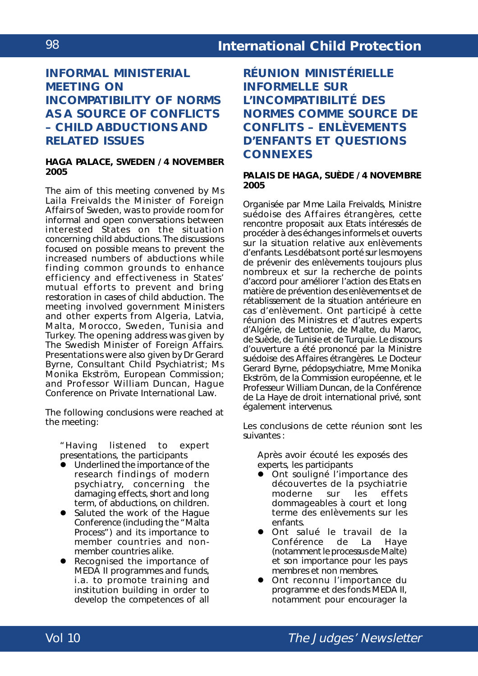# **INFORMAL MINISTERIAL MEETING ON INCOMPATIBILITY OF NORMS AS A SOURCE OF CONFLICTS – CHILD ABDUCTIONS AND RELATED ISSUES**

#### **HAGA PALACE, SWEDEN / 4 NOVEMBER 2005**

The aim of this meeting convened by Ms Laila Freivalds the Minister of Foreign Affairs of Sweden, was to provide room for informal and open conversations between interested States on the situation concerning child abductions. The discussions focused on possible means to prevent the increased numbers of abductions while finding common grounds to enhance efficiency and effectiveness in States' mutual efforts to prevent and bring restoration in cases of child abduction. The meeting involved government Ministers and other experts from Algeria, Latvia, Malta, Morocco, Sweden, Tunisia and Turkey. The opening address was given by The Swedish Minister of Foreign Affairs. Presentations were also given by Dr Gerard Byrne, Consultant Child Psychiatrist; Ms Monika Ekström, European Commission; and Professor William Duncan, Hague Conference on Private International Law.

The following conclusions were reached at the meeting:

"Having listened to expert presentations, the participants

- Underlined the importance of the research findings of modern psychiatry, concerning the damaging effects, short and long term, of abductions, on children.
- Saluted the work of the Hague Conference (including the "Malta Process") and its importance to member countries and nonmember countries alike.
- Recognised the importance of MEDA II programmes and funds, *i.a.* to promote training and institution building in order to develop the competences of all

**RÉUNION MINISTÉRIELLE INFORMELLE SUR L'INCOMPATIBILITÉ DES NORMES COMME SOURCE DE CONFLITS – ENLÈVEMENTS D'ENFANTS ET QUESTIONS CONNEXES**

### **PALAIS DE HAGA, SUÈDE / 4 NOVEMBRE 2005**

Organisée par Mme Laila Freivalds, Ministre suédoise des Affaires étrangères, cette rencontre proposait aux Etats intéressés de procéder à des échanges informels et ouverts sur la situation relative aux enlèvements d'enfants. Les débats ont porté sur les moyens de prévenir des enlèvements toujours plus nombreux et sur la recherche de points d'accord pour améliorer l'action des Etats en matière de prévention des enlèvements et de rétablissement de la situation antérieure en cas d'enlèvement. Ont participé à cette réunion des Ministres et d'autres experts d'Algérie, de Lettonie, de Malte, du Maroc, de Suède, de Tunisie et de Turquie. Le discours d'ouverture a été prononcé par la Ministre suédoise des Affaires étrangères. Le Docteur Gerard Byrne, pédopsychiatre, Mme Monika Ekström, de la Commission européenne, et le Professeur William Duncan, de la Conférence de La Haye de droit international privé, sont également intervenus.

Les conclusions de cette réunion sont les suivantes :

Après avoir écouté les exposés des experts, les participants

- Ont souligné l'importance des découvertes de la psychiatrie moderne sur les effets dommageables à court et long terme des enlèvements sur les enfants.
- **•** Ont salué le travail de la<br>Conférence de La Have Conférence (notamment le processus de Malte) et son importance pour les pays membres et non membres.
- Ont reconnu l'importance du programme et des fonds MEDA II, notamment pour encourager la

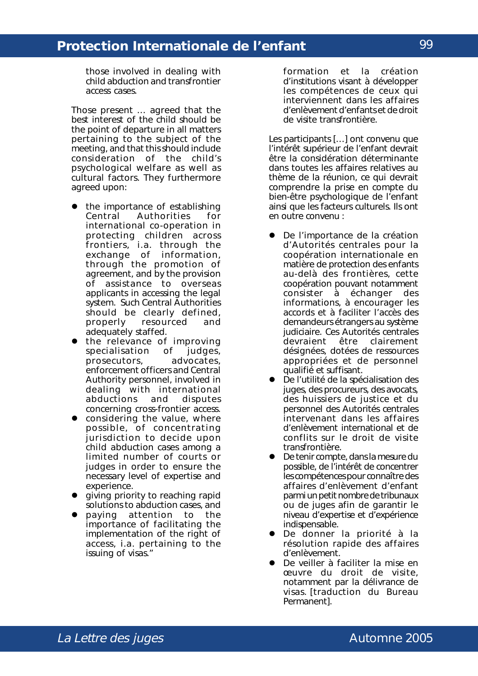those involved in dealing with child abduction and transfrontier access cases.

Those present … agreed that the best interest of the child should be the point of departure in all matters pertaining to the subject of the meeting, and that this should include consideration of the child's psychological welfare as well as cultural factors. They furthermore agreed upon:

- the importance of establishing Central Authorities for international co-operation in protecting children across frontiers, *i.a.* through the exchange of information, through the promotion of agreement, and by the provision of assistance to overseas applicants in accessing the legal system. Such Central Authorities should be clearly defined,<br>properly resourced and properly resourced and adequately staffed.
- the relevance of improving specialisation of judges, prosecutors, advocates, enforcement officers and Central Authority personnel, involved in dealing with international<br>abductions and disputes abductions and disputes concerning cross-frontier access.
- $\bullet$  considering the value, where possible, of concentrating jurisdiction to decide upon child abduction cases among a limited number of courts or judges in order to ensure the necessary level of expertise and experience.
- **.** giving priority to reaching rapid solutions to abduction cases, and<br>paying attention to the
- $\bullet$  paying attention to importance of facilitating the implementation of the right of access, *i.a.* pertaining to the issuing of visas."

formation et la création d'institutions visant à développer les compétences de ceux qui interviennent dans les affaires d'enlèvement d'enfants et de droit de visite transfrontière.

Les participants […] ont convenu que l'intérêt supérieur de l'enfant devrait être la considération déterminante dans toutes les affaires relatives au thème de la réunion, ce qui devrait comprendre la prise en compte du bien-être psychologique de l'enfant ainsi que les facteurs culturels. Ils ont en outre convenu :

- De l'importance de la création d'Autorités centrales pour la coopération internationale en matière de protection des enfants au-delà des frontières, cette coopération pouvant notamment consister à échanger des informations, à encourager les accords et à faciliter l'accès des demandeurs étrangers au système judiciaire. Ces Autorités centrales devraient être clairement désignées, dotées de ressources appropriées et de personnel qualifié et suffisant.
- De l'utilité de la spécialisation des juges, des procureurs, des avocats, des huissiers de justice et du personnel des Autorités centrales intervenant dans les affaires d'enlèvement international et de conflits sur le droit de visite transfrontière.
- ! De tenir compte, dans la mesure du possible, de l'intérêt de concentrer les compétences pour connaître des affaires d'enlèvement d'enfant parmi un petit nombre de tribunaux ou de juges afin de garantir le niveau d'expertise et d'expérience indispensable.
- **•** De donner la priorité à la résolution rapide des affaires d'enlèvement.
- ! De veiller à faciliter la mise en œuvre du droit de visite, notamment par la délivrance de visas. [traduction du Bureau Permanent].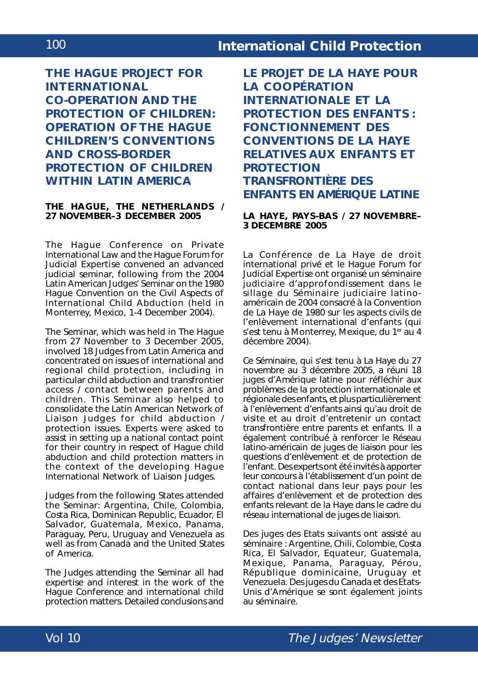**THE HAGUE PROJECT FOR INTERNATIONAL CO-OPERATION AND THE PROTECTION OF CHILDREN: OPERATION OF THE HAGUE CHILDREN'S CONVENTIONS AND CROSS-BORDER PROTECTION OF CHILDREN WITHIN LATIN AMERICA**

#### **THE HAGUE, THE NETHERLANDS / 27 NOVEMBER–3 DECEMBER 2005**

The Hague Conference on Private International Law and the Hague Forum for Judicial Expertise convened an advanced judicial seminar, following from the 2004 Latin American Judges' Seminar on the *1980 Hague Convention on the Civil Aspects of International Child Abduction* (held in Monterrey, Mexico, 1-4 December 2004).

The Seminar, which was held in The Hague from 27 November to 3 December 2005, involved 18 Judges from Latin America and concentrated on issues of international and regional child protection, including in particular child abduction and transfrontier access / contact between parents and children. This Seminar also helped to consolidate the Latin American Network of Liaison Judges for child abduction / protection issues. Experts were asked to assist in setting up a national contact point for their country in respect of Hague child abduction and child protection matters in the context of the developing Hague International Network of Liaison Judges.

Judges from the following States attended the Seminar: Argentina, Chile, Colombia, Costa Rica, Dominican Republic, Ecuador, El Salvador, Guatemala, Mexico, Panama, Paraguay, Peru, Uruguay and Venezuela as well as from Canada and the United States of America.

The Judges attending the Seminar all had expertise and interest in the work of the Hague Conference and international child protection matters. Detailed conclusions and **LE PROJET DE LA HAYE POUR LA COOPÉRATION INTERNATIONALE ET LA PROTECTION DES ENFANTS : FONCTIONNEMENT DES CONVENTIONS DE LA HAYE RELATIVES AUX ENFANTS ET PROTECTION TRANSFRONTIÈRE DES ENFANTS EN AMÉRIQUE LATINE**

### **LA HAYE, PAYS-BAS / 27 NOVEMBRE– 3 DECEMBRE 2005**

La Conférence de La Haye de droit international privé et le *Hague Forum for Judicial Expertise* ont organisé un séminaire judiciaire d'approfondissement dans le sillage du Séminaire judiciaire latinoaméricain de 2004 consacré à la *Convention de La Haye de 1980 sur les aspects civils de l'enlèvement international d'enfants* (qui s'est tenu à Monterrey, Mexique, du 1<sup>er</sup> au 4 décembre 2004).

Ce Séminaire, qui s'est tenu à La Haye du 27 novembre au 3 décembre 2005, a réuni 18 juges d'Amérique latine pour réfléchir aux problèmes de la protection internationale et régionale des enfants, et plus particulièrement à l'enlèvement d'enfants ainsi qu'au droit de visite et au droit d'entretenir un contact transfrontière entre parents et enfants. Il a également contribué à renforcer le Réseau latino-américain de juges de liaison pour les questions d'enlèvement et de protection de l'enfant. Des experts ont été invités à apporter leur concours à l'établissement d'un point de contact national dans leur pays pour les affaires d'enlèvement et de protection des enfants relevant de la Haye dans le cadre du réseau international de juges de liaison.

Des juges des Etats suivants ont assisté au séminaire : Argentine, Chili, Colombie, Costa Rica, El Salvador, Equateur, Guatemala, Mexique, Panama, Paraguay, Pérou, République dominicaine, Uruguay et Venezuela. Des juges du Canada et des Etats-Unis d'Amérique se sont également joints au séminaire.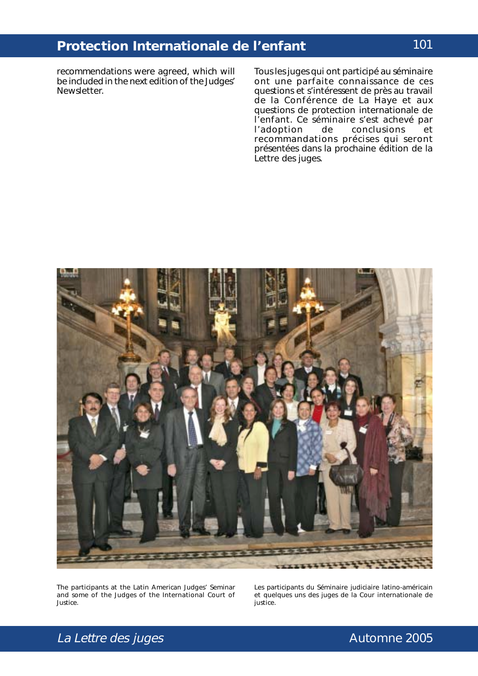recommendations were agreed, which will be included in the next edition of the Judges' Newsletter.

Tous les juges qui ont participé au séminaire ont une parfaite connaissance de ces questions et s'intéressent de près au travail de la Conférence de La Haye et aux questions de protection internationale de l'enfant. Ce séminaire s'est achevé par<br>l'adoption de conclusions et conclusions et recommandations précises qui seront présentées dans la prochaine édition de la Lettre des juges.



The participants at the Latin American Judges' Seminar and some of the Judges of the International Court of Justice.

Les participants du Séminaire judiciaire latino-américain et quelques uns des juges de la Cour internationale de justice.

# La Lettre des juges and the settlement of the Automne 2005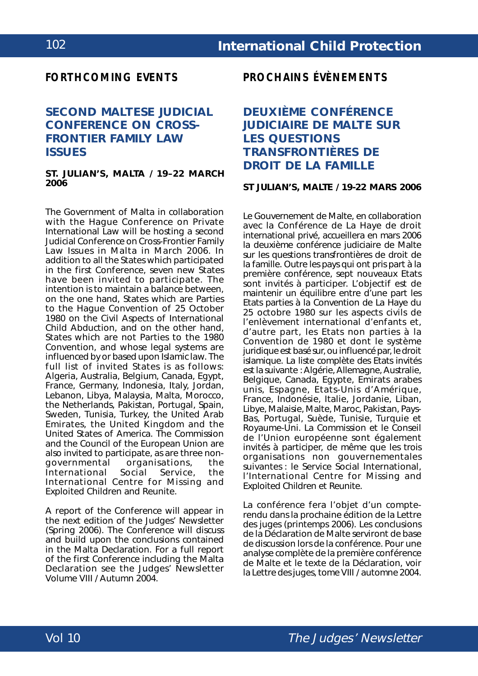### *FORTHCOMING EVENTS*

# **SECOND MALTESE JUDICIAL CONFERENCE ON CROSS-FRONTIER FAMILY LAW ISSUES**

#### **ST. JULIAN'S, MALTA / 19–22 MARCH 2006**

The Government of Malta in collaboration with the Hague Conference on Private International Law will be hosting a second Judicial Conference on Cross-Frontier Family Law Issues in Malta in March 2006. In addition to all the States which participated in the first Conference, seven new States have been invited to participate. The intention is to maintain a balance between, on the one hand, States which are Parties to the *Hague Convention of 25 October 1980 on the Civil Aspects of International Child Abduction*, and on the other hand, States which are not Parties to the 1980 Convention, and whose legal systems are influenced by or based upon Islamic law. The full list of invited States is as follows: Algeria, Australia, Belgium, Canada, Egypt, France, Germany, Indonesia, Italy, Jordan, Lebanon, Libya, Malaysia, Malta, Morocco, the Netherlands, Pakistan, Portugal, Spain, Sweden, Tunisia, Turkey, the United Arab Emirates, the United Kingdom and the United States of America. The Commission and the Council of the European Union are also invited to participate, as are three non-<br>governmental organisations. the organisations, the<br>Social Service, the International Social Service, the International Centre for Missing and Exploited Children and Reunite.

A report of the Conference will appear in the next edition of the Judges' Newsletter (Spring 2006). The Conference will discuss and build upon the conclusions contained in the Malta Declaration. For a full report of the first Conference including the Malta Declaration see the Judges' Newsletter Volume VIII / Autumn 2004.

*PROCHAINS ÉVÈNEMENTS*

# **DEUXIÈME CONFÉRENCE JUDICIAIRE DE MALTE SUR LES QUESTIONS TRANSFRONTIÈRES DE DROIT DE LA FAMILLE**

#### **ST JULIAN'S, MALTE / 19-22 MARS 2006**

Le Gouvernement de Malte, en collaboration avec la Conférence de La Haye de droit international privé, accueillera en mars 2006 la deuxième conférence judiciaire de Malte sur les questions transfrontières de droit de la famille. Outre les pays qui ont pris part à la première conférence, sept nouveaux Etats sont invités à participer. L'objectif est de maintenir un équilibre entre d'une part les Etats parties à la *Convention de La Haye du 25 octobre 1980 sur les aspects civils de l'enlèvement international d'enfants* et, d'autre part, les Etats non parties à la Convention de 1980 et dont le système juridique est basé sur, ou influencé par, le droit islamique. La liste complète des Etats invités est la suivante : Algérie, Allemagne, Australie, Belgique, Canada, Egypte, Emirats arabes unis, Espagne, Etats-Unis d'Amérique, France, Indonésie, Italie, Jordanie, Liban, Libye, Malaisie, Malte, Maroc, Pakistan, Pays-Bas, Portugal, Suède, Tunisie, Turquie et Royaume-Uni. La Commission et le Conseil de l'Union européenne sont également invités à participer, de même que les trois organisations non gouvernementales suivantes : le Service Social International, l'*International Centre for Missing and Exploited Children* et Reunite.

La conférence fera l'objet d'un compterendu dans la prochaine édition de la Lettre des juges (printemps 2006). Les conclusions de la Déclaration de Malte serviront de base de discussion lors de la conférence. Pour une analyse complète de la première conférence de Malte et le texte de la Déclaration, voir la Lettre des juges, tome VIII / automne 2004.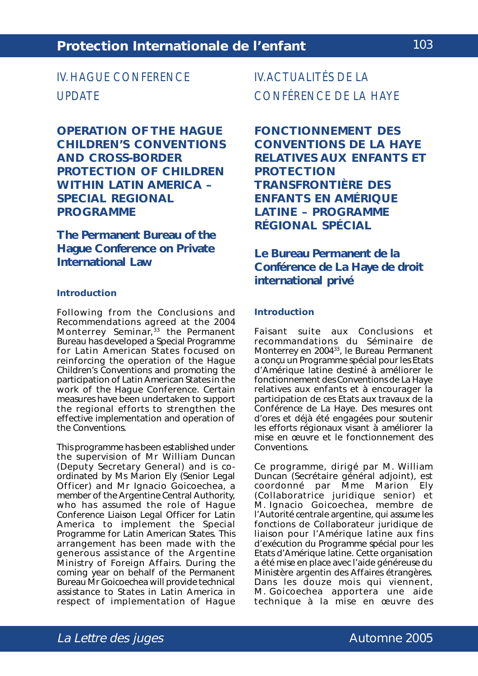# IV. HAGUE CONFERENCE UPDATE

**OPERATION OF THE HAGUE CHILDREN'S CONVENTIONS AND CROSS-BORDER PROTECTION OF CHILDREN WITHIN LATIN AMERICA – SPECIAL REGIONAL PROGRAMME**

**The Permanent Bureau of the Hague Conference on Private International Law**

#### **Introduction**

Following from the Conclusions and Recommendations agreed at the 2004 Monterrey Seminar, $33$  the Permanent Bureau has developed a Special Programme for Latin American States focused on reinforcing the operation of the Hague Children's Conventions and promoting the participation of Latin American States in the work of the Hague Conference. Certain measures have been undertaken to support the regional efforts to strengthen the effective implementation and operation of the Conventions.

This programme has been established under the supervision of Mr William Duncan (Deputy Secretary General) and is coordinated by Ms Marion Ely (Senior Legal Officer) and Mr Ignacio Goicoechea, a member of the Argentine Central Authority, who has assumed the role of Haque Conference Liaison Legal Officer for Latin America to implement the Special Programme for Latin American States. This arrangement has been made with the generous assistance of the Argentine Ministry of Foreign Affairs. During the coming year on behalf of the Permanent Bureau Mr Goicoechea will provide technical assistance to States in Latin America in respect of implementation of Hague

IV. ACTUALITÉS DE LA CONFÉRENCE DE LA HAYE

**FONCTIONNEMENT DES CONVENTIONS DE LA HAYE RELATIVES AUX ENFANTS ET PROTECTION TRANSFRONTIÈRE DES ENFANTS EN AMÉRIQUE LATINE – PROGRAMME RÉGIONAL SPÉCIAL**

**Le Bureau Permanent de la Conférence de La Haye de droit international privé**

#### **Introduction**

Faisant suite aux Conclusions et recommandations du Séminaire de Monterrey en 200433, le Bureau Permanent a conçu un Programme spécial pour les Etats d'Amérique latine destiné à améliorer le fonctionnement des Conventions de La Haye relatives aux enfants et à encourager la participation de ces Etats aux travaux de la Conférence de La Haye. Des mesures ont d'ores et déjà été engagées pour soutenir les efforts régionaux visant à améliorer la mise en œuvre et le fonctionnement des Conventions.

Ce programme, dirigé par M. William Duncan (Secrétaire général adjoint), est coordonné par Mme Marion Ely (Collaboratrice juridique senior) et M. Ignacio Goicoechea, membre de l'Autorité centrale argentine, qui assume les fonctions de Collaborateur juridique de liaison pour l'Amérique latine aux fins d'exécution du Programme spécial pour les Etats d'Amérique latine. Cette organisation a été mise en place avec l'aide généreuse du Ministère argentin des Affaires étrangères. Dans les douze mois qui viennent, M. Goicoechea apportera une aide technique à la mise en œuvre des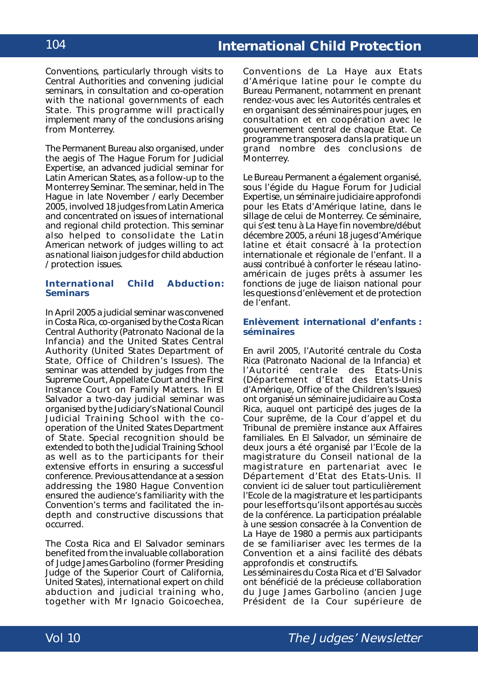Conventions, particularly through visits to Central Authorities and convening judicial seminars, in consultation and co-operation with the national governments of each State. This programme will practically implement many of the conclusions arising from Monterrey.

The Permanent Bureau also organised, under the aegis of The Hague Forum for Judicial Expertise, an advanced judicial seminar for Latin American States, as a follow-up to the Monterrey Seminar. The seminar, held in The Hague in late November / early December 2005, involved 18 judges from Latin America and concentrated on issues of international and regional child protection. This seminar also helped to consolidate the Latin American network of judges willing to act as national liaison judges for child abduction / protection issues.

### **International Child Abduction: Seminars**

In April 2005 a judicial seminar was convened in Costa Rica, co-organised by the Costa Rican Central Authority (*Patronato Nacional de la Infancia*) and the United States Central Authority (United States Department of State, Office of Children's Issues). The seminar was attended by judges from the Supreme Court, Appellate Court and the First Instance Court on Family Matters. In El Salvador a two-day judicial seminar was organised by the Judiciary's National Council Judicial Training School with the cooperation of the United States Department of State. Special recognition should be extended to both the Judicial Training School as well as to the participants for their extensive efforts in ensuring a successful conference. Previous attendance at a session addressing the 1980 Hague Convention ensured the audience's familiarity with the Convention's terms and facilitated the indepth and constructive discussions that occurred.

The Costa Rica and El Salvador seminars benefited from the invaluable collaboration of Judge James Garbolino (former Presiding Judge of the Superior Court of California, United States), international expert on child abduction and judicial training who, together with Mr Ignacio Goicoechea,

Conventions de La Haye aux Etats d'Amérique latine pour le compte du Bureau Permanent, notamment en prenant rendez-vous avec les Autorités centrales et en organisant des séminaires pour juges, en consultation et en coopération avec le gouvernement central de chaque Etat. Ce programme transposera dans la pratique un grand nombre des conclusions de Monterrey.

Le Bureau Permanent a également organisé, sous l'égide du *Hague Forum for Judicial Expertise*, un séminaire judiciaire approfondi pour les Etats d'Amérique latine, dans le sillage de celui de Monterrey. Ce séminaire, qui s'est tenu à La Haye fin novembre/début décembre 2005, a réuni 18 juges d'Amérique latine et était consacré à la protection internationale et régionale de l'enfant. Il a aussi contribué à conforter le réseau latinoaméricain de juges prêts à assumer les fonctions de juge de liaison national pour les questions d'enlèvement et de protection de l'enfant.

#### **Enlèvement international d'enfants : séminaires**

En avril 2005, l'Autorité centrale du Costa Rica (*Patronato Nacional de la Infancia*) et l'Autorité centrale des Etats-Unis (Département d'Etat des Etats-Unis d'Amérique, *Office of the Children's Issues*) ont organisé un séminaire judiciaire au Costa Rica, auquel ont participé des juges de la Cour suprême, de la Cour d'appel et du Tribunal de première instance aux Affaires familiales. En El Salvador, un séminaire de deux jours a été organisé par l'Ecole de la magistrature du Conseil national de la magistrature en partenariat avec le Département d'Etat des Etats-Unis. Il convient ici de saluer tout particulièrement l'Ecole de la magistrature et les participants pour les efforts qu'ils ont apportés au succès de la conférence. La participation préalable à une session consacrée à la Convention de La Haye de 1980 a permis aux participants de se familiariser avec les termes de la Convention et a ainsi facilité des débats approfondis et constructifs.

Les séminaires du Costa Rica et d'El Salvador ont bénéficié de la précieuse collaboration du Juge James Garbolino (ancien Juge Président de la Cour supérieure de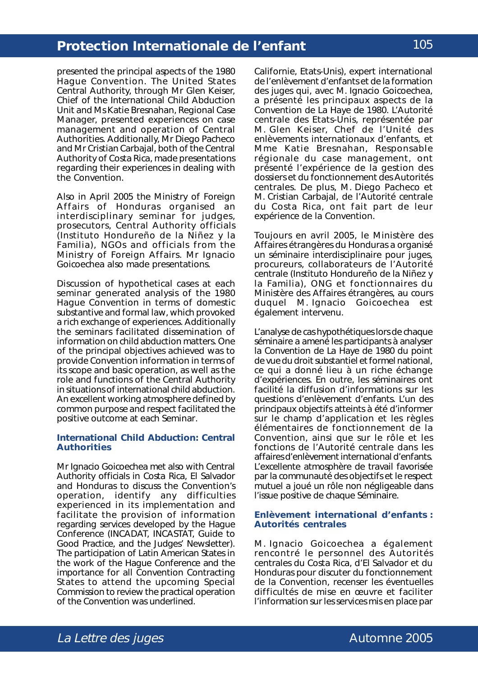presented the principal aspects of the 1980 Hague Convention. The United States Central Authority, through Mr Glen Keiser, Chief of the International Child Abduction Unit and Ms Katie Bresnahan, Regional Case Manager, presented experiences on case management and operation of Central Authorities. Additionally, Mr Diego Pacheco and Mr Cristian Carbajal, both of the Central Authority of Costa Rica, made presentations regarding their experiences in dealing with the Convention.

Also in April 2005 the Ministry of Foreign Affairs of Honduras organised an interdisciplinary seminar for judges, prosecutors, Central Authority officials (*Instituto Hondureño de la Niñez y la Familia*), NGOs and officials from the Ministry of Foreign Affairs. Mr Ignacio Goicoechea also made presentations.

Discussion of hypothetical cases at each seminar generated analysis of the 1980 Hague Convention in terms of domestic substantive and formal law, which provoked a rich exchange of experiences. Additionally the seminars facilitated dissemination of information on child abduction matters. One of the principal objectives achieved was to provide Convention information in terms of its scope and basic operation, as well as the role and functions of the Central Authority in situations of international child abduction. An excellent working atmosphere defined by common purpose and respect facilitated the positive outcome at each Seminar.

#### **International Child Abduction: Central Authorities**

Mr Ignacio Goicoechea met also with Central Authority officials in Costa Rica, El Salvador and Honduras to discuss the Convention's operation, identify any difficulties experienced in its implementation and facilitate the provision of information regarding services developed by the Hague Conference (INCADAT, INCASTAT, Guide to Good Practice, and the Judges' Newsletter). The participation of Latin American States in the work of the Hague Conference and the importance for all Convention Contracting States to attend the upcoming Special Commission to review the practical operation of the Convention was underlined.

Californie, Etats-Unis), expert international de l'enlèvement d'enfants et de la formation des juges qui, avec M. Ignacio Goicoechea, a présenté les principaux aspects de la Convention de La Haye de 1980. L'Autorité centrale des Etats-Unis, représentée par M. Glen Keiser, Chef de l'Unité des enlèvements internationaux d'enfants, et Mme Katie Bresnahan, Responsable régionale du *case management*, ont présenté l'expérience de la gestion des dossiers et du fonctionnement des Autorités centrales. De plus, M. Diego Pacheco et M. Cristian Carbajal, de l'Autorité centrale du Costa Rica, ont fait part de leur expérience de la Convention.

Toujours en avril 2005, le Ministère des Affaires étrangères du Honduras a organisé un séminaire interdisciplinaire pour juges, procureurs, collaborateurs de l'Autorité centrale (*Instituto Hondureño de la Niñez y la Familia*), ONG et fonctionnaires du Ministère des Affaires étrangères, au cours duquel M. Ignacio Goicoechea est également intervenu.

L'analyse de cas hypothétiques lors de chaque séminaire a amené les participants à analyser la Convention de La Haye de 1980 du point de vue du droit substantiel et formel national, ce qui a donné lieu à un riche échange d'expériences. En outre, les séminaires ont facilité la diffusion d'informations sur les questions d'enlèvement d'enfants. L'un des principaux objectifs atteints à été d'informer sur le champ d'application et les règles élémentaires de fonctionnement de la Convention, ainsi que sur le rôle et les fonctions de l'Autorité centrale dans les affaires d'enlèvement international d'enfants. L'excellente atmosphère de travail favorisée par la communauté des objectifs et le respect mutuel a joué un rôle non négligeable dans l'issue positive de chaque Séminaire.

#### **Enlèvement international d'enfants : Autorités centrales**

M. Ignacio Goicoechea a également rencontré le personnel des Autorités centrales du Costa Rica, d'El Salvador et du Honduras pour discuter du fonctionnement de la Convention, recenser les éventuelles difficultés de mise en œuvre et faciliter l'information sur les services mis en place par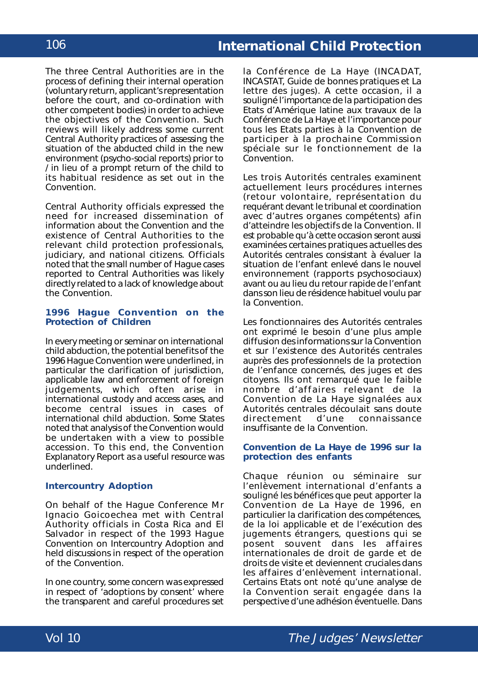The three Central Authorities are in the process of defining their internal operation (voluntary return, applicant's representation before the court, and co-ordination with other competent bodies) in order to achieve the objectives of the Convention. Such reviews will likely address some current Central Authority practices of assessing the situation of the abducted child in the new environment (psycho-social reports) prior to / in lieu of a prompt return of the child to its habitual residence as set out in the Convention.

Central Authority officials expressed the need for increased dissemination of information about the Convention and the existence of Central Authorities to the relevant child protection professionals, judiciary, and national citizens. Officials noted that the small number of Hague cases reported to Central Authorities was likely directly related to a lack of knowledge about the Convention.

#### **1996 Hague Convention on the Protection of Children**

In every meeting or seminar on international child abduction, the potential benefits of the 1996 Hague Convention were underlined, in particular the clarification of jurisdiction, applicable law and enforcement of foreign judgements, which often arise in international custody and access cases, and become central issues in cases of international child abduction. Some States noted that analysis of the Convention would be undertaken with a view to possible accession. To this end, the Convention Explanatory Report as a useful resource was underlined.

### **Intercountry Adoption**

On behalf of the Hague Conference Mr Ignacio Goicoechea met with Central Authority officials in Costa Rica and El Salvador in respect of the 1993 Hague Convention on Intercountry Adoption and held discussions in respect of the operation of the Convention.

In one country, some concern was expressed in respect of 'adoptions by consent' where the transparent and careful procedures set

la Conférence de La Haye (INCADAT, INCASTAT, Guide de bonnes pratiques et La lettre des juges). A cette occasion, il a souligné l'importance de la participation des Etats d'Amérique latine aux travaux de la Conférence de La Haye et l'importance pour tous les Etats parties à la Convention de participer à la prochaine Commission spéciale sur le fonctionnement de la Convention.

Les trois Autorités centrales examinent actuellement leurs procédures internes (retour volontaire, représentation du requérant devant le tribunal et coordination avec d'autres organes compétents) afin d'atteindre les objectifs de la Convention. Il est probable qu'à cette occasion seront aussi examinées certaines pratiques actuelles des Autorités centrales consistant à évaluer la situation de l'enfant enlevé dans le nouvel environnement (rapports psychosociaux) avant ou au lieu du retour rapide de l'enfant dans son lieu de résidence habituel voulu par la Convention.

Les fonctionnaires des Autorités centrales ont exprimé le besoin d'une plus ample diffusion des informations sur la Convention et sur l'existence des Autorités centrales auprès des professionnels de la protection de l'enfance concernés, des juges et des citoyens. Ils ont remarqué que le faible nombre d'affaires relevant de la Convention de La Haye signalées aux Autorités centrales découlait sans doute<br>directement d'une connaissance connaissance insuffisante de la Convention.

#### **Convention de La Haye de 1996 sur la protection des enfants**

Chaque réunion ou séminaire sur l'enlèvement international d'enfants a souligné les bénéfices que peut apporter la Convention de La Haye de 1996, en particulier la clarification des compétences, de la loi applicable et de l'exécution des jugements étrangers, questions qui se posent souvent dans les affaires internationales de droit de garde et de droits de visite et deviennent cruciales dans les affaires d'enlèvement international. Certains Etats ont noté qu'une analyse de la Convention serait engagée dans la perspective d'une adhésion éventuelle. Dans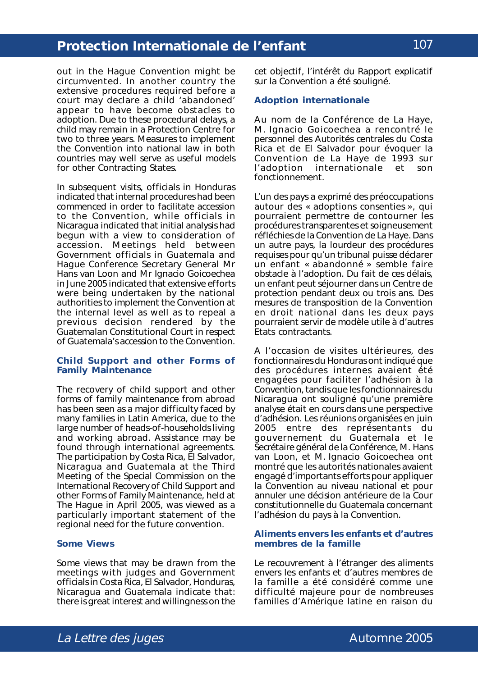out in the Hague Convention might be circumvented. In another country the extensive procedures required before a court may declare a child 'abandoned' appear to have become obstacles to adoption. Due to these procedural delays, a child may remain in a Protection Centre for two to three years. Measures to implement the Convention into national law in both countries may well serve as useful models for other Contracting States.

In subsequent visits, officials in Honduras indicated that internal procedures had been commenced in order to facilitate accession to the Convention, while officials in Nicaragua indicated that initial analysis had begun with a view to consideration of accession. Meetings held between Government officials in Guatemala and Hague Conference Secretary General Mr Hans van Loon and Mr Ignacio Goicoechea in June 2005 indicated that extensive efforts were being undertaken by the national authorities to implement the Convention at the internal level as well as to repeal a previous decision rendered by the Guatemalan Constitutional Court in respect of Guatemala's accession to the Convention.

#### **Child Support and other Forms of Family Maintenance**

The recovery of child support and other forms of family maintenance from abroad has been seen as a major difficulty faced by many families in Latin America, due to the large number of heads-of-households living and working abroad. Assistance may be found through international agreements. The participation by Costa Rica, El Salvador, Nicaragua and Guatemala at the Third Meeting of the Special Commission on the International Recovery of Child Support and other Forms of Family Maintenance, held at The Hague in April 2005, was viewed as a particularly important statement of the regional need for the future convention.

#### **Some Views**

Some views that may be drawn from the meetings with judges and Government officials in Costa Rica, El Salvador, Honduras, Nicaragua and Guatemala indicate that: there is great interest and willingness on the

cet objectif, l'intérêt du Rapport explicatif sur la Convention a été souligné.

#### **Adoption internationale**

Au nom de la Conférence de La Haye, M. Ignacio Goicoechea a rencontré le personnel des Autorités centrales du Costa Rica et de El Salvador pour évoquer la Convention de La Haye de 1993 sur l'adoption internationale et son fonctionnement.

L'un des pays a exprimé des préoccupations autour des « adoptions consenties », qui pourraient permettre de contourner les procédures transparentes et soigneusement réfléchies de la Convention de La Haye. Dans un autre pays, la lourdeur des procédures requises pour qu'un tribunal puisse déclarer un enfant « abandonné » semble faire obstacle à l'adoption. Du fait de ces délais, un enfant peut séjourner dans un Centre de protection pendant deux ou trois ans. Des mesures de transposition de la Convention en droit national dans les deux pays pourraient servir de modèle utile à d'autres Etats contractants.

A l'occasion de visites ultérieures, des fonctionnaires du Honduras ont indiqué que des procédures internes avaient été engagées pour faciliter l'adhésion à la Convention, tandis que les fonctionnaires du Nicaragua ont souligné qu'une première analyse était en cours dans une perspective d'adhésion. Les réunions organisées en juin 2005 entre des représentants du gouvernement du Guatemala et le Secrétaire général de la Conférence, M. Hans van Loon, et M. Ignacio Goicoechea ont montré que les autorités nationales avaient engagé d'importants efforts pour appliquer la Convention au niveau national et pour annuler une décision antérieure de la Cour constitutionnelle du Guatemala concernant l'adhésion du pays à la Convention.

#### **Aliments envers les enfants et d'autres membres de la famille**

Le recouvrement à l'étranger des aliments envers les enfants et d'autres membres de la famille a été considéré comme une difficulté majeure pour de nombreuses familles d'Amérique latine en raison du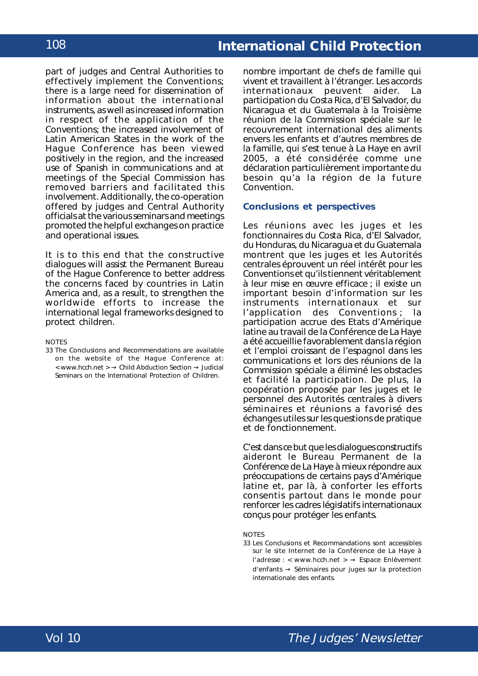part of judges and Central Authorities to effectively implement the Conventions; there is a large need for dissemination of information about the international instruments, as well as increased information in respect of the application of the Conventions; the increased involvement of Latin American States in the work of the Hague Conference has been viewed positively in the region, and the increased use of Spanish in communications and at meetings of the Special Commission has removed barriers and facilitated this involvement. Additionally, the co-operation offered by judges and Central Authority officials at the various seminars and meetings promoted the helpful exchanges on practice and operational issues.

It is to this end that the constructive dialogues will assist the Permanent Bureau of the Hague Conference to better address the concerns faced by countries in Latin America and, as a result, to strengthen the worldwide efforts to increase the international legal frameworks designed to protect children.

#### **NOTES**

33 The Conclusions and Recommendations are available on the website of the Hague Conference at: < www.hcch.net > → Child Abduction Section → Judicial Seminars on the International Protection of Children.

nombre important de chefs de famille qui vivent et travaillent à l'étranger. Les accords internationaux peuvent aider. La participation du Costa Rica, d'El Salvador, du Nicaragua et du Guatemala à la Troisième réunion de la Commission spéciale sur le recouvrement international des aliments envers les enfants et d'autres membres de la famille, qui s'est tenue à La Haye en avril 2005, a été considérée comme une déclaration particulièrement importante du besoin qu'a la région de la future Convention.

#### **Conclusions et perspectives**

Les réunions avec les juges et les fonctionnaires du Costa Rica, d'El Salvador, du Honduras, du Nicaragua et du Guatemala montrent que les juges et les Autorités centrales éprouvent un réel intérêt pour les Conventions et qu'ils tiennent véritablement à leur mise en œuvre efficace ; il existe un important besoin d'information sur les instruments internationaux et sur l'application des Conventions ; la participation accrue des Etats d'Amérique latine au travail de la Conférence de La Haye a été accueillie favorablement dans la région et l'emploi croissant de l'espagnol dans les communications et lors des réunions de la Commission spéciale a éliminé les obstacles et facilité la participation. De plus, la coopération proposée par les juges et le personnel des Autorités centrales à divers séminaires et réunions a favorisé des échanges utiles sur les questions de pratique et de fonctionnement.

C'est dans ce but que les dialogues constructifs aideront le Bureau Permanent de la Conférence de La Haye à mieux répondre aux préoccupations de certains pays d'Amérique latine et, par là, à conforter les efforts consentis partout dans le monde pour renforcer les cadres législatifs internationaux conçus pour protéger les enfants.

#### **NOTES**

33 Les Conclusions et Recommandations sont accessibles sur le site Internet de la Conférence de La Haye à l'adresse : < www.hcch.net > → Espace Enlèvement d'enfants → Séminaires pour juges sur la protection internationale des enfants.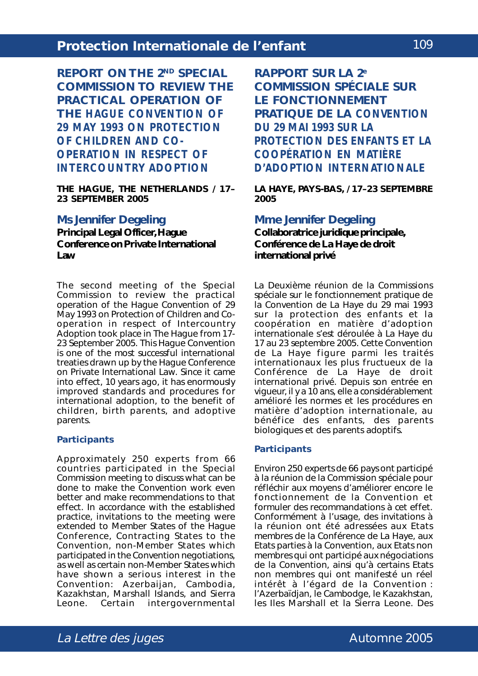**REPORT ON THE 2ND SPECIAL COMMISSION TO REVIEW THE PRACTICAL OPERATION OF THE** *HAGUE CONVENTION OF 29 MAY 1993 ON PROTECTION OF CHILDREN AND CO-OPERATION IN RESPECT OF INTERCOUNTRY ADOPTION*

**THE HAGUE, THE NETHERLANDS / 17– 23 SEPTEMBER 2005**

### **Ms Jennifer Degeling**

**Principal Legal Officer, Hague Conference on Private International Law**

The second meeting of the Special Commission to review the practical operation of the *Hague Convention of 29 May 1993 on Protection of Children and Cooperation in respect of Intercountry Adoption* took place in The Hague from 17- 23 September 2005. This Hague Convention is one of the most successful international treaties drawn up by the Hague Conference on Private International Law. Since it came into effect, 10 years ago, it has enormously improved standards and procedures for international adoption, to the benefit of children, birth parents, and adoptive parents.

#### **Participants**

Approximately 250 experts from 66 countries participated in the Special Commission meeting to discuss what can be done to make the Convention work even better and make recommendations to that effect. In accordance with the established practice, invitations to the meeting were extended to Member States of the Hague Conference, Contracting States to the Convention, non-Member States which participated in the Convention negotiations, as well as certain non-Member States which have shown a serious interest in the Convention: Azerbaijan, Cambodia, Kazakhstan, Marshall Islands, and Sierra Leone. Certain intergovernmental **RAPPORT SUR LA 2e COMMISSION SPÉCIALE SUR LE FONCTIONNEMENT PRATIQUE DE LA** *CONVENTION DU 29 MAI 1993 SUR LA PROTECTION DES ENFANTS ET LA COOPÉRATION EN MATIÈRE D'ADOPTION INTERNATIONALE*

**LA HAYE, PAYS-BAS, / 17–23 SEPTEMBRE 2005**

#### **Mme Jennifer Degeling**

**Collaboratrice juridique principale, Conférence de La Haye de droit international privé**

La Deuxième réunion de la Commissions spéciale sur le fonctionnement pratique de la *Convention de La Haye du 29 mai 1993 sur la protection des enfants et la coopération en matière d'adoption internationale* s'est déroulée à La Haye du 17 au 23 septembre 2005. Cette Convention de La Haye figure parmi les traités internationaux les plus fructueux de la Conférence de La Haye de droit international privé. Depuis son entrée en vigueur, il y a 10 ans, elle a considérablement amélioré les normes et les procédures en matière d'adoption internationale, au bénéfice des enfants, des parents biologiques et des parents adoptifs.

#### **Participants**

Environ 250 experts de 66 pays ont participé à la réunion de la Commission spéciale pour réfléchir aux moyens d'améliorer encore le fonctionnement de la Convention et formuler des recommandations à cet effet. Conformément à l'usage, des invitations à la réunion ont été adressées aux Etats membres de la Conférence de La Haye, aux Etats parties à la Convention, aux Etats non membres qui ont participé aux négociations de la Convention, ainsi qu'à certains Etats non membres qui ont manifesté un réel intérêt à l'égard de la Convention : l'Azerbaïdjan, le Cambodge, le Kazakhstan, les Iles Marshall et la Sierra Leone. Des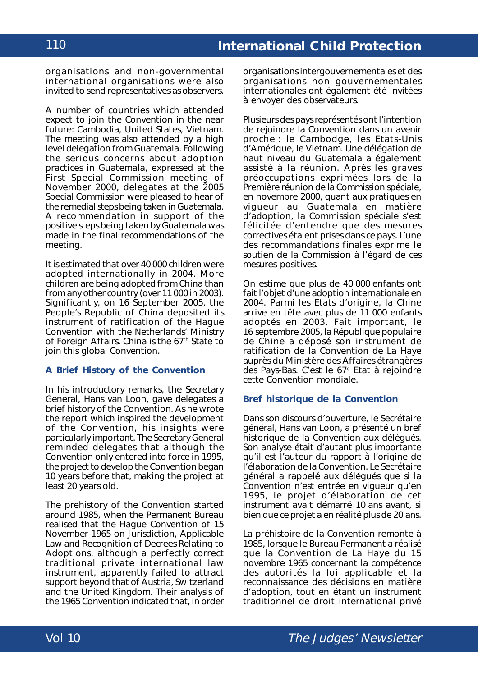organisations and non-governmental international organisations were also invited to send representatives as observers.

A number of countries which attended expect to join the Convention in the near future: Cambodia, United States, Vietnam. The meeting was also attended by a high level delegation from Guatemala. Following the serious concerns about adoption practices in Guatemala, expressed at the First Special Commission meeting of November 2000, delegates at the 2005 Special Commission were pleased to hear of the remedial steps being taken in Guatemala. A recommendation in support of the positive steps being taken by Guatemala was made in the final recommendations of the meeting.

It is estimated that over 40 000 children were adopted internationally in 2004. More children are being adopted from China than from any other country (over 11 000 in 2003). Significantly, on 16 September 2005, the People's Republic of China deposited its instrument of ratification of the Hague Convention with the Netherlands' Ministry of Foreign Affairs. China is the 67<sup>th</sup> State to join this global Convention.

#### **A Brief History of the Convention**

In his introductory remarks, the Secretary General, Hans van Loon, gave delegates a brief history of the Convention. As he wrote the report which inspired the development of the Convention, his insights were particularly important. The Secretary General reminded delegates that although the Convention only entered into force in 1995, the project to develop the Convention began 10 years before that, making the project at least 20 years old.

The prehistory of the Convention started around 1985, when the Permanent Bureau realised that the *Hague Convention of 15 November 1965 on Jurisdiction, Applicable Law and Recognition of Decrees Relating to Adoptions*, although a perfectly correct traditional private international law instrument, apparently failed to attract support beyond that of Austria, Switzerland and the United Kingdom. Their analysis of the 1965 Convention indicated that, in order

organisations intergouvernementales et des organisations non gouvernementales internationales ont également été invitées à envoyer des observateurs.

Plusieurs des pays représentés ont l'intention de rejoindre la Convention dans un avenir proche : le Cambodge, les Etats-Unis d'Amérique, le Vietnam. Une délégation de haut niveau du Guatemala a également assisté à la réunion. Après les graves préoccupations exprimées lors de la Première réunion de la Commission spéciale, en novembre 2000, quant aux pratiques en vigueur au Guatemala en matière d'adoption, la Commission spéciale s'est félicitée d'entendre que des mesures correctives étaient prises dans ce pays. L'une des recommandations finales exprime le soutien de la Commission à l'égard de ces mesures positives.

On estime que plus de 40 000 enfants ont fait l'objet d'une adoption internationale en 2004. Parmi les Etats d'origine, la Chine arrive en tête avec plus de 11 000 enfants adoptés en 2003. Fait important, le 16 septembre 2005, la République populaire de Chine a déposé son instrument de ratification de la Convention de La Haye auprès du Ministère des Affaires étrangères des Pays-Bas. C'est le 67e Etat à rejoindre cette Convention mondiale.

#### **Bref historique de la Convention**

Dans son discours d'ouverture, le Secrétaire général, Hans van Loon, a présenté un bref historique de la Convention aux délégués. Son analyse était d'autant plus importante qu'il est l'auteur du rapport à l'origine de l'élaboration de la Convention. Le Secrétaire général a rappelé aux délégués que si la Convention n'est entrée en vigueur qu'en 1995, le projet d'élaboration de cet instrument avait démarré 10 ans avant, si bien que ce projet a en réalité plus de 20 ans.

La préhistoire de la Convention remonte à 1985, lorsque le Bureau Permanent a réalisé que la *Convention de La Haye du 15 novembre 1965 concernant la compétence des autorités la loi applicable et la reconnaissance des décisions en matière d'adoption*, tout en étant un instrument traditionnel de droit international privé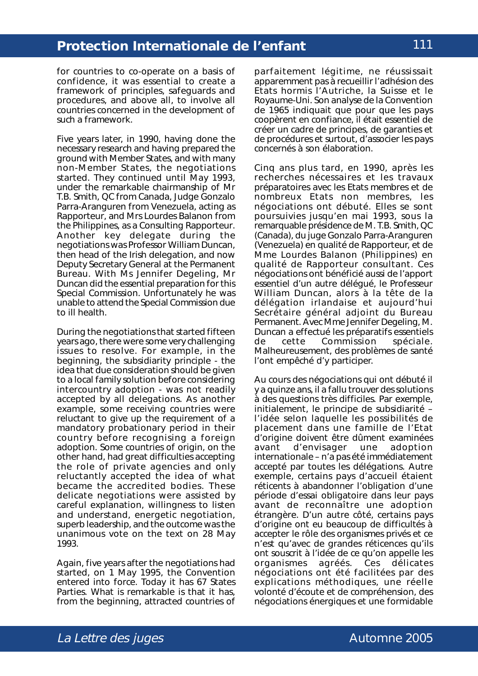for countries to co-operate on a basis of confidence, it was essential to create a framework of principles, safeguards and procedures, and above all, to involve all countries concerned in the development of such a framework.

Five years later, in 1990, having done the necessary research and having prepared the ground with Member States, and with many non-Member States, the negotiations started. They continued until May 1993, under the remarkable chairmanship of Mr T.B. Smith, QC from Canada, Judge Gonzalo Parra-Aranguren from Venezuela, acting as *Rapporteur*, and Mrs Lourdes Balanon from the Philippines, as a Consulting *Rapporteur*. Another key delegate during the negotiations was Professor William Duncan, then head of the Irish delegation, and now Deputy Secretary General at the Permanent Bureau. With Ms Jennifer Degeling, Mr Duncan did the essential preparation for this Special Commission. Unfortunately he was unable to attend the Special Commission due to ill health.

During the negotiations that started fifteen years ago, there were some very challenging issues to resolve. For example, in the beginning, the subsidiarity principle - the idea that due consideration should be given to a local family solution before considering intercountry adoption - was not readily accepted by all delegations. As another example, some receiving countries were reluctant to give up the requirement of a mandatory probationary period in their country before recognising a foreign adoption. Some countries of origin, on the other hand, had great difficulties accepting the role of private agencies and only reluctantly accepted the idea of what became the accredited bodies. These delicate negotiations were assisted by careful explanation, willingness to listen and understand, energetic negotiation, superb leadership, and the outcome was the unanimous vote on the text on 28 May 1993.

Again, five years after the negotiations had started, on 1 May 1995, the Convention entered into force. Today it has 67 States Parties. What is remarkable is that it has, from the beginning, attracted countries of

parfaitement légitime, ne réussissait apparemment pas à recueillir l'adhésion des Etats hormis l'Autriche, la Suisse et le Royaume-Uni. Son analyse de la Convention de 1965 indiquait que pour que les pays coopèrent en confiance, il était essentiel de créer un cadre de principes, de garanties et de procédures et surtout, d'associer les pays concernés à son élaboration.

Cinq ans plus tard, en 1990, après les recherches nécessaires et les travaux préparatoires avec les Etats membres et de nombreux Etats non membres, les négociations ont débuté. Elles se sont poursuivies jusqu'en mai 1993, sous la remarquable présidence de M. T.B. Smith, QC (Canada), du juge Gonzalo Parra-Aranguren (Venezuela) en qualité de Rapporteur, et de Mme Lourdes Balanon (Philippines) en qualité de Rapporteur consultant. Ces négociations ont bénéficié aussi de l'apport essentiel d'un autre délégué, le Professeur William Duncan, alors à la tête de la délégation irlandaise et aujourd'hui Secrétaire général adjoint du Bureau Permanent. Avec Mme Jennifer Degeling, M. Duncan a effectué les préparatifs essentiels de cette Commission spéciale. Malheureusement, des problèmes de santé l'ont empêché d'y participer.

Au cours des négociations qui ont débuté il y a quinze ans, il a fallu trouver des solutions à des questions très difficiles. Par exemple, initialement, le principe de subsidiarité – l'idée selon laquelle les possibilités de placement dans une famille de l'Etat d'origine doivent être dûment examinées avant d'envisager une adoption internationale – n'a pas été immédiatement accepté par toutes les délégations. Autre exemple, certains pays d'accueil étaient réticents à abandonner l'obligation d'une période d'essai obligatoire dans leur pays avant de reconnaître une adoption étrangère. D'un autre côté, certains pays d'origine ont eu beaucoup de difficultés à accepter le rôle des organismes privés et ce n'est qu'avec de grandes réticences qu'ils ont souscrit à l'idée de ce qu'on appelle les organismes agréés. Ces délicates négociations ont été facilitées par des explications méthodiques, une réelle volonté d'écoute et de compréhension, des négociations énergiques et une formidable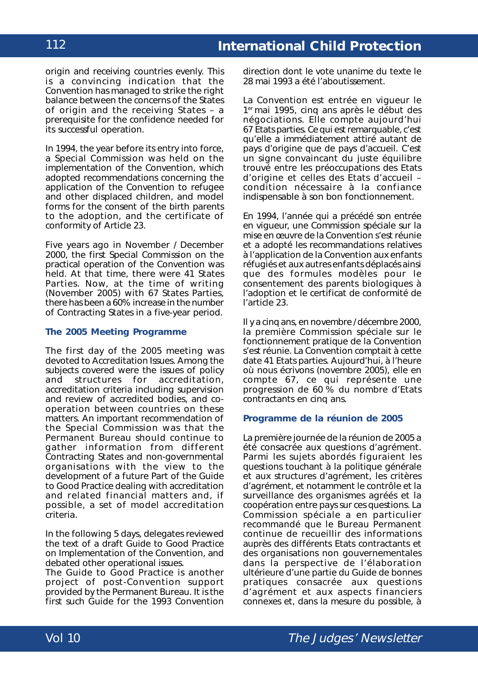origin and receiving countries evenly. This is a convincing indication that the Convention has managed to strike the right balance between the concerns of the States of origin and the receiving States – a prerequisite for the confidence needed for its successful operation.

In 1994, the year before its entry into force, a Special Commission was held on the implementation of the Convention, which adopted recommendations concerning the application of the Convention to refugee and other displaced children, and model forms for the consent of the birth parents to the adoption, and the certificate of conformity of Article 23.

Five years ago in November / December 2000, the first Special Commission on the practical operation of the Convention was held. At that time, there were 41 States Parties. Now, at the time of writing (November 2005) with 67 States Parties, there has been a 60% increase in the number of Contracting States in a five-year period.

#### **The 2005 Meeting Programme**

The first day of the 2005 meeting was devoted to Accreditation Issues. Among the subjects covered were the issues of policy and structures for accreditation, accreditation criteria including supervision and review of accredited bodies, and cooperation between countries on these matters. An important recommendation of the Special Commission was that the Permanent Bureau should continue to gather information from different Contracting States and non-governmental organisations with the view to the development of a future Part of the Guide to Good Practice dealing with accreditation and related financial matters and, if possible, a set of model accreditation criteria.

In the following 5 days, delegates reviewed the text of a draft Guide to Good Practice on Implementation of the Convention, and debated other operational issues.

The Guide to Good Practice is another project of post-Convention support provided by the Permanent Bureau. It is the first such Guide for the 1993 Convention direction dont le vote unanime du texte le 28 mai 1993 a été l'aboutissement.

La Convention est entrée en vigueur le 1er mai 1995, cinq ans après le début des négociations. Elle compte aujourd'hui 67 Etats parties. Ce qui est remarquable, c'est qu'elle a immédiatement attiré autant de pays d'origine que de pays d'accueil. C'est un signe convaincant du juste équilibre trouvé entre les préoccupations des Etats d'origine et celles des Etats d'accueil – condition nécessaire à la confiance indispensable à son bon fonctionnement.

En 1994, l'année qui a précédé son entrée en vigueur, une Commission spéciale sur la mise en œuvre de la Convention s'est réunie et a adopté les recommandations relatives à l'application de la Convention aux enfants réfugiés et aux autres enfants déplacés ainsi que des formules modèles pour le consentement des parents biologiques à l'adoption et le certificat de conformité de l'article 23.

Il y a cinq ans, en novembre / décembre 2000, la première Commission spéciale sur le fonctionnement pratique de la Convention s'est réunie. La Convention comptait à cette date 41 Etats parties. Aujourd'hui, à l'heure où nous écrivons (novembre 2005), elle en compte 67, ce qui représente une progression de 60 % du nombre d'Etats contractants en cinq ans.

#### **Programme de la réunion de 2005**

La première journée de la réunion de 2005 a été consacrée aux questions d'agrément. Parmi les sujets abordés figuraient les questions touchant à la politique générale et aux structures d'agrément, les critères d'agrément, et notamment le contrôle et la surveillance des organismes agréés et la coopération entre pays sur ces questions. La Commission spéciale a en particulier recommandé que le Bureau Permanent continue de recueillir des informations auprès des différents Etats contractants et des organisations non gouvernementales dans la perspective de l'élaboration ultérieure d'une partie du Guide de bonnes pratiques consacrée aux questions d'agrément et aux aspects financiers connexes et, dans la mesure du possible, à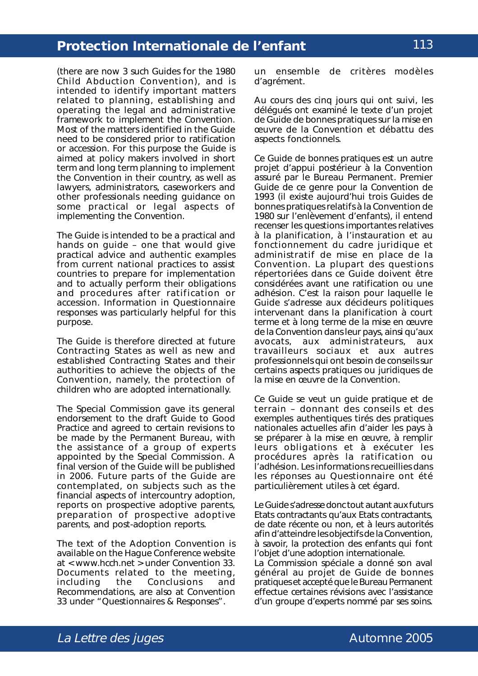(there are now 3 such Guides for the 1980 Child Abduction Convention), and is intended to identify important matters related to planning, establishing and operating the legal and administrative framework to implement the Convention. Most of the matters identified in the Guide need to be considered prior to ratification or accession. For this purpose the Guide is aimed at policy makers involved in short term and long term planning to implement the Convention in their country, as well as lawyers, administrators, caseworkers and other professionals needing guidance on some practical or legal aspects of implementing the Convention.

The Guide is intended to be a practical and hands on guide – one that would give practical advice and authentic examples from current national practices to assist countries to prepare for implementation and to actually perform their obligations and procedures after ratification or accession. Information in Questionnaire responses was particularly helpful for this purpose.

The Guide is therefore directed at future Contracting States as well as new and established Contracting States and their authorities to achieve the objects of the Convention, namely, the protection of children who are adopted internationally.

The Special Commission gave its general endorsement to the draft Guide to Good Practice and agreed to certain revisions to be made by the Permanent Bureau, with the assistance of a group of experts appointed by the Special Commission. A final version of the Guide will be published in 2006. Future parts of the Guide are contemplated, on subjects such as the financial aspects of intercountry adoption, reports on prospective adoptive parents, preparation of prospective adoptive parents, and post-adoption reports.

The text of the Adoption Convention is available on the Hague Conference website at < www.hcch.net > under Convention 33. Documents related to the meeting, including the Conclusions and Recommendations, are also at Convention 33 under "Questionnaires & Responses".

un ensemble de critères modèles d'agrément.

Au cours des cinq jours qui ont suivi, les délégués ont examiné le texte d'un projet de Guide de bonnes pratiques sur la mise en œuvre de la Convention et débattu des aspects fonctionnels.

Ce Guide de bonnes pratiques est un autre projet d'appui postérieur à la Convention assuré par le Bureau Permanent. Premier Guide de ce genre pour la Convention de 1993 (il existe aujourd'hui trois Guides de bonnes pratiques relatifs à la Convention de 1980 sur l'enlèvement d'enfants), il entend recenser les questions importantes relatives à la planification, à l'instauration et au fonctionnement du cadre juridique et administratif de mise en place de la Convention. La plupart des questions répertoriées dans ce Guide doivent être considérées avant une ratification ou une adhésion. C'est la raison pour laquelle le Guide s'adresse aux décideurs politiques intervenant dans la planification à court terme et à long terme de la mise en œuvre de la Convention dans leur pays, ainsi qu'aux avocats, aux administrateurs, aux travailleurs sociaux et aux autres professionnels qui ont besoin de conseils sur certains aspects pratiques ou juridiques de la mise en œuvre de la Convention.

Ce Guide se veut un guide pratique et de terrain – donnant des conseils et des exemples authentiques tirés des pratiques nationales actuelles afin d'aider les pays à se préparer à la mise en œuvre, à remplir leurs obligations et à exécuter les procédures après la ratification ou l'adhésion. Les informations recueillies dans les réponses au Questionnaire ont été particulièrement utiles à cet égard.

Le Guide s'adresse donc tout autant aux futurs Etats contractants qu'aux Etats contractants, de date récente ou non, et à leurs autorités afin d'atteindre les objectifs de la Convention, à savoir, la protection des enfants qui font l'objet d'une adoption internationale. La Commission spéciale a donné son aval

général au projet de Guide de bonnes pratiques et accepté que le Bureau Permanent effectue certaines révisions avec l'assistance d'un groupe d'experts nommé par ses soins.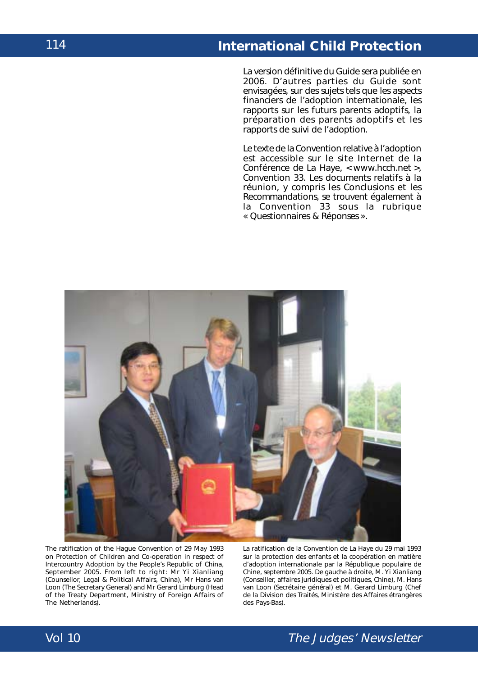La version définitive du Guide sera publiée en 2006. D'autres parties du Guide sont envisagées, sur des sujets tels que les aspects financiers de l'adoption internationale, les rapports sur les futurs parents adoptifs, la préparation des parents adoptifs et les rapports de suivi de l'adoption.

Le texte de la Convention relative à l'adoption est accessible sur le site Internet de la Conférence de La Haye, < www.hcch.net >, Convention 33. Les documents relatifs à la réunion, y compris les Conclusions et les Recommandations, se trouvent également à la Convention 33 sous la rubrique « Questionnaires & Réponses ».



The ratification of the *Hague Convention of 29 May 1993 on Protection of Children and Co-operation in respect of Intercountry Adoption* by the People's Republic of China, September 2005. From left to right: Mr Yi Xianliang (Counsellor, Legal & Political Affairs, China), Mr Hans van Loon (The Secretary General) and Mr Gerard Limburg (Head of the Treaty Department, Ministry of Foreign Affairs of The Netherlands).

La ratification de la *Convention de La Haye du 29 mai 1993 sur la protection des enfants et la coopération en matière d'adoption internationale* par la République populaire de Chine, septembre 2005. De gauche à droite, M. Yi Xianliang (Conseiller, affaires juridiques et politiques, Chine), M. Hans van Loon (Secrétaire général) et M. Gerard Limburg (Chef de la Division des Traités, Ministère des Affaires étrangères des Pays-Bas).

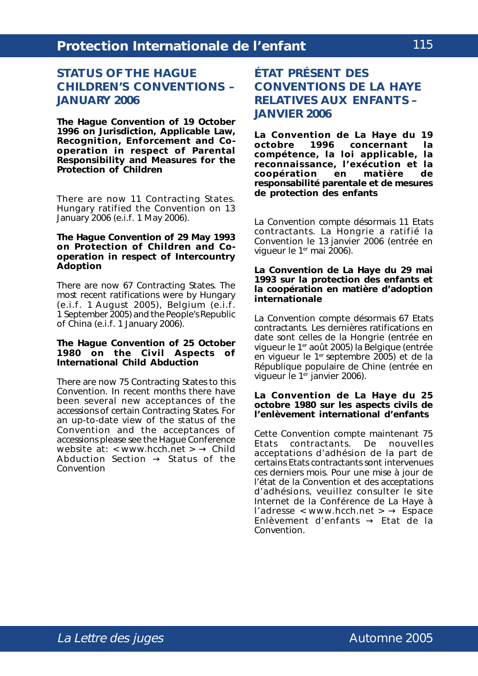## **STATUS OF THE HAGUE CHILDREN'S CONVENTIONS – JANUARY 2006**

**The** *Hague Convention of 19 October 1996 on Jurisdiction, Applicable Law, Recognition, Enforcement and Cooperation in respect of Parental Responsibility and Measures for the Protection of Children*

There are now 11 Contracting States. Hungary ratified the Convention on 13 January 2006 (e.i.f. 1 May 2006).

#### **The** *Hague Convention of 29 May 1993 on Protection of Children and Cooperation in respect of Intercountry Adoption*

There are now 67 Contracting States. The most recent ratifications were by Hungary (e.i.f. 1 August 2005), Belgium (e.i.f. 1 September 2005) and the People's Republic of China (e.i.f. 1 January 2006).

#### **The** *Hague Convention of 25 October 1980 on the Civil Aspects of International Child Abduction*

There are now 75 Contracting States to this Convention. In recent months there have been several new acceptances of the accessions of certain Contracting States. For an up-to-date view of the status of the Convention and the acceptances of accessions please see the Hague Conference website at: < www.hcch.net >  $\rightarrow$  Child Abduction Section  $\rightarrow$  Status of the Convention

# **ÉTAT PRÉSENT DES CONVENTIONS DE LA HAYE RELATIVES AUX ENFANTS – JANVIER 2006**

**La** *Convention de La Haye du 19* concernant la *compétence, la loi applicable, la reconnaissance, l'exécution et la coopération en matière de responsabilité parentale et de mesures de protection des enfants*

La Convention compte désormais 11 Etats contractants. La Hongrie a ratifié la Convention le 13 janvier 2006 (entrée en vigueur le 1<sup>er</sup> mai 2006).

#### **La** *Convention de La Haye du 29 mai 1993 sur la protection des enfants et la coopération en matière d'adoption internationale*

La Convention compte désormais 67 Etats contractants. Les dernières ratifications en date sont celles de la Hongrie (entrée en vigueur le 1er août 2005) la Belgique (entrée en vigueur le 1<sup>er</sup> septembre 2005) et de la République populaire de Chine (entrée en vigueur le 1<sup>er</sup> janvier 2006).

#### **La** *Convention de La Haye du 25 octobre 1980 sur les aspects civils de l'enlèvement international d'enfants*

Cette Convention compte maintenant 75 Etats contractants. De nouvelles acceptations d'adhésion de la part de certains Etats contractants sont intervenues ces derniers mois. Pour une mise à jour de l'état de la Convention et des acceptations d'adhésions, veuillez consulter le site Internet de la Conférence de La Haye à l'adresse < www.hcch.net >  $\rightarrow$  Espace Enlèvement d'enfants → Etat de la Convention.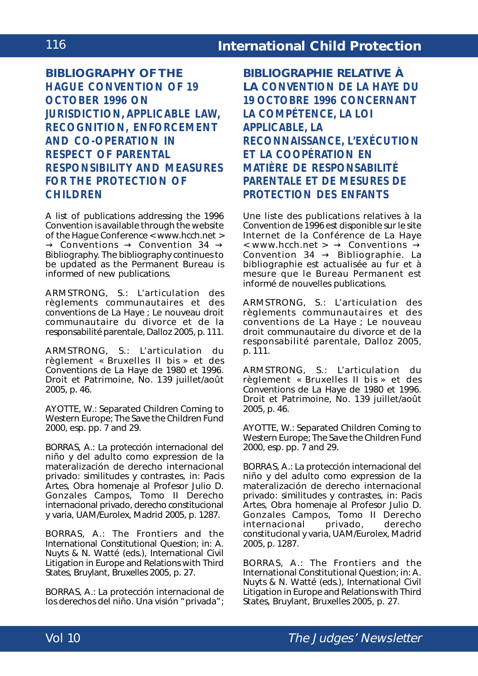**BIBLIOGRAPHY OF THE** *HAGUE CONVENTION OF 19 OCTOBER 1996 ON JURISDICTION, APPLICABLE LAW, RECOGNITION, ENFORCEMENT AND CO-OPERATION IN RESPECT OF PARENTAL RESPONSIBILITY AND MEASURES FOR THE PROTECTION OF CHILDREN*

A list of publications addressing the 1996 Convention is available through the website of the Hague Conference < www.hcch.net >  $\rightarrow$  Conventions  $\rightarrow$  Convention 34  $\rightarrow$ Bibliography. The bibliography continues to be updated as the Permanent Bureau is informed of new publications.

ARMSTRONG, S.: L'articulation des règlements communautaires et des conventions de La Haye ; *Le nouveau droit communautaire du divorce et de la responsabilité parentale*, Dalloz 2005, p. 111.

ARMSTRONG, S.: L'articulation du règlement « Bruxelles II bis » et des Conventions de La Haye de 1980 et 1996. *Droit et Patrimoine*, No. 139 juillet/août 2005, p. 46.

AYOTTE, W.: Separated Children Coming to Western Europe; The Save the Children Fund 2000, esp. pp. 7 and 29.

BORRAS, A.: La protección internacional del niño y del adulto como expression de la materalización de derecho internacional privado: similitudes y contrastes, *in*: *Pacis Artes, Obra homenaje al Profesor Julio D. Gonzales Campos*, Tomo II *Derecho internacional privado, derecho constitucional y varia*, UAM/Eurolex, Madrid 2005, p. 1287.

BORRAS, A.: The Frontiers and the International Constitutional Question; in: A. Nuyts & N. Watté (eds.), International Civil Litigation in Europe and Relations with Third States, Bruylant, Bruxelles 2005, p. 27.

BORRAS, A.: La protección internacional de los derechos del niño. Una visión "privada"; **BIBLIOGRAPHIE RELATIVE À LA** *CONVENTION DE LA HAYE DU 19 OCTOBRE 1996 CONCERNANT LA COMPÉTENCE, LA LOI APPLICABLE, LA RECONNAISSANCE, L'EXÉCUTION ET LA COOPÉRATION EN MATIÈRE DE RESPONSABILITÉ PARENTALE ET DE MESURES DE PROTECTION DES ENFANTS*

Une liste des publications relatives à la Convention de 1996 est disponible sur le site Internet de la Conférence de La Haye  $\leq$  www.hcch.net >  $\rightarrow$  Conventions  $\rightarrow$ Convention  $34 \rightarrow$  Bibliographie. La bibliographie est actualisée au fur et à mesure que le Bureau Permanent est informé de nouvelles publications.

ARMSTRONG, S.: L'articulation des règlements communautaires et des conventions de La Haye ; *Le nouveau droit communautaire du divorce et de la responsabilité parentale*, Dalloz 2005, p. 111.

ARMSTRONG, S.: L'articulation du règlement « Bruxelles II bis » et des Conventions de La Haye de 1980 et 1996. *Droit et Patrimoine*, No. 139 juillet/août 2005, p. 46.

AYOTTE, W.: Separated Children Coming to Western Europe; The Save the Children Fund 2000, esp. pp. 7 and 29.

BORRAS, A.: La protección internacional del niño y del adulto como expression de la materalización de derecho internacional privado: similitudes y contrastes, *in*: *Pacis Artes, Obra homenaje al Profesor Julio D. Gonzales Campos*, Tomo II *Derecho internacional privado, derecho constitucional y varia*, UAM/Eurolex, Madrid 2005, p. 1287.

BORRAS, A.: The Frontiers and the International Constitutional Question; in: A. Nuyts & N. Watté (eds.), International Civil Litigation in Europe and Relations with Third States, Bruylant, Bruxelles 2005, p. 27.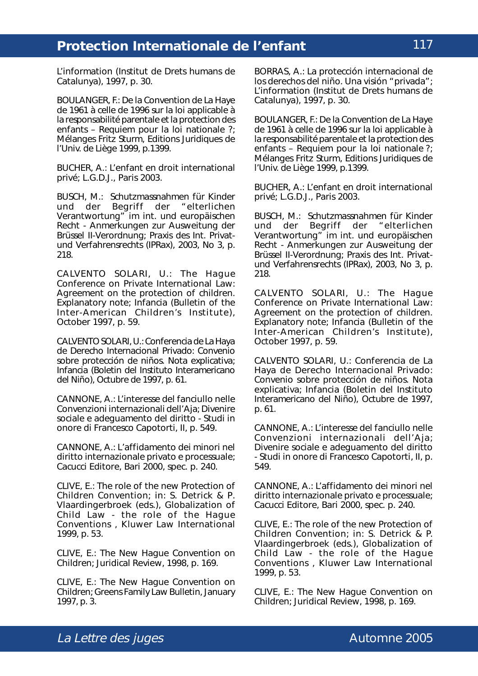*L'information* (Institut de Drets humans de Catalunya), 1997, p. 30.

BOULANGER, F.: De la Convention de La Haye de 1961 à celle de 1996 sur la loi applicable à la responsabilité parentale et la protection des enfants – Requiem pour la loi nationale ?; *Mélanges Fritz Sturm*, Editions Juridiques de l'Univ. de Liège 1999, p.1399.

BUCHER, A.: L'enfant en droit international privé; L.G.D.J., Paris 2003.

BUSCH, M.: Schutzmassnahmen für Kinder und der Begriff der "elterlichen Verantwortung" im int. und europäischen Recht - Anmerkungen zur Ausweitung der Brüssel II-Verordnung; *Praxis des Int. Privatund Verfahrensrechts (IPRax)*, 2003, No 3, p. 218.

CALVENTO SOLARI, U.: The Hague Conference on Private International Law: Agreement on the protection of children. Explanatory note; *Infancia* (Bulletin of the Inter-American Children's Institute), October 1997, p. 59.

CALVENTO SOLARI, U.: Conferencia de La Haya de Derecho Internacional Privado: Convenio sobre protección de niños. Nota explicativa; *Infancia* (Boletin del Instituto Interamericano del Niño), Octubre de 1997, p. 61.

CANNONE, A.: L'interesse del fanciullo nelle Convenzioni internazionali dell'Aja; *Divenire sociale e adeguamento del diritto - Studi in onore di Francesco Capotorti*, II, p. 549.

CANNONE, A.: L'affidamento dei minori nel diritto internazionale privato e processuale; Cacucci Editore, Bari 2000, spec. p. 240.

CLIVE, E.: The role of the new Protection of Children Convention; *in:* S. Detrick & P. Vlaardingerbroek (eds.), *Globalization of Child Law - the role of the Hague Conventions* , Kluwer Law International 1999, p. 53.

CLIVE, E.: The New Hague Convention on Children; *Juridical Review*, 1998, p. 169.

CLIVE, E.: The New Hague Convention on Children; *Greens Family Law Bulletin*, January 1997, p. 3.

BORRAS, A.: La protección internacional de los derechos del niño. Una visión "privada"; *L'information* (Institut de Drets humans de Catalunya), 1997, p. 30.

BOULANGER, F.: De la Convention de La Haye de 1961 à celle de 1996 sur la loi applicable à la responsabilité parentale et la protection des enfants – Requiem pour la loi nationale ?; *Mélanges Fritz Sturm*, Editions Juridiques de l'Univ. de Liège 1999, p.1399.

BUCHER, A.: L'enfant en droit international privé; L.G.D.J., Paris 2003.

BUSCH, M.: Schutzmassnahmen für Kinder<br>und der Begriff der "elterlichen und der Begriff der Verantwortung" im int. und europäischen Recht - Anmerkungen zur Ausweitung der Brüssel II-Verordnung; *Praxis des Int. Privatund Verfahrensrechts (IPRax)*, 2003, No 3, p. 218.

CALVENTO SOLARI, U.: The Hague Conference on Private International Law: Agreement on the protection of children. Explanatory note; *Infancia* (Bulletin of the Inter-American Children's Institute), October 1997, p. 59.

CALVENTO SOLARI, U.: Conferencia de La Haya de Derecho Internacional Privado: Convenio sobre protección de niños. Nota explicativa; *Infancia* (Boletin del Instituto Interamericano del Niño), Octubre de 1997, p. 61.

CANNONE, A.: L'interesse del fanciullo nelle Convenzioni internazionali dell'Aja; *Divenire sociale e adeguamento del diritto - Studi in onore di Francesco Capotorti*, II, p. 549.

CANNONE, A.: L'affidamento dei minori nel diritto internazionale privato e processuale; Cacucci Editore, Bari 2000, spec. p. 240.

CLIVE, E.: The role of the new Protection of Children Convention; *in:* S. Detrick & P. Vlaardingerbroek (eds.), *Globalization of Child Law - the role of the Hague Conventions* , Kluwer Law International 1999, p. 53.

CLIVE, E.: The New Hague Convention on Children; *Juridical Review*, 1998, p. 169.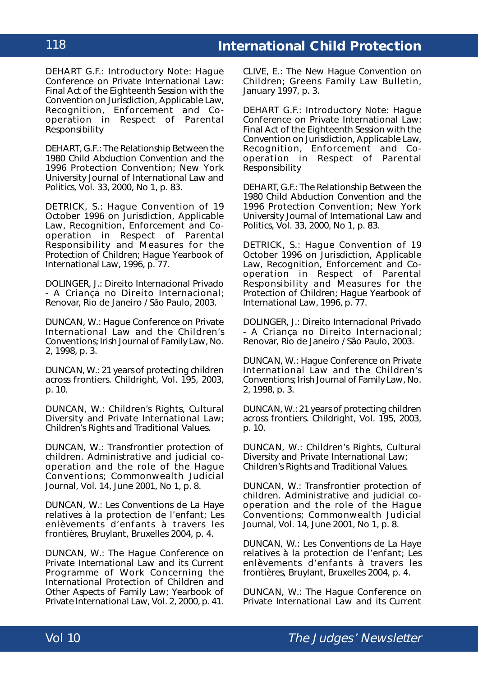DEHART G.F.: Introductory Note: Hague Conference on Private International Law: Final Act of the Eighteenth Session with the Convention on Jurisdiction, Applicable Law, Recognition, Enforcement and Cooperation in Respect of Parental Responsibility

DEHART, G.F.: The Relationship Between the 1980 Child Abduction Convention and the 1996 Protection Convention; *New York University Journal of International Law and Politics*, Vol. 33, 2000, No 1, p. 83.

DETRICK, S.: Hague Convention of 19 October 1996 on Jurisdiction, Applicable Law, Recognition, Enforcement and Cooperation in Respect of Parental Responsibility and Measures for the Protection of Children; *Hague Yearbook of International Law*, 1996, p. 77.

DOLINGER, J.: Direito Internacional Privado - A Criança no Direito Internacional; Renovar, Rio de Janeiro / São Paulo, 2003.

DUNCAN, W.: Hague Conference on Private International Law and the Children's Conventions; *Irish Journal of Family Law*, No. 2, 1998, p. 3.

DUNCAN, W.: 21 years of protecting children across frontiers. *Childright*, Vol. 195, 2003, p. 10.

DUNCAN, W.: Children's Rights, Cultural Diversity and Private International Law; *Children's Rights and Traditional Values.*

DUNCAN, W.: Transfrontier protection of children. Administrative and judicial cooperation and the role of the Hague Conventions; *Commonwealth Judicial Journal*, Vol. 14, June 2001, No 1, p. 8.

DUNCAN, W.: Les Conventions de La Haye relatives à la protection de l'enfant; *Les enlèvements d'enfants à travers les frontières*, Bruylant, Bruxelles 2004, p. 4.

DUNCAN, W.: The Hague Conference on Private International Law and its Current Programme of Work Concerning the International Protection of Children and Other Aspects of Family Law; *Yearbook of Private International Law*, Vol. 2, 2000, p. 41.

CLIVE, E.: The New Hague Convention on Children; *Greens Family Law Bulletin*, January 1997, p. 3.

DEHART G.F.: Introductory Note: Hague Conference on Private International Law: Final Act of the Eighteenth Session with the Convention on Jurisdiction, Applicable Law, Recognition, Enforcement and Cooperation in Respect of Parental Responsibility

DEHART, G.F.: The Relationship Between the 1980 Child Abduction Convention and the 1996 Protection Convention; *New York University Journal of International Law and Politics*, Vol. 33, 2000, No 1, p. 83.

DETRICK, S.: Hague Convention of 19 October 1996 on Jurisdiction, Applicable Law, Recognition, Enforcement and Cooperation in Respect of Parental Responsibility and Measures for the Protection of Children; *Hague Yearbook of International Law*, 1996, p. 77.

DOLINGER, J.: Direito Internacional Privado - A Criança no Direito Internacional; Renovar, Rio de Janeiro / São Paulo, 2003.

DUNCAN, W.: Hague Conference on Private International Law and the Children's Conventions; *Irish Journal of Family Law*, No. 2, 1998, p. 3.

DUNCAN, W.: 21 years of protecting children across frontiers. *Childright*, Vol. 195, 2003, p. 10.

DUNCAN, W.: Children's Rights, Cultural Diversity and Private International Law; Children's Rights and Traditional Values.

DUNCAN, W.: Transfrontier protection of children. Administrative and judicial cooperation and the role of the Hague Conventions; *Commonwealth Judicial Journal*, Vol. 14, June 2001, No 1, p. 8.

DUNCAN, W.: Les Conventions de La Haye relatives à la protection de l'enfant; *Les enlèvements d'enfants à travers les frontières*, Bruylant, Bruxelles 2004, p. 4.

DUNCAN, W.: The Hague Conference on Private International Law and its Current

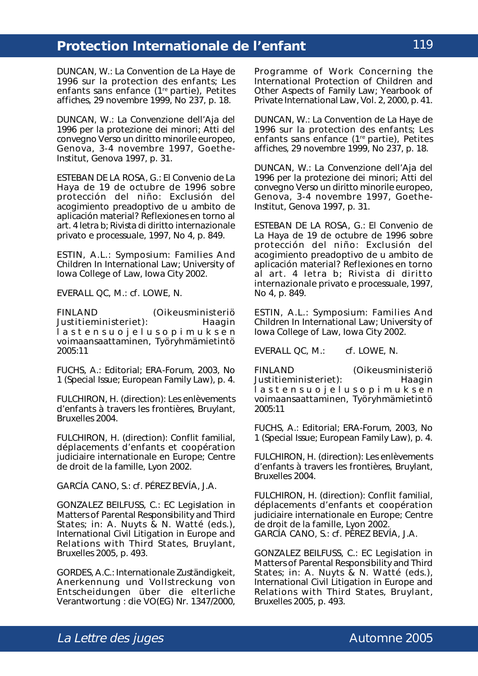DUNCAN, W.: La Convention de La Haye de 1996 sur la protection des enfants; *Les enfants sans enfance (1re partie), Petites affiches*, 29 novembre 1999, No 237, p. 18.

DUNCAN, W.: La Convenzione dell'Aja del 1996 per la protezione dei minori; *Atti del convegno Verso un diritto minorile europeo, Genova, 3-4 novembre 1997*, Goethe-Institut, Genova 1997, p. 31.

ESTEBAN DE LA ROSA, G.: El Convenio de La Haya de 19 de octubre de 1996 sobre protección del niño: Exclusión del acogimiento preadoptivo de u ambito de aplicación material? Reflexiones en torno al art. 4 letra b; *Rivista di diritto internazionale privato e processuale*, 1997, No 4, p. 849.

ESTIN, A.L.: Symposium: Families And Children In International Law; University of Iowa College of Law, Iowa City 2002.

EVERALL QC, M.: *cf*. LOWE, N.

FINLAND (Oikeusministeriö Justitieministeriet): Haagin lastensuojelusopimuksen voimaansaattaminen, Työryhmämietintö 2005:11

FUCHS, A.: Editorial; *ERA-Forum*, 2003, No 1 (Special Issue; European Family Law), p. 4.

FULCHIRON, H. (direction): Les enlèvements d'enfants à travers les frontières, Bruylant, Bruxelles 2004.

FULCHIRON, H. (direction): Conflit familial, déplacements d'enfants et coopération judiciaire internationale en Europe; Centre de droit de la famille, Lyon 2002.

GARCÍA CANO, S.: *cf*. PÉREZ BEVÍA, J.A.

GONZALEZ BEILFUSS, C.: EC Legislation in Matters of Parental Responsibility and Third States; *in*: A. Nuyts & N. Watté (eds.), *International Civil Litigation in Europe and Relations with Third States*, Bruylant, Bruxelles 2005, p. 493.

GORDES, A.C.: Internationale Zuständigkeit, Anerkennung und Vollstreckung von Entscheidungen über die elterliche Verantwortung : die VO(EG) Nr. 1347/2000, Programme of Work Concerning the International Protection of Children and Other Aspects of Family Law; *Yearbook of Private International Law*, Vol. 2, 2000, p. 41.

DUNCAN, W.: La Convention de La Haye de 1996 sur la protection des enfants; *Les enfants sans enfance (1re partie), Petites affiches*, 29 novembre 1999, No 237, p. 18.

DUNCAN, W.: La Convenzione dell'Aja del 1996 per la protezione dei minori; *Atti del convegno Verso un diritto minorile europeo, Genova, 3-4 novembre 1997*, Goethe-Institut, Genova 1997, p. 31.

ESTEBAN DE LA ROSA, G.: El Convenio de La Haya de 19 de octubre de 1996 sobre protección del niño: Exclusión del acogimiento preadoptivo de u ambito de aplicación material? Reflexiones en torno al art. 4 letra b; *Rivista di diritto internazionale privato e processuale*, 1997, No 4, p. 849.

ESTIN, A.L.: Symposium: Families And Children In International Law; University of Iowa College of Law, Iowa City 2002.

EVERALL QC, M.: *cf*. LOWE, N.

FINLAND (Oikeusministeriö Justitieministeriet): Haagin lastensuojelusopimuksen voimaansaattaminen, Työryhmämietintö 2005:11

FUCHS, A.: Editorial; *ERA-Forum*, 2003, No 1 (Special Issue; European Family Law), p. 4.

FULCHIRON, H. (direction): Les enlèvements d'enfants à travers les frontières, Bruylant, Bruxelles 2004.

FULCHIRON, H. (direction): Conflit familial, déplacements d'enfants et coopération judiciaire internationale en Europe; Centre de droit de la famille, Lyon 2002. GARCÍA CANO, S.: *cf*. PÉREZ BEVÍA, J.A.

GONZALEZ BEILFUSS, C.: EC Legislation in Matters of Parental Responsibility and Third States; *in*: A. Nuyts & N. Watté (eds.), *International Civil Litigation in Europe and Relations with Third States*, Bruylant, Bruxelles 2005, p. 493.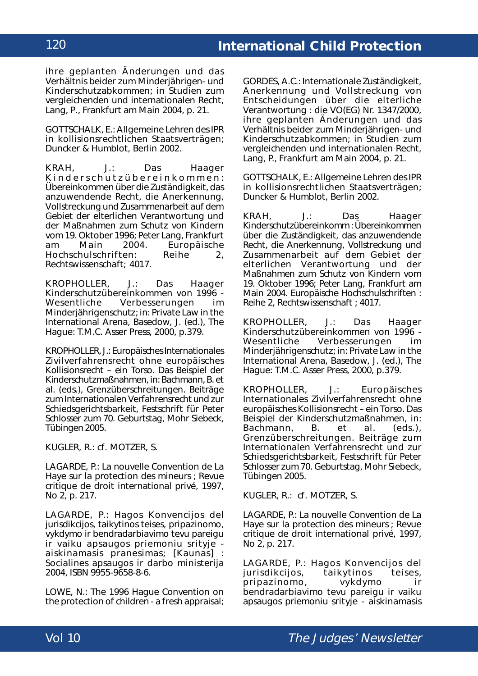ihre geplanten Änderungen und das Verhältnis beider zum Minderjährigen- und Kinderschutzabkommen; in *Studien zum vergleichenden und internationalen Recht*, Lang, P., Frankfurt am Main 2004, p. 21.

GOTTSCHALK, E.: Allgemeine Lehren des IPR in kollisionsrechtlichen Staatsverträgen; Duncker & Humblot, Berlin 2002.

KRAH, J.: Das Haager Kinderschutzübereinkommen: Übereinkommen über die Zuständigkeit, das anzuwendende Recht, die Anerkennung, Vollstreckung und Zusammenarbeit auf dem Gebiet der elterlichen Verantwortung und der Maßnahmen zum Schutz von Kindern vom 19. Oktober 1996; Peter Lang, Frankfurt am Main 2004. *Europäische Hochschulschriften*: Reihe 2, Rechtswissenschaft; 4017.

KROPHOLLER, J.: Das Haager Kinderschutzübereinkommen von 1996 -<br>Wesentliche Verbesserungen im Verbesserungen im Minderjährigenschutz; *in: Private Law in the International Arena*, Basedow, J. (ed.), The Hague: T.M.C. Asser Press, 2000, p.379.

KROPHOLLER, J.: Europäisches Internationales Zivilverfahrensrecht ohne europäisches Kollisionsrecht – ein Torso. Das Beispiel der Kinderschutzmaßnahmen, *in*: Bachmann, B. *et al.* (eds.), *Grenzüberschreitungen. Beiträge zum Internationalen Verfahrensrecht und zur Schiedsgerichtsbarkeit, Festschrift für Peter Schlosser zum 70. Geburtstag*, Mohr Siebeck, Tübingen 2005.

KUGLER, R.: *cf*. MOTZER, S.

LAGARDE, P.: La nouvelle Convention de La Haye sur la protection des mineurs ; *Revue critique de droit international privé*, 1997, No 2, p. 217.

LAGARDE, P.: Hagos Konvencijos del jurisdikcijos, taikytinos teises, pripazinomo, vykdymo ir bendradarbiavimo tevu pareigu ir vaiku apsaugos priemoniu srityje aiskinamasis pranesimas; [Kaunas] : Socialines apsaugos ir darbo ministerija 2004, ISBN 9955-9658-8-6.

LOWE, N.: The 1996 Hague Convention on the protection of children - a fresh appraisal;

GORDES, A.C.: Internationale Zuständigkeit, Anerkennung und Vollstreckung von Entscheidungen über die elterliche Verantwortung : die VO(EG) Nr. 1347/2000, ihre geplanten Änderungen und das Verhältnis beider zum Minderjährigen- und Kinderschutzabkommen; in *Studien zum vergleichenden und internationalen Recht*, Lang, P., Frankfurt am Main 2004, p. 21.

GOTTSCHALK, E.: Allgemeine Lehren des IPR in kollisionsrechtlichen Staatsverträgen; Duncker & Humblot, Berlin 2002.

KRAH, J.: Das Haager Kinderschutzübereinkomm : Übereinkommen über die Zuständigkeit, das anzuwendende Recht, die Anerkennung, Vollstreckung und Zusammenarbeit auf dem Gebiet der elterlichen Verantwortung und der Maßnahmen zum Schutz von Kindern vom 19. Oktober 1996; Peter Lang, Frankfurt am Main 2004. *Europäische Hochschulschriften* : Reihe 2, Rechtswissenschaft ; 4017.

KROPHOLLER, J.: Das Haager Kinderschutzübereinkommen von 1996 - Wesentliche Verbesserungen im Minderjährigenschutz; *in: Private Law in the International Arena*, Basedow, J. (ed.), The Hague: T.M.C. Asser Press, 2000, p.379.

KROPHOLLER, J.: Europäisches Internationales Zivilverfahrensrecht ohne europäisches Kollisionsrecht – ein Torso. Das Beispiel der Kinderschutzmaßnahmen, *in*: Bachmann, B. *et al.* (eds.), *Grenzüberschreitungen. Beiträge zum Internationalen Verfahrensrecht und zur Schiedsgerichtsbarkeit, Festschrift für Peter Schlosser zum 70. Geburtstag*, Mohr Siebeck, Tübingen 2005.

KUGLER, R.: *cf*. MOTZER, S.

LAGARDE, P.: La nouvelle Convention de La Haye sur la protection des mineurs ; *Revue critique de droit international privé*, 1997, No 2, p. 217.

LAGARDE, P.: Hagos Konvencijos del jurisdikcijos, taikytinos teises, pripazinomo, vykdymo ir bendradarbiavimo tevu pareigu ir vaiku apsaugos priemoniu srityje - aiskinamasis

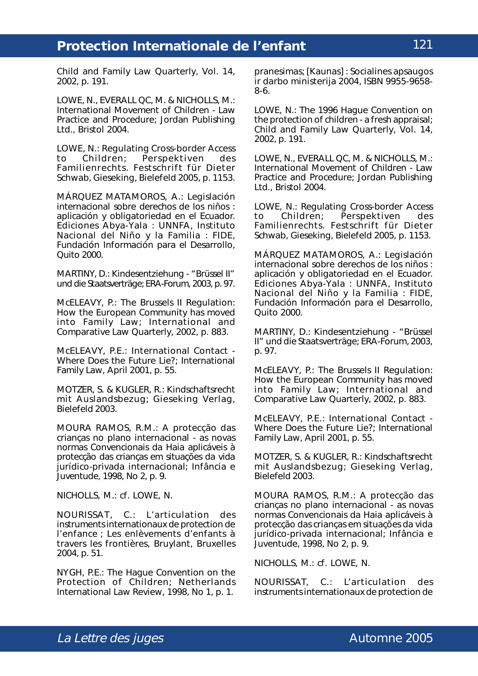*Child and Family Law Quarterly*, Vol. 14, 2002, p. 191.

LOWE, N., EVERALL QC, M. & NICHOLLS, M.: International Movement of Children - Law Practice and Procedure; Jordan Publishing Ltd., Bristol 2004.

LOWE, N.: Regulating Cross-border Access to Children; *Perspektiven des Familienrechts. Festschrift für Dieter Schwab*, Gieseking, Bielefeld 2005, p. 1153.

MÁRQUEZ MATAMOROS, A.: Legislación internacional sobre derechos de los niños : aplicación y obligatoriedad en el Ecuador. Ediciones Abya-Yala : UNNFA, Instituto Nacional del Niño y la Familia : FIDE, Fundación Información para el Desarrollo, Quito 2000.

MARTINY, D.: Kindesentziehung - "Brüssel II" und die Staatsverträge; *ERA-Forum*, 2003, p. 97.

McELEAVY, P.: The Brussels II Regulation: How the European Community has moved into Family Law; *International and Comparative Law Quarterly*, 2002, p. 883.

McELEAVY, P.E.: International Contact - Where Does the Future Lie?; *International Family Law*, April 2001, p. 55.

MOTZER, S. & KUGLER, R.: Kindschaftsrecht mit Auslandsbezug; Gieseking Verlag, Bielefeld 2003.

MOURA RAMOS, R.M.: A protecção das crianças no plano internacional - as novas normas Convencionais da Haia aplicáveis à protecção das crianças em situações da vida jurídico-privada internacional; *Infância e Juventude*, 1998, No 2, p. 9.

NICHOLLS, M.: *cf*. LOWE, N.

NOURISSAT, C.: L'articulation des instruments internationaux de protection de l'enfance ; *Les enlèvements d'enfants à travers les frontières*, Bruylant, Bruxelles 2004, p. 51.

NYGH, P.E.: The Hague Convention on the Protection of Children; *Netherlands International Law Review*, 1998, No 1, p. 1.

pranesimas; [Kaunas] : Socialines apsaugos ir darbo ministerija 2004, ISBN 9955-9658- 8-6.

LOWE, N.: The 1996 Hague Convention on the protection of children - a fresh appraisal; *Child and Family Law Quarterly*, Vol. 14, 2002, p. 191.

LOWE, N., EVERALL QC, M. & NICHOLLS, M.: International Movement of Children - Law Practice and Procedure; Jordan Publishing Ltd., Bristol 2004.

LOWE, N.: Regulating Cross-border Access to Children; *Perspektiven des Familienrechts. Festschrift für Dieter Schwab*, Gieseking, Bielefeld 2005, p. 1153.

MÁRQUEZ MATAMOROS, A.: Legislación internacional sobre derechos de los niños : aplicación y obligatoriedad en el Ecuador. Ediciones Abya-Yala : UNNFA, Instituto Nacional del Niño y la Familia : FIDE, Fundación Información para el Desarrollo, Quito 2000.

MARTINY, D.: Kindesentziehung - "Brüssel II" und die Staatsverträge; *ERA-Forum*, 2003, p. 97.

McELEAVY, P.: The Brussels II Regulation: How the European Community has moved into Family Law; *International and Comparative Law Quarterly*, 2002, p. 883.

McELEAVY, P.E.: International Contact - Where Does the Future Lie?; *International Family Law*, April 2001, p. 55.

MOTZER, S. & KUGLER, R.: Kindschaftsrecht mit Auslandsbezug; Gieseking Verlag, Bielefeld 2003.

MOURA RAMOS, R.M.: A protecção das crianças no plano internacional - as novas normas Convencionais da Haia aplicáveis à protecção das crianças em situações da vida jurídico-privada internacional; *Infância e Juventude*, 1998, No 2, p. 9.

NICHOLLS, M.: *cf*. LOWE, N.

NOURISSAT, C.: L'articulation des instruments internationaux de protection de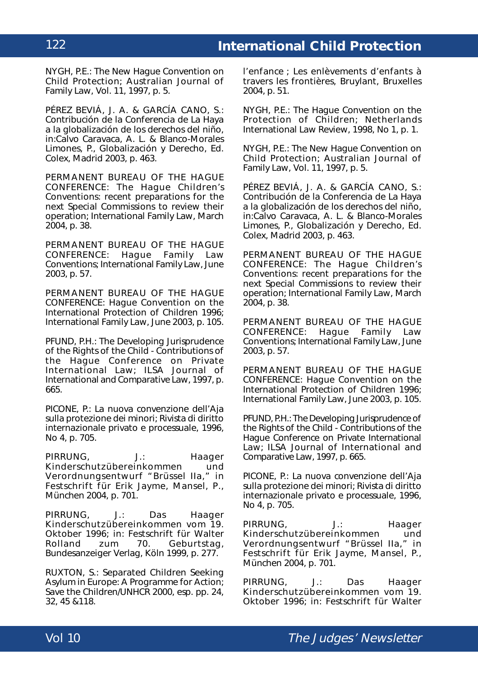NYGH, P.E.: The New Hague Convention on Child Protection; *Australian Journal of Family Law*, Vol. 11, 1997, p. 5.

PÉREZ BEVIÁ, J. A. & GARCÍA CANO, S.: Contribución de la Conferencia de La Haya a la globalización de los derechos del niño, *in*:Calvo Caravaca, A. L. & Blanco-Morales Limones, P., *Globalización y Derecho*, Ed. Colex, Madrid 2003, p. 463.

PERMANENT BUREAU OF THE HAGUE CONFERENCE: The Hague Children's Conventions: recent preparations for the next Special Commissions to review their operation; *International Family Law*, March 2004, p. 38.

PERMANENT BUREAU OF THE HAGUE CONFERENCE: Hague Family Law Conventions; *International Family Law*, June 2003, p. 57.

PERMANENT BUREAU OF THE HAGUE CONFERENCE: Hague Convention on the International Protection of Children 1996; *International Family Law*, June 2003, p. 105.

PFUND, P.H.: The Developing Jurisprudence of the Rights of the Child - Contributions of the Hague Conference on Private International Law; *ILSA Journal of International and Comparative Law*, 1997, p. 665.

PICONE, P.: La nuova convenzione dell'Aja sulla protezione dei minori; *Rivista di diritto internazionale privato e processuale*, 1996, No 4, p. 705.

PIRRUNG, J.: Haager Kinderschutzübereinkommen und Verordnungsentwurf "Brüssel IIa," in *Festschrift für Erik Jayme*, Mansel, P., München 2004, p. 701.

PIRRUNG, J.: Das Haager Kinderschutzübereinkommen vom 19. Oktober 1996; *in: Festschrift für Walter Rolland zum 70. Geburtstag*, Bundesanzeiger Verlag, Köln 1999, p. 277.

RUXTON, S.: Separated Children Seeking Asylum in Europe: A Programme for Action; Save the Children/UNHCR 2000, esp. pp. 24, 32, 45 &118.

l'enfance ; *Les enlèvements d'enfants à travers les frontières*, Bruylant, Bruxelles 2004, p. 51.

NYGH, P.E.: The Hague Convention on the Protection of Children; *Netherlands International Law Review*, 1998, No 1, p. 1.

NYGH, P.E.: The New Hague Convention on Child Protection; *Australian Journal of Family Law*, Vol. 11, 1997, p. 5.

PÉREZ BEVIÁ, J. A. & GARCÍA CANO, S.: Contribución de la Conferencia de La Haya a la globalización de los derechos del niño, *in*:Calvo Caravaca, A. L. & Blanco-Morales Limones, P., *Globalización y Derecho*, Ed. Colex, Madrid 2003, p. 463.

PERMANENT BUREAU OF THE HAGUE CONFERENCE: The Hague Children's Conventions: recent preparations for the next Special Commissions to review their operation; *International Family Law*, March 2004, p. 38.

PERMANENT BUREAU OF THE HAGUE<br>CONFERENCE: Haque Family Law Hague Family Law Conventions; *International Family Law*, June 2003, p. 57.

PERMANENT BUREAU OF THE HAGUE CONFERENCE: Hague Convention on the International Protection of Children 1996; *International Family Law*, June 2003, p. 105.

PFUND, P.H.: The Developing Jurisprudence of the Rights of the Child - Contributions of the Hague Conference on Private International Law; *ILSA Journal of International and Comparative Law*, 1997, p. 665.

PICONE, P.: La nuova convenzione dell'Aja sulla protezione dei minori; *Rivista di diritto internazionale privato e processuale*, 1996, No 4, p. 705.

PIRRUNG, J.: Haager<br>Kinderschutzübereinkommen und Kinderschutzübereinkommen Verordnungsentwurf "Brüssel IIa," in *Festschrift für Erik Jayme*, Mansel, P., München 2004, p. 701.

PIRRUNG, J.: Das Haager Kinderschutzübereinkommen vom 19. Oktober 1996; *in: Festschrift für Walter*

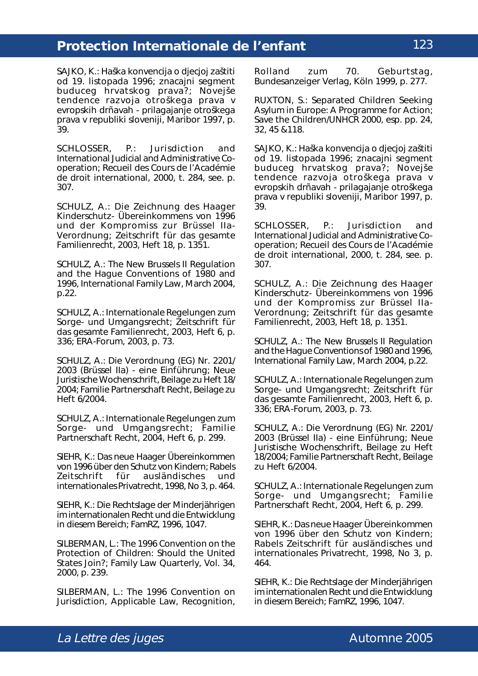SAJKO, K.: Haška konvencija o djecjoj zaštiti od 19. listopada 1996; znacajni segment buduceg hrvatskog prava?; *Novejše tendence razvoja otroškega prava v evropskih drñavah - prilagajanje otroškega prava v republiki sloveniji*, Maribor 1997, p. 39.

SCHLOSSER, P.: Jurisdiction and International Judicial and Administrative Cooperation; *Recueil des Cours de l'Académie de droit international*, 2000, t. 284, *see*. p. 307.

SCHULZ, A.: Die Zeichnung des Haager Kinderschutz- Übereinkommens von 1996 und der Kompromiss zur Brüssel IIa-Verordnung; *Zeitschrift für das gesamte Familienrecht*, 2003, Heft 18, p. 1351.

SCHULZ, A.: The New Brussels II Regulation and the Hague Conventions of 1980 and 1996, *International Family Law*, March 2004, p.22.

SCHULZ, A.: Internationale Regelungen zum Sorge- und Umgangsrecht; *Zeitschrift für das gesamte Familienrecht*, 2003, Heft 6, p. 336; *ERA-Forum*, 2003, p. 73.

SCHULZ, A.: Die Verordnung (EG) Nr. 2201/ 2003 (Brüssel IIa) - eine Einführung; *Neue Juristische Wochenschrift*, Beilage zu Heft 18/ 2004; *Familie Partnerschaft Recht*, Beilage zu Heft 6/2004.

SCHULZ, A.: Internationale Regelungen zum Sorge- und Umgangsrecht; *Familie Partnerschaft Recht*, 2004, Heft 6, p. 299.

SIEHR, K.: Das neue Haager Übereinkommen von 1996 über den Schutz von Kindern; *Rabels Zeitschrift für ausländisches und internationales Privatrecht*, 1998, No 3, p. 464.

SIEHR, K.: Die Rechtslage der Minderjährigen im internationalen Recht und die Entwicklung in diesem Bereich; *FamRZ*, 1996, 1047.

SILBERMAN, L.: The 1996 Convention on the Protection of Children: Should the United States Join?; *Family Law Quarterly*, Vol. 34, 2000, p. 239.

SILBERMAN, L.: The 1996 Convention on Jurisdiction, Applicable Law, Recognition, *Rolland zum 70. Geburtstag*, Bundesanzeiger Verlag, Köln 1999, p. 277.

RUXTON, S.: Separated Children Seeking Asylum in Europe: A Programme for Action; Save the Children/UNHCR 2000, esp. pp. 24, 32, 45 &118.

SAJKO, K.: Haška konvencija o djecjoj zaštiti od 19. listopada 1996; znacajni segment buduceg hrvatskog prava?; *Novejše tendence razvoja otroškega prava v evropskih drñavah - prilagajanje otroškega prava v republiki sloveniji*, Maribor 1997, p. 39.

SCHLOSSER, P.: Jurisdiction and International Judicial and Administrative Cooperation; *Recueil des Cours de l'Académie de droit international*, 2000, t. 284, *see*. p. 307.

SCHULZ, A.: Die Zeichnung des Haager Kinderschutz- Übereinkommens von 1996 und der Kompromiss zur Brüssel IIa-Verordnung; *Zeitschrift für das gesamte Familienrecht*, 2003, Heft 18, p. 1351.

SCHULZ, A.: The New Brussels II Regulation and the Hague Conventions of 1980 and 1996, *International Family Law*, March 2004, p.22.

SCHULZ, A.: Internationale Regelungen zum Sorge- und Umgangsrecht; *Zeitschrift für das gesamte Familienrecht*, 2003, Heft 6, p. 336; *ERA-Forum*, 2003, p. 73.

SCHULZ, A.: Die Verordnung (EG) Nr. 2201/ 2003 (Brüssel IIa) - eine Einführung; *Neue Juristische Wochenschrift*, Beilage zu Heft 18/2004; *Familie Partnerschaft Recht*, Beilage zu Heft 6/2004.

SCHULZ, A.: Internationale Regelungen zum Sorge- und Umgangsrecht; *Familie Partnerschaft Recht*, 2004, Heft 6, p. 299.

SIEHR, K.: Das neue Haager Übereinkommen von 1996 über den Schutz von Kindern; *Rabels Zeitschrift für ausländisches und internationales Privatrecht*, 1998, No 3, p. 464.

SIEHR, K.: Die Rechtslage der Minderjährigen im internationalen Recht und die Entwicklung in diesem Bereich; *FamRZ*, 1996, 1047.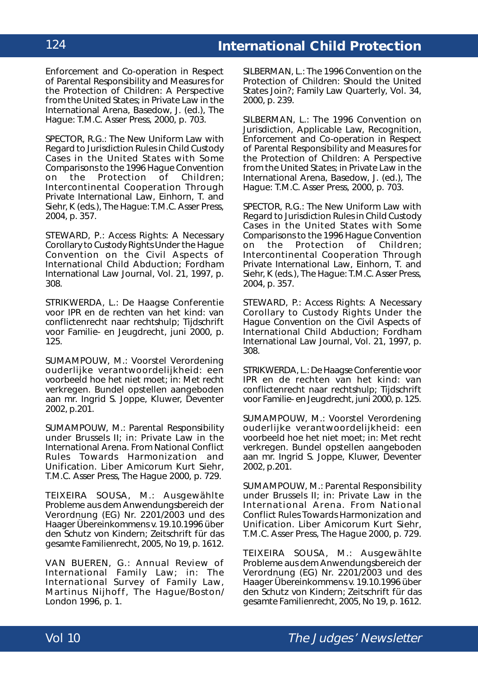Enforcement and Co-operation in Respect of Parental Responsibility and Measures for the Protection of Children: A Perspective from the United States; in *Private Law in the International Arena*, Basedow, J. (ed.), The Hague: T.M.C. Asser Press, 2000, p. 703.

SPECTOR, R.G.: The New Uniform Law with Regard to Jurisdiction Rules in Child Custody Cases in the United States with Some Comparisons to the 1996 Hague Convention on the Protection of Children; *Intercontinental Cooperation Through Private International Law*, Einhorn, T. and Siehr, K (eds.), The Hague: T.M.C. Asser Press, 2004, p. 357.

STEWARD, P.: Access Rights: A Necessary Corollary to Custody Rights Under the Hague Convention on the Civil Aspects of International Child Abduction; *Fordham International Law Journal*, Vol. 21, 1997, p. 308.

STRIKWERDA, L.: De Haagse Conferentie voor IPR en de rechten van het kind: van conflictenrecht naar rechtshulp; *Tijdschrift voor Familie- en Jeugdrecht*, juni 2000, p. 125.

SUMAMPOUW, M.: Voorstel Verordening ouderlijke verantwoordelijkheid: een voorbeeld hoe het niet moet; *in: Met recht verkregen. Bundel opstellen aangeboden aan mr. Ingrid S. Joppe*, Kluwer, Deventer 2002, p.201.

SUMAMPOUW, M.: Parental Responsibility under Brussels II; *in: Private Law in the International Arena. From National Conflict Rules Towards Harmonization and Unification. Liber Amicorum Kurt Siehr*, T.M.C. Asser Press, The Hague 2000, p. 729.

TEIXEIRA SOUSA, M.: Ausgewählte Probleme aus dem Anwendungsbereich der Verordnung (EG) Nr. 2201/2003 und des Haager Übereinkommens v. 19.10.1996 über den Schutz von Kindern; *Zeitschrift für das gesamte Familienrecht*, 2005, No 19, p. 1612.

VAN BUEREN, G.: Annual Review of International Family Law; *in: The International Survey of Family Law*, Martinus Nijhoff, The Hague/Boston/ London 1996, p. 1.

SILBERMAN, L.: The 1996 Convention on the Protection of Children: Should the United States Join?; *Family Law Quarterly*, Vol. 34, 2000, p. 239.

SILBERMAN, L.: The 1996 Convention on Jurisdiction, Applicable Law, Recognition, Enforcement and Co-operation in Respect of Parental Responsibility and Measures for the Protection of Children: A Perspective from the United States; in *Private Law in the International Arena*, Basedow, J. (ed.), The Hague: T.M.C. Asser Press, 2000, p. 703.

SPECTOR, R.G.: The New Uniform Law with Regard to Jurisdiction Rules in Child Custody Cases in the United States with Some Comparisons to the 1996 Hague Convention on the Protection of Children; *Intercontinental Cooperation Through Private International Law*, Einhorn, T. and Siehr, K (eds.), The Hague: T.M.C. Asser Press, 2004, p. 357.

STEWARD, P.: Access Rights: A Necessary Corollary to Custody Rights Under the Hague Convention on the Civil Aspects of International Child Abduction; *Fordham International Law Journal*, Vol. 21, 1997, p. 308.

STRIKWERDA, L.: De Haagse Conferentie voor IPR en de rechten van het kind: van conflictenrecht naar rechtshulp; *Tijdschrift voor Familie- en Jeugdrecht*, juni 2000, p. 125.

SUMAMPOUW, M.: Voorstel Verordening ouderlijke verantwoordelijkheid: een voorbeeld hoe het niet moet; *in: Met recht verkregen. Bundel opstellen aangeboden aan mr. Ingrid S. Joppe*, Kluwer, Deventer 2002, p.201.

SUMAMPOUW, M.: Parental Responsibility under Brussels II; *in: Private Law in the International Arena. From National Conflict Rules Towards Harmonization and Unification. Liber Amicorum Kurt Siehr*, T.M.C. Asser Press, The Hague 2000, p. 729.

TEIXEIRA SOUSA, M.: Ausgewählte Probleme aus dem Anwendungsbereich der Verordnung (EG) Nr. 2201/2003 und des Haager Übereinkommens v. 19.10.1996 über den Schutz von Kindern; *Zeitschrift für das gesamte Familienrecht*, 2005, No 19, p. 1612.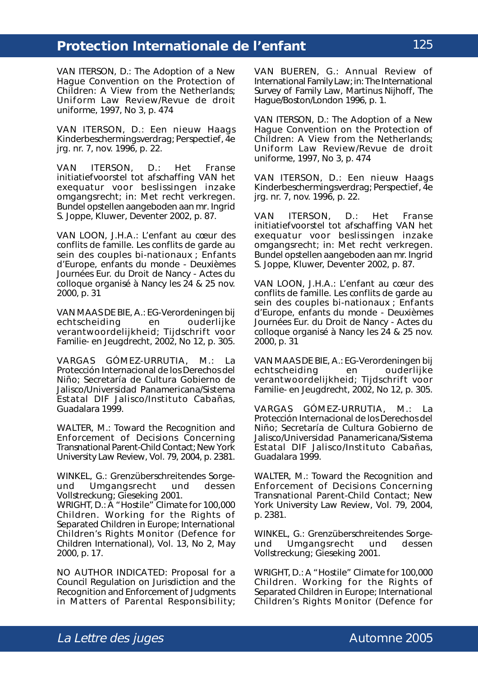VAN ITERSON, D.: The Adoption of a New Hague Convention on the Protection of Children: A View from the Netherlands; *Uniform Law Review/Revue de droit uniforme*, 1997, No 3, p. 474

VAN ITERSON, D.: Een nieuw Haags Kinderbeschermingsverdrag; *Perspectief*, 4e jrg. nr. 7, nov. 1996, p. 22.

VAN ITERSON, D.: Het Franse initiatiefvoorstel tot afschaffing VAN het exequatur voor beslissingen inzake omgangsrecht; *in: Met recht verkregen. Bundel opstellen aangeboden aan mr. Ingrid S. Joppe*, Kluwer, Deventer 2002, p. 87.

VAN LOON, J.H.A.: L'enfant au cœur des conflits de famille. Les conflits de garde au sein des couples bi-nationaux ; *Enfants d'Europe, enfants du monde - Deuxièmes Journées Eur. du Droit de Nancy - Actes du colloque organisé à Nancy les 24 & 25 nov. 2000*, p. 31

VAN MAAS DE BIE, A.: EG-Verordeningen bij echtscheiding en ouderlijke verantwoordelijkheid; *Tijdschrift voor Familie- en Jeugdrecht*, 2002, No 12, p. 305.

VARGAS GÓMEZ-URRUTIA, M.: La Protección Internacional de los Derechos del Niño; Secretaría de Cultura Gobierno de Jalisco/Universidad Panamericana/Sistema Estatal DIF Jalisco/Instituto Cabañas, Guadalara 1999.

WALTER, M.: Toward the Recognition and Enforcement of Decisions Concerning Transnational Parent-Child Contact; *New York University Law Review*, Vol. 79, 2004, p. 2381.

WINKEL, G.: Grenzüberschreitendes Sorgeund Umgangsrecht und dessen Vollstreckung; Gieseking 2001.

WRIGHT, D.: A "Hostile" Climate for 100,000 Children. Working for the Rights of Separated Children in Europe; *International Children's Rights Monitor* (Defence for Children International), Vol. 13, No 2, May 2000, p. 17.

NO AUTHOR INDICATED: Proposal for a Council Regulation on Jurisdiction and the Recognition and Enforcement of Judgments in Matters of Parental Responsibility; VAN BUEREN, G.: Annual Review of International Family Law; *in: The International Survey of Family Law*, Martinus Nijhoff, The Hague/Boston/London 1996, p. 1.

VAN ITERSON, D.: The Adoption of a New Hague Convention on the Protection of Children: A View from the Netherlands; *Uniform Law Review/Revue de droit uniforme*, 1997, No 3, p. 474

VAN ITERSON, D.: Een nieuw Haags Kinderbeschermingsverdrag; *Perspectief*, 4e jrg. nr. 7, nov. 1996, p. 22.

VAN ITERSON, D.: Het Franse initiatiefvoorstel tot afschaffing VAN het exequatur voor beslissingen inzake omgangsrecht; *in: Met recht verkregen. Bundel opstellen aangeboden aan mr. Ingrid S. Joppe*, Kluwer, Deventer 2002, p. 87.

VAN LOON, J.H.A.: L'enfant au cœur des conflits de famille. Les conflits de garde au sein des couples bi-nationaux ; *Enfants d'Europe, enfants du monde - Deuxièmes Journées Eur. du Droit de Nancy - Actes du colloque organisé à Nancy les 24 & 25 nov. 2000*, p. 31

VAN MAAS DE BIE, A.: EG-Verordeningen bij echtscheiding en ouderlijke verantwoordelijkheid; *Tijdschrift voor Familie- en Jeugdrecht*, 2002, No 12, p. 305.

VARGAS GÓMEZ-URRUTIA, M.: La Protección Internacional de los Derechos del Niño; Secretaría de Cultura Gobierno de Jalisco/Universidad Panamericana/Sistema Estatal DIF Jalisco/Instituto Cabañas, Guadalara 1999.

WALTER, M.: Toward the Recognition and Enforcement of Decisions Concerning Transnational Parent-Child Contact; *New York University Law Review*, Vol. 79, 2004, p. 2381.

WINKEL, G.: Grenzüberschreitendes Sorgeund Umgangsrecht und dessen Vollstreckung; Gieseking 2001.

WRIGHT, D.: A "Hostile" Climate for 100,000 Children. Working for the Rights of Separated Children in Europe; *International Children's Rights Monitor* (Defence for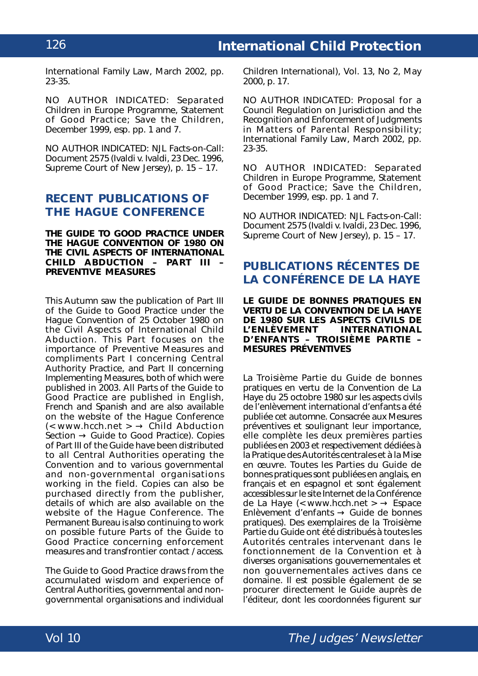*International Family Law*, March 2002, pp. 23-35.

NO AUTHOR INDICATED: Separated Children in Europe Programme, Statement of Good Practice; Save the Children, December 1999, esp. pp. 1 and 7.

NO AUTHOR INDICATED: NJL Facts-on-Call: Document 2575 (*Ivaldi v. Ivaldi*, 23 Dec. 1996, Supreme Court of New Jersey), p. 15 – 17.

## **RECENT PUBLICATIONS OF THE HAGUE CONFERENCE**

#### **THE GUIDE TO GOOD PRACTICE UNDER THE** *HAGUE CONVENTION OF 1980 ON THE CIVIL ASPECTS OF INTERNATIONAL CHILD ABDUCTION* **– PART III – PREVENTIVE MEASURES**

This Autumn saw the publication of Part III of the Guide to Good Practice under the *Hague Convention of 25 October 1980 on the Civil Aspects of International Child Abduction*. This Part focuses on the importance of Preventive Measures and compliments Part I concerning Central Authority Practice, and Part II concerning Implementing Measures, both of which were published in 2003. All Parts of the Guide to Good Practice are published in English, French and Spanish and are also available on the website of the Hague Conference  $\left(\left\langle \text{www.hcch.net} \right\rangle \rightarrow \text{Child Abduction}\right)$  $Section \rightarrow$  Guide to Good Practice). Copies of Part III of the Guide have been distributed to all Central Authorities operating the Convention and to various governmental and non-governmental organisations working in the field. Copies can also be purchased directly from the publisher, details of which are also available on the website of the Hague Conference. The Permanent Bureau is also continuing to work on possible future Parts of the Guide to Good Practice concerning enforcement measures and transfrontier contact / access.

The Guide to Good Practice draws from the accumulated wisdom and experience of Central Authorities, governmental and nongovernmental organisations and individual Children International), Vol. 13, No 2, May 2000, p. 17.

NO AUTHOR INDICATED: Proposal for a Council Regulation on Jurisdiction and the Recognition and Enforcement of Judgments in Matters of Parental Responsibility; *International Family Law*, March 2002, pp. 23-35.

NO AUTHOR INDICATED: Separated Children in Europe Programme, Statement of Good Practice; Save the Children, December 1999, esp. pp. 1 and 7.

NO AUTHOR INDICATED: NJL Facts-on-Call: Document 2575 (*Ivaldi v. Ivaldi*, 23 Dec. 1996, Supreme Court of New Jersey), p. 15 – 17.

### **PUBLICATIONS RÉCENTES DE LA CONFÉRENCE DE LA HAYE**

**LE GUIDE DE BONNES PRATIQUES EN VERTU DE LA** *CONVENTION DE LA HAYE DE 1980 SUR LES ASPECTS CIVILS DE L'ENLÈVEMENT D'ENFANTS* **– TROISIÈME PARTIE – MESURES PRÉVENTIVES**

La Troisième Partie du Guide de bonnes pratiques en vertu de la *Convention de La Haye du 25 octobre 1980 sur les aspects civils de l'enlèvement international d'enfants* a été publiée cet automne*.* Consacrée aux Mesures préventives et soulignant leur importance, elle complète les deux premières parties publiées en 2003 et respectivement dédiées à la Pratique des Autorités centrales et à la Mise en œuvre. Toutes les Parties du Guide de bonnes pratiques sont publiées en anglais, en français et en espagnol et sont également accessibles sur le site Internet de la Conférence de La Haye (< www.hcch.net >  $\rightarrow$  Espace Enlèvement d'enfants  $\rightarrow$  Guide de bonnes pratiques). Des exemplaires de la Troisième Partie du Guide ont été distribués à toutes les Autorités centrales intervenant dans le fonctionnement de la Convention et à diverses organisations gouvernementales et non gouvernementales actives dans ce domaine. Il est possible également de se procurer directement le Guide auprès de l'éditeur, dont les coordonnées figurent sur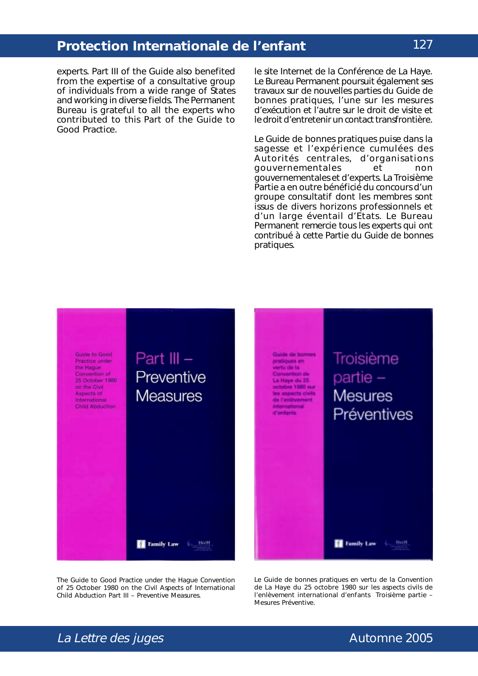experts. Part III of the Guide also benefited from the expertise of a consultative group of individuals from a wide range of States and working in diverse fields. The Permanent Bureau is grateful to all the experts who contributed to this Part of the Guide to Good Practice.

le site Internet de la Conférence de La Haye. Le Bureau Permanent poursuit également ses travaux sur de nouvelles parties du Guide de bonnes pratiques, l'une sur les mesures d'exécution et l'autre sur le droit de visite et le droit d'entretenir un contact transfrontière.

Le Guide de bonnes pratiques puise dans la sagesse et l'expérience cumulées des Autorités centrales, d'organisations gouvernementales et non gouvernementales et d'experts. La Troisième Partie a en outre bénéficié du concours d'un groupe consultatif dont les membres sont issus de divers horizons professionnels et d'un large éventail d'Etats. Le Bureau Permanent remercie tous les experts qui ont contribué à cette Partie du Guide de bonnes pratiques.



The Guide to Good Practice under the *Hague Convention of 25 October 1980 on the Civil Aspects of International Child Abduction* Part III – Preventive Measures.

Le Guide de bonnes pratiques en vertu de la *Convention de La Haye du 25 octobre 1980 sur les aspects civils de l'enlèvement international d'enfants* Troisième partie – Mesures Préventive.

La Lettre des juges and the contract of the Automne 2005

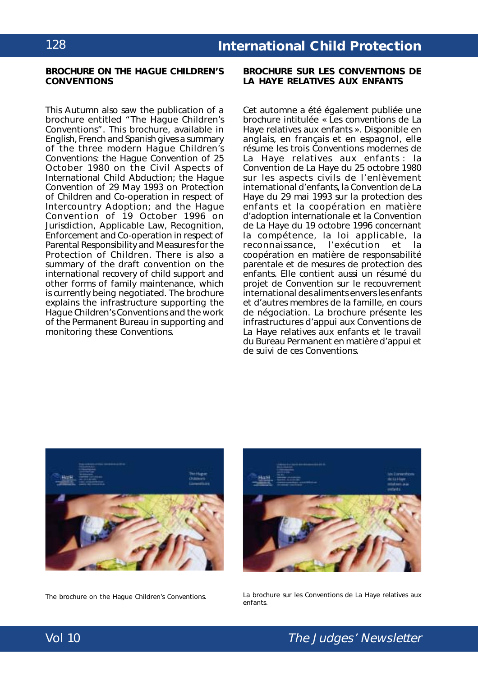#### **BROCHURE ON THE HAGUE CHILDREN'S CONVENTIONS**

This Autumn also saw the publication of a brochure entitled "The Hague Children's Conventions". This brochure, available in English, French and Spanish gives a summary of the three modern Hague Children's Conventions: the *Hague Convention of 25 October 1980 on the Civil Aspects of International Child Abduction*; the *Hague Convention of 29 May 1993 on Protection of Children and Co-operation in respect of Intercountry Adoption*; and the *Hague Convention of 19 October 1996 on Jurisdiction, Applicable Law, Recognition, Enforcement and Co-operation in respect of Parental Responsibility and Measures for the Protection of Children*. There is also a summary of the draft convention on the international recovery of child support and other forms of family maintenance, which is currently being negotiated. The brochure explains the infrastructure supporting the Hague Children's Conventions and the work of the Permanent Bureau in supporting and monitoring these Conventions.

**BROCHURE SUR LES CONVENTIONS DE LA HAYE RELATIVES AUX ENFANTS**

Cet automne a été également publiée une brochure intitulée « Les conventions de La Haye relatives aux enfants ». Disponible en anglais, en français et en espagnol, elle résume les trois Conventions modernes de La Haye relatives aux enfants : la *Convention de La Haye du 25 octobre 1980 sur les aspects civils de l'enlèvement international d'enfants,* la *Convention de La Haye du 29 mai 1993 sur la protection des enfants et la coopération en matière d'adoption internationale* et la *Convention de La Haye du 19 octobre 1996 concernant la compétence, la loi applicable, la reconnaissance, l'exécution et la coopération en matière de responsabilité parentale et de mesures de protection des enfants.* Elle contient aussi un résumé du projet de Convention sur le recouvrement international des aliments envers les enfants et d'autres membres de la famille, en cours de négociation. La brochure présente les infrastructures d'appui aux Conventions de La Haye relatives aux enfants et le travail du Bureau Permanent en matière d'appui et de suivi de ces Conventions.





The brochure on the Hague Children's Conventions. La brochure sur les Conventions de La Haye relatives aux enfants.

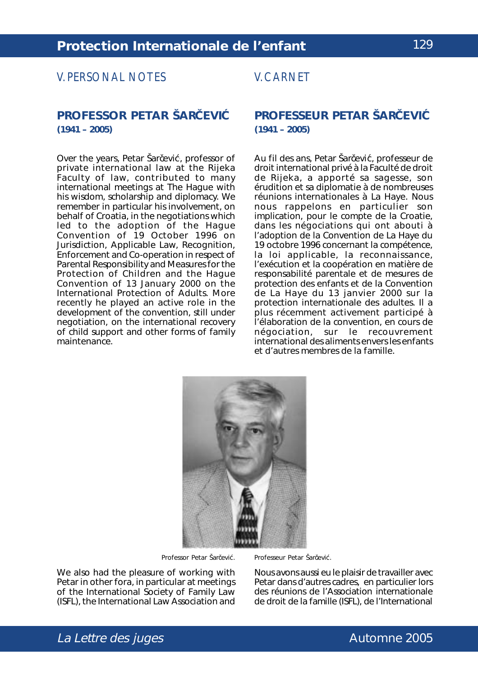## V. PERSONAL NOTES

### **PROFESSOR PETAR ŠARŠEVIÉ (1941 – 2005)**

Over the years, Petar Šarševié, professor of private international law at the Rijeka Faculty of law, contributed to many international meetings at The Hague with his wisdom, scholarship and diplomacy. We remember in particular his involvement, on behalf of Croatia, in the negotiations which led to the adoption of the *Hague Convention of 19 October 1996 on Jurisdiction, Applicable Law, Recognition, Enforcement and Co-operation in respect of Parental Responsibility and Measures for the Protection of Children* and the *Hague Convention of 13 January 2000 on the International Protection of Adults*. More recently he played an active role in the development of the convention, still under negotiation, on the international recovery of child support and other forms of family maintenance.

### V. CARNET

### **CEVIC PROFESSEUR PETAR SARCEVIC (1941 – 2005)**

čević, professor of Au fil des ans, Petar Šarčević, professeur de droit international privé à la Faculté de droit de Rijeka, a apporté sa sagesse, son érudition et sa diplomatie à de nombreuses réunions internationales à La Haye. Nous nous rappelons en particulier son implication, pour le compte de la Croatie, dans les négociations qui ont abouti à l'adoption de la *Convention de La Haye du 19 octobre 1996 concernant la compétence, la loi applicable, la reconnaissance, l'exécution et la coopération en matière de responsabilité parentale et de mesures de protection des enfants* et de la *Convention de La Haye du 13 janvier 2000 sur la protection internationale des adultes.* Il a ,<br>plus récemment activement participé à l'élaboration de la convention, en cours de négociation, sur le recouvrement international des aliments envers les enfants et d'autres membres de la famille.



Professor Petar Šarčević.

Professeur Petar Šarčević.

We also had the pleasure of working with Petar in other *fora*, in particular at meetings of the International Society of Family Law (ISFL), the International Law Association and

Nous avons aussi eu le plaisir de travailler avec Petar dans d'autres cadres, en particulier lors des réunions de l'Association internationale de droit de la famille (ISFL), de l'*International*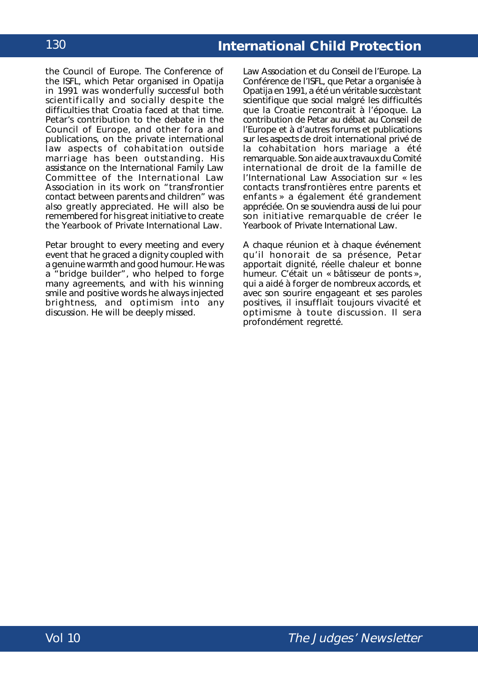the Council of Europe. The Conference of the ISFL, which Petar organised in Opatija in 1991 was wonderfully successful both scientifically and socially despite the difficulties that Croatia faced at that time. Petar's contribution to the debate in the Council of Europe, and other *fora* and publications, on the private international law aspects of cohabitation outside marriage has been outstanding. His assistance on the International Family Law Committee of the International Law Association in its work on "transfrontier contact between parents and children" was also greatly appreciated. He will also be remembered for his great initiative to create the *Yearbook of Private International Law*.

Petar brought to every meeting and every event that he graced a dignity coupled with a genuine warmth and good humour. He was a "bridge builder", who helped to forge many agreements, and with his winning smile and positive words he always injected brightness, and optimism into any discussion. He will be deeply missed.

*Law Association* et du Conseil de l'Europe. La Conférence de l'ISFL, que Petar a organisée à Opatija en 1991, a été un véritable succès tant scientifique que social malgré les difficultés que la Croatie rencontrait à l'époque. La contribution de Petar au débat au Conseil de l'Europe et à d'autres forums et publications sur les aspects de droit international privé de la cohabitation hors mariage a été remarquable. Son aide aux travaux du Comité international de droit de la famille de l'*International Law Association* sur « les contacts transfrontières entre parents et enfants » a également été grandement appréciée. On se souviendra aussi de lui pour son initiative remarquable de créer le *Yearbook of Private International Law*.

A chaque réunion et à chaque événement qu'il honorait de sa présence, Petar apportait dignité, réelle chaleur et bonne humeur. C'était un « bâtisseur de ponts », qui a aidé à forger de nombreux accords, et avec son sourire engageant et ses paroles positives, il insufflait toujours vivacité et optimisme à toute discussion. Il sera profondément regretté.